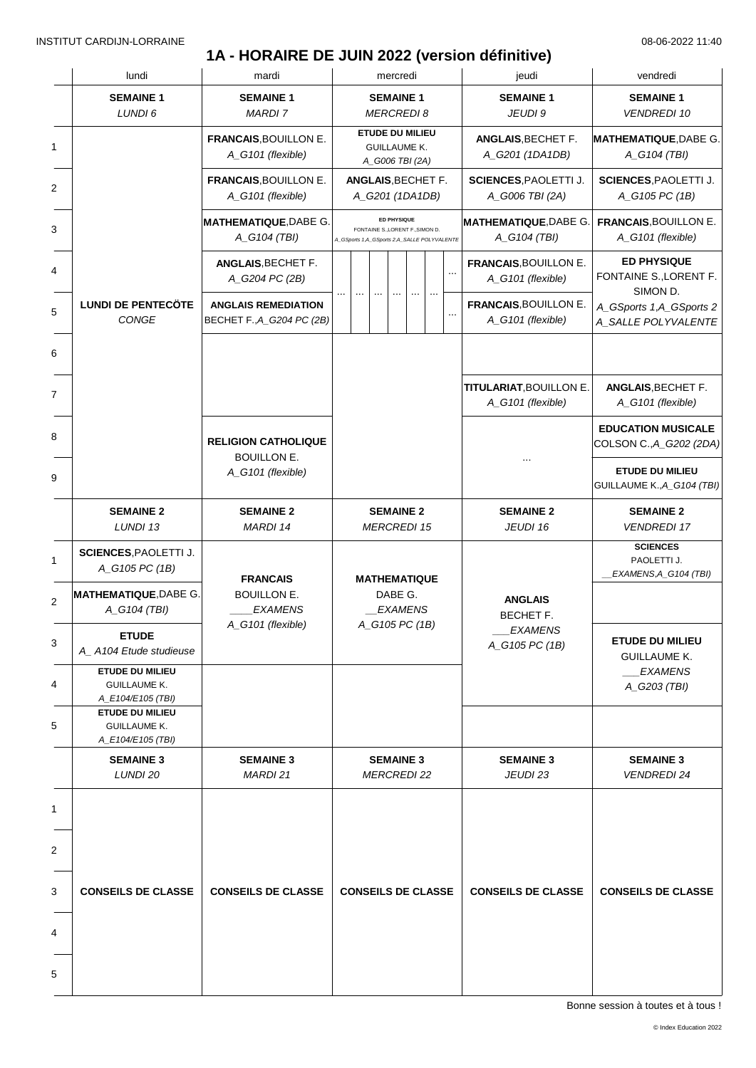### **1A - HORAIRE DE JUIN 2022 (version définitive)**

| lundi                                                              | mardi                                                   | mercredi                                                                                       | jeudi                                                     | vendredi                                                 |
|--------------------------------------------------------------------|---------------------------------------------------------|------------------------------------------------------------------------------------------------|-----------------------------------------------------------|----------------------------------------------------------|
| <b>SEMAINE 1</b><br>LUNDI 6                                        | <b>SEMAINE 1</b><br><b>MARDI 7</b>                      | <b>SEMAINE 1</b><br><b>MERCREDI 8</b>                                                          | <b>SEMAINE 1</b><br>JEUDI 9                               | <b>SEMAINE 1</b><br><b>VENDREDI 10</b>                   |
|                                                                    | <b>FRANCAIS, BOUILLON E.</b><br>A_G101 (flexible)       | <b>ETUDE DU MILIEU</b><br><b>GUILLAUME K.</b><br>A_G006 TBI (2A)                               | <b>ANGLAIS, BECHET F.</b><br>A G201 (1DA1DB)              | <b>MATHEMATIQUE, DABE G.</b><br>A_G104 (TBI)             |
|                                                                    | FRANCAIS, BOUILLON E.<br>A_G101 (flexible)              | <b>ANGLAIS, BECHET F.</b><br>A_G201 (1DA1DB)                                                   | <b>SCIENCES, PAOLETTI J.</b><br>A_G006 TBI (2A)           | <b>SCIENCES, PAOLETTI J.</b><br>A_G105 PC (1B)           |
|                                                                    | <b>MATHEMATIQUE, DABE G.</b><br>A_G104 (TBI)            | ED PHYSIQUE<br>FONTAINE S., LORENT F., SIMON D.<br>A_GSports 1,A_GSports 2,A_SALLE POLYVALENTE | <b>MATHEMATIQUE, DABE G</b><br>A_G104 (TBI)               | <b>FRANCAIS, BOUILLON E.</b><br>A_G101 (flexible)        |
|                                                                    | ANGLAIS, BECHET F.<br>A_G204 PC (2B)                    | $\sim$                                                                                         | <b>FRANCAIS, BOUILLON E.</b><br>A_G101 (flexible)         | <b>ED PHYSIQUE</b><br>FONTAINE S., LORENT F.<br>SIMON D. |
| <b>LUNDI DE PENTECÖTE</b><br>CONGE                                 | <b>ANGLAIS REMEDIATION</b><br>BECHET F., A_G204 PC (2B) |                                                                                                | <b>FRANCAIS, BOUILLON E.</b><br>A_G101 (flexible)         | A_GSports 1,A_GSports 2<br>A_SALLE POLYVALENTE           |
|                                                                    |                                                         |                                                                                                |                                                           |                                                          |
|                                                                    |                                                         |                                                                                                | <b>TITULARIAT, BOUILLON E.</b><br>A_G101 (flexible)       | ANGLAIS, BECHET F.<br>A_G101 (flexible)                  |
|                                                                    | <b>RELIGION CATHOLIQUE</b><br><b>BOUILLON E.</b>        |                                                                                                |                                                           | <b>EDUCATION MUSICALE</b><br>COLSON C., A_G202 (2DA)     |
|                                                                    | A_G101 (flexible)                                       |                                                                                                |                                                           | <b>ETUDE DU MILIEU</b><br>GUILLAUME K., A_G104 (TBI)     |
| <b>SEMAINE 2</b><br>LUNDI 13                                       | <b>SEMAINE 2</b><br>MARDI 14                            | <b>SEMAINE 2</b><br><b>MERCREDI 15</b>                                                         | <b>SEMAINE 2</b><br>JEUDI 16                              | <b>SEMAINE 2</b><br><b>VENDREDI 17</b>                   |
| <b>SCIENCES, PAOLETTI J.</b><br>A_G105 PC (1B)                     | <b>FRANCAIS</b>                                         |                                                                                                |                                                           | <b>SCIENCES</b><br>PAOLETTI J.<br>EXAMENS, A_G104 (TBI)  |
| <b>MATHEMATIQUE, DABE G.</b><br>A_G104 (TBI)                       | <b>BOUILLON E.</b><br><b>EXAMENS</b>                    | <b>MATHEMATIQUE</b><br>DABE G.<br><b>EXAMENS</b>                                               | <b>ANGLAIS</b><br>BECHET F.<br>_EXAMENS<br>A_G105 PC (1B) |                                                          |
| <b>ETUDE</b><br>A_A104 Etude studieuse                             | A_G101 (flexible)                                       | A_G105 PC (1B)                                                                                 |                                                           | <b>ETUDE DU MILIEU</b><br><b>GUILLAUME K.</b>            |
| <b>ETUDE DU MILIEU</b><br><b>GUILLAUME K.</b><br>A_E104/E105 (TBI) |                                                         |                                                                                                |                                                           | <b>EXAMENS</b><br>A_G203 (TBI)                           |
| <b>ETUDE DU MILIEU</b><br><b>GUILLAUME K.</b><br>A_E104/E105 (TBI) |                                                         |                                                                                                |                                                           |                                                          |
| <b>SEMAINE 3</b><br>LUNDI 20                                       | <b>SEMAINE 3</b><br>MARDI 21                            | <b>SEMAINE 3</b><br><b>MERCREDI 22</b>                                                         | <b>SEMAINE 3</b><br>JEUDI 23                              | <b>SEMAINE 3</b><br><b>VENDREDI 24</b>                   |
|                                                                    |                                                         |                                                                                                |                                                           |                                                          |
|                                                                    |                                                         |                                                                                                |                                                           |                                                          |
| <b>CONSEILS DE CLASSE</b>                                          | <b>CONSEILS DE CLASSE</b>                               | <b>CONSEILS DE CLASSE</b>                                                                      | <b>CONSEILS DE CLASSE</b>                                 | <b>CONSEILS DE CLASSE</b>                                |
|                                                                    |                                                         |                                                                                                |                                                           |                                                          |
|                                                                    |                                                         |                                                                                                |                                                           |                                                          |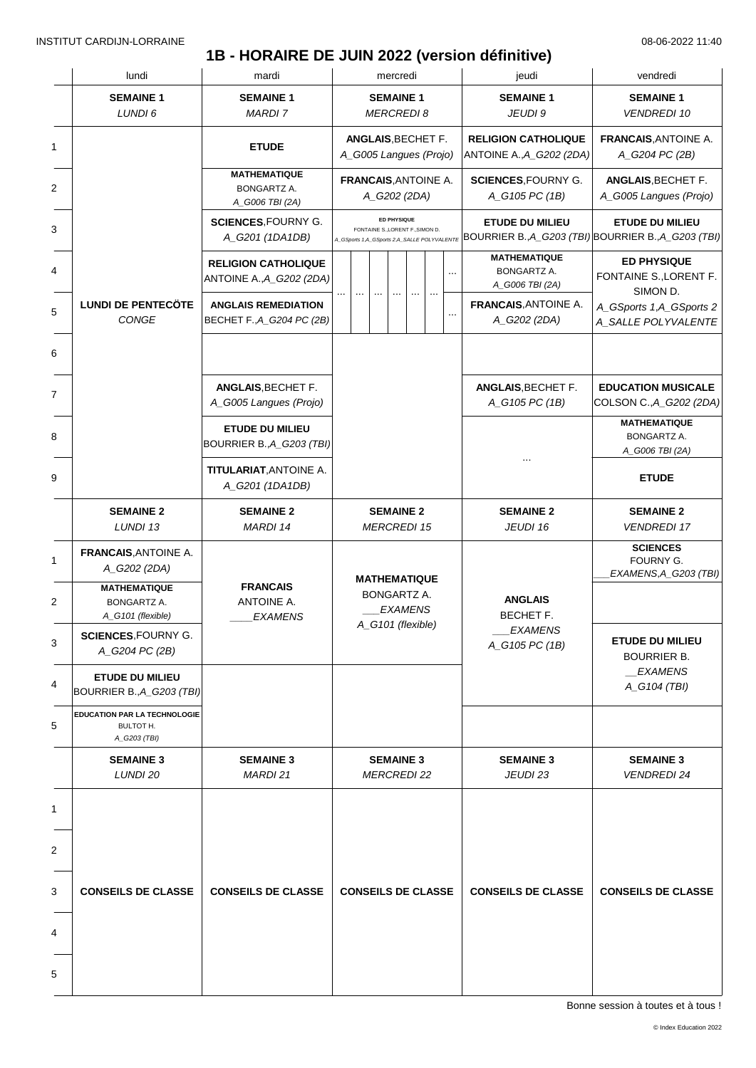### **1B - HORAIRE DE JUIN 2022 (version définitive)**

|   | lundi                                                     | mardi                                                        | mercredi                                                                                       | jeudi                                                                         | vendredi                                                   |
|---|-----------------------------------------------------------|--------------------------------------------------------------|------------------------------------------------------------------------------------------------|-------------------------------------------------------------------------------|------------------------------------------------------------|
|   | <b>SEMAINE 1</b><br>LUNDI 6                               | <b>SEMAINE 1</b><br><b>MARDI 7</b>                           | <b>SEMAINE 1</b><br><b>MERCREDI8</b>                                                           | <b>SEMAINE 1</b><br>JEUDI 9                                                   | <b>SEMAINE 1</b><br><b>VENDREDI 10</b>                     |
| 1 |                                                           | <b>ETUDE</b>                                                 | ANGLAIS, BECHET F.<br>A_G005 Langues (Projo)                                                   | <b>RELIGION CATHOLIQUE</b><br>ANTOINE A., A_G202 (2DA)                        | <b>FRANCAIS, ANTOINE A.</b><br>A_G204 PC (2B)              |
|   |                                                           | <b>MATHEMATIQUE</b><br><b>BONGARTZ A.</b><br>A_G006 TBI (2A) | <b>FRANCAIS, ANTOINE A.</b><br>A_G202 (2DA)                                                    | <b>SCIENCES, FOURNY G.</b><br>A_G105 PC (1B)                                  | ANGLAIS, BECHET F.<br>A_G005 Langues (Projo)               |
|   |                                                           | <b>SCIENCES, FOURNY G.</b><br>A_G201 (1DA1DB)                | ED PHYSIQUE<br>FONTAINE S., LORENT F., SIMON D.<br>A_GSports 1,A_GSports 2,A_SALLE POLYVALENTE | <b>ETUDE DU MILIEU</b><br>BOURRIER B., A_G203 (TBI) BOURRIER B., A_G203 (TBI) | <b>ETUDE DU MILIEU</b>                                     |
|   |                                                           | <b>RELIGION CATHOLIQUE</b><br>ANTOINE A., A_G202 (2DA)       |                                                                                                | <b>MATHEMATIQUE</b><br>BONGARTZ A.<br>A_G006 TBI (2A)                         | <b>ED PHYSIQUE</b><br>FONTAINE S., LORENT F.               |
|   | <b>LUNDI DE PENTECÖTE</b><br>CONGE                        | <b>ANGLAIS REMEDIATION</b><br>BECHET F., A_G204 PC (2B)      |                                                                                                | <b>FRANCAIS, ANTOINE A.</b><br>A_G202 (2DA)                                   | SIMON D.<br>A_GSports 1,A_GSports 2<br>A_SALLE POLYVALENTE |
|   |                                                           |                                                              |                                                                                                |                                                                               |                                                            |
|   |                                                           | <b>ANGLAIS, BECHET F.</b><br>A_G005 Langues (Projo)          |                                                                                                | ANGLAIS, BECHET F.<br>A_G105 PC (1B)                                          | <b>EDUCATION MUSICALE</b><br>COLSON C., A_G202 (2DA)       |
|   |                                                           | <b>ETUDE DU MILIEU</b><br>BOURRIER B., A_G203 (TBI)          |                                                                                                |                                                                               | <b>MATHEMATIQUE</b><br>BONGARTZ A.<br>A_G006 TBI (2A)      |
|   |                                                           | <b>TITULARIAT, ANTOINE A.</b><br>A_G201 (1DA1DB)             |                                                                                                |                                                                               | <b>ETUDE</b>                                               |
|   | <b>SEMAINE 2</b><br>LUNDI 13                              | <b>SEMAINE 2</b><br>MARDI 14                                 | <b>SEMAINE 2</b><br><b>MERCREDI 15</b>                                                         | <b>SEMAINE 2</b><br>JEUDI 16                                                  | <b>SEMAINE 2</b><br><b>VENDREDI 17</b>                     |
|   | <b>FRANCAIS, ANTOINE A.</b><br>A_G202 (2DA)               |                                                              |                                                                                                |                                                                               | <b>SCIENCES</b><br>FOURNY G.<br>EXAMENS, A_G203 (TBI)      |
|   | <b>MATHEMATIQUE</b><br>BONGARTZ A.<br>A_G101 (flexible)   | <b>FRANCAIS</b><br>ANTOINE A.<br><b>EXAMENS</b>              | <b>MATHEMATIQUE</b><br><b>BONGARTZ A.</b><br><b>EXAMENS</b>                                    | <b>ANGLAIS</b><br>BECHET F.<br>_EXAMENS<br>A_G105 PC (1B)                     |                                                            |
|   | <b>SCIENCES, FOURNY G.</b><br>A_G204 PC (2B)              |                                                              | A_G101 (flexible)                                                                              |                                                                               | <b>ETUDE DU MILIEU</b><br><b>BOURRIER B.</b>               |
|   | <b>ETUDE DU MILIEU</b><br>BOURRIER B., A_G203 (TBI)       |                                                              |                                                                                                |                                                                               | EXAMENS<br>A_G104 (TBI)                                    |
|   | EDUCATION PAR LA TECHNOLOGIE<br>BULTOT H.<br>A_G203 (TBI) |                                                              |                                                                                                |                                                                               |                                                            |
|   | <b>SEMAINE 3</b><br>LUNDI 20                              | <b>SEMAINE 3</b><br>MARDI 21                                 | <b>SEMAINE 3</b><br><b>MERCREDI 22</b>                                                         | <b>SEMAINE 3</b><br>JEUDI 23                                                  | <b>SEMAINE 3</b><br><b>VENDREDI 24</b>                     |
|   |                                                           |                                                              |                                                                                                |                                                                               |                                                            |
|   |                                                           |                                                              |                                                                                                |                                                                               |                                                            |
|   | <b>CONSEILS DE CLASSE</b>                                 | <b>CONSEILS DE CLASSE</b>                                    | <b>CONSEILS DE CLASSE</b>                                                                      | <b>CONSEILS DE CLASSE</b>                                                     | <b>CONSEILS DE CLASSE</b>                                  |
|   |                                                           |                                                              |                                                                                                |                                                                               |                                                            |
|   |                                                           |                                                              |                                                                                                |                                                                               |                                                            |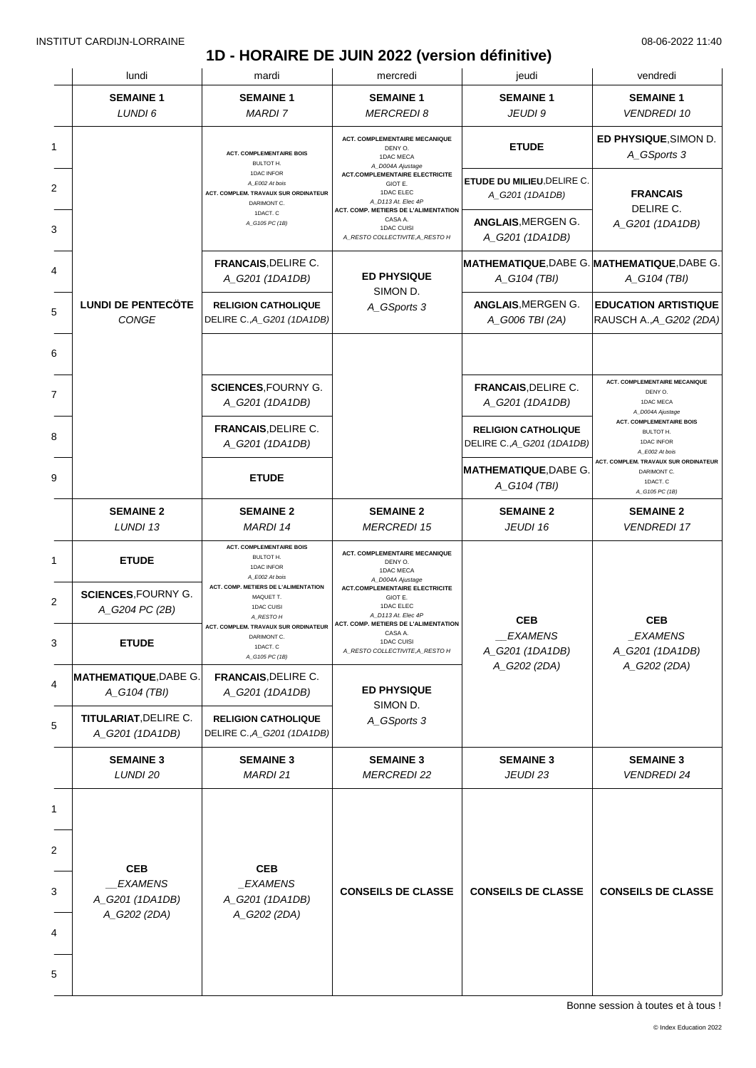### **1D - HORAIRE DE JUIN 2022 (version définitive)**

| lundi                                        | mardi                                                                               | mercredi                                                                            | jeudi                                                                                                                                        | vendredi                                                                                    |
|----------------------------------------------|-------------------------------------------------------------------------------------|-------------------------------------------------------------------------------------|----------------------------------------------------------------------------------------------------------------------------------------------|---------------------------------------------------------------------------------------------|
| <b>SEMAINE 1</b><br>LUNDI 6                  | <b>SEMAINE 1</b><br><b>MARDI7</b>                                                   | <b>SEMAINE 1</b><br><b>MERCREDI 8</b>                                               | <b>SEMAINE 1</b><br>JEUDI 9                                                                                                                  | <b>SEMAINE 1</b><br><b>VENDREDI 10</b>                                                      |
|                                              | <b>ACT. COMPLEMENTAIRE BOIS</b><br><b>BULTOT H.</b>                                 | <b>ACT. COMPLEMENTAIRE MECANIQUE</b><br>DENY O.<br>1DAC MECA                        | <b>ETUDE</b>                                                                                                                                 | ED PHYSIQUE, SIMON D.<br>A_GSports 3                                                        |
|                                              | 1DAC INFOR<br>A_E002 At bois<br>ACT. COMPLEM. TRAVAUX SUR ORDINATEUR<br>DARIMONT C. | <b>ACT.COMPLEMENTAIRE ELECTRICITE</b><br>GIOT E.<br>1DAC ELEC<br>A_D113 At. Elec 4P | ETUDE DU MILIEU, DELIRE C.<br>A_G201 (1DA1DB)                                                                                                | <b>FRANCAIS</b><br>DELIRE C.                                                                |
|                                              | A_G105 PC (1B)                                                                      | CASA A.<br>1DAC CUISI<br>A_RESTO COLLECTIVITE, A_RESTO H                            | ANGLAIS, MERGEN G.<br>A_G201 (1DA1DB)                                                                                                        | A_G201 (1DA1DB)                                                                             |
|                                              | <b>FRANCAIS, DELIRE C.</b><br>A_G201 (1DA1DB)                                       | <b>ED PHYSIQUE</b>                                                                  | A_G104 (TBI)                                                                                                                                 | A_G104 (TBI)                                                                                |
| <b>LUNDI DE PENTECÖTE</b><br><b>CONGE</b>    | <b>RELIGION CATHOLIQUE</b><br>DELIRE C., A_G201 (1DA1DB)                            | A_GSports 3                                                                         | ANGLAIS, MERGEN G.<br>A G006 TBI (2A)                                                                                                        | <b>EDUCATION ARTISTIQUE</b><br>RAUSCH A., A_G202 (2DA)                                      |
|                                              |                                                                                     |                                                                                     |                                                                                                                                              |                                                                                             |
|                                              | <b>SCIENCES, FOURNY G.</b><br>A_G201 (1DA1DB)                                       |                                                                                     | <b>FRANCAIS, DELIRE C.</b><br>A_G201 (1DA1DB)                                                                                                | <b>ACT. COMPLEMENTAIRE MECANIQUE</b><br>DENY O.<br>1DAC MECA<br>A_D004A Ajustage            |
|                                              | <b>FRANCAIS, DELIRE C.</b><br>A_G201 (1DA1DB)                                       |                                                                                     | <b>RELIGION CATHOLIQUE</b><br>DELIRE C., A_G201 (1DA1DB)                                                                                     | <b>ACT. COMPLEMENTAIRE BOIS</b><br><b>BULTOT H.</b><br>1DAC INFOR<br>A_E002 At bois         |
|                                              | <b>ETUDE</b>                                                                        |                                                                                     | A_G104 (TBI)                                                                                                                                 | ACT. COMPLEM. TRAVAUX SUR ORDINATEUR<br>DARIMONT C.<br>1DACT. C<br>A_G105 PC (1B)           |
| <b>SEMAINE 2</b><br>LUNDI 13                 | <b>SEMAINE 2</b><br><b>MARDI 14</b>                                                 | <b>SEMAINE 2</b><br><b>MERCREDI 15</b>                                              | <b>SEMAINE 2</b><br>JEUDI 16                                                                                                                 | <b>SEMAINE 2</b><br><b>VENDREDI 17</b>                                                      |
| <b>ETUDE</b>                                 | <b>ACT. COMPLEMENTAIRE BOIS</b><br>BULTOT H.<br>1DAC INFOR<br>A_E002 At bois        | <b>ACT. COMPLEMENTAIRE MECANIQUE</b><br>DENY O.<br>1DAC MECA                        |                                                                                                                                              |                                                                                             |
| <b>SCIENCES, FOURNY G.</b><br>A_G204 PC (2B) | ACT. COMP. METIERS DE L'ALIMENTATION<br>MAQUET T.<br>1DAC CUISI<br>A_RESTO H        | <b>ACT.COMPLEMENTAIRE ELECTRICITE</b><br>GIOT E.<br>1DAC ELEC<br>A_D113 At. Elec 4P | <b>CEB</b><br><b>EXAMENS</b><br>A_G201 (1DA1DB)                                                                                              | <b>CEB</b><br>_EXAMENS<br>A_G201 (1DA1DB)                                                   |
| <b>ETUDE</b>                                 | ACT. COMPLEM. TRAVAUX SUR ORDINATEUR<br>DARIMONT C.<br>1DACT. C<br>A_G105 PC (1B)   | CASA A.<br>1DAC CUISI<br>A_RESTO COLLECTIVITE, A_RESTO H                            |                                                                                                                                              |                                                                                             |
| <b>MATHEMATIQUE, DABE G.</b><br>A_G104 (TBI) | <b>FRANCAIS, DELIRE C.</b><br>A_G201 (1DA1DB)                                       | <b>ED PHYSIQUE</b>                                                                  |                                                                                                                                              | A_G202 (2DA)                                                                                |
| TITULARIAT, DELIRE C.<br>A_G201 (1DA1DB)     | <b>RELIGION CATHOLIQUE</b><br>DELIRE C., A_G201 (1DA1DB)                            | A_GSports 3                                                                         |                                                                                                                                              |                                                                                             |
| <b>SEMAINE 3</b><br>LUNDI 20                 | <b>SEMAINE 3</b><br>MARDI 21                                                        | <b>SEMAINE 3</b><br><b>MERCREDI 22</b>                                              | <b>SEMAINE 3</b><br>JEUDI 23                                                                                                                 | <b>SEMAINE 3</b><br><b>VENDREDI 24</b>                                                      |
|                                              |                                                                                     |                                                                                     |                                                                                                                                              |                                                                                             |
|                                              |                                                                                     |                                                                                     |                                                                                                                                              |                                                                                             |
| <b>EXAMENS</b><br>A_G201 (1DA1DB)            | _EXAMENS<br>A_G201 (1DA1DB)                                                         | <b>CONSEILS DE CLASSE</b>                                                           | <b>CONSEILS DE CLASSE</b>                                                                                                                    | <b>CONSEILS DE CLASSE</b>                                                                   |
|                                              | A_G202 (2DA)                                                                        |                                                                                     |                                                                                                                                              |                                                                                             |
|                                              |                                                                                     |                                                                                     |                                                                                                                                              |                                                                                             |
|                                              | <b>CEB</b><br>A_G202 (2DA)                                                          | 1DACT. C<br><b>CEB</b>                                                              | A_D004A Ajustage<br>ACT. COMP. METIERS DE L'ALIMENTATION<br>SIMON D.<br>A_D004A Ajustage<br>ACT. COMP. METIERS DE L'ALIMENTATION<br>SIMON D. | MATHEMATIQUE, DABE G. MATHEMATIQUE, DABE G.<br><b>MATHEMATIQUE, DABE G.</b><br>A_G202 (2DA) |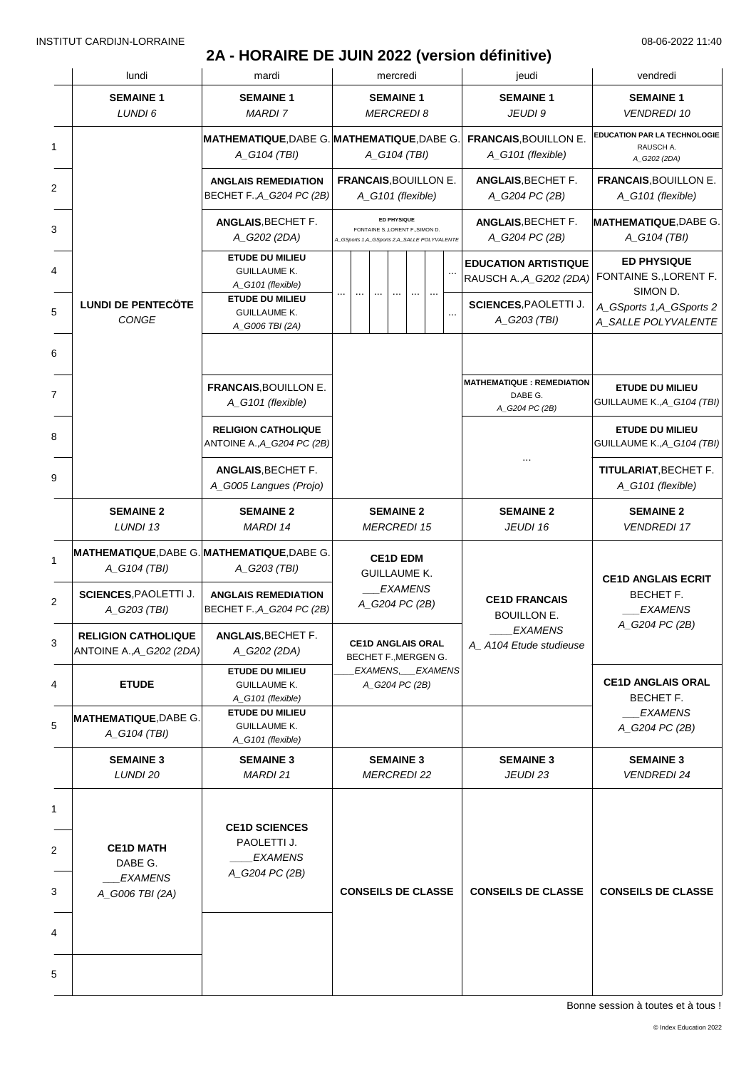### **2A - HORAIRE DE JUIN 2022 (version définitive)**

| lundi                                                  | mardi                                                                                                               | mercredi                                                                                              | jeudi                                                                                  | vendredi                                                                                                            |
|--------------------------------------------------------|---------------------------------------------------------------------------------------------------------------------|-------------------------------------------------------------------------------------------------------|----------------------------------------------------------------------------------------|---------------------------------------------------------------------------------------------------------------------|
| <b>SEMAINE 1</b><br>LUNDI 6                            | <b>SEMAINE 1</b><br><b>MARDI7</b>                                                                                   | <b>SEMAINE 1</b><br><b>MERCREDI 8</b>                                                                 | <b>SEMAINE 1</b><br>JEUDI 9                                                            | <b>SEMAINE 1</b><br><b>VENDREDI 10</b>                                                                              |
|                                                        | <b>MATHEMATIQUE, DABE G. MATHEMATIQUE, DABE G.</b><br>A_G104 (TBI)                                                  | A_G104 (TBI)                                                                                          | <b>FRANCAIS, BOUILLON E</b><br>A_G101 (flexible)                                       | <b>EDUCATION PAR LA TECHNOLOGIE</b><br>RAUSCH A.<br>A_G202 (2DA)                                                    |
|                                                        | <b>ANGLAIS REMEDIATION</b><br>BECHET F., A G204 PC (2B)                                                             | <b>FRANCAIS, BOUILLON E.</b><br>A G101 (flexible)                                                     | ANGLAIS, BECHET F.<br>A G204 PC (2B)                                                   | <b>FRANCAIS, BOUILLON E.</b><br>A_G101 (flexible)                                                                   |
|                                                        | <b>ANGLAIS, BECHET F.</b><br>A_G202 (2DA)                                                                           | <b>ED PHYSIQUE</b><br>FONTAINE S., LORENT F., SIMON D.<br>A_GSports 1,A_GSports 2,A_SALLE POLYVALENTE | ANGLAIS, BECHET F.<br>A G204 PC (2B)                                                   | <b>MATHEMATIQUE, DABE G.</b><br>A_G104 (TBI)                                                                        |
| <b>LUNDI DE PENTECÖTE</b>                              | <b>ETUDE DU MILIEU</b><br><b>GUILLAUME K.</b><br>A_G101 (flexible)<br><b>ETUDE DU MILIEU</b><br><b>GUILLAUME K.</b> |                                                                                                       | <b>EDUCATION ARTISTIQUE</b><br>RAUSCH A., A_G202 (2DA)<br><b>SCIENCES, PAOLETTI J.</b> | <b>ED PHYSIQUE</b><br>FONTAINE S., LORENT F.<br>SIMON D.<br>A_GSports 1,A_GSports 2                                 |
| <b>CONGE</b>                                           | A_G006 TBI (2A)                                                                                                     |                                                                                                       | A_G203 (TBI)                                                                           | A_SALLE POLYVALENTE                                                                                                 |
|                                                        | <b>FRANCAIS, BOUILLON E.</b><br>A_G101 (flexible)                                                                   |                                                                                                       | <b>MATHEMATIQUE : REMEDIATION</b><br>DABE G.<br>A_G204 PC (2B)                         | <b>ETUDE DU MILIEU</b><br>GUILLAUME K., A_G104 (TBI)                                                                |
|                                                        | <b>RELIGION CATHOLIQUE</b><br>ANTOINE A., A_G204 PC (2B)                                                            |                                                                                                       |                                                                                        | <b>ETUDE DU MILIEU</b><br>GUILLAUME K., A_G104 (TBI)                                                                |
|                                                        | ANGLAIS, BECHET F.<br>A_G005 Langues (Projo)                                                                        |                                                                                                       |                                                                                        | TITULARIAT, BECHET F.<br>A_G101 (flexible)                                                                          |
| <b>SEMAINE 2</b><br>LUNDI 13                           | <b>SEMAINE 2</b><br><b>MARDI 14</b>                                                                                 | <b>SEMAINE 2</b><br><b>MERCREDI 15</b>                                                                | <b>SEMAINE 2</b><br>JEUDI 16                                                           | <b>SEMAINE 2</b><br><b>VENDREDI 17</b>                                                                              |
| A_G104 (TBI)                                           | MATHEMATIQUE, DABE G. MATHEMATIQUE, DABE G.<br>A_G203 (TBI)                                                         | <b>CE1D EDM</b><br><b>GUILLAUME K.</b>                                                                | <b>CE1D FRANCAIS</b><br>BOUILLON E.<br><b>EXAMENS</b><br>A A104 Etude studieuse        | <b>CE1D ANGLAIS ECRIT</b><br>BECHET F.<br><b>EXAMENS</b><br>A_G204 PC (2B)<br><b>CE1D ANGLAIS ORAL</b><br>BECHET F. |
| <b>SCIENCES, PAOLETTI J.</b><br>A_G203 (TBI)           | <b>ANGLAIS REMEDIATION</b><br>BECHET F., A_G204 PC (2B)                                                             | <b>EXAMENS</b><br>A_G204 PC (2B)                                                                      |                                                                                        |                                                                                                                     |
| <b>RELIGION CATHOLIQUE</b><br>ANTOINE A., A_G202 (2DA) | ANGLAIS, BECHET F.<br>A_G202 (2DA)                                                                                  | <b>CE1D ANGLAIS ORAL</b><br>BECHET F., MERGEN G.                                                      |                                                                                        |                                                                                                                     |
| <b>ETUDE</b>                                           | <b>ETUDE DU MILIEU</b><br><b>GUILLAUME K.</b><br>A_G101 (flexible)                                                  | EXAMENS, EXAMENS<br>A_G204 PC (2B)                                                                    |                                                                                        |                                                                                                                     |
| <b>MATHEMATIQUE, DABE G.</b><br>A_G104 (TBI)           | <b>ETUDE DU MILIEU</b><br><b>GUILLAUME K.</b><br>A_G101 (flexible)                                                  |                                                                                                       |                                                                                        | EXAMENS<br>A_G204 PC (2B)                                                                                           |
| <b>SEMAINE 3</b><br>LUNDI 20                           | <b>SEMAINE 3</b><br>MARDI 21                                                                                        | <b>SEMAINE 3</b><br><b>MERCREDI 22</b>                                                                | <b>SEMAINE 3</b><br>JEUDI 23                                                           | <b>SEMAINE 3</b><br><b>VENDREDI 24</b>                                                                              |
| <b>CE1D MATH</b>                                       | <b>CE1D SCIENCES</b><br>PAOLETTI J.                                                                                 |                                                                                                       |                                                                                        |                                                                                                                     |
| DABE G.<br><b>EXAMENS</b><br>A_G006 TBI (2A)           | EXAMENS<br>A_G204 PC (2B)                                                                                           | <b>CONSEILS DE CLASSE</b>                                                                             | <b>CONSEILS DE CLASSE</b>                                                              | <b>CONSEILS DE CLASSE</b>                                                                                           |
|                                                        |                                                                                                                     |                                                                                                       |                                                                                        |                                                                                                                     |
|                                                        |                                                                                                                     |                                                                                                       |                                                                                        |                                                                                                                     |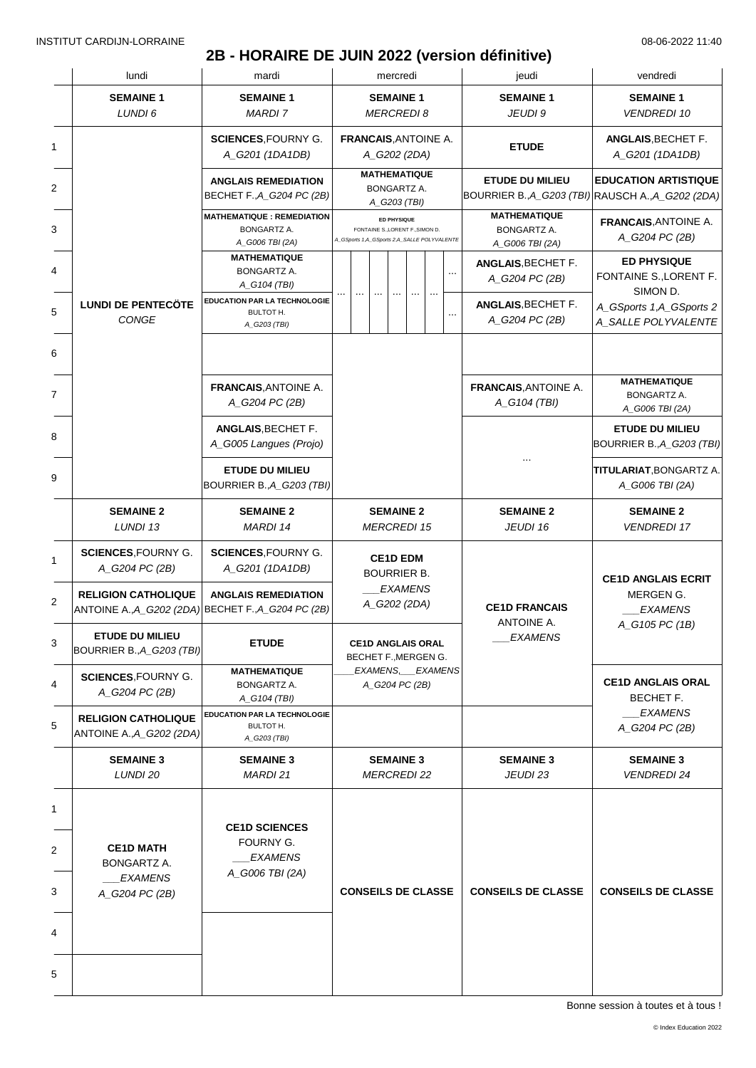# **2B - HORAIRE DE JUIN 2022 (version définitive)**

|             | lundi                                                                            | mardi                                                                  |                                                    |                                                                                                       |  |  |  | mercredi                                         |                                            |                                                                             |                                                     | jeudi                                                | vendredi                                                 |
|-------------|----------------------------------------------------------------------------------|------------------------------------------------------------------------|----------------------------------------------------|-------------------------------------------------------------------------------------------------------|--|--|--|--------------------------------------------------|--------------------------------------------|-----------------------------------------------------------------------------|-----------------------------------------------------|------------------------------------------------------|----------------------------------------------------------|
|             | <b>SEMAINE 1</b><br>LUNDI 6                                                      | <b>SEMAINE 1</b><br><b>MARDI7</b>                                      |                                                    |                                                                                                       |  |  |  | <b>SEMAINE 1</b><br><b>MERCREDI8</b>             |                                            |                                                                             |                                                     | <b>SEMAINE 1</b><br>JEUDI 9                          | <b>SEMAINE 1</b><br><b>VENDREDI 10</b>                   |
| 1           |                                                                                  | <b>SCIENCES, FOURNY G.</b><br>A_G201 (1DA1DB)                          | <b>FRANCAIS, ANTOINE A.</b><br>A_G202 (2DA)        |                                                                                                       |  |  |  | <b>ETUDE</b>                                     | ANGLAIS, BECHET F.<br>A_G201 (1DA1DB)      |                                                                             |                                                     |                                                      |                                                          |
| 2           |                                                                                  | <b>ANGLAIS REMEDIATION</b><br>BECHET F., A G204 PC (2B)                | <b>MATHEMATIQUE</b><br>BONGARTZ A.<br>A_G203 (TBI) |                                                                                                       |  |  |  |                                                  |                                            | <b>ETUDE DU MILIEU</b><br>BOURRIER B., A_G203 (TBI) RAUSCH A., A_G202 (2DA) | <b>EDUCATION ARTISTIQUE</b>                         |                                                      |                                                          |
| 3           |                                                                                  | <b>MATHEMATIQUE : REMEDIATION</b><br>BONGARTZ A.<br>A_G006 TBI (2A)    |                                                    | <b>ED PHYSIQUE</b><br>FONTAINE S., LORENT F., SIMON D.<br>A_GSports 1,A_GSports 2,A_SALLE POLYVALENTE |  |  |  |                                                  |                                            |                                                                             | MATHEMATIQUE<br>BONGARTZ A.<br>A_G006 TBI (2A)      | <b>FRANCAIS, ANTOINE A.</b><br>A_G204 PC (2B)        |                                                          |
| 4           |                                                                                  | <b>MATHEMATIQUE</b><br><b>BONGARTZ A.</b><br>A_G104 (TBI)              |                                                    |                                                                                                       |  |  |  |                                                  |                                            |                                                                             |                                                     | ANGLAIS, BECHET F.<br>A_G204 PC (2B)                 | <b>ED PHYSIQUE</b><br>FONTAINE S., LORENT F.<br>SIMON D. |
| 5           | <b>LUNDI DE PENTECÖTE</b><br><b>CONGE</b>                                        | EDUCATION PAR LA TECHNOLOGIE<br>BULTOT H.<br>A_G203 (TBI)              |                                                    |                                                                                                       |  |  |  |                                                  | ANGLAIS, BECHET F.<br>A_G204 PC (2B)       | A_GSports 1,A_GSports 2<br>A_SALLE POLYVALENTE                              |                                                     |                                                      |                                                          |
|             |                                                                                  |                                                                        |                                                    |                                                                                                       |  |  |  |                                                  |                                            |                                                                             |                                                     |                                                      |                                                          |
| 7           |                                                                                  | <b>FRANCAIS, ANTOINE A.</b><br>A_G204 PC (2B)                          |                                                    |                                                                                                       |  |  |  |                                                  |                                            |                                                                             |                                                     | <b>FRANCAIS, ANTOINE A.</b><br>A_G104 (TBI)          | <b>MATHEMATIQUE</b><br>BONGARTZ A.<br>A_G006 TBI (2A)    |
|             | ANGLAIS, BECHET F.<br>A_G005 Langues (Projo)                                     |                                                                        |                                                    |                                                                                                       |  |  |  |                                                  |                                            |                                                                             | <b>ETUDE DU MILIEU</b><br>BOURRIER B., A_G203 (TBI) |                                                      |                                                          |
|             |                                                                                  | <b>ETUDE DU MILIEU</b><br>BOURRIER B., A_G203 (TBI)                    |                                                    |                                                                                                       |  |  |  |                                                  | TITULARIAT, BONGARTZ A.<br>A_G006 TBI (2A) |                                                                             |                                                     |                                                      |                                                          |
|             | <b>SEMAINE 2</b><br>LUNDI 13                                                     | <b>SEMAINE 2</b><br><b>MARDI 14</b>                                    | <b>SEMAINE 2</b><br><b>MERCREDI 15</b>             |                                                                                                       |  |  |  | <b>SEMAINE 2</b><br>JEUDI 16                     | <b>SEMAINE 2</b><br><b>VENDREDI 17</b>     |                                                                             |                                                     |                                                      |                                                          |
|             | <b>SCIENCES, FOURNY G.</b><br>A_G204 PC (2B)                                     | <b>SCIENCES, FOURNY G.</b><br>A_G201 (1DA1DB)                          | <b>CE1D EDM</b><br><b>BOURRIER B.</b>              |                                                                                                       |  |  |  |                                                  | <b>CE1D ANGLAIS ECRIT</b>                  |                                                                             |                                                     |                                                      |                                                          |
|             | <b>RELIGION CATHOLIQUE</b><br>ANTOINE A., A_G202 (2DA) BECHET F., A_G204 PC (2B) | <b>ANGLAIS REMEDIATION</b>                                             |                                                    |                                                                                                       |  |  |  | <b>EXAMENS</b><br>A_G202 (2DA)                   |                                            |                                                                             |                                                     | <b>CE1D FRANCAIS</b><br>ANTOINE A.<br><b>EXAMENS</b> | MERGEN G.<br><b>EXAMENS</b><br>A_G105 PC (1B)            |
|             | <b>ETUDE DU MILIEU</b><br>BOURRIER B., A G203 (TBI)                              | <b>ETUDE</b>                                                           |                                                    |                                                                                                       |  |  |  | <b>CE1D ANGLAIS ORAL</b><br>BECHET F., MERGEN G. |                                            |                                                                             |                                                     |                                                      |                                                          |
|             | <b>SCIENCES, FOURNY G.</b><br>A_G204 PC (2B)                                     | <b>MATHEMATIQUE</b><br>BONGARTZ A.<br>A_G104 (TBI)                     |                                                    |                                                                                                       |  |  |  | EXAMENS, EXAMENS<br>A_G204 PC (2B)               |                                            |                                                                             |                                                     |                                                      | <b>CE1D ANGLAIS ORAL</b><br>BECHET F.                    |
|             | <b>RELIGION CATHOLIQUE</b><br>ANTOINE A., A_G202 (2DA)                           | <b>EDUCATION PAR LA TECHNOLOGIE</b><br>BULTOT H.<br>A_G203 (TBI)       |                                                    |                                                                                                       |  |  |  |                                                  |                                            |                                                                             |                                                     |                                                      | <b>EXAMENS</b><br>A G204 PC (2B)                         |
|             | <b>SEMAINE 3</b><br>LUNDI 20                                                     | <b>SEMAINE 3</b><br>MARDI 21                                           |                                                    |                                                                                                       |  |  |  | <b>SEMAINE 3</b><br><b>MERCREDI 22</b>           |                                            |                                                                             |                                                     | <b>SEMAINE 3</b><br>JEUDI 23                         | <b>SEMAINE 3</b><br><b>VENDREDI 24</b>                   |
| 1<br>2<br>3 | <b>CE1D MATH</b><br><b>BONGARTZ A.</b><br><b>EXAMENS</b><br>A_G204 PC (2B)       | <b>CE1D SCIENCES</b><br>FOURNY G.<br><b>EXAMENS</b><br>A_G006 TBI (2A) | <b>CONSEILS DE CLASSE</b>                          |                                                                                                       |  |  |  | <b>CONSEILS DE CLASSE</b>                        | <b>CONSEILS DE CLASSE</b>                  |                                                                             |                                                     |                                                      |                                                          |
| 4<br>5      |                                                                                  |                                                                        |                                                    |                                                                                                       |  |  |  |                                                  |                                            |                                                                             |                                                     |                                                      |                                                          |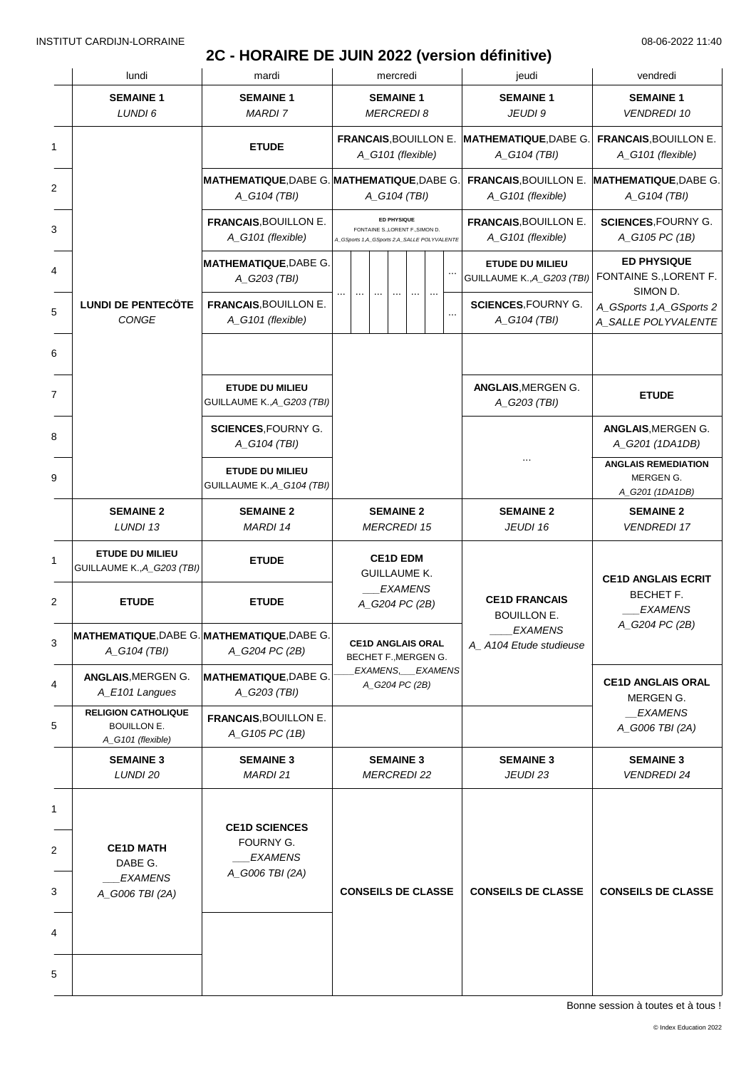### **2C - HORAIRE DE JUIN 2022 (version définitive)**

|   | lundi                                                                 | mardi                                                |                                                                                                       |  |                                                             |                           | mercredi                                         |                              |                                        | jeudi                                                                                  | vendredi                                                                               |
|---|-----------------------------------------------------------------------|------------------------------------------------------|-------------------------------------------------------------------------------------------------------|--|-------------------------------------------------------------|---------------------------|--------------------------------------------------|------------------------------|----------------------------------------|----------------------------------------------------------------------------------------|----------------------------------------------------------------------------------------|
|   | <b>SEMAINE 1</b><br>LUNDI 6                                           | <b>SEMAINE 1</b><br><b>MARDI 7</b>                   |                                                                                                       |  |                                                             |                           | <b>SEMAINE 1</b><br><b>MERCREDI 8</b>            |                              |                                        | <b>SEMAINE 1</b><br>JEUDI 9                                                            | <b>SEMAINE 1</b><br><b>VENDREDI 10</b>                                                 |
| 1 |                                                                       | <b>ETUDE</b>                                         | A_G101 (flexible)                                                                                     |  |                                                             |                           |                                                  |                              |                                        | FRANCAIS, BOUILLON E. MATHEMATIQUE, DABE G.<br>A_G104 (TBI)                            | <b>FRANCAIS, BOUILLON E.</b><br>A_G101 (flexible)                                      |
| 2 |                                                                       | A_G104 (TBI)                                         |                                                                                                       |  | MATHEMATIQUE, DABE G. MATHEMATIQUE, DABE G.<br>A_G104 (TBI) |                           |                                                  |                              |                                        | <b>FRANCAIS, BOUILLON E.</b><br>A_G101 (flexible)                                      | <b>MATHEMATIQUE, DABE G.</b><br>A_G104 (TBI)                                           |
|   |                                                                       | <b>FRANCAIS, BOUILLON E.</b><br>A_G101 (flexible)    | <b>ED PHYSIQUE</b><br>FONTAINE S., LORENT F., SIMON D.<br>A_GSports 1,A_GSports 2,A_SALLE POLYVALENTE |  |                                                             |                           |                                                  |                              |                                        | <b>FRANCAIS, BOUILLON E.</b><br>A_G101 (flexible)                                      | <b>SCIENCES, FOURNY G.</b><br>A_G105 PC (1B)                                           |
|   |                                                                       | <b>MATHEMATIQUE, DABE G.</b><br>A_G203 (TBI)         |                                                                                                       |  |                                                             |                           |                                                  |                              |                                        | <b>ETUDE DU MILIEU</b><br>GUILLAUME K., A_G203 (TBI)                                   | <b>ED PHYSIQUE</b><br>FONTAINE S., LORENT F.<br>SIMON D.                               |
|   | <b>LUNDI DE PENTECÖTE</b><br>CONGE                                    | <b>FRANCAIS, BOUILLON E.</b><br>A_G101 (flexible)    |                                                                                                       |  |                                                             |                           |                                                  |                              |                                        | <b>SCIENCES, FOURNY G.</b><br>A_G104 (TBI)                                             | A_GSports 1,A_GSports 2<br>A_SALLE POLYVALENTE                                         |
|   |                                                                       |                                                      |                                                                                                       |  |                                                             |                           |                                                  |                              |                                        |                                                                                        |                                                                                        |
|   |                                                                       | <b>ETUDE DU MILIEU</b><br>GUILLAUME K., A_G203 (TBI) |                                                                                                       |  |                                                             |                           |                                                  |                              |                                        | <b>ANGLAIS, MERGEN G.</b><br>A_G203 (TBI)                                              | <b>ETUDE</b>                                                                           |
|   | <b>SCIENCES, FOURNY G.</b><br>A_G104 (TBI)                            |                                                      |                                                                                                       |  |                                                             |                           |                                                  |                              |                                        |                                                                                        | <b>ANGLAIS, MERGEN G.</b><br>A_G201 (1DA1DB)                                           |
|   |                                                                       | <b>ETUDE DU MILIEU</b><br>GUILLAUME K., A_G104 (TBI) |                                                                                                       |  |                                                             |                           |                                                  |                              |                                        |                                                                                        | <b>ANGLAIS REMEDIATION</b><br>MERGEN G.<br>A_G201 (1DA1DB)                             |
|   | <b>SEMAINE 2</b><br>LUNDI 13                                          | <b>SEMAINE 2</b><br><b>MARDI 14</b>                  | <b>SEMAINE 2</b><br><b>MERCREDI 15</b>                                                                |  |                                                             |                           |                                                  | <b>SEMAINE 2</b><br>JEUDI 16 | <b>SEMAINE 2</b><br><b>VENDREDI 17</b> |                                                                                        |                                                                                        |
|   | <b>ETUDE DU MILIEU</b><br>GUILLAUME K., A_G203 (TBI)                  | <b>ETUDE</b>                                         | <b>CE1D EDM</b><br><b>GUILLAUME K.</b>                                                                |  |                                                             |                           |                                                  |                              | <b>CE1D ANGLAIS ECRIT</b>              |                                                                                        |                                                                                        |
|   | <b>ETUDE</b>                                                          | <b>ETUDE</b>                                         |                                                                                                       |  |                                                             |                           | <b>EXAMENS</b><br>A_G204 PC (2B)                 |                              |                                        | <b>CE1D FRANCAIS</b><br><b>BOUILLON E.</b><br><b>EXAMENS</b><br>A_A104 Etude studieuse | BECHET F.<br><b>EXAMENS</b><br>A_G204 PC (2B)<br><b>CE1D ANGLAIS ORAL</b><br>MERGEN G. |
|   | MATHEMATIQUE, DABE G. MATHEMATIQUE, DABE G.<br>A_G104 (TBI)           | A_G204 PC (2B)                                       |                                                                                                       |  |                                                             |                           | <b>CE1D ANGLAIS ORAL</b><br>BECHET F., MERGEN G. |                              |                                        |                                                                                        |                                                                                        |
|   | ANGLAIS, MERGEN G.<br>A_E101 Langues                                  | <b>MATHEMATIQUE, DABE G.</b><br>A_G203 (TBI)         |                                                                                                       |  |                                                             |                           | EXAMENS, EXAMENS<br>A_G204 PC (2B)               |                              |                                        |                                                                                        |                                                                                        |
|   | <b>RELIGION CATHOLIQUE</b><br><b>BOUILLON E.</b><br>A_G101 (flexible) | <b>FRANCAIS, BOUILLON E.</b><br>A_G105 PC (1B)       |                                                                                                       |  |                                                             |                           |                                                  |                              |                                        |                                                                                        | <b>EXAMENS</b><br>A_G006 TBI (2A)                                                      |
|   | <b>SEMAINE 3</b><br>LUNDI 20                                          | <b>SEMAINE 3</b><br><b>MARDI 21</b>                  |                                                                                                       |  |                                                             |                           | <b>SEMAINE 3</b><br><b>MERCREDI 22</b>           |                              |                                        | <b>SEMAINE 3</b><br>JEUDI 23                                                           | <b>SEMAINE 3</b><br><b>VENDREDI 24</b>                                                 |
|   |                                                                       | <b>CE1D SCIENCES</b>                                 |                                                                                                       |  |                                                             |                           |                                                  |                              |                                        |                                                                                        |                                                                                        |
|   | <b>CE1D MATH</b><br>DABE G.<br><b>EXAMENS</b><br>A_G006 TBI (2A)      | FOURNY G.<br><b>EXAMENS</b><br>A_G006 TBI (2A)       | <b>CONSEILS DE CLASSE</b>                                                                             |  | <b>CONSEILS DE CLASSE</b>                                   | <b>CONSEILS DE CLASSE</b> |                                                  |                              |                                        |                                                                                        |                                                                                        |
|   |                                                                       |                                                      |                                                                                                       |  |                                                             |                           |                                                  |                              |                                        |                                                                                        |                                                                                        |
| 5 |                                                                       |                                                      |                                                                                                       |  |                                                             |                           |                                                  |                              |                                        |                                                                                        |                                                                                        |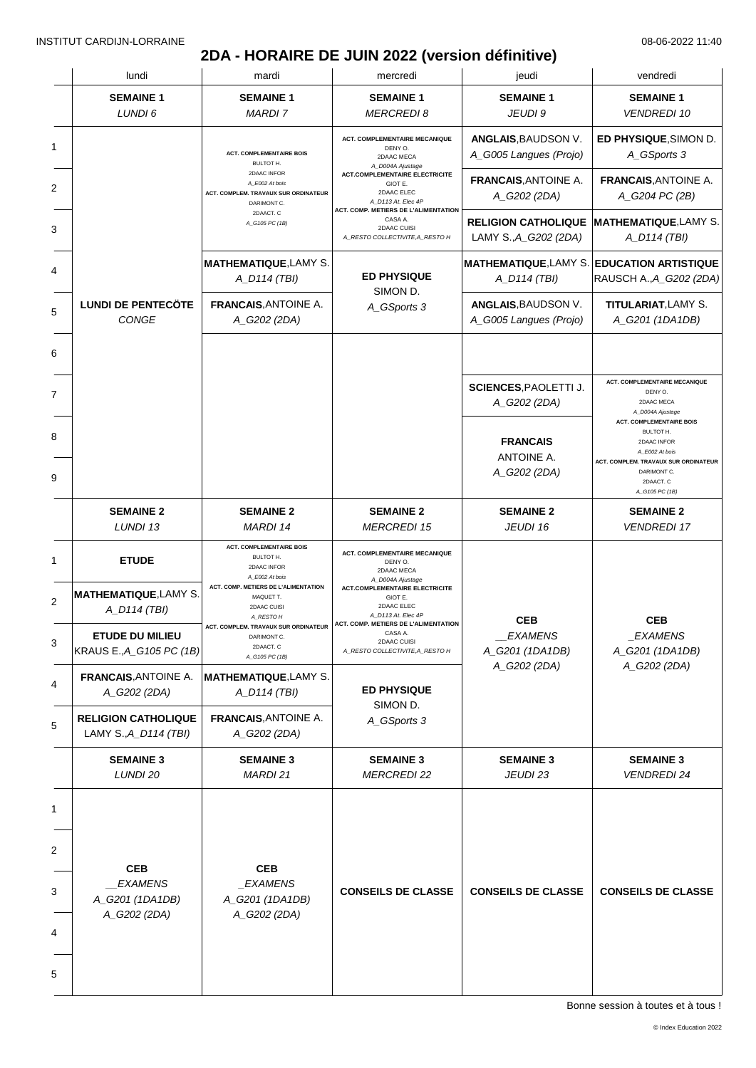### **2DA - HORAIRE DE JUIN 2022 (version définitive)**

|   | lundi                                                     | mardi                                                                                                                            | mercredi                                                                                          | jeudi                                               | vendredi                                                                                                                         |  |
|---|-----------------------------------------------------------|----------------------------------------------------------------------------------------------------------------------------------|---------------------------------------------------------------------------------------------------|-----------------------------------------------------|----------------------------------------------------------------------------------------------------------------------------------|--|
|   | <b>SEMAINE 1</b><br>LUNDI 6                               | <b>SEMAINE 1</b><br><b>MARDI 7</b>                                                                                               | <b>SEMAINE 1</b><br><b>MERCREDI 8</b>                                                             | <b>SEMAINE 1</b><br>JEUDI 9                         | <b>SEMAINE 1</b><br><b>VENDREDI 10</b>                                                                                           |  |
| 1 |                                                           | <b>ACT. COMPLEMENTAIRE BOIS</b><br><b>BULTOT H.</b>                                                                              | <b>ACT. COMPLEMENTAIRE MECANIQUE</b><br>DENY O.<br>2DAAC MECA<br>A_D004A Ajustage                 | ANGLAIS, BAUDSON V.<br>A_G005 Langues (Projo)       | ED PHYSIQUE, SIMON D.<br>A_GSports 3                                                                                             |  |
| 2 |                                                           | 2DAAC INFOR<br>A_E002 At bois<br>ACT. COMPLEM. TRAVAUX SUR ORDINATEUR<br>DARIMONT C.                                             | <b>ACT.COMPLEMENTAIRE ELECTRICITE</b><br>GIOT E.<br>2DAAC ELEC<br>A_D113 At. Elec 4P              | <b>FRANCAIS, ANTOINE A.</b><br>A_G202 (2DA)         | <b>FRANCAIS, ANTOINE A.</b><br>A_G204 PC (2B)                                                                                    |  |
|   |                                                           | 2DAACT. C<br>A_G105 PC (1B)                                                                                                      | ACT. COMP. METIERS DE L'ALIMENTATION<br>CASA A.<br>2DAAC CUISI<br>A_RESTO COLLECTIVITE, A_RESTO H | <b>RELIGION CATHOLIQUE</b><br>LAMY S., A_G202 (2DA) | <b>MATHEMATIQUE,LAMY S.</b><br>A_D114 (TBI)                                                                                      |  |
|   |                                                           | <b>MATHEMATIQUE, LAMY S.</b><br>A_D114 (TBI)                                                                                     | <b>ED PHYSIQUE</b><br>SIMON D.                                                                    | <b>MATHEMATIQUE, LAMY S.</b><br>A_D114 (TBI)        | <b>EDUCATION ARTISTIQUE</b><br>RAUSCH A., A_G202 (2DA)                                                                           |  |
|   | <b>LUNDI DE PENTECÖTE</b><br>CONGE                        | <b>FRANCAIS, ANTOINE A.</b><br>A_G202 (2DA)                                                                                      | A_GSports 3                                                                                       | ANGLAIS, BAUDSON V.<br>A_G005 Langues (Projo)       | TITULARIAT, LAMY S.<br>A_G201 (1DA1DB)                                                                                           |  |
|   |                                                           |                                                                                                                                  |                                                                                                   |                                                     |                                                                                                                                  |  |
|   |                                                           |                                                                                                                                  |                                                                                                   | <b>SCIENCES, PAOLETTI J.</b><br>A_G202 (2DA)        | <b>ACT. COMPLEMENTAIRE MECANIQUE</b><br>DENY O.<br>2DAAC MECA<br>A_D004A Ajustage<br><b>ACT. COMPLEMENTAIRE BOIS</b>             |  |
|   |                                                           |                                                                                                                                  |                                                                                                   | <b>FRANCAIS</b><br>ANTOINE A.<br>A_G202 (2DA)       | BULTOT H.<br>2DAAC INFOR<br>A_E002 At bois<br>ACT. COMPLEM. TRAVAUX SUR ORDINATEUR<br>DARIMONT C.<br>2DAACT. C<br>A_G105 PC (1B) |  |
|   | <b>SEMAINE 2</b><br>LUNDI 13                              | <b>SEMAINE 2</b><br><b>MARDI 14</b>                                                                                              | <b>SEMAINE 2</b><br><b>MERCREDI 15</b>                                                            | <b>SEMAINE 2</b><br>JEUDI 16                        | <b>SEMAINE 2</b><br><b>VENDREDI 17</b>                                                                                           |  |
|   | <b>ETUDE</b>                                              | <b>ACT. COMPLEMENTAIRE BOIS</b><br>BULTOT H.<br>2DAAC INFOR<br>A_E002 At bois                                                    | <b>ACT. COMPLEMENTAIRE MECANIQUE</b><br>DENY O.<br>2DAAC MECA<br>A_D004A Ajustage                 |                                                     |                                                                                                                                  |  |
|   | <b>MATHEMATIQUE, LAMY S.</b><br>A_D114 (TBI)              | ACT. COMP. METIERS DE L'ALIMENTATION<br>MAQUET T.<br>2DAAC CUISI<br>A_RESTO H                                                    | <b>ACT.COMPLEMENTAIRE ELECTRICITE</b><br>GIOT E.<br>2DAAC ELEC<br>A_D113 At. Elec 4P              | <b>CEB</b>                                          | <b>CEB</b>                                                                                                                       |  |
|   | ETUDE DU MILIEU<br>KRAUS E., A_G105 PC (1B)               | ACT. COMPLEM. TRAVAUX SUR ORDINATEUR $\bigm $ ACT. COMP. METIERS DE L'ALIMENTATION<br>DARIMONT C.<br>2DAACT. C<br>A_G105 PC (1B) | CASA A.<br>2DAAC CUISI<br>A_RESTO COLLECTIVITE, A_RESTO H                                         | <b>EXAMENS</b><br>A_G201 (1DA1DB)                   | _EXAMENS<br>A_G201 (1DA1DB)                                                                                                      |  |
|   | <b>FRANCAIS, ANTOINE A.</b><br>A_G202 (2DA)               | <b>MATHEMATIQUE, LAMY S.</b><br>A_D114 (TBI)                                                                                     | <b>ED PHYSIQUE</b><br>SIMON D.                                                                    | A_G202 (2DA)                                        | A_G202 (2DA)                                                                                                                     |  |
|   | <b>RELIGION CATHOLIQUE</b><br>LAMY S., A_D114 (TBI)       | <b>FRANCAIS, ANTOINE A.</b><br>A_G202 (2DA)                                                                                      | A_GSports 3                                                                                       |                                                     |                                                                                                                                  |  |
|   | <b>SEMAINE 3</b><br>LUNDI 20                              | <b>SEMAINE 3</b><br>MARDI 21                                                                                                     | <b>SEMAINE 3</b><br><b>MERCREDI 22</b>                                                            | <b>SEMAINE 3</b><br>JEUDI 23                        | <b>SEMAINE 3</b><br><b>VENDREDI 24</b>                                                                                           |  |
|   |                                                           |                                                                                                                                  |                                                                                                   |                                                     |                                                                                                                                  |  |
|   | <b>CEB</b><br>_EXAMENS<br>A_G201 (1DA1DB)<br>A_G202 (2DA) | <b>CEB</b><br>_EXAMENS<br>A_G201 (1DA1DB)<br>A_G202 (2DA)                                                                        | <b>CONSEILS DE CLASSE</b>                                                                         | <b>CONSEILS DE CLASSE</b>                           | <b>CONSEILS DE CLASSE</b>                                                                                                        |  |
| 5 |                                                           |                                                                                                                                  |                                                                                                   |                                                     |                                                                                                                                  |  |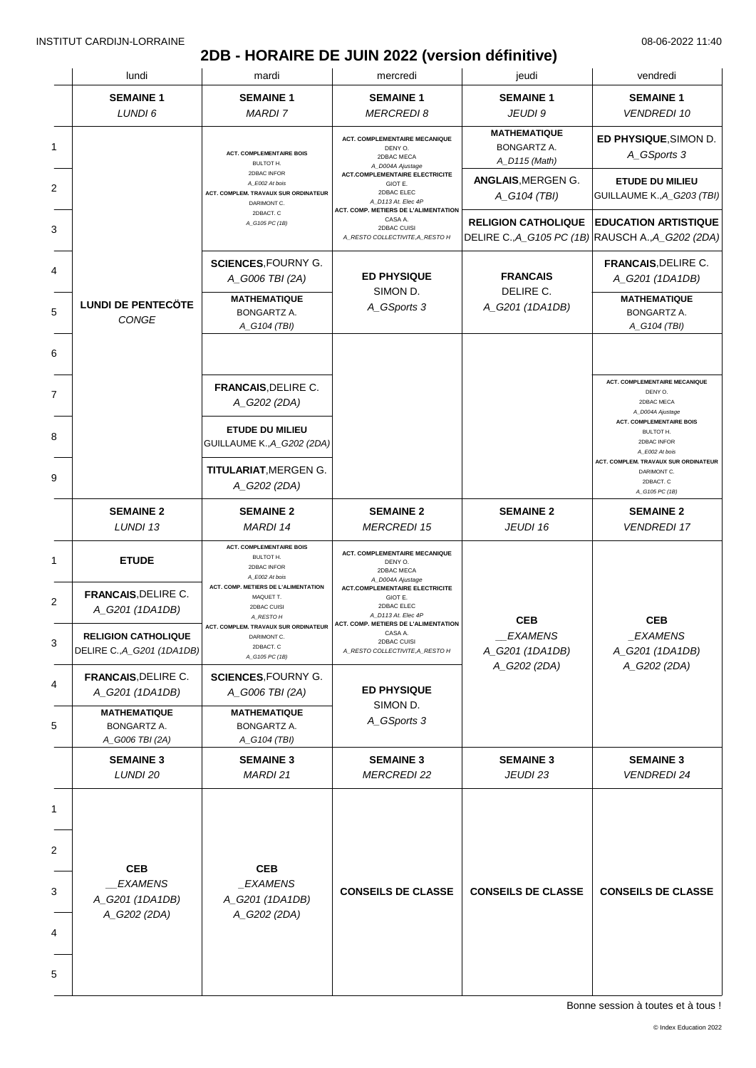# **2DB - HORAIRE DE JUIN 2022 (version définitive)**

|              | lundi                                                           | mardi                                                                                             | mercredi                                                                                                                                                                  | jeudi                                                                           | vendredi                                                                                                              |
|--------------|-----------------------------------------------------------------|---------------------------------------------------------------------------------------------------|---------------------------------------------------------------------------------------------------------------------------------------------------------------------------|---------------------------------------------------------------------------------|-----------------------------------------------------------------------------------------------------------------------|
|              | <b>SEMAINE 1</b><br>LUNDI 6                                     | <b>SEMAINE 1</b><br><b>MARDI7</b>                                                                 | <b>SEMAINE 1</b><br><b>MERCREDI8</b>                                                                                                                                      | <b>SEMAINE 1</b><br>JEUDI 9                                                     | <b>SEMAINE 1</b><br><b>VENDREDI 10</b>                                                                                |
| 1            |                                                                 | <b>ACT. COMPLEMENTAIRE BOIS</b>                                                                   | <b>ACT. COMPLEMENTAIRE MECANIQUE</b><br>DENY O.<br>2DBAC MECA                                                                                                             | <b>MATHEMATIQUE</b><br><b>BONGARTZ A.</b>                                       | ED PHYSIQUE, SIMON D.<br>A_GSports 3                                                                                  |
| 2            |                                                                 | BULTOT H.<br>2DBAC INFOR<br>A_E002 At bois<br>ACT. COMPLEM. TRAVAUX SUR ORDINATEUR<br>DARIMONT C. | A_D004A Ajustage<br><b>ACT.COMPLEMENTAIRE ELECTRICITE</b><br>GIOT E.<br>2DBAC ELEC<br>A_D113 At. Elec 4P                                                                  | A_D115 (Math)<br>ANGLAIS, MERGEN G.<br>A_G104 (TBI)                             | <b>ETUDE DU MILIEU</b><br>GUILLAUME K., A_G203 (TBI)                                                                  |
| 3            |                                                                 | 2DBACT. C<br>A_G105 PC (1B)                                                                       | ACT. COMP. METIERS DE L'ALIMENTATION<br>CASA A.<br>2DBAC CUISI<br>A RESTO COLLECTIVITE, A RESTO H                                                                         | <b>RELIGION CATHOLIQUE</b><br>DELIRE C., A_G105 PC (1B) RAUSCH A., A_G202 (2DA) | <b>EDUCATION ARTISTIQUE</b>                                                                                           |
| 4            |                                                                 | <b>SCIENCES, FOURNY G.</b><br>A_G006 TBI (2A)                                                     | <b>ED PHYSIQUE</b><br>SIMON D.                                                                                                                                            | <b>FRANCAIS</b><br>DELIRE C.                                                    | <b>FRANCAIS, DELIRE C.</b><br>A_G201 (1DA1DB)                                                                         |
| 5            | <b>LUNDI DE PENTECÖTE</b><br>CONGE                              | <b>MATHEMATIQUE</b><br><b>BONGARTZ A.</b><br>A_G104 (TBI)                                         | A_GSports 3                                                                                                                                                               | A_G201 (1DA1DB)                                                                 | <b>MATHEMATIQUE</b><br><b>BONGARTZ A.</b><br>A_G104 (TBI)                                                             |
| 6            |                                                                 |                                                                                                   |                                                                                                                                                                           |                                                                                 |                                                                                                                       |
| 7            |                                                                 | <b>FRANCAIS, DELIRE C.</b><br>A_G202 (2DA)                                                        |                                                                                                                                                                           |                                                                                 | <b>ACT. COMPLEMENTAIRE MECANIQUE</b><br>DENY O.<br>2DBAC MECA<br>A_D004A Ajustage                                     |
| 8            |                                                                 | <b>ETUDE DU MILIEU</b><br>GUILLAUME K., A_G202 (2DA)                                              |                                                                                                                                                                           |                                                                                 | <b>ACT. COMPLEMENTAIRE BOIS</b><br>BULTOT H.<br>2DBAC INFOR<br>A_E002 At bois<br>ACT. COMPLEM. TRAVAUX SUR ORDINATEUR |
|              |                                                                 | <b>TITULARIAT, MERGEN G.</b><br>A_G202 (2DA)                                                      |                                                                                                                                                                           |                                                                                 | DARIMONT C.<br>2DBACT. C<br>A_G105 PC (1B)                                                                            |
|              | <b>SEMAINE 2</b><br>LUNDI 13                                    | <b>SEMAINE 2</b><br><b>MARDI 14</b>                                                               | <b>SEMAINE 2</b><br><b>MERCREDI 15</b>                                                                                                                                    | <b>SEMAINE 2</b><br>JEUDI 16                                                    | <b>SEMAINE 2</b><br><b>VENDREDI 17</b>                                                                                |
|              | <b>ETUDE</b>                                                    | <b>ACT. COMPLEMENTAIRE BOIS</b><br>BULTOT H.<br>2DBAC INFOR<br>A_E002 At bois                     | <b>ACT. COMPLEMENTAIRE MECANIQUE</b><br>DENY O.<br>2DBAC MECA<br>A_D004A Ajustage<br><b>ACT.COMPLEMENTAIRE ELECTRICITE</b><br>GIOT E.<br>2DBAC ELEC<br>A D113 At. Elec 4P |                                                                                 |                                                                                                                       |
|              | <b>FRANCAIS, DELIRE C.</b><br>A_G201 (1DA1DB)                   | ACT. COMP. METIERS DE L'ALIMENTATION<br>MAQUET T.<br>2DBAC CUISI<br>A_RESTO H                     |                                                                                                                                                                           | CEB                                                                             | <b>CEB</b>                                                                                                            |
|              | <b>RELIGION CATHOLIQUE</b><br>DELIRE C., A_G201 (1DA1DB)        | ACT. COMPLEM. TRAVAUX SUR ORDINATEUR<br>DARIMONT C.<br>2DBACT. C<br>A_G105 PC (1B)                | ACT. COMP. METIERS DE L'ALIMENTATION<br>CASA A.<br>2DBAC CUISI<br>A_RESTO COLLECTIVITE, A_RESTO H                                                                         | __EXAMENS<br>A_G201 (1DA1DB)                                                    | $\_EXAMPLENS$<br>A_G201 (1DA1DB)                                                                                      |
|              | <b>FRANCAIS, DELIRE C.</b><br>A_G201 (1DA1DB)                   | <b>SCIENCES, FOURNY G.</b><br>A_G006 TBI (2A)                                                     | <b>ED PHYSIQUE</b>                                                                                                                                                        | A_G202 (2DA)                                                                    | A_G202 (2DA)                                                                                                          |
|              | <b>MATHEMATIQUE</b><br>BONGARTZ A.<br>A_G006 TBI (2A)           | <b>MATHEMATIQUE</b><br>BONGARTZ A.<br>A_G104 (TBI)                                                | SIMON D.<br>A_GSports 3                                                                                                                                                   |                                                                                 |                                                                                                                       |
|              | <b>SEMAINE 3</b><br>LUNDI 20                                    | <b>SEMAINE 3</b><br>MARDI 21                                                                      | <b>SEMAINE 3</b><br><b>MERCREDI 22</b>                                                                                                                                    | <b>SEMAINE 3</b><br>JEUDI 23                                                    | <b>SEMAINE 3</b><br><b>VENDREDI 24</b>                                                                                |
| $\mathbf{1}$ |                                                                 |                                                                                                   |                                                                                                                                                                           |                                                                                 |                                                                                                                       |
|              | <b>CEB</b><br><b>EXAMENS</b><br>A_G201 (1DA1DB)<br>A_G202 (2DA) | <b>CEB</b><br>_EXAMENS<br>A_G201 (1DA1DB)<br>A_G202 (2DA)                                         | <b>CONSEILS DE CLASSE</b>                                                                                                                                                 | <b>CONSEILS DE CLASSE</b>                                                       | <b>CONSEILS DE CLASSE</b>                                                                                             |
| 4<br>5       |                                                                 |                                                                                                   |                                                                                                                                                                           |                                                                                 |                                                                                                                       |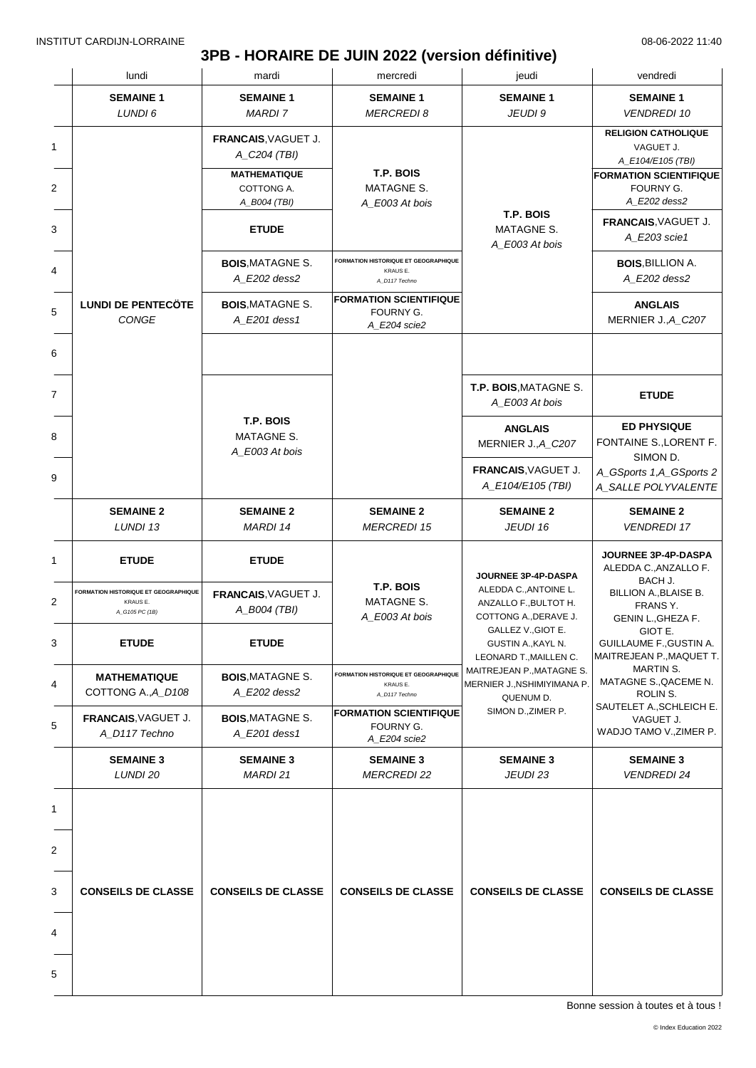### **3PB - HORAIRE DE JUIN 2022 (version définitive)**

|                | lundi                                                              | mardi                                             | mercredi                                                                 | jeudi                                                                                                                                         | vendredi                                                              |
|----------------|--------------------------------------------------------------------|---------------------------------------------------|--------------------------------------------------------------------------|-----------------------------------------------------------------------------------------------------------------------------------------------|-----------------------------------------------------------------------|
|                | <b>SEMAINE 1</b><br>LUNDI 6                                        | <b>SEMAINE 1</b><br><b>MARDI7</b>                 | <b>SEMAINE 1</b><br><b>MERCREDI 8</b>                                    | <b>SEMAINE 1</b><br>JEUDI 9                                                                                                                   | <b>SEMAINE 1</b><br><b>VENDREDI 10</b>                                |
| 1              |                                                                    | FRANCAIS, VAGUET J.<br>A_C204 (TBI)               |                                                                          |                                                                                                                                               | <b>RELIGION CATHOLIQUE</b><br>VAGUET J.<br>A_E104/E105 (TBI)          |
| $\overline{2}$ |                                                                    | <b>MATHEMATIQUE</b><br>COTTONG A.<br>A_B004 (TBI) | T.P. BOIS<br>MATAGNE S.<br>A E003 At bois                                |                                                                                                                                               | <b>FORMATION SCIENTIFIQUE</b><br>FOURNY G.<br>A_E202 dess2            |
| 3              |                                                                    | <b>ETUDE</b>                                      |                                                                          | T.P. BOIS<br><b>MATAGNE S.</b><br>A_E003 At bois                                                                                              | FRANCAIS. VAGUET J.<br>A_E203 scie1                                   |
| 4              |                                                                    | <b>BOIS, MATAGNE S.</b><br>A E202 dess2           | FORMATION HISTORIQUE ET GEOGRAPHIQUE<br>KRAUS E.<br>A_D117 Techno        |                                                                                                                                               | <b>BOIS, BILLION A.</b><br>A E202 dess2                               |
| 5              | <b>LUNDI DE PENTECÖTE</b><br>CONGE                                 | <b>BOIS, MATAGNE S.</b><br>A E201 dess1           | <b>FORMATION SCIENTIFIQUE</b><br>FOURNY G.<br>A_E204 scie2               |                                                                                                                                               | <b>ANGLAIS</b><br>MERNIER J., A_C207                                  |
| 6              |                                                                    |                                                   |                                                                          |                                                                                                                                               |                                                                       |
| 7              |                                                                    |                                                   |                                                                          | T.P. BOIS, MATAGNE S.<br>A_E003 At bois                                                                                                       | <b>ETUDE</b>                                                          |
| 8              |                                                                    | T.P. BOIS<br>MATAGNE S.<br>A_E003 At bois         |                                                                          | <b>ANGLAIS</b><br>MERNIER J., A_C207                                                                                                          | <b>ED PHYSIQUE</b><br>FONTAINE S., LORENT F.<br>SIMON D.              |
| 9              |                                                                    |                                                   |                                                                          | FRANCAIS, VAGUET J.<br>A_E104/E105 (TBI)                                                                                                      | A_GSports 1,A_GSports 2<br>A_SALLE POLYVALENTE                        |
|                | <b>SEMAINE 2</b><br>LUNDI 13                                       | <b>SEMAINE 2</b><br>MARDI 14                      | <b>SEMAINE 2</b><br><b>MERCREDI 15</b>                                   | <b>SEMAINE 2</b><br>JEUDI 16                                                                                                                  | <b>SEMAINE 2</b><br><b>VENDREDI 17</b>                                |
| 1              | <b>ETUDE</b>                                                       | <b>ETUDE</b>                                      |                                                                          | JOURNEE 3P-4P-DASPA                                                                                                                           | JOURNEE 3P-4P-DASPA<br>ALEDDA C., ANZALLO F.                          |
| 2              | FORMATION HISTORIQUE ET GEOGRAPHIQUE<br>KRAUS E.<br>A_G105 PC (1B) | FRANCAIS, VAGUET J.<br>A_B004 (TBI)               | T.P. BOIS<br>MATAGNE S.<br>A E003 At bois                                | ALEDDA C., ANTOINE L.<br>ANZALLO F., BULTOT H.<br>COTTONG A., DERAVE J.<br>GALLEZ V., GIOT E.<br>GUSTIN A., KAYL N.<br>LEONARD T., MAILLEN C. | BACH J.<br>BILLION A., BLAISE B.<br>FRANS Y.<br>GENIN L., GHEZA F.    |
| 3              | <b>ETUDE</b>                                                       | <b>ETUDE</b>                                      |                                                                          |                                                                                                                                               | GIOT E.<br><b>GUILLAUME F., GUSTIN A.</b><br>MAITREJEAN P., MAQUET T. |
| 4              | <b>MATHEMATIQUE</b><br>COTTONG A., A_D108                          | <b>BOIS, MATAGNE S.</b><br>A_E202 dess2           | <b>FORMATION HISTORIQUE ET GEOGRAPHIQUE</b><br>KRAUS E.<br>A_D117 Techno | MAITREJEAN P., MATAGNE S.<br>MERNIER J., NSHIMIYIMANA P.<br>QUENUM D.                                                                         | MARTIN S.<br>MATAGNE S., QACEME N.<br>ROLIN S.                        |
| 5              | FRANCAIS, VAGUET J.<br>A_D117 Techno                               | <b>BOIS, MATAGNE S.</b><br>A_E201 dess1           | <b>FORMATION SCIENTIFIQUE</b><br>FOURNY G.<br>A_E204 scie2               | SIMON D., ZIMER P.                                                                                                                            | SAUTELET A., SCHLEICH E.<br>VAGUET J.<br>WADJO TAMO V., ZIMER P.      |
|                | <b>SEMAINE 3</b><br>LUNDI 20                                       | <b>SEMAINE 3</b><br>MARDI 21                      | <b>SEMAINE 3</b><br><b>MERCREDI 22</b>                                   | <b>SEMAINE 3</b><br>JEUDI 23                                                                                                                  | <b>SEMAINE 3</b><br><b>VENDREDI 24</b>                                |
| 1              |                                                                    |                                                   |                                                                          |                                                                                                                                               |                                                                       |
| 2              |                                                                    |                                                   |                                                                          |                                                                                                                                               |                                                                       |
| 3              | <b>CONSEILS DE CLASSE</b>                                          | <b>CONSEILS DE CLASSE</b>                         | <b>CONSEILS DE CLASSE</b>                                                | <b>CONSEILS DE CLASSE</b>                                                                                                                     | <b>CONSEILS DE CLASSE</b>                                             |
| 4              |                                                                    |                                                   |                                                                          |                                                                                                                                               |                                                                       |
| 5              |                                                                    |                                                   |                                                                          |                                                                                                                                               |                                                                       |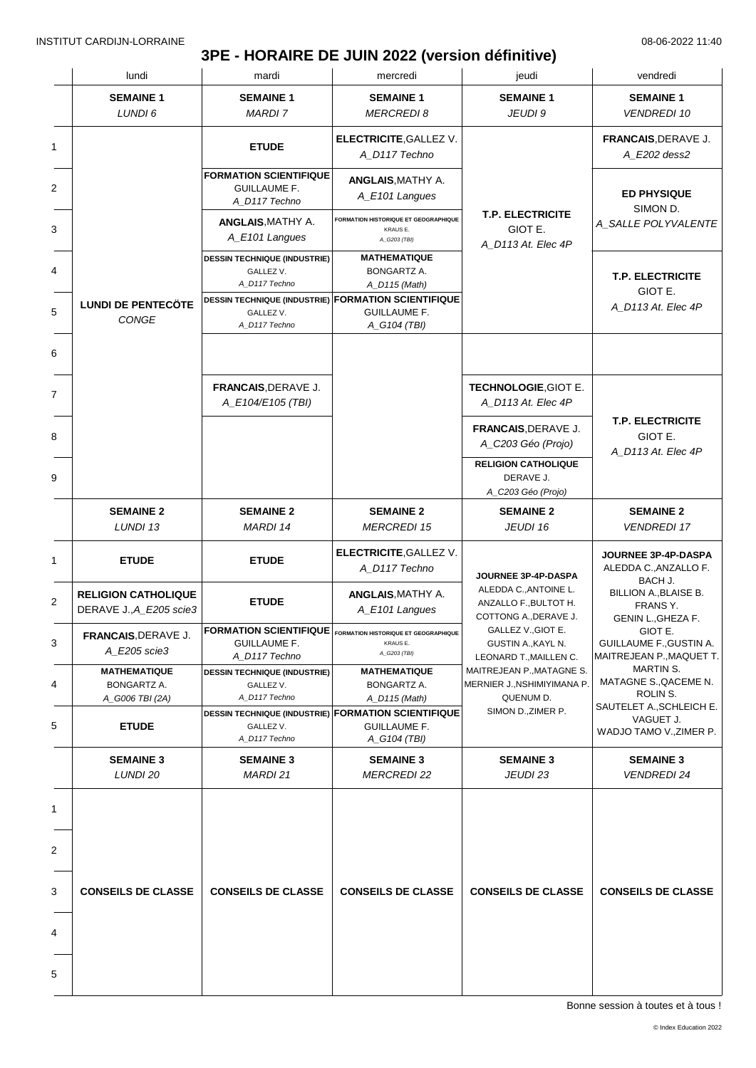# **3PE - HORAIRE DE JUIN 2022 (version définitive)**

|                                                       | mardi                                                                 | mercredi                                                                | jeudi                                                                                                                                                                                                                                                                                | vendredi                                                              |
|-------------------------------------------------------|-----------------------------------------------------------------------|-------------------------------------------------------------------------|--------------------------------------------------------------------------------------------------------------------------------------------------------------------------------------------------------------------------------------------------------------------------------------|-----------------------------------------------------------------------|
| <b>SEMAINE 1</b><br>LUNDI 6                           | <b>SEMAINE 1</b><br><b>MARDI7</b>                                     | <b>SEMAINE 1</b><br><b>MERCREDI 8</b>                                   | <b>SEMAINE 1</b><br>JEUDI 9                                                                                                                                                                                                                                                          | <b>SEMAINE 1</b><br><b>VENDREDI 10</b>                                |
|                                                       | <b>ETUDE</b>                                                          | <b>ELECTRICITE, GALLEZ V.</b><br>A_D117 Techno                          |                                                                                                                                                                                                                                                                                      | FRANCAIS, DERAVE J.<br>A_E202 dess2                                   |
|                                                       | <b>FORMATION SCIENTIFIQUE</b><br><b>GUILLAUME F.</b><br>A_D117 Techno | <b>ANGLAIS, MATHY A.</b><br>A_E101 Langues                              |                                                                                                                                                                                                                                                                                      | <b>ED PHYSIQUE</b>                                                    |
|                                                       | <b>ANGLAIS, MATHY A.</b><br>A_E101 Langues                            | <b>FORMATION HISTORIQUE ET GEOGRAPHIQUE</b><br>KRAUS E.<br>A_G203 (TBI) | <b>T.P. ELECTRICITE</b><br>GIOT E.<br>A_D113 At. Elec 4P                                                                                                                                                                                                                             | SIMON D.<br>A_SALLE POLYVALENTE                                       |
|                                                       | <b>DESSIN TECHNIQUE (INDUSTRIE)</b><br>GALLEZ V.<br>A D117 Techno     | <b>MATHEMATIQUE</b><br>BONGARTZ A.                                      |                                                                                                                                                                                                                                                                                      | <b>T.P. ELECTRICITE</b>                                               |
| <b>LUNDI DE PENTECÖTE</b><br><b>CONGE</b>             | GALLEZ V.<br>A_D117 Techno                                            | <b>GUILLAUME F.</b>                                                     |                                                                                                                                                                                                                                                                                      | GIOT E.<br>A D113 At. Elec 4P                                         |
|                                                       |                                                                       |                                                                         |                                                                                                                                                                                                                                                                                      |                                                                       |
|                                                       | FRANCAIS, DERAVE J.<br>A_E104/E105 (TBI)                              |                                                                         | TECHNOLOGIE, GIOT E.<br>A_D113 At. Elec 4P                                                                                                                                                                                                                                           |                                                                       |
|                                                       |                                                                       |                                                                         | FRANCAIS, DERAVE J.<br>A_C203 Géo (Projo)                                                                                                                                                                                                                                            | <b>T.P. ELECTRICITE</b><br>GIOT E.<br>A_D113 At. Elec 4P              |
|                                                       |                                                                       |                                                                         | <b>RELIGION CATHOLIQUE</b><br>DERAVE J.<br>A_C203 Géo (Projo)                                                                                                                                                                                                                        |                                                                       |
| <b>SEMAINE 2</b><br>LUNDI 13                          | <b>SEMAINE 2</b><br>MARDI 14                                          | <b>SEMAINE 2</b><br><b>MERCREDI 15</b>                                  | <b>SEMAINE 2</b><br>JEUDI 16                                                                                                                                                                                                                                                         | <b>SEMAINE 2</b><br><b>VENDREDI 17</b>                                |
| <b>ETUDE</b>                                          | <b>ETUDE</b>                                                          | <b>ELECTRICITE, GALLEZ V.</b><br>A D117 Techno                          | JOURNEE 3P-4P-DASPA                                                                                                                                                                                                                                                                  | JOURNEE 3P-4P-DASPA<br>ALEDDA C., ANZALLO F.                          |
| <b>RELIGION CATHOLIQUE</b><br>DERAVE J., A_E205 scie3 | <b>ETUDE</b>                                                          | <b>ANGLAIS, MATHY A.</b><br>A_E101 Langues                              | ALEDDA C., ANTOINE L.<br>ANZALLO F., BULTOT H.                                                                                                                                                                                                                                       | BACH J.<br>BILLION A., BLAISE B.<br>FRANS Y.<br>GENIN L., GHEZA F.    |
| FRANCAIS, DERAVE J.<br>A_E205 scie3                   | <b>GUILLAUME F.</b><br>A_D117 Techno                                  | KRAUS E.<br>A_G203 (TBI)                                                | GALLEZ V., GIOT E.<br>GUSTIN A., KAYL N.<br>LEONARD T., MAILLEN C.                                                                                                                                                                                                                   | GIOT E.<br><b>GUILLAUME F., GUSTIN A.</b><br>MAITREJEAN P., MAQUET T. |
| <b>MATHEMATIQUE</b><br>BONGARTZ A.                    | <b>DESSIN TECHNIQUE (INDUSTRIE)</b><br>GALLEZ V.                      | <b>MATHEMATIQUE</b><br>BONGARTZ A.                                      | MAITREJEAN P., MATAGNE S.<br>MERNIER J., NSHIMIYIMANA P.                                                                                                                                                                                                                             | MARTIN S.<br>MATAGNE S., QACEME N.<br>ROLIN S.                        |
| <b>ETUDE</b>                                          | GALLEZ V.                                                             | <b>GUILLAUME F.</b>                                                     | SIMON D., ZIMER P.                                                                                                                                                                                                                                                                   | SAUTELET A., SCHLEICH E.<br>VAGUET J.<br>WADJO TAMO V., ZIMER P.      |
| <b>SEMAINE 3</b><br>LUNDI 20                          | <b>SEMAINE 3</b><br><b>MARDI 21</b>                                   | <b>SEMAINE 3</b><br><b>MERCREDI 22</b>                                  | <b>SEMAINE 3</b><br>JEUDI 23                                                                                                                                                                                                                                                         | <b>SEMAINE 3</b><br><b>VENDREDI 24</b>                                |
|                                                       |                                                                       |                                                                         |                                                                                                                                                                                                                                                                                      |                                                                       |
|                                                       |                                                                       |                                                                         |                                                                                                                                                                                                                                                                                      |                                                                       |
| <b>CONSEILS DE CLASSE</b>                             | <b>CONSEILS DE CLASSE</b>                                             | <b>CONSEILS DE CLASSE</b>                                               | <b>CONSEILS DE CLASSE</b>                                                                                                                                                                                                                                                            | <b>CONSEILS DE CLASSE</b>                                             |
|                                                       |                                                                       |                                                                         |                                                                                                                                                                                                                                                                                      |                                                                       |
|                                                       |                                                                       |                                                                         |                                                                                                                                                                                                                                                                                      |                                                                       |
|                                                       | A_G006 TBI (2A)                                                       | A_D117 Techno<br>A_D117 Techno                                          | A_D115 (Math)<br><b>DESSIN TECHNIQUE (INDUSTRIE) FORMATION SCIENTIFIQUE</b><br>A_G104 (TBI)<br>$\fbox{\textsf{FORMATION SCIENTIFIQUE}}\xspace\big\vert_{\text{FORMATION HISTORIQUE}}$<br>A_D115 (Math)<br><b>DESSIN TECHNIQUE (INDUSTRIE) FORMATION SCIENTIFIQUE</b><br>A_G104 (TBI) | COTTONG A., DERAVE J.<br>QUENUM D.                                    |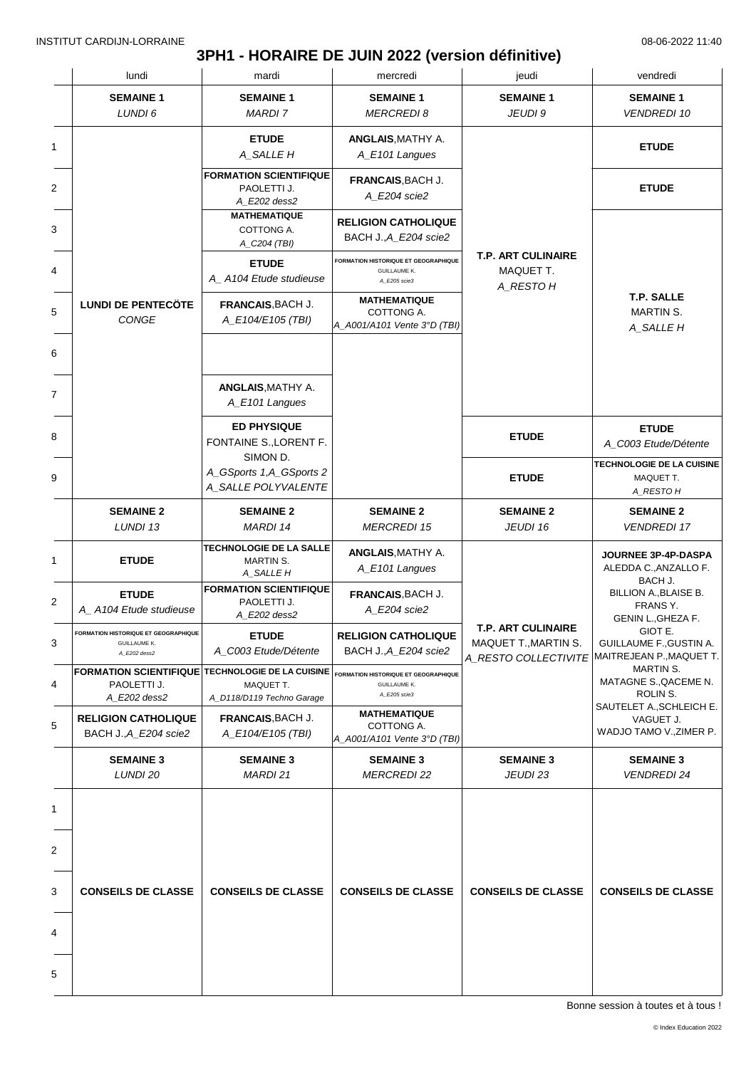# **3PH1 - HORAIRE DE JUIN 2022 (version définitive)**

|   | lundi                                                                                  | mardi                                                        | mercredi                                                                           | jeudi                                                                     | vendredi                                                         |  |  |
|---|----------------------------------------------------------------------------------------|--------------------------------------------------------------|------------------------------------------------------------------------------------|---------------------------------------------------------------------------|------------------------------------------------------------------|--|--|
|   | <b>SEMAINE 1</b><br>LUNDI 6                                                            | <b>SEMAINE 1</b><br><b>MARDI 7</b>                           | <b>SEMAINE 1</b><br><b>MERCREDI8</b>                                               | <b>SEMAINE 1</b><br>JEUDI 9                                               | <b>SEMAINE 1</b><br><b>VENDREDI 10</b>                           |  |  |
| 1 |                                                                                        | <b>ETUDE</b><br>A_SALLE H                                    | <b>ANGLAIS, MATHY A.</b><br>A_E101 Langues                                         |                                                                           | <b>ETUDE</b>                                                     |  |  |
|   |                                                                                        | <b>FORMATION SCIENTIFIQUE</b><br>PAOLETTI J.<br>A E202 dess2 | FRANCAIS, BACH J.<br>A_E204 scie2                                                  |                                                                           | <b>ETUDE</b>                                                     |  |  |
|   |                                                                                        | <b>MATHEMATIQUE</b><br>COTTONG A.<br>A_C204 (TBI)            | <b>RELIGION CATHOLIQUE</b><br>BACH J., A E204 scie2                                |                                                                           |                                                                  |  |  |
|   |                                                                                        | <b>ETUDE</b><br>A_A104 Etude studieuse                       | <b>FORMATION HISTORIQUE ET GEOGRAPHIQUE</b><br><b>GUILLAUME K.</b><br>A_E205 scie3 | <b>T.P. ART CULINAIRE</b><br>MAQUET T.<br>A_RESTO H                       |                                                                  |  |  |
|   | <b>LUNDI DE PENTECÖTE</b><br>CONGE                                                     | FRANCAIS, BACH J.<br>A_E104/E105 (TBI)                       | <b>MATHEMATIQUE</b><br>COTTONG A.<br>A_A001/A101 Vente 3°D (TBI)                   |                                                                           | <b>T.P. SALLE</b><br>MARTIN S.<br>A_SALLE H                      |  |  |
|   |                                                                                        |                                                              |                                                                                    |                                                                           |                                                                  |  |  |
|   |                                                                                        | <b>ANGLAIS, MATHY A.</b><br>A_E101 Langues                   |                                                                                    |                                                                           |                                                                  |  |  |
|   |                                                                                        | <b>ED PHYSIQUE</b><br>FONTAINE S., LORENT F.                 |                                                                                    | <b>ETUDE</b>                                                              | <b>ETUDE</b><br>A_C003 Etude/Détente                             |  |  |
|   |                                                                                        | SIMON D.<br>A_GSports 1,A_GSports 2<br>A_SALLE POLYVALENTE   |                                                                                    | <b>ETUDE</b>                                                              | TECHNOLOGIE DE LA CUISINE<br>MAQUET T.<br>A_RESTO H              |  |  |
|   | <b>SEMAINE 2</b><br>LUNDI 13                                                           | <b>SEMAINE 2</b><br>MARDI 14                                 | <b>SEMAINE 2</b><br><b>MERCREDI 15</b>                                             | <b>SEMAINE 2</b><br>JEUDI 16                                              | <b>SEMAINE 2</b><br><b>VENDREDI 17</b>                           |  |  |
|   | <b>ETUDE</b>                                                                           | TECHNOLOGIE DE LA SALLE<br><b>MARTIN S.</b><br>A_SALLE H     | <b>ANGLAIS, MATHY A.</b><br>A_E101 Langues                                         |                                                                           | JOURNEE 3P-4P-DASPA<br>ALEDDA C., ANZALLO F.<br>BACH J.          |  |  |
|   | <b>ETUDE</b><br>A_A104 Etude studieuse                                                 | <b>FORMATION SCIENTIFIQUE</b><br>PAOLETTI J.<br>A_E202 dess2 | FRANCAIS, BACH J.<br>A_E204 scie2                                                  |                                                                           | BILLION A., BLAISE B.<br>FRANS Y.<br>GENIN L., GHEZA F.          |  |  |
|   | FORMATION HISTORIQUE ET GEOGRAPHIQUE<br><b>GUILLAUME K.</b><br>A_E202 dess2            | <b>ETUDE</b><br>A_C003 Etude/Détente                         | <b>RELIGION CATHOLIQUE</b><br>BACH J., A_E204 scie2                                | <b>T.P. ART CULINAIRE</b><br>MAQUET T., MARTIN S.<br>A_RESTO COLLECTIVITE | GIOT E.<br>GUILLAUME F., GUSTIN A.<br>MAITREJEAN P., MAQUET T.   |  |  |
|   | <b>FORMATION SCIENTIFIQUE TECHNOLOGIE DE LA CUISINE</b><br>PAOLETTI J.<br>A_E202 dess2 | MAQUET T.<br>A_D118/D119 Techno Garage                       | <b>FORMATION HISTORIQUE ET GEOGRAPHIQUE</b><br><b>GUILLAUME K.</b><br>A E205 scie3 |                                                                           | MARTIN S.<br>MATAGNE S., QACEME N.<br>ROLIN S.                   |  |  |
|   | <b>RELIGION CATHOLIQUE</b><br>BACH J., A_E204 scie2                                    | FRANCAIS, BACH J.<br>A_E104/E105 (TBI)                       | <b>MATHEMATIQUE</b><br>COTTONG A.<br>A_A001/A101 Vente 3°D (TBI)                   |                                                                           | SAUTELET A., SCHLEICH E.<br>VAGUET J.<br>WADJO TAMO V., ZIMER P. |  |  |
|   | <b>SEMAINE 3</b><br>LUNDI 20                                                           | <b>SEMAINE 3</b><br><b>MARDI 21</b>                          | <b>SEMAINE 3</b><br><b>MERCREDI 22</b>                                             | <b>SEMAINE 3</b><br>JEUDI 23                                              | <b>SEMAINE 3</b><br><i>VENDREDI 24</i>                           |  |  |
|   |                                                                                        |                                                              |                                                                                    |                                                                           |                                                                  |  |  |
|   |                                                                                        |                                                              |                                                                                    |                                                                           |                                                                  |  |  |
|   | <b>CONSEILS DE CLASSE</b>                                                              | <b>CONSEILS DE CLASSE</b>                                    | <b>CONSEILS DE CLASSE</b>                                                          | <b>CONSEILS DE CLASSE</b>                                                 | <b>CONSEILS DE CLASSE</b>                                        |  |  |
|   |                                                                                        |                                                              |                                                                                    |                                                                           |                                                                  |  |  |
|   |                                                                                        |                                                              |                                                                                    |                                                                           |                                                                  |  |  |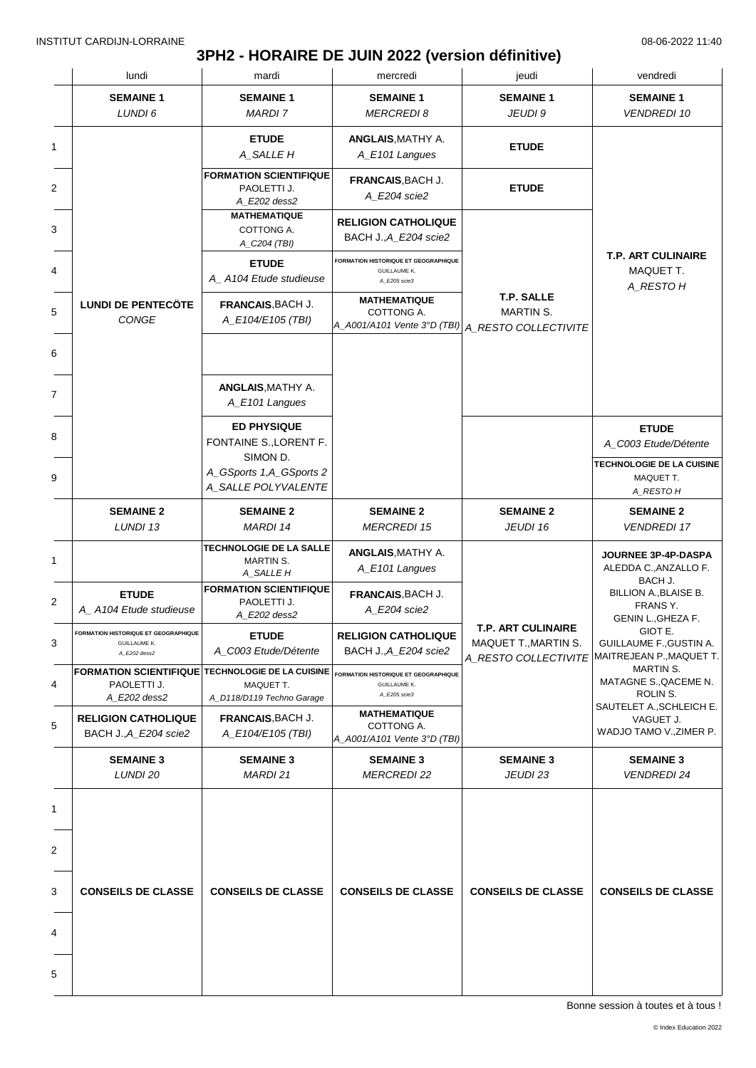# **3PH2 - HORAIRE DE JUIN 2022 (version définitive)**

|                | lundi                                                                       | mardi                                                                                      | mercredi                                                                              | jeudi                                                                     | vendredi                                                             |  |
|----------------|-----------------------------------------------------------------------------|--------------------------------------------------------------------------------------------|---------------------------------------------------------------------------------------|---------------------------------------------------------------------------|----------------------------------------------------------------------|--|
|                | <b>SEMAINE 1</b><br>LUNDI 6                                                 | <b>SEMAINE 1</b><br><b>MARDI 7</b>                                                         | <b>SEMAINE 1</b><br><b>MERCREDI 8</b>                                                 | <b>SEMAINE 1</b><br>JEUDI 9                                               | <b>SEMAINE 1</b><br><b>VENDREDI 10</b>                               |  |
| 1              |                                                                             | <b>ETUDE</b><br>A_SALLE H                                                                  | <b>ANGLAIS, MATHY A.</b><br>A_E101 Langues                                            | <b>ETUDE</b>                                                              |                                                                      |  |
| $\overline{2}$ |                                                                             | <b>FORMATION SCIENTIFIQUE</b><br>PAOLETTI J.<br>A_E202 dess2                               | FRANCAIS, BACH J.<br>A_E204 scie2                                                     | <b>ETUDE</b>                                                              |                                                                      |  |
| 3              |                                                                             | <b>MATHEMATIQUE</b><br>COTTONG A.<br>A_C204 (TBI)                                          | <b>RELIGION CATHOLIQUE</b><br>BACH J., A_E204 scie2                                   |                                                                           |                                                                      |  |
| 4              |                                                                             | <b>ETUDE</b><br>A_A104 Etude studieuse                                                     | FORMATION HISTORIQUE ET GEOGRAPHIQUE<br><b>GUILLAUME K.</b><br>A_E205 scie3           |                                                                           | <b>T.P. ART CULINAIRE</b><br>MAQUET T.<br>A_RESTO H                  |  |
| 5              | <b>LUNDI DE PENTECÖTE</b><br>CONGE                                          | FRANCAIS, BACH J.<br>A_E104/E105 (TBI)                                                     | <b>MATHEMATIQUE</b><br>COTTONG A.<br>A_A001/A101 Vente 3°D (TBI) A_RESTO COLLECTIVITE | T.P. SALLE<br><b>MARTIN S.</b>                                            |                                                                      |  |
|                |                                                                             |                                                                                            |                                                                                       |                                                                           |                                                                      |  |
|                |                                                                             | <b>ANGLAIS, MATHY A.</b><br>A_E101 Langues                                                 |                                                                                       |                                                                           |                                                                      |  |
|                |                                                                             | <b>ED PHYSIQUE</b><br>FONTAINE S., LORENT F.<br>SIMON D.                                   |                                                                                       |                                                                           | <b>ETUDE</b><br>A_C003 Etude/Détente                                 |  |
|                |                                                                             | A_GSports 1,A_GSports 2<br>A_SALLE POLYVALENTE                                             |                                                                                       |                                                                           | TECHNOLOGIE DE LA CUISINE<br>MAQUET T.<br>A_RESTO H                  |  |
|                | <b>SEMAINE 2</b><br>LUNDI 13                                                | <b>SEMAINE 2</b><br>MARDI 14                                                               | <b>SEMAINE 2</b><br><b>MERCREDI 15</b>                                                | <b>SEMAINE 2</b><br>JEUDI 16                                              | <b>SEMAINE 2</b><br><b>VENDREDI 17</b>                               |  |
|                |                                                                             | <b>TECHNOLOGIE DE LA SALLE</b><br>MARTIN S.<br>A_SALLE H                                   | <b>ANGLAIS, MATHY A.</b><br>A_E101 Langues                                            |                                                                           | JOURNEE 3P-4P-DASPA<br>ALEDDA C., ANZALLO F.                         |  |
|                | <b>ETUDE</b><br>A_A104 Etude studieuse                                      | <b>FORMATION SCIENTIFIQUE</b><br>PAOLETTI J.<br>A_E202 dess2                               | FRANCAIS, BACH J.<br>A E204 scie2                                                     |                                                                           | BACH J.<br>BILLION A., BLAISE B.<br>FRANS Y.<br>GENIN L., GHEZA F.   |  |
|                | FORMATION HISTORIQUE ET GEOGRAPHIQUE<br><b>GUILLAUME K.</b><br>A_E202 dess2 | <b>ETUDE</b><br>A_C003 Etude/Détente                                                       | <b>RELIGION CATHOLIQUE</b><br>BACH J., A_E204 scie2                                   | <b>T.P. ART CULINAIRE</b><br>MAQUET T., MARTIN S.<br>A_RESTO COLLECTIVITE | GIOT E.<br><b>GUILLAUME F., GUSTIN A.</b><br>MAITREJEAN P.,MAQUET T. |  |
|                | PAOLETTI J.<br>A_E202 dess2                                                 | FORMATION SCIENTIFIQUE TECHNOLOGIE DE LA CUISINE<br>MAQUET T.<br>A_D118/D119 Techno Garage | <b>FORMATION HISTORIQUE ET GEOGRAPHIQUE</b><br><b>GUILLAUME K.</b><br>A_E205 scie3    |                                                                           | MARTIN S.<br>MATAGNE S., QACEME N.<br>ROLIN S.                       |  |
|                | <b>RELIGION CATHOLIQUE</b><br>BACH J., A_E204 scie2                         | <b>FRANCAIS, BACH J.</b><br>A_E104/E105 (TBI)                                              | <b>MATHEMATIQUE</b><br>COTTONG A.<br>A_A001/A101 Vente 3°D (TBI)                      |                                                                           | SAUTELET A., SCHLEICH E.<br>VAGUET J.<br>WADJO TAMO V., ZIMER P.     |  |
|                | <b>SEMAINE 3</b><br>LUNDI 20                                                | <b>SEMAINE 3</b><br><b>MARDI 21</b>                                                        | <b>SEMAINE 3</b><br><b>MERCREDI 22</b>                                                | <b>SEMAINE 3</b><br>JEUDI 23                                              | <b>SEMAINE 3</b><br><b>VENDREDI 24</b>                               |  |
|                |                                                                             |                                                                                            |                                                                                       |                                                                           |                                                                      |  |
|                |                                                                             |                                                                                            |                                                                                       |                                                                           |                                                                      |  |
|                | <b>CONSEILS DE CLASSE</b>                                                   | <b>CONSEILS DE CLASSE</b>                                                                  | <b>CONSEILS DE CLASSE</b>                                                             | <b>CONSEILS DE CLASSE</b>                                                 | <b>CONSEILS DE CLASSE</b>                                            |  |
|                |                                                                             |                                                                                            |                                                                                       |                                                                           |                                                                      |  |
|                |                                                                             |                                                                                            |                                                                                       |                                                                           |                                                                      |  |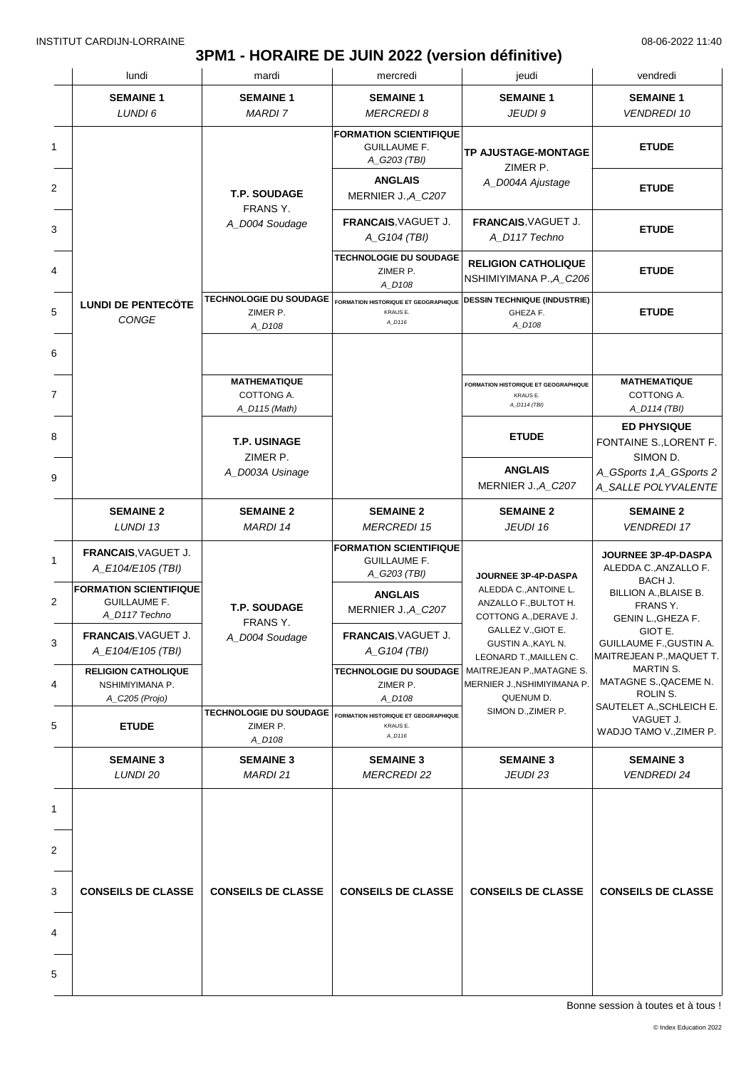# **3PM1 - HORAIRE DE JUIN 2022 (version définitive)**

| lundi                                                                 | mardi                                               | mercredi                                                             | jeudi                                                                                                                                                                                                                                                               | vendredi                                                              |
|-----------------------------------------------------------------------|-----------------------------------------------------|----------------------------------------------------------------------|---------------------------------------------------------------------------------------------------------------------------------------------------------------------------------------------------------------------------------------------------------------------|-----------------------------------------------------------------------|
| <b>SEMAINE 1</b><br>LUNDI 6                                           | <b>SEMAINE 1</b><br><b>MARDI 7</b>                  | <b>SEMAINE 1</b><br><b>MERCREDI 8</b>                                | <b>SEMAINE 1</b><br>JEUDI 9                                                                                                                                                                                                                                         | <b>SEMAINE 1</b><br><b>VENDREDI 10</b>                                |
|                                                                       |                                                     | <b>FORMATION SCIENTIFIQUE</b><br><b>GUILLAUME F.</b><br>A_G203 (TBI) | <b>TP AJUSTAGE-MONTAGE</b><br>ZIMER P.                                                                                                                                                                                                                              | <b>ETUDE</b>                                                          |
|                                                                       | T.P. SOUDAGE                                        | <b>ANGLAIS</b><br>MERNIER J., A_C207                                 | A_D004A Ajustage                                                                                                                                                                                                                                                    | <b>ETUDE</b>                                                          |
|                                                                       | FRANS Y.<br>A_D004 Soudage                          | FRANCAIS, VAGUET J.<br>A_G104 (TBI)                                  | FRANCAIS, VAGUET J.<br>A_D117 Techno                                                                                                                                                                                                                                | <b>ETUDE</b>                                                          |
|                                                                       |                                                     | TECHNOLOGIE DU SOUDAGE<br>ZIMER P.<br>A D108                         | <b>RELIGION CATHOLIQUE</b><br>NSHIMIYIMANA P.,A_C206                                                                                                                                                                                                                | <b>ETUDE</b>                                                          |
| <b>LUNDI DE PENTECÖTE</b><br><b>CONGE</b>                             | <b>TECHNOLOGIE DU SOUDAGE</b><br>ZIMER P.<br>A_D108 | <b>FORMATION HISTORIQUE ET GEOGRAPHIQUE</b><br>KRAUS E.<br>A_D116    | <b>DESSIN TECHNIQUE (INDUSTRIE)</b><br>GHEZA F.<br>A_D108                                                                                                                                                                                                           | <b>ETUDE</b>                                                          |
|                                                                       |                                                     |                                                                      |                                                                                                                                                                                                                                                                     |                                                                       |
|                                                                       | <b>MATHEMATIQUE</b><br>COTTONG A.<br>A_D115 (Math)  |                                                                      | FORMATION HISTORIQUE ET GEOGRAPHIQUE<br><b>KRAUS E.</b><br>A_D114 (TBI)                                                                                                                                                                                             | <b>MATHEMATIQUE</b><br>COTTONG A.<br>A_D114 (TBI)                     |
|                                                                       | T.P. USINAGE                                        |                                                                      | <b>ETUDE</b>                                                                                                                                                                                                                                                        | <b>ED PHYSIQUE</b><br>FONTAINE S., LORENT F.                          |
|                                                                       | ZIMER P.<br>A_D003A Usinage                         |                                                                      | <b>ANGLAIS</b><br>MERNIER J., A_C207                                                                                                                                                                                                                                | SIMON D.<br>A_GSports 1,A_GSports 2<br>A_SALLE POLYVALENTE            |
| <b>SEMAINE 2</b><br>LUNDI 13                                          | <b>SEMAINE 2</b><br><b>MARDI 14</b>                 | <b>SEMAINE 2</b><br><b>MERCREDI 15</b>                               | <b>SEMAINE 2</b><br>JEUDI 16                                                                                                                                                                                                                                        | <b>SEMAINE 2</b><br><b>VENDREDI 17</b>                                |
| <b>FRANCAIS, VAGUET J.</b><br>A_E104/E105 (TBI)                       | <b>T.P. SOUDAGE</b><br>FRANS Y.<br>A_D004 Soudage   | <b>FORMATION SCIENTIFIQUE</b><br><b>GUILLAUME F.</b><br>A_G203 (TBI) | JOURNEE 3P-4P-DASPA<br>ALEDDA C., ANTOINE L.<br>ANZALLO F., BULTOT H.<br>COTTONG A., DERAVE J.<br>GALLEZ V., GIOT E.<br>GUSTIN A., KAYL N.<br>LEONARD T., MAILLEN C.<br>MAITREJEAN P., MATAGNE S.<br>MERNIER J., NSHIMIYIMANA P.<br>QUENUM D.<br>SIMON D., ZIMER P. | <b>JOURNEE 3P-4P-DASPA</b><br>ALEDDA C., ANZALLO F.                   |
| <b>FORMATION SCIENTIFIQUE</b><br><b>GUILLAUME F.</b><br>A D117 Techno |                                                     | <b>ANGLAIS</b><br>MERNIER J., A_C207                                 |                                                                                                                                                                                                                                                                     | BACH J.<br>BILLION A., BLAISE B.<br>FRANS Y.<br>GENIN L., GHEZA F.    |
| FRANCAIS, VAGUET J.<br>A E104/E105 (TBI)                              |                                                     | FRANCAIS, VAGUET J.<br>A_G104 (TBI)                                  |                                                                                                                                                                                                                                                                     | GIOT E.<br><b>GUILLAUME F., GUSTIN A.</b><br>MAITREJEAN P., MAQUET T. |
| <b>RELIGION CATHOLIQUE</b><br>NSHIMIYIMANA P.<br>A_C205 (Projo)       |                                                     | <b>TECHNOLOGIE DU SOUDAGE</b><br>ZIMER P.<br>A_D108                  |                                                                                                                                                                                                                                                                     | MARTIN S.<br>MATAGNE S., QACEME N.<br>ROLIN S.                        |
| <b>ETUDE</b>                                                          | TECHNOLOGIE DU SOUDAGE<br>ZIMER P.<br>A D108        | <b>FORMATION HISTORIQUE ET GEOGRAPHIQUE</b><br>KRAUS E.<br>A_D116    |                                                                                                                                                                                                                                                                     | SAUTELET A., SCHLEICH E.<br>VAGUET J.<br>WADJO TAMO V., ZIMER P.      |
| <b>SEMAINE 3</b><br>LUNDI 20                                          | <b>SEMAINE 3</b><br>MARDI 21                        | <b>SEMAINE 3</b><br><b>MERCREDI 22</b>                               | <b>SEMAINE 3</b><br>JEUDI 23                                                                                                                                                                                                                                        | <b>SEMAINE 3</b><br><b>VENDREDI 24</b>                                |
|                                                                       |                                                     |                                                                      |                                                                                                                                                                                                                                                                     |                                                                       |
|                                                                       |                                                     |                                                                      |                                                                                                                                                                                                                                                                     |                                                                       |
| <b>CONSEILS DE CLASSE</b>                                             | <b>CONSEILS DE CLASSE</b>                           | <b>CONSEILS DE CLASSE</b>                                            | <b>CONSEILS DE CLASSE</b>                                                                                                                                                                                                                                           | <b>CONSEILS DE CLASSE</b>                                             |
|                                                                       |                                                     |                                                                      |                                                                                                                                                                                                                                                                     |                                                                       |
|                                                                       |                                                     |                                                                      |                                                                                                                                                                                                                                                                     |                                                                       |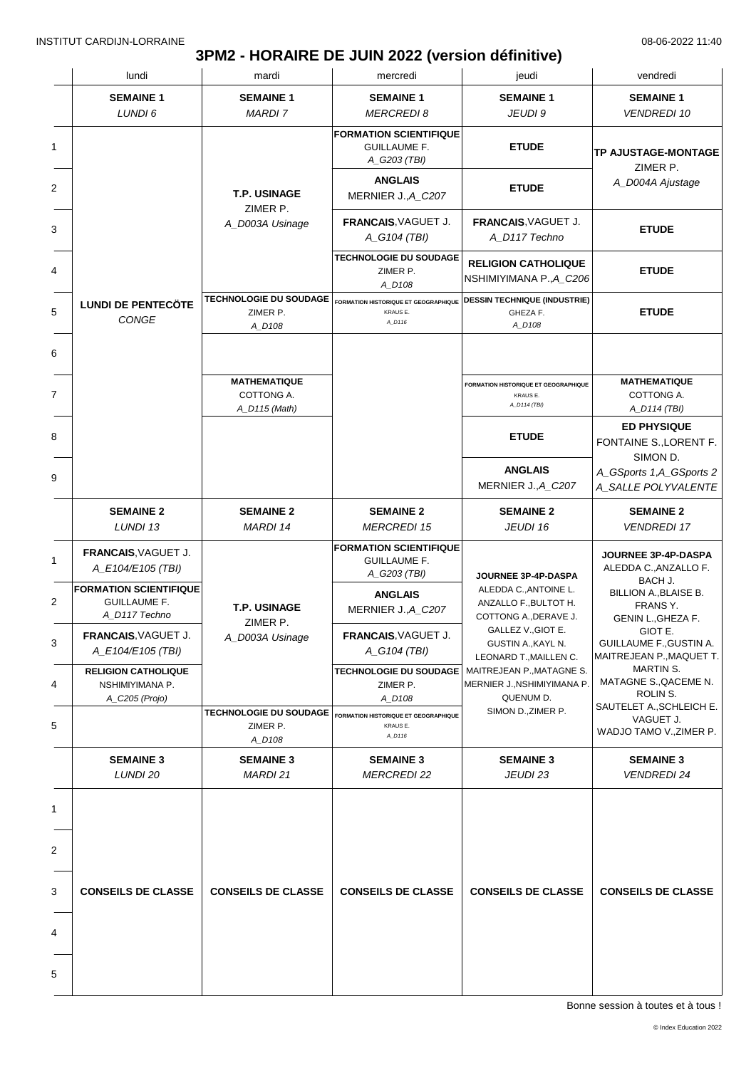### **3PM2 - HORAIRE DE JUIN 2022 (version définitive)**

| <b>SEMAINE 1</b><br><b>SEMAINE 1</b><br><b>SEMAINE 1</b><br><b>SEMAINE 1</b><br>LUNDI 6<br><b>MARDI 7</b><br><b>MERCREDI 8</b><br>JEUDI 9<br><b>FORMATION SCIENTIFIQUE</b><br><b>ETUDE</b><br>1<br><b>GUILLAUME F.</b><br>A_G203 (TBI)<br><b>ANGLAIS</b><br>2<br><b>ETUDE</b><br>T.P. USINAGE<br>MERNIER J., A_C207<br>ZIMER P.<br>FRANCAIS. VAGUET J.<br>FRANCAIS, VAGUET J.<br>A_D003A Usinage<br>3<br>A_G104 (TBI)<br>A_D117 Techno<br><b>TECHNOLOGIE DU SOUDAGE</b><br><b>RELIGION CATHOLIQUE</b><br>4<br>ZIMER P.<br>NSHIMIYIMANA P., A_C206<br>A_D108<br><b>TECHNOLOGIE DU SOUDAGE</b><br><b>DESSIN TECHNIQUE (INDUSTRIE)</b><br>FORMATION HISTORIQUE ET GEOGRAPHIQUE<br><b>LUNDI DE PENTECÖTE</b><br>5<br>ZIMER P.<br>KRAUS E.<br>GHEZA F.<br>CONGE<br>A_D116<br>A_D108<br>A_D108<br>6<br><b>MATHEMATIQUE</b><br><b>FORMATION HISTORIQUE ET GEOGRAPHIQUE</b><br>7<br>COTTONG A.<br>KRAUS E.<br>A_D114 (TBI)<br>A_D115 (Math)<br>8 | <b>SEMAINE 1</b><br><b>VENDREDI 10</b><br>TP AJUSTAGE-MONTAGE<br>ZIMER P.<br>A_D004A Ajustage<br><b>ETUDE</b><br><b>ETUDE</b><br><b>ETUDE</b> |
|------------------------------------------------------------------------------------------------------------------------------------------------------------------------------------------------------------------------------------------------------------------------------------------------------------------------------------------------------------------------------------------------------------------------------------------------------------------------------------------------------------------------------------------------------------------------------------------------------------------------------------------------------------------------------------------------------------------------------------------------------------------------------------------------------------------------------------------------------------------------------------------------------------------------------------------|-----------------------------------------------------------------------------------------------------------------------------------------------|
|                                                                                                                                                                                                                                                                                                                                                                                                                                                                                                                                                                                                                                                                                                                                                                                                                                                                                                                                          |                                                                                                                                               |
|                                                                                                                                                                                                                                                                                                                                                                                                                                                                                                                                                                                                                                                                                                                                                                                                                                                                                                                                          |                                                                                                                                               |
|                                                                                                                                                                                                                                                                                                                                                                                                                                                                                                                                                                                                                                                                                                                                                                                                                                                                                                                                          |                                                                                                                                               |
|                                                                                                                                                                                                                                                                                                                                                                                                                                                                                                                                                                                                                                                                                                                                                                                                                                                                                                                                          |                                                                                                                                               |
|                                                                                                                                                                                                                                                                                                                                                                                                                                                                                                                                                                                                                                                                                                                                                                                                                                                                                                                                          |                                                                                                                                               |
|                                                                                                                                                                                                                                                                                                                                                                                                                                                                                                                                                                                                                                                                                                                                                                                                                                                                                                                                          |                                                                                                                                               |
|                                                                                                                                                                                                                                                                                                                                                                                                                                                                                                                                                                                                                                                                                                                                                                                                                                                                                                                                          |                                                                                                                                               |
|                                                                                                                                                                                                                                                                                                                                                                                                                                                                                                                                                                                                                                                                                                                                                                                                                                                                                                                                          | <b>MATHEMATIQUE</b><br>COTTONG A.<br>A_D114 (TBI)                                                                                             |
| <b>ETUDE</b>                                                                                                                                                                                                                                                                                                                                                                                                                                                                                                                                                                                                                                                                                                                                                                                                                                                                                                                             | <b>ED PHYSIQUE</b><br>FONTAINE S., LORENT F.<br>SIMON D.                                                                                      |
| <b>ANGLAIS</b><br>9<br>MERNIER J., A_C207                                                                                                                                                                                                                                                                                                                                                                                                                                                                                                                                                                                                                                                                                                                                                                                                                                                                                                | A_GSports 1,A_GSports 2<br>A_SALLE POLYVALENTE                                                                                                |
| <b>SEMAINE 2</b><br><b>SEMAINE 2</b><br><b>SEMAINE 2</b><br><b>SEMAINE 2</b><br>LUNDI 13<br><b>MARDI 14</b><br><b>MERCREDI 15</b><br>JEUDI 16                                                                                                                                                                                                                                                                                                                                                                                                                                                                                                                                                                                                                                                                                                                                                                                            | <b>SEMAINE 2</b><br><b>VENDREDI 17</b>                                                                                                        |
| <b>FORMATION SCIENTIFIQUE</b><br><b>FRANCAIS, VAGUET J.</b><br>1<br><b>GUILLAUME F.</b><br>A E104/E105 (TBI)<br>A_G203 (TBI)<br>JOURNEE 3P-4P-DASPA                                                                                                                                                                                                                                                                                                                                                                                                                                                                                                                                                                                                                                                                                                                                                                                      | JOURNEE 3P-4P-DASPA<br>ALEDDA C., ANZALLO F.                                                                                                  |
| <b>FORMATION SCIENTIFIQUE</b><br>ALEDDA C., ANTOINE L.<br><b>ANGLAIS</b><br>2<br><b>GUILLAUME F.</b><br>ANZALLO F., BULTOT H.<br>T.P. USINAGE<br>MERNIER J., A_C207<br>A_D117 Techno<br>COTTONG A., DERAVE J.                                                                                                                                                                                                                                                                                                                                                                                                                                                                                                                                                                                                                                                                                                                            | BACH J.<br>BILLION A., BLAISE B.<br>FRANS Y.<br>GENIN L., GHEZA F.                                                                            |
| ZIMER P.<br>GALLEZ V., GIOT E.<br>FRANCAIS, VAGUET J.<br><b>FRANCAIS, VAGUET J.</b><br>A_D003A Usinage<br>3<br>GUSTIN A., KAYL N.<br>A_E104/E105 (TBI)<br>A_G104 (TBI)<br>LEONARD T., MAILLEN C.                                                                                                                                                                                                                                                                                                                                                                                                                                                                                                                                                                                                                                                                                                                                         | GIOT E.<br>GUILLAUME F., GUSTIN A.<br>MAITREJEAN P., MAQUET T.                                                                                |
| <b>RELIGION CATHOLIQUE</b><br>TECHNOLOGIE DU SOUDAGE<br>MAITREJEAN P., MATAGNE S.<br>MERNIER J., NSHIMIYIMANA P<br>4<br>NSHIMIYIMANA P.<br>ZIMER P.<br>QUENUM D.<br>A_D108<br>A_C205 (Projo)                                                                                                                                                                                                                                                                                                                                                                                                                                                                                                                                                                                                                                                                                                                                             | MARTIN S.<br>MATAGNE S., QACEME N.<br>ROLIN S.                                                                                                |
| SIMON D., ZIMER P.<br><b>TECHNOLOGIE DU SOUDAGE</b><br>FORMATION HISTORIQUE ET GEOGRAPHIQUE<br>5<br>ZIMER P.<br>KRAUS E.<br>A_D116<br>A_D108                                                                                                                                                                                                                                                                                                                                                                                                                                                                                                                                                                                                                                                                                                                                                                                             | SAUTELET A., SCHLEICH E.<br>VAGUET J.<br>WADJO TAMO V., ZIMER P.                                                                              |
| <b>SEMAINE 3</b><br><b>SEMAINE 3</b><br><b>SEMAINE 3</b><br><b>SEMAINE 3</b><br>LUNDI 20<br><b>MARDI21</b><br><b>MERCREDI 22</b><br>JEUDI 23                                                                                                                                                                                                                                                                                                                                                                                                                                                                                                                                                                                                                                                                                                                                                                                             | <b>SEMAINE 3</b><br><b>VENDREDI 24</b>                                                                                                        |
| 1                                                                                                                                                                                                                                                                                                                                                                                                                                                                                                                                                                                                                                                                                                                                                                                                                                                                                                                                        |                                                                                                                                               |
| 2                                                                                                                                                                                                                                                                                                                                                                                                                                                                                                                                                                                                                                                                                                                                                                                                                                                                                                                                        |                                                                                                                                               |
| 3<br><b>CONSEILS DE CLASSE</b><br><b>CONSEILS DE CLASSE</b><br><b>CONSEILS DE CLASSE</b><br><b>CONSEILS DE CLASSE</b>                                                                                                                                                                                                                                                                                                                                                                                                                                                                                                                                                                                                                                                                                                                                                                                                                    | <b>CONSEILS DE CLASSE</b>                                                                                                                     |
| 4                                                                                                                                                                                                                                                                                                                                                                                                                                                                                                                                                                                                                                                                                                                                                                                                                                                                                                                                        |                                                                                                                                               |
| 5                                                                                                                                                                                                                                                                                                                                                                                                                                                                                                                                                                                                                                                                                                                                                                                                                                                                                                                                        |                                                                                                                                               |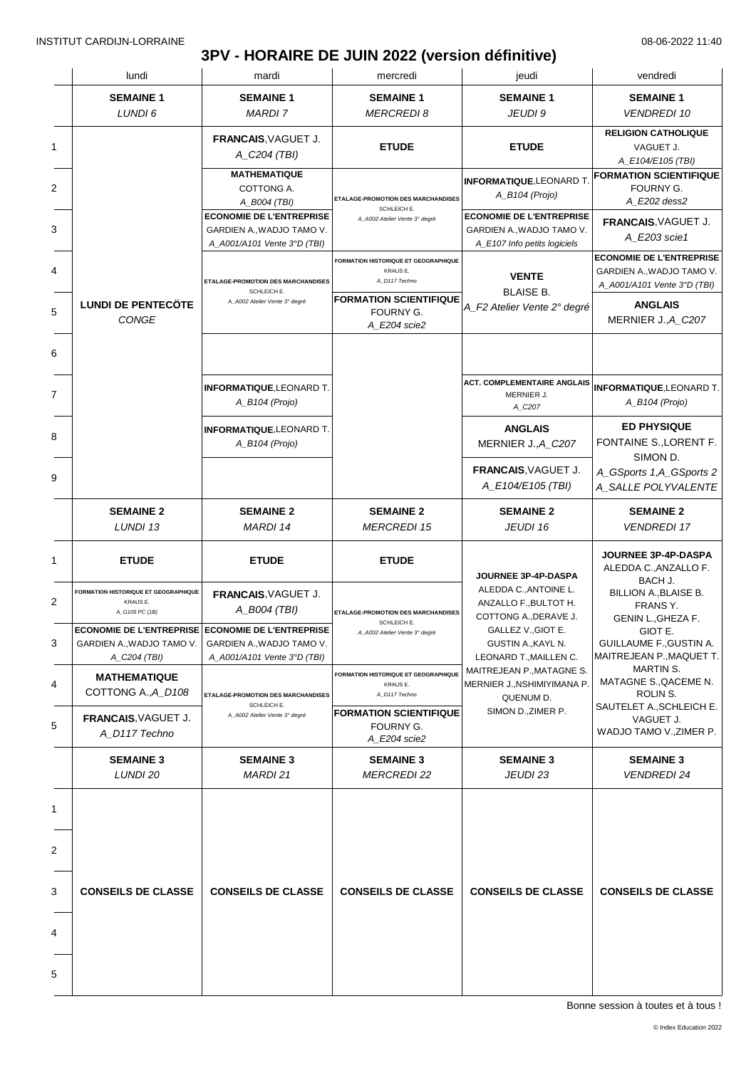# **3PV - HORAIRE DE JUIN 2022 (version définitive)**

|   | lundi                                                                                                 | mardi                                                                                       | mercredi                                                          | jeudi                                                                                                                                       | vendredi                                                                                    |
|---|-------------------------------------------------------------------------------------------------------|---------------------------------------------------------------------------------------------|-------------------------------------------------------------------|---------------------------------------------------------------------------------------------------------------------------------------------|---------------------------------------------------------------------------------------------|
|   | <b>SEMAINE 1</b><br>LUNDI 6                                                                           | <b>SEMAINE 1</b><br><b>MARDI 7</b>                                                          | <b>SEMAINE 1</b><br><b>MERCREDI8</b>                              | <b>SEMAINE 1</b><br>JEUDI 9                                                                                                                 | <b>SEMAINE 1</b><br><b>VENDREDI 10</b>                                                      |
| 1 |                                                                                                       | FRANCAIS, VAGUET J.<br>A_C204 (TBI)                                                         | <b>ETUDE</b>                                                      | <b>ETUDE</b>                                                                                                                                | <b>RELIGION CATHOLIQUE</b><br>VAGUET J.<br>A_E104/E105 (TBI)                                |
| 2 |                                                                                                       | <b>MATHEMATIQUE</b><br>COTTONG A.<br>A_B004 (TBI)                                           | ETALAGE-PROMOTION DES MARCHANDISES<br>SCHLEICH E.                 | <b>INFORMATIQUE,LEONARD T</b><br>A_B104 (Projo)                                                                                             | <b>FORMATION SCIENTIFIQUE</b><br>FOURNY G.<br>A_E202 dess2                                  |
|   |                                                                                                       | <b>ECONOMIE DE L'ENTREPRISE</b><br>GARDIEN A., WADJO TAMO V.<br>A_A001/A101 Vente 3°D (TBI) | A A002 Atelier Vente 3° degré                                     | <b>ECONOMIE DE L'ENTREPRISE</b><br>GARDIEN A., WADJO TAMO V.<br>A_E107 Info petits logiciels                                                | FRANCAIS. VAGUET J.<br>A E203 scie1                                                         |
|   |                                                                                                       | ETALAGE-PROMOTION DES MARCHANDISES<br>SCHLEICH E.                                           | FORMATION HISTORIQUE ET GEOGRAPHIQUE<br>KRAUS E.<br>A_D117 Techno | <b>VENTE</b><br><b>BLAISE B.</b>                                                                                                            | <b>ECONOMIE DE L'ENTREPRISE</b><br>GARDIEN A., WADJO TAMO V.<br>A_A001/A101 Vente 3°D (TBI) |
|   | <b>LUNDI DE PENTECÖTE</b><br>CONGE                                                                    | A_A002 Atelier Vente 3° degré                                                               | <b>FORMATION SCIENTIFIQUE</b><br>FOURNY G.<br>A E204 scie2        | A_F2 Atelier Vente 2° degré                                                                                                                 | <b>ANGLAIS</b><br>MERNIER J., A_C207                                                        |
|   |                                                                                                       |                                                                                             |                                                                   |                                                                                                                                             |                                                                                             |
|   |                                                                                                       | <b>INFORMATIQUE, LEONARD T.</b><br>$A$ <sub>B104</sub> (Projo)                              |                                                                   | <b>ACT. COMPLEMENTAIRE ANGLAIS</b><br>MERNIER J.<br>A_C207                                                                                  | <b>INFORMATIQUE, LEONARD T.</b><br>A_B104 (Projo)                                           |
|   |                                                                                                       | <b>INFORMATIQUE, LEONARD T.</b><br>A_B104 (Projo)                                           |                                                                   | <b>ANGLAIS</b><br>MERNIER J., A_C207                                                                                                        | <b>ED PHYSIQUE</b><br>FONTAINE S., LORENT F.<br>SIMON D.                                    |
|   |                                                                                                       |                                                                                             |                                                                   | FRANCAIS, VAGUET J.<br>A_E104/E105 (TBI)                                                                                                    | A_GSports 1,A_GSports 2<br>A_SALLE POLYVALENTE                                              |
|   | <b>SEMAINE 2</b><br>LUNDI 13                                                                          | <b>SEMAINE 2</b><br><b>MARDI 14</b>                                                         | <b>SEMAINE 2</b><br><b>MERCREDI 15</b>                            | <b>SEMAINE 2</b><br>JEUDI 16                                                                                                                | <b>SEMAINE 2</b><br><b>VENDREDI 17</b>                                                      |
|   | <b>ETUDE</b>                                                                                          | <b>ETUDE</b>                                                                                | <b>ETUDE</b>                                                      | JOURNEE 3P-4P-DASPA                                                                                                                         | JOURNEE 3P-4P-DASPA<br>ALEDDA C., ANZALLO F.<br>BACH J.                                     |
|   | <b>FORMATION HISTORIQUE ET GEOGRAPHIQUE</b><br><b>KRAUSE.</b><br>A_G105 PC (1B)                       | FRANCAIS, VAGUET J.<br>A_B004 (TBI)                                                         | ETALAGE-PROMOTION DES MARCHANDISES<br>SCHLEICH E.                 | ALEDDA C., ANTOINE L.<br>ANZALLO F., BULTOT H.<br>COTTONG A., DERAVE J.                                                                     | BILLION A., BLAISE B.<br>FRANS Y.<br>GENIN L., GHEZA F.                                     |
|   | <b>ECONOMIE DE L'ENTREPRISE ECONOMIE DE L'ENTREPRISE</b><br>GARDIEN A., WADJO TAMO V.<br>A_C204 (TBI) | GARDIEN A., WADJO TAMO V.<br>A_A001/A101 Vente 3°D (TBI)                                    | A_A002 Atelier Vente 3° degré                                     | GALLEZ V., GIOT E.<br>GUSTIN A., KAYL N.<br>LEONARD T., MAILLEN C.<br>MAITREJEAN P., MATAGNE S.<br>MERNIER J., NSHIMIYIMANA P.<br>QUENUM D. | GIOT E.<br><b>GUILLAUME F., GUSTIN A.</b><br>MAITREJEAN P., MAQUET T.                       |
|   | <b>MATHEMATIQUE</b><br>COTTONG A., A D108                                                             | ETALAGE-PROMOTION DES MARCHANDISES                                                          | FORMATION HISTORIQUE ET GEOGRAPHIQUE<br>KRAUS E.<br>A_D117 Techno |                                                                                                                                             | <b>MARTIN S.</b><br>MATAGNE S., QACEME N.<br>ROLIN S.                                       |
|   | FRANCAIS, VAGUET J.<br>A_D117 Techno                                                                  | SCHLEICH E.<br>A_A002 Atelier Vente 3° degré                                                | <b>FORMATION SCIENTIFIQUE</b><br>FOURNY G.<br>A_E204 scie2        | SIMON D., ZIMER P.                                                                                                                          | SAUTELET A., SCHLEICH E.<br>VAGUET J.<br>WADJO TAMO V., ZIMER P.                            |
|   | <b>SEMAINE 3</b><br>LUNDI 20                                                                          | <b>SEMAINE 3</b><br>MARDI 21                                                                | <b>SEMAINE 3</b><br><b>MERCREDI 22</b>                            | <b>SEMAINE 3</b><br>JEUDI 23                                                                                                                | <b>SEMAINE 3</b><br><b>VENDREDI 24</b>                                                      |
|   |                                                                                                       |                                                                                             |                                                                   |                                                                                                                                             |                                                                                             |
|   |                                                                                                       |                                                                                             |                                                                   |                                                                                                                                             |                                                                                             |
|   | <b>CONSEILS DE CLASSE</b>                                                                             | <b>CONSEILS DE CLASSE</b>                                                                   | <b>CONSEILS DE CLASSE</b>                                         | <b>CONSEILS DE CLASSE</b>                                                                                                                   | <b>CONSEILS DE CLASSE</b>                                                                   |
|   |                                                                                                       |                                                                                             |                                                                   |                                                                                                                                             |                                                                                             |
|   |                                                                                                       |                                                                                             |                                                                   |                                                                                                                                             |                                                                                             |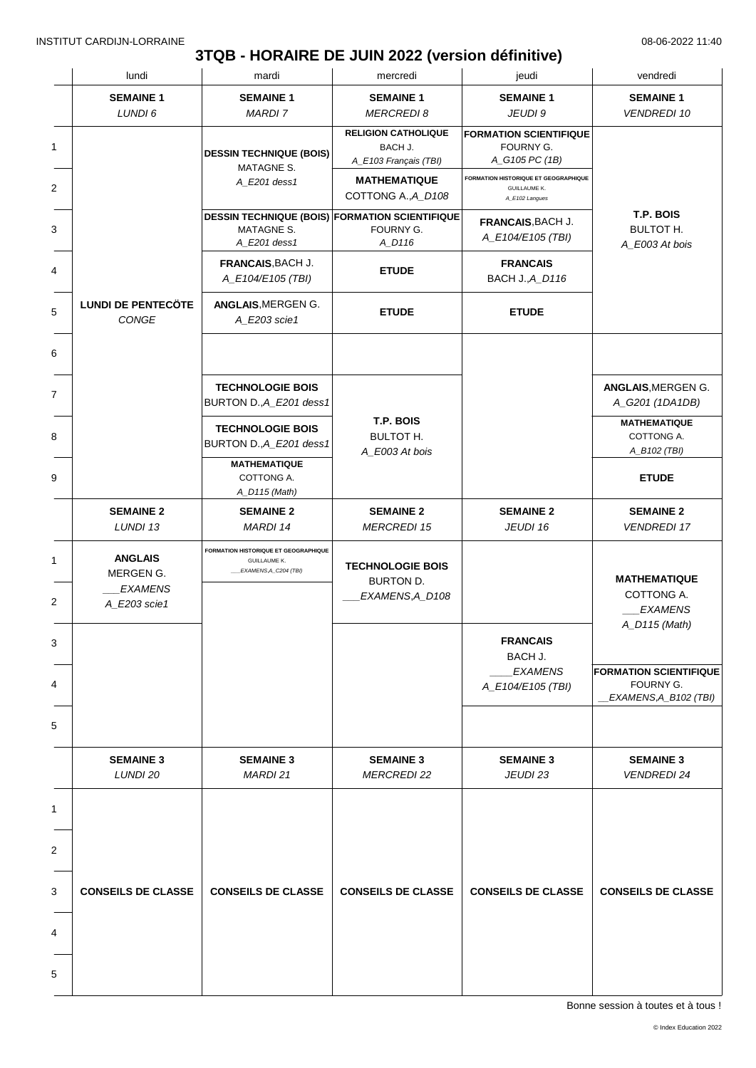### **3TQB - HORAIRE DE JUIN 2022 (version définitive)**

| lundi                                                         | mardi                                                                                       | mercredi                                                       | jeudi                                                                         | vendredi                                                                             |
|---------------------------------------------------------------|---------------------------------------------------------------------------------------------|----------------------------------------------------------------|-------------------------------------------------------------------------------|--------------------------------------------------------------------------------------|
| <b>SEMAINE 1</b><br>LUNDI 6                                   | <b>SEMAINE 1</b><br><b>MARDI 7</b>                                                          | <b>SEMAINE 1</b><br><b>MERCREDI 8</b>                          | <b>SEMAINE 1</b><br>JEUDI 9                                                   | <b>SEMAINE 1</b><br><b>VENDREDI 10</b>                                               |
|                                                               | <b>DESSIN TECHNIQUE (BOIS)</b><br>MATAGNE S.                                                | <b>RELIGION CATHOLIQUE</b><br>BACH J.<br>A_E103 Français (TBI) | <b>FORMATION SCIENTIFIQUE</b><br>FOURNY G.<br>A_G105 PC (1B)                  |                                                                                      |
|                                                               | A_E201 dess1                                                                                | <b>MATHEMATIQUE</b><br>COTTONG A., A_D108                      | FORMATION HISTORIQUE ET GEOGRAPHIQUE<br><b>GUILLAUME K.</b><br>A_E102 Langues |                                                                                      |
|                                                               | <b>DESSIN TECHNIQUE (BOIS) FORMATION SCIENTIFIQUE</b><br><b>MATAGNE S.</b><br>A_E201 dess1  | FOURNY G.<br>A_D116                                            | FRANCAIS, BACH J.<br>A_E104/E105 (TBI)                                        | T.P. BOIS<br><b>BULTOT H.</b><br>A_E003 At bois                                      |
|                                                               | FRANCAIS, BACH J.<br>A_E104/E105 (TBI)                                                      | <b>ETUDE</b>                                                   | <b>FRANCAIS</b><br><b>BACH J., A_D116</b>                                     |                                                                                      |
| <b>LUNDI DE PENTECÖTE</b><br>CONGE                            | ANGLAIS, MERGEN G.<br>A_E203 scie1                                                          | <b>ETUDE</b>                                                   | <b>ETUDE</b>                                                                  |                                                                                      |
|                                                               |                                                                                             |                                                                |                                                                               |                                                                                      |
|                                                               | <b>TECHNOLOGIE BOIS</b><br>BURTON D., A_E201 dess1                                          |                                                                |                                                                               | <b>ANGLAIS, MERGEN G.</b><br>A_G201 (1DA1DB)                                         |
|                                                               | <b>TECHNOLOGIE BOIS</b><br>BURTON D., A_E201 dess1                                          | T.P. BOIS<br><b>BULTOT H.</b><br>A_E003 At bois                |                                                                               | <b>MATHEMATIQUE</b><br>COTTONG A.<br>A_B102 (TBI)                                    |
|                                                               | <b>MATHEMATIQUE</b><br>COTTONG A.<br>A_D115 (Math)                                          |                                                                |                                                                               | <b>ETUDE</b>                                                                         |
| <b>SEMAINE 2</b><br>LUNDI 13                                  | <b>SEMAINE 2</b><br><b>MARDI 14</b>                                                         | <b>SEMAINE 2</b><br><b>MERCREDI 15</b>                         | <b>SEMAINE 2</b><br>JEUDI 16                                                  | <b>SEMAINE 2</b><br><b>VENDREDI 17</b>                                               |
| <b>ANGLAIS</b><br>MERGEN G.<br><b>EXAMENS</b><br>A_E203 scie1 | <b>FORMATION HISTORIQUE ET GEOGRAPHIQUE</b><br><b>GUILLAUME K.</b><br>EXAMENS, A_C204 (TBI) | <b>TECHNOLOGIE BOIS</b><br>BURTON D.<br>EXAMENS,A_D108         |                                                                               | <b>MATHEMATIQUE</b><br>COTTONG A.<br><b>EXAMENS</b>                                  |
|                                                               |                                                                                             |                                                                | <b>FRANCAIS</b><br>BACH J.<br><b>EXAMENS</b><br>A_E104/E105 (TBI)             | A_D115 (Math)<br><b>FORMATION SCIENTIFIQUE</b><br>FOURNY G.<br>EXAMENS, A_B102 (TBI) |
| <b>SEMAINE 3</b><br>LUNDI 20                                  | <b>SEMAINE 3</b><br>MARDI 21                                                                | <b>SEMAINE 3</b><br><b>MERCREDI 22</b>                         | <b>SEMAINE 3</b><br>JEUDI 23                                                  | <b>SEMAINE 3</b><br><b>VENDREDI 24</b>                                               |
|                                                               |                                                                                             |                                                                |                                                                               |                                                                                      |
|                                                               |                                                                                             |                                                                |                                                                               |                                                                                      |
| <b>CONSEILS DE CLASSE</b>                                     | <b>CONSEILS DE CLASSE</b>                                                                   | <b>CONSEILS DE CLASSE</b>                                      | <b>CONSEILS DE CLASSE</b>                                                     | <b>CONSEILS DE CLASSE</b>                                                            |
|                                                               |                                                                                             |                                                                |                                                                               |                                                                                      |
|                                                               |                                                                                             |                                                                |                                                                               |                                                                                      |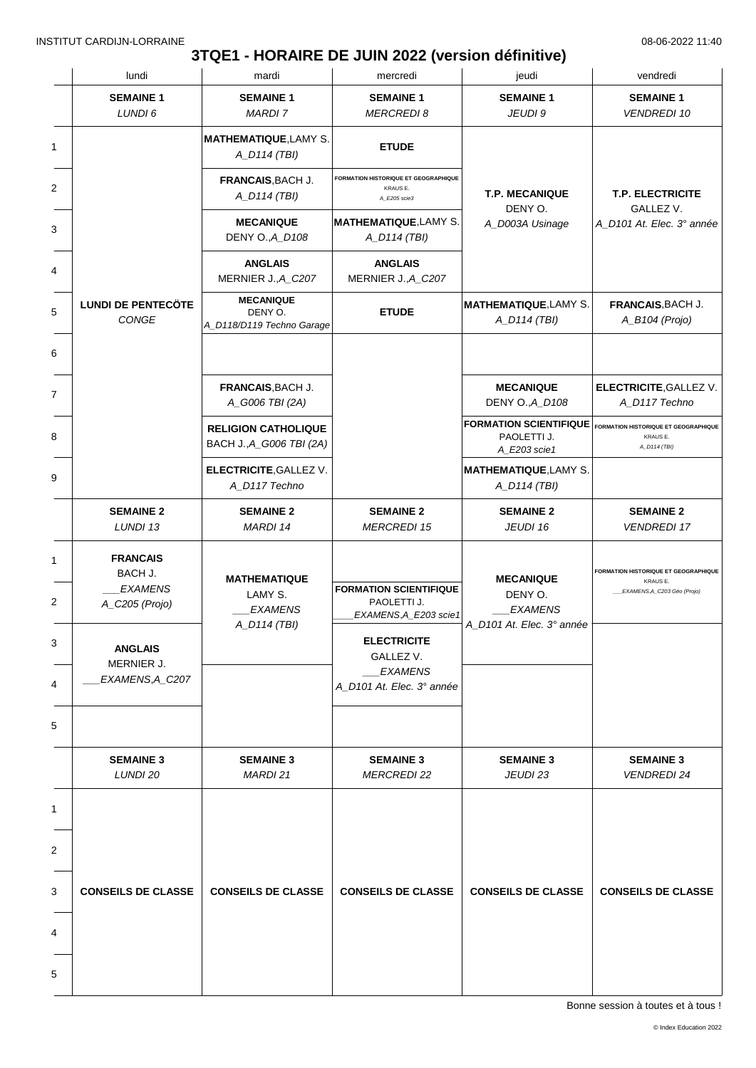### **3TQE1 - HORAIRE DE JUIN 2022 (version définitive)**

|   | lundi                                                          | mardi                                                            | mercredi                                                              | jeudi                                                                                      | vendredi                                                                        |
|---|----------------------------------------------------------------|------------------------------------------------------------------|-----------------------------------------------------------------------|--------------------------------------------------------------------------------------------|---------------------------------------------------------------------------------|
|   | <b>SEMAINE 1</b><br>LUNDI 6                                    | <b>SEMAINE 1</b><br><b>MARDI7</b>                                | <b>SEMAINE 1</b><br><b>MERCREDI 8</b>                                 | <b>SEMAINE 1</b><br>JEUDI 9                                                                | <b>SEMAINE 1</b><br><b>VENDREDI 10</b>                                          |
|   |                                                                | <b>MATHEMATIQUE, LAMY S.</b><br>A_D114 (TBI)                     | <b>ETUDE</b>                                                          |                                                                                            |                                                                                 |
|   |                                                                | FRANCAIS, BACH J.<br>A_D114 (TBI)                                | FORMATION HISTORIQUE ET GEOGRAPHIQUE<br>KRAUS E.<br>A_E205 scie3      | <b>T.P. MECANIQUE</b><br>DENY O.                                                           | <b>T.P. ELECTRICITE</b><br>GALLEZ V.                                            |
|   |                                                                | <b>MECANIQUE</b><br>DENY O., A_D108                              | <b>MATHEMATIQUE, LAMY S.</b><br>A_D114 (TBI)                          | A_D003A Usinage                                                                            | A_D101 At. Elec. 3° année                                                       |
|   |                                                                | <b>ANGLAIS</b><br>MERNIER J., A_C207                             | <b>ANGLAIS</b><br>MERNIER J., A_C207                                  |                                                                                            |                                                                                 |
|   | <b>LUNDI DE PENTECÖTE</b><br>CONGE                             | <b>MECANIQUE</b><br>DENY O.<br>A_D118/D119 Techno Garage         | <b>ETUDE</b>                                                          | <b>MATHEMATIQUE, LAMY S.</b><br>A_D114 (TBI)                                               | FRANCAIS, BACH J.<br>A_B104 (Projo)                                             |
|   |                                                                |                                                                  |                                                                       |                                                                                            |                                                                                 |
|   |                                                                | FRANCAIS, BACH J.<br>A_G006 TBI (2A)                             |                                                                       | <b>MECANIQUE</b><br>DENY O., A_D108                                                        | <b>ELECTRICITE, GALLEZ V.</b><br>A_D117 Techno                                  |
|   |                                                                | <b>RELIGION CATHOLIQUE</b><br>BACH J., A_G006 TBI (2A)           |                                                                       | FORMATION SCIENTIFIQUE FORMATION HISTORIQUE ET GEOGRAPHIQUE<br>PAOLETTI J.<br>A_E203 scie1 | KRAUS E.<br>A_D114 (TBI)                                                        |
|   |                                                                | <b>ELECTRICITE, GALLEZ V.</b><br>A_D117 Techno                   |                                                                       | <b>MATHEMATIQUE, LAMY S.</b><br>A_D114 (TBI)                                               |                                                                                 |
|   | <b>SEMAINE 2</b><br>LUNDI 13                                   | <b>SEMAINE 2</b><br>MARDI 14                                     | <b>SEMAINE 2</b><br><b>MERCREDI 15</b>                                | <b>SEMAINE 2</b><br>JEUDI 16                                                               | <b>SEMAINE 2</b><br><b>VENDREDI 17</b>                                          |
|   | <b>FRANCAIS</b><br>BACH J.<br><b>EXAMENS</b><br>A_C205 (Projo) | <b>MATHEMATIQUE</b><br>LAMY S.<br><b>EXAMENS</b><br>A_D114 (TBI) | <b>FORMATION SCIENTIFIQUE</b><br>PAOLETTI J.<br>EXAMENS, A E203 scie1 | <b>MECANIQUE</b><br>DENY O.<br><b>EXAMENS</b><br>A_D101 At. Elec. 3° année                 | FORMATION HISTORIQUE ET GEOGRAPHIQUE<br>KRAUS E.<br>EXAMENS, A_C203 Géo (Projo) |
|   | <b>ANGLAIS</b><br>MERNIER J.                                   |                                                                  | <b>ELECTRICITE</b><br>GALLEZ V.                                       |                                                                                            |                                                                                 |
|   | EXAMENS, A_C207                                                |                                                                  | <b>EXAMENS</b><br>A_D101 At. Elec. 3° année                           |                                                                                            |                                                                                 |
|   |                                                                |                                                                  |                                                                       |                                                                                            |                                                                                 |
|   | <b>SEMAINE 3</b><br>LUNDI 20                                   | <b>SEMAINE 3</b><br>MARDI 21                                     | <b>SEMAINE 3</b><br><b>MERCREDI 22</b>                                | <b>SEMAINE 3</b><br>JEUDI 23                                                               | <b>SEMAINE 3</b><br><b>VENDREDI 24</b>                                          |
|   |                                                                |                                                                  |                                                                       |                                                                                            |                                                                                 |
|   |                                                                |                                                                  |                                                                       |                                                                                            |                                                                                 |
|   | <b>CONSEILS DE CLASSE</b>                                      | <b>CONSEILS DE CLASSE</b>                                        | <b>CONSEILS DE CLASSE</b>                                             | <b>CONSEILS DE CLASSE</b>                                                                  | <b>CONSEILS DE CLASSE</b>                                                       |
|   |                                                                |                                                                  |                                                                       |                                                                                            |                                                                                 |
| 5 |                                                                |                                                                  |                                                                       |                                                                                            |                                                                                 |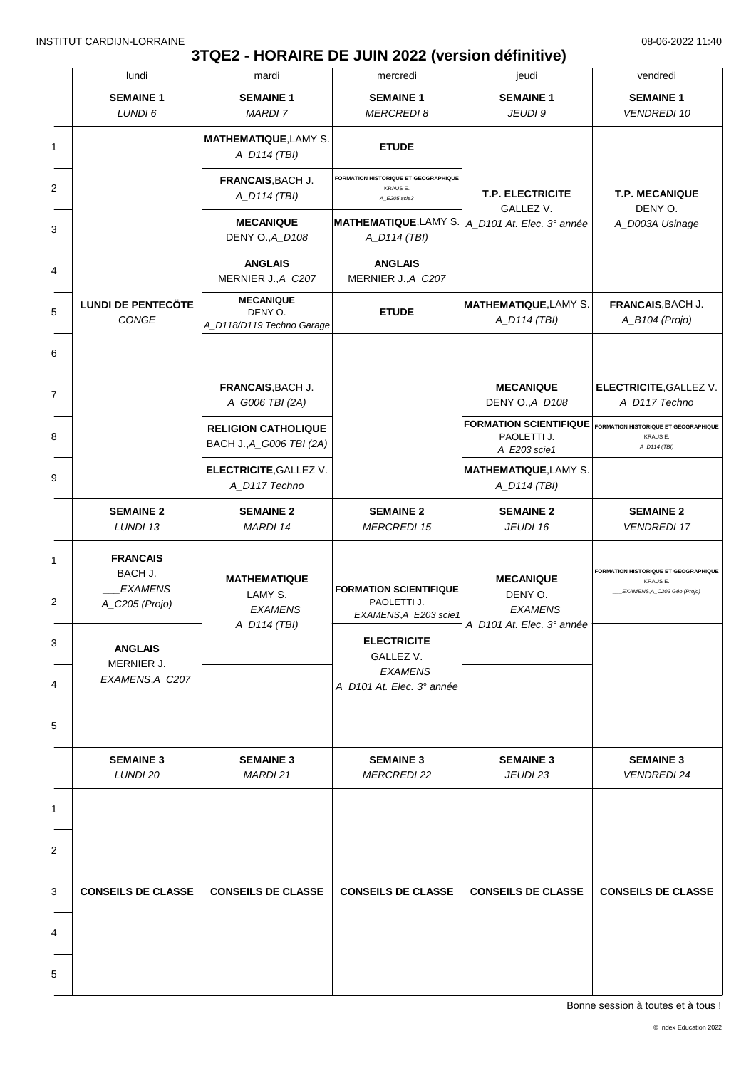# **3TQE2 - HORAIRE DE JUIN 2022 (version définitive)**

|   | lundi                                                          | mardi                                                    | mercredi                                                                | jeudi                                                                                      | vendredi                                                                               |
|---|----------------------------------------------------------------|----------------------------------------------------------|-------------------------------------------------------------------------|--------------------------------------------------------------------------------------------|----------------------------------------------------------------------------------------|
|   | <b>SEMAINE 1</b><br>LUNDI 6                                    | <b>SEMAINE 1</b><br><b>MARDI 7</b>                       | <b>SEMAINE 1</b><br><b>MERCREDI 8</b>                                   | <b>SEMAINE 1</b><br>JEUDI 9                                                                | <b>SEMAINE 1</b><br><b>VENDREDI 10</b>                                                 |
| 1 |                                                                | <b>MATHEMATIQUE, LAMY S.</b><br>A_D114 (TBI)             | <b>ETUDE</b>                                                            |                                                                                            |                                                                                        |
| 2 |                                                                | FRANCAIS, BACH J.<br>A_D114 (TBI)                        | <b>FORMATION HISTORIQUE ET GEOGRAPHIQUE</b><br>KRAUS E.<br>A_E205 scie3 | <b>T.P. ELECTRICITE</b><br>GALLEZ V.                                                       | <b>T.P. MECANIQUE</b><br>DENY O.                                                       |
|   |                                                                | <b>MECANIQUE</b><br>DENY O., A_D108                      | <b>MATHEMATIQUE, LAMY S.</b><br>A_D114 (TBI)                            | A_D101 At. Elec. 3° année                                                                  | A_D003A Usinage                                                                        |
|   |                                                                | <b>ANGLAIS</b><br>MERNIER J., A_C207                     | <b>ANGLAIS</b><br>MERNIER J., A_C207                                    |                                                                                            |                                                                                        |
|   | <b>LUNDI DE PENTECÖTE</b><br>CONGE                             | <b>MECANIQUE</b><br>DENY O.<br>A_D118/D119 Techno Garage | <b>ETUDE</b>                                                            | <b>MATHEMATIQUE, LAMY S.</b><br>A_D114 (TBI)                                               | FRANCAIS, BACH J.<br>A_B104 (Projo)                                                    |
|   |                                                                |                                                          |                                                                         |                                                                                            |                                                                                        |
|   |                                                                | FRANCAIS, BACH J.<br>A_G006 TBI (2A)                     |                                                                         | <b>MECANIQUE</b><br>DENY O., A_D108                                                        | <b>ELECTRICITE, GALLEZ V.</b><br>A_D117 Techno                                         |
|   |                                                                | <b>RELIGION CATHOLIQUE</b><br>BACH J., A_G006 TBI (2A)   |                                                                         | FORMATION SCIENTIFIQUE FORMATION HISTORIQUE ET GEOGRAPHIQUE<br>PAOLETTI J.<br>A_E203 scie1 | KRAUS E.<br>A_D114 (TBI)                                                               |
|   |                                                                | <b>ELECTRICITE, GALLEZ V.</b><br>A_D117 Techno           |                                                                         | <b>MATHEMATIQUE, LAMY S.</b><br>A_D114 (TBI)                                               |                                                                                        |
|   | <b>SEMAINE 2</b><br>LUNDI 13                                   | <b>SEMAINE 2</b><br>MARDI 14                             | <b>SEMAINE 2</b><br><b>MERCREDI 15</b>                                  | <b>SEMAINE 2</b><br>JEUDI 16                                                               | <b>SEMAINE 2</b><br><b>VENDREDI 17</b>                                                 |
|   | <b>FRANCAIS</b><br>BACH J.<br><b>EXAMENS</b><br>A_C205 (Projo) | <b>MATHEMATIQUE</b><br>LAMY S.<br><b>EXAMENS</b>         | <b>FORMATION SCIENTIFIQUE</b><br>PAOLETTI J.<br>EXAMENS, A_E203 scie1   | <b>MECANIQUE</b><br>DENY O.<br><b>EXAMENS</b>                                              | <b>FORMATION HISTORIQUE ET GEOGRAPHIQUE</b><br>KRAUS E.<br>EXAMENS, A_C203 Géo (Projo) |
|   | <b>ANGLAIS</b><br>MERNIER J.                                   | A_D114 (TBI)                                             | <b>ELECTRICITE</b><br>GALLEZ V.<br><b>EXAMENS</b>                       | A_D101 At. Elec. 3° année                                                                  |                                                                                        |
|   | EXAMENS, A_C207                                                |                                                          | A D101 At. Elec. 3° année                                               |                                                                                            |                                                                                        |
|   |                                                                |                                                          |                                                                         |                                                                                            |                                                                                        |
|   | <b>SEMAINE 3</b><br>LUNDI 20                                   | <b>SEMAINE 3</b><br>MARDI 21                             | <b>SEMAINE 3</b><br><b>MERCREDI 22</b>                                  | <b>SEMAINE 3</b><br>JEUDI 23                                                               | <b>SEMAINE 3</b><br><b>VENDREDI 24</b>                                                 |
|   |                                                                |                                                          |                                                                         |                                                                                            |                                                                                        |
|   |                                                                |                                                          |                                                                         |                                                                                            |                                                                                        |
|   | <b>CONSEILS DE CLASSE</b>                                      | <b>CONSEILS DE CLASSE</b>                                | <b>CONSEILS DE CLASSE</b>                                               | <b>CONSEILS DE CLASSE</b>                                                                  | <b>CONSEILS DE CLASSE</b>                                                              |
|   |                                                                |                                                          |                                                                         |                                                                                            |                                                                                        |
|   |                                                                |                                                          |                                                                         |                                                                                            |                                                                                        |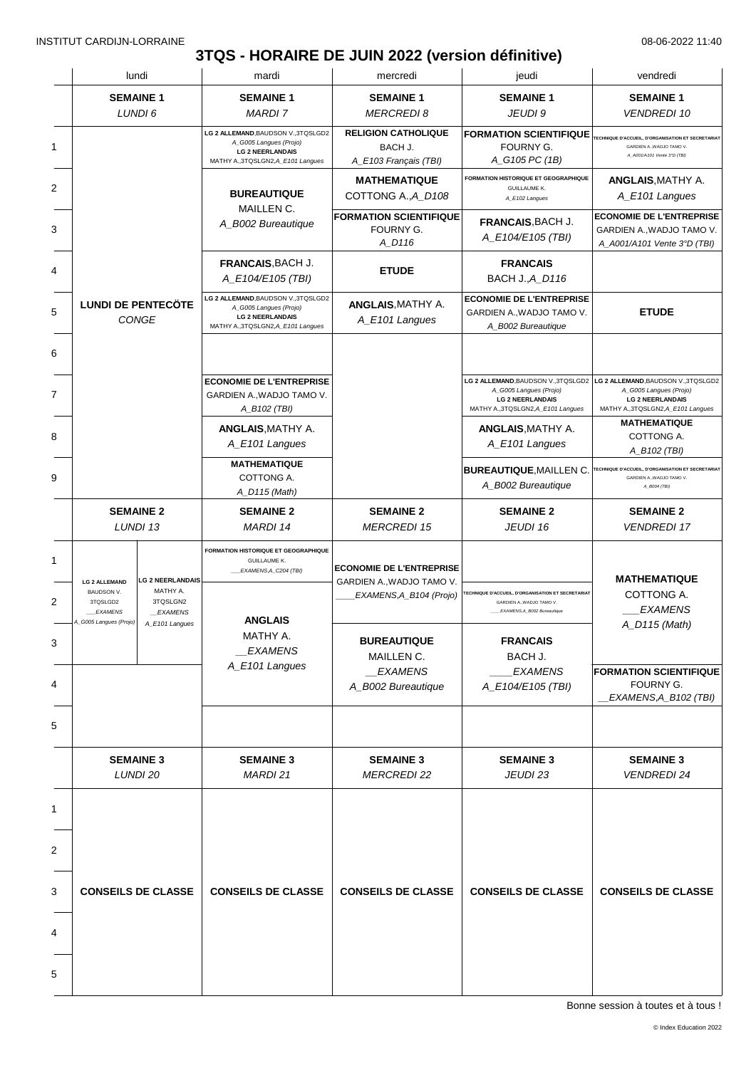# **3TQS - HORAIRE DE JUIN 2022 (version définitive)**

|                                                                                                   | lundi                                                      | mardi                                                                                                                          | mercredi                                                       | jeudi                                                                                                                | vendredi                                                                                                                                                           |
|---------------------------------------------------------------------------------------------------|------------------------------------------------------------|--------------------------------------------------------------------------------------------------------------------------------|----------------------------------------------------------------|----------------------------------------------------------------------------------------------------------------------|--------------------------------------------------------------------------------------------------------------------------------------------------------------------|
|                                                                                                   | <b>SEMAINE 1</b><br>LUNDI 6                                | <b>SEMAINE 1</b><br><b>MARDI 7</b>                                                                                             | <b>SEMAINE 1</b><br><b>MERCREDI 8</b>                          | <b>SEMAINE 1</b><br>JEUDI 9                                                                                          | <b>SEMAINE 1</b><br><b>VENDREDI 10</b>                                                                                                                             |
|                                                                                                   |                                                            | LG 2 ALLEMAND, BAUDSON V., 3TQSLGD2<br>A_G005 Langues (Projo)<br><b>LG 2 NEERLANDAIS</b><br>MATHY A., 3TQSLGN2, A_E101 Langues | <b>RELIGION CATHOLIQUE</b><br>BACH J.<br>A_E103 Français (TBI) | <b>FORMATION SCIENTIFIQUE</b><br>FOURNY G.<br>A_G105 PC (1B)                                                         | TECHNIQUE D'ACCUEIL, D'ORGANISATION ET SECRETARIAT<br>GARDIEN A., WADJO TAMO V.<br>A_A001/A101 Vente 3°D (TBI)                                                     |
|                                                                                                   |                                                            | <b>BUREAUTIQUE</b>                                                                                                             | <b>MATHEMATIQUE</b><br>COTTONG A., A_D108                      | FORMATION HISTORIQUE ET GEOGRAPHIQUE<br><b>GUILLAUME K.</b><br>A_E102 Langues                                        | <b>ANGLAIS, MATHY A.</b><br>A_E101 Langues                                                                                                                         |
|                                                                                                   |                                                            | MAILLEN C.<br>A_B002 Bureautique                                                                                               | <b>FORMATION SCIENTIFIQUE</b><br>FOURNY G.<br>A_D116           | <b>FRANCAIS, BACH J.</b><br>A_E104/E105 (TBI)                                                                        | <b>ECONOMIE DE L'ENTREPRISE</b><br>GARDIEN A., WADJO TAMO V.<br>A_A001/A101 Vente 3°D (TBI)                                                                        |
|                                                                                                   |                                                            | FRANCAIS, BACH J.<br>A_E104/E105 (TBI)                                                                                         | <b>ETUDE</b>                                                   | <b>FRANCAIS</b><br><b>BACH J., A_D116</b>                                                                            |                                                                                                                                                                    |
|                                                                                                   | <b>LUNDI DE PENTECÖTE</b><br><b>CONGE</b>                  | LG 2 ALLEMAND, BAUDSON V., 3TQSLGD2<br>A_G005 Langues (Projo)<br><b>LG 2 NEERLANDAIS</b><br>MATHY A., 3TQSLGN2, A_E101 Langues | <b>ANGLAIS, MATHY A.</b><br>A_E101 Langues                     | <b>ECONOMIE DE L'ENTREPRISE</b><br>GARDIEN A., WADJO TAMO V.<br>A_B002 Bureautique                                   | <b>ETUDE</b>                                                                                                                                                       |
|                                                                                                   |                                                            |                                                                                                                                |                                                                |                                                                                                                      |                                                                                                                                                                    |
|                                                                                                   |                                                            | <b>ECONOMIE DE L'ENTREPRISE</b><br>GARDIEN A., WADJO TAMO V.<br>A_B102 (TBI)                                                   |                                                                | A_G005 Langues (Projo)<br><b>LG 2 NEERLANDAIS</b><br>MATHY A., 3TQSLGN2, A E101 Langues                              | LG 2 ALLEMAND, BAUDSON V., 3TQSLGD2 LG 2 ALLEMAND, BAUDSON V., 3TQSLGD2<br>A_G005 Langues (Projo)<br><b>LG 2 NEERLANDAIS</b><br>MATHY A., 3TQSLGN2, A_E101 Langues |
|                                                                                                   |                                                            | <b>ANGLAIS, MATHY A.</b><br>A_E101 Langues                                                                                     |                                                                | <b>ANGLAIS, MATHY A.</b><br>A_E101 Langues                                                                           | <b>MATHEMATIQUE</b><br>COTTONG A.<br>A_B102 (TBI)                                                                                                                  |
|                                                                                                   |                                                            | <b>MATHEMATIQUE</b><br>COTTONG A.<br>A_D115 (Math)                                                                             |                                                                | <b>BUREAUTIQUE, MAILLEN C.</b><br>A_B002 Bureautique                                                                 | TECHNIQUE D'ACCUEIL, D'ORGANISATION ET SECRETARIAT<br>GARDIEN A., WADJO TAMO V.<br>A_B004 (TBI)                                                                    |
|                                                                                                   | <b>SEMAINE 2</b><br>LUNDI 13                               | <b>SEMAINE 2</b><br><b>MARDI 14</b>                                                                                            | <b>SEMAINE 2</b><br><b>MERCREDI 15</b>                         | <b>SEMAINE 2</b><br>JEUDI 16                                                                                         | <b>SEMAINE 2</b><br><b>VENDREDI 17</b>                                                                                                                             |
|                                                                                                   |                                                            | FORMATION HISTORIQUE ET GEOGRAPHIQUE<br><b>GUILLAUME K.</b><br>__EXAMENS, A_C204 (TBI)                                         | <b>ECONOMIE DE L'ENTREPRISE</b>                                |                                                                                                                      | <b>MATHEMATIQUE</b>                                                                                                                                                |
| <b>LG 2 ALLEMAND</b><br><b>BAUDSON V.</b><br>3TQSLGD2<br><b>EXAMENS</b><br>4_G005 Langues (Projo) | <b>LG 2 NEERLANDAIS</b><br>MATHY A.<br>3TQSLGN2<br>EXAMENS | <b>ANGLAIS</b>                                                                                                                 | GARDIEN A., WADJO TAMO V.<br>EXAMENS, A_B104 (Projo)           | <b>ECHNIQUE D'ACCUEIL, D'ORGANISATION ET SECRETARIAT</b><br>GARDIEN A., WADJO TAMO V.<br>EXAMENS, A_B002 Bureautique | COTTONG A.<br><b>EXAMENS</b>                                                                                                                                       |
|                                                                                                   | A_E101 Langues                                             | MATHY A.<br><b>EXAMENS</b>                                                                                                     | <b>BUREAUTIQUE</b><br>MAILLEN C.                               | <b>FRANCAIS</b><br>BACH J.                                                                                           | A_D115 (Math)                                                                                                                                                      |
|                                                                                                   |                                                            | A_E101 Langues                                                                                                                 | <b>EXAMENS</b><br>A_B002 Bureautique                           | <b>EXAMENS</b><br>A_E104/E105 (TBI)                                                                                  | <b>FORMATION SCIENTIFIQUE</b><br>FOURNY G.<br>EXAMENS, A_B102 (TBI)                                                                                                |
|                                                                                                   |                                                            |                                                                                                                                |                                                                |                                                                                                                      |                                                                                                                                                                    |
|                                                                                                   | <b>SEMAINE 3</b><br>LUNDI 20                               | <b>SEMAINE 3</b><br><b>MARDI 21</b>                                                                                            | <b>SEMAINE 3</b><br><b>MERCREDI 22</b>                         | <b>SEMAINE 3</b><br>JEUDI 23                                                                                         | <b>SEMAINE 3</b><br><b>VENDREDI 24</b>                                                                                                                             |
|                                                                                                   |                                                            |                                                                                                                                |                                                                |                                                                                                                      |                                                                                                                                                                    |
|                                                                                                   |                                                            |                                                                                                                                |                                                                |                                                                                                                      |                                                                                                                                                                    |
|                                                                                                   | <b>CONSEILS DE CLASSE</b>                                  | <b>CONSEILS DE CLASSE</b>                                                                                                      | <b>CONSEILS DE CLASSE</b>                                      | <b>CONSEILS DE CLASSE</b>                                                                                            | <b>CONSEILS DE CLASSE</b>                                                                                                                                          |
|                                                                                                   |                                                            |                                                                                                                                |                                                                |                                                                                                                      |                                                                                                                                                                    |
|                                                                                                   |                                                            |                                                                                                                                |                                                                |                                                                                                                      |                                                                                                                                                                    |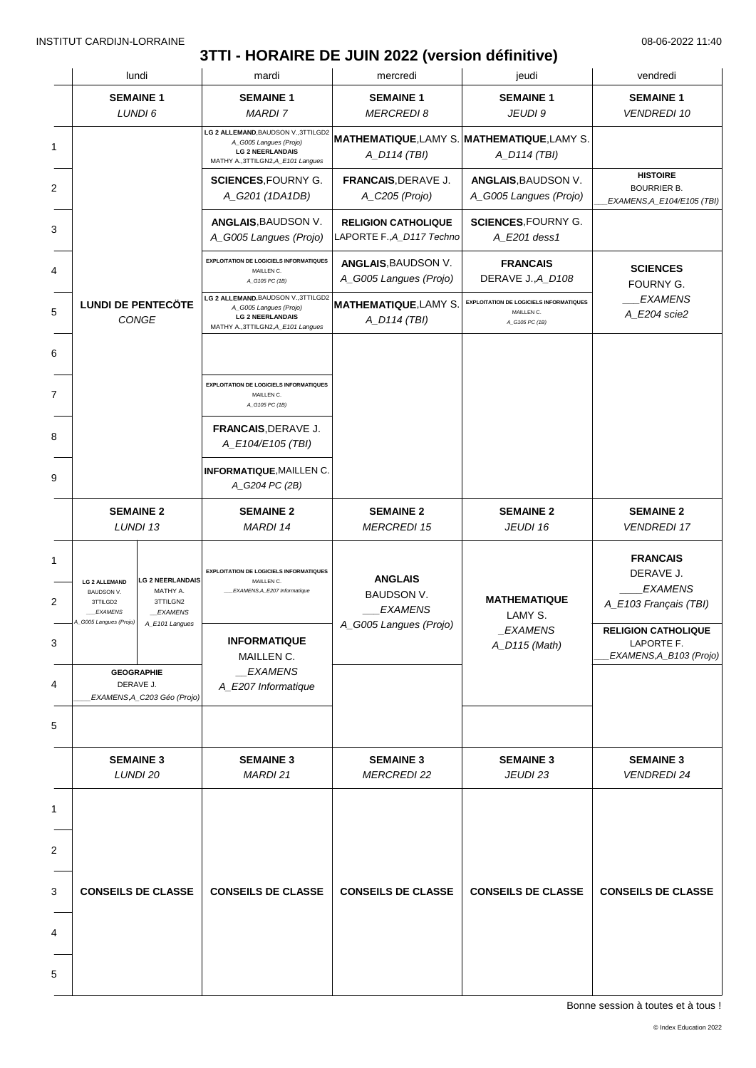### **3TTI - HORAIRE DE JUIN 2022 (version définitive)**

|                                                                  | lundi                                                             | mardi                                                                                                                          | mercredi                                                    | jeudi                                                                          | vendredi                                                                |
|------------------------------------------------------------------|-------------------------------------------------------------------|--------------------------------------------------------------------------------------------------------------------------------|-------------------------------------------------------------|--------------------------------------------------------------------------------|-------------------------------------------------------------------------|
|                                                                  | <b>SEMAINE 1</b>                                                  | <b>SEMAINE 1</b>                                                                                                               | <b>SEMAINE 1</b>                                            | <b>SEMAINE 1</b>                                                               | <b>SEMAINE 1</b>                                                        |
|                                                                  | LUNDI 6                                                           | <b>MARDI7</b>                                                                                                                  | <b>MERCREDI 8</b>                                           | JEUDI 9                                                                        | <b>VENDREDI 10</b>                                                      |
|                                                                  |                                                                   | LG 2 ALLEMAND, BAUDSON V., 3TTILGD2<br>A_G005 Langues (Projo)<br><b>LG 2 NEERLANDAIS</b><br>MATHY A., 3TTILGN2, A_E101 Langues | MATHEMATIQUE, LAMY S. MATHEMATIQUE, LAMY S.<br>A_D114 (TBI) | A_D114 (TBI)                                                                   |                                                                         |
|                                                                  |                                                                   | <b>SCIENCES, FOURNY G.</b><br>A_G201 (1DA1DB)                                                                                  | FRANCAIS, DERAVE J.<br>A_C205 (Projo)                       | ANGLAIS, BAUDSON V.<br>A_G005 Langues (Projo)                                  | <b>HISTOIRE</b><br><b>BOURRIER B.</b><br>EXAMENS, A_E104/E105 (TBI)     |
|                                                                  |                                                                   | ANGLAIS, BAUDSON V.<br>A_G005 Langues (Projo)                                                                                  | <b>RELIGION CATHOLIQUE</b><br>LAPORTE F., A_D117 Techno     | <b>SCIENCES, FOURNY G.</b><br>A_E201 dess1                                     |                                                                         |
|                                                                  |                                                                   | <b>EXPLOITATION DE LOGICIELS INFORMATIQUES</b><br>MAILLEN C.<br>A_G105 PC (1B)                                                 | ANGLAIS, BAUDSON V.<br>A_G005 Langues (Projo)               | <b>FRANCAIS</b><br>DERAVE J., A_D108                                           | <b>SCIENCES</b><br>FOURNY G.                                            |
|                                                                  | <b>LUNDI DE PENTECÖTE</b><br>CONGE                                | LG 2 ALLEMAND, BAUDSON V., 3TTILGD2<br>A_G005 Langues (Projo)<br><b>LG 2 NEERLANDAIS</b><br>MATHY A., 3TTILGN2, A_E101 Langues | <b>MATHEMATIQUE, LAMY S</b><br>A_D114 (TBI)                 | <b>EXPLOITATION DE LOGICIELS INFORMATIQUES</b><br>MAILLEN C.<br>A_G105 PC (1B) | <b>EXAMENS</b><br>A_E204 scie2                                          |
|                                                                  |                                                                   |                                                                                                                                |                                                             |                                                                                |                                                                         |
|                                                                  |                                                                   | <b>EXPLOITATION DE LOGICIELS INFORMATIQUES</b><br>MAILLEN C.<br>A_G105 PC (1B)                                                 |                                                             |                                                                                |                                                                         |
|                                                                  |                                                                   | FRANCAIS, DERAVE J.<br>A_E104/E105 (TBI)                                                                                       |                                                             |                                                                                |                                                                         |
|                                                                  |                                                                   | <b>INFORMATIQUE, MAILLEN C.</b><br>A_G204 PC (2B)                                                                              |                                                             |                                                                                |                                                                         |
|                                                                  | <b>SEMAINE 2</b><br>LUNDI 13                                      | <b>SEMAINE 2</b><br>MARDI 14                                                                                                   | <b>SEMAINE 2</b><br><b>MERCREDI 15</b>                      | <b>SEMAINE 2</b><br>JEUDI 16                                                   | <b>SEMAINE 2</b><br><b>VENDREDI 17</b>                                  |
| <b>LG 2 ALLEMAND</b><br>BAUDSON V.<br>3TTILGD2<br><b>EXAMENS</b> | <b>LG 2 NEERLANDAIS</b><br>MATHY A.<br>3TTILGN2<br><b>EXAMENS</b> | <b>EXPLOITATION DE LOGICIELS INFORMATIQUES</b><br>MAILLEN C.<br>EXAMENS, A_E207 Informatique                                   | <b>ANGLAIS</b><br>BAUDSON V.<br><b>EXAMENS</b>              | <b>MATHEMATIQUE</b><br>LAMY S.                                                 | <b>FRANCAIS</b><br>DERAVE J.<br><b>EXAMENS</b><br>A_E103 Français (TBI) |
| 4_G005 Langues (Projo)                                           | A_E101 Langues                                                    | <b>INFORMATIQUE</b>                                                                                                            | A_G005 Langues (Projo)                                      | <i>EXAMENS</i><br>A_D115 (Math)                                                | <b>RELIGION CATHOLIQUE</b><br>LAPORTE F.                                |
|                                                                  | <b>GEOGRAPHIE</b><br>DERAVE J.<br>EXAMENS, A_C203 Géo (Projo)     | MAILLEN C.<br><b>EXAMENS</b><br>A_E207 Informatique                                                                            |                                                             |                                                                                | EXAMENS, A_B103 (Projo)                                                 |
|                                                                  |                                                                   |                                                                                                                                |                                                             |                                                                                |                                                                         |
| <b>SEMAINE 3</b><br>LUNDI 20                                     |                                                                   | <b>SEMAINE 3</b><br><b>MARDI 21</b>                                                                                            | <b>SEMAINE 3</b><br><b>MERCREDI 22</b>                      | <b>SEMAINE 3</b><br>JEUDI 23                                                   | <b>SEMAINE 3</b><br><b>VENDREDI 24</b>                                  |
|                                                                  |                                                                   |                                                                                                                                |                                                             |                                                                                |                                                                         |
|                                                                  |                                                                   |                                                                                                                                |                                                             |                                                                                |                                                                         |
|                                                                  | <b>CONSEILS DE CLASSE</b>                                         | <b>CONSEILS DE CLASSE</b>                                                                                                      | <b>CONSEILS DE CLASSE</b>                                   | <b>CONSEILS DE CLASSE</b>                                                      | <b>CONSEILS DE CLASSE</b>                                               |
|                                                                  |                                                                   |                                                                                                                                |                                                             |                                                                                |                                                                         |
|                                                                  |                                                                   |                                                                                                                                |                                                             |                                                                                |                                                                         |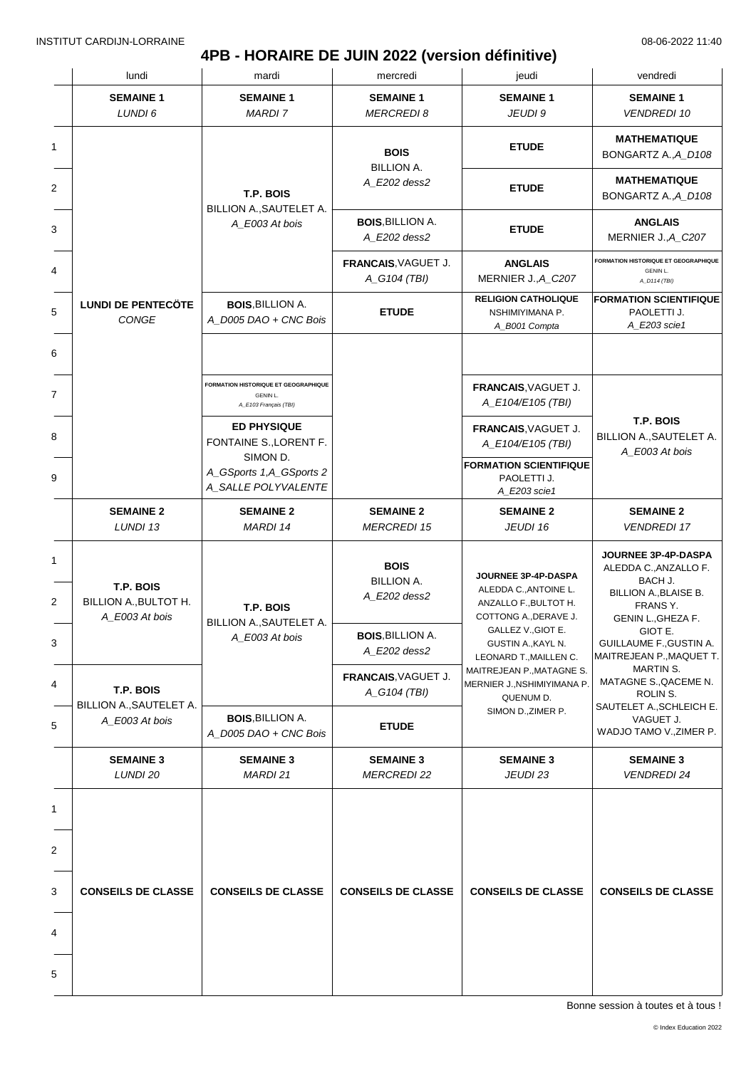### **4PB - HORAIRE DE JUIN 2022 (version définitive)**

| <b>SEMAINE 1</b><br><b>SEMAINE 1</b><br><b>SEMAINE 1</b><br><b>SEMAINE 1</b><br><b>SEMAINE 1</b><br>LUNDI 6<br><b>MARDI 7</b><br><b>MERCREDI 8</b><br>JEUDI 9<br><b>VENDREDI 10</b><br>1<br><b>ETUDE</b><br><b>BOIS</b><br><b>BILLION A.</b><br>A_E202 dess2<br>2<br><b>ETUDE</b><br>T.P. BOIS<br>BILLION A., SAUTELET A.<br><b>BOIS, BILLION A.</b><br><b>ANGLAIS</b><br>A_E003 At bois<br>3<br><b>ETUDE</b><br>A E202 dess2<br>FRANCAIS, VAGUET J.<br><b>ANGLAIS</b><br>4<br>GENIN L.<br>MERNIER J., A_C207<br>A_G104 (TBI)<br>A_D114 (TBI)<br><b>RELIGION CATHOLIQUE</b><br><b>LUNDI DE PENTECÖTE</b><br><b>BOIS, BILLION A.</b><br>5<br><b>ETUDE</b><br>NSHIMIYIMANA P.<br>PAOLETTI J.<br>CONGE<br>A_D005 DAO + CNC Bois<br>A_E203 scie1<br>A_B001 Compta<br>6<br><b>FORMATION HISTORIQUE ET GEOGRAPHIQUE</b><br>FRANCAIS, VAGUET J.<br>7<br>GENIN L.<br>A_E104/E105 (TBI)<br>A_E103 Français (TBI)<br>T.P. BOIS<br><b>ED PHYSIQUE</b><br>FRANCAIS, VAGUET J.<br>8<br>FONTAINE S., LORENT F.<br>A_E104/E105 (TBI)<br>A_E003 At bois<br>SIMON D.<br><b>FORMATION SCIENTIFIQUE</b><br>A_GSports 1,A_GSports 2<br>9<br>PAOLETTI J.<br>A_SALLE POLYVALENTE<br>A_E203 scie1<br><b>SEMAINE 2</b><br><b>SEMAINE 2</b><br><b>SEMAINE 2</b><br><b>SEMAINE 2</b><br><b>SEMAINE 2</b><br>LUNDI 13<br><b>MARDI 14</b><br><b>MERCREDI 15</b><br>JEUDI 16<br><b>VENDREDI 17</b><br>1<br><b>BOIS</b><br>JOURNEE 3P-4P-DASPA<br><b>BILLION A.</b><br>BACH J.<br>T.P. BOIS<br>ALEDDA C., ANTOINE L.<br>A_E202 dess2<br>2<br>BILLION A., BULTOT H.<br>ANZALLO F., BULTOT H.<br>FRANS Y.<br>T.P. BOIS<br>A E003 At bois<br>COTTONG A., DERAVE J.<br>BILLION A., SAUTELET A.<br>GALLEZ V., GIOT E.<br>GIOT E.<br><b>BOIS, BILLION A.</b><br>A_E003 At bois<br>3<br>GUSTIN A., KAYL N.<br>A E202 dess2<br>LEONARD T., MAILLEN C.<br>MARTIN S.<br>MAITREJEAN P., MATAGNE S.<br>FRANCAIS, VAGUET J.<br>MERNIER J., NSHIMIYIMANA P.<br>4<br>T.P. BOIS<br>A_G104 (TBI)<br>ROLIN S.<br>QUENUM D.<br>BILLION A., SAUTELET A.<br>SAUTELET A., SCHLEICH E.<br>SIMON D., ZIMER P.<br><b>BOIS.BILLION A.</b><br>VAGUET J.<br>A_E003 At bois<br>5<br><b>ETUDE</b><br>A_D005 DAO + CNC Bois<br><b>SEMAINE 3</b><br><b>SEMAINE 3</b><br><b>SEMAINE 3</b><br><b>SEMAINE 3</b><br><b>SEMAINE 3</b><br>LUNDI 20<br>MARDI 21<br><b>MERCREDI 22</b><br>JEUDI 23<br><b>VENDREDI 24</b><br>1<br>2<br>3<br><b>CONSEILS DE CLASSE</b><br><b>CONSEILS DE CLASSE</b><br><b>CONSEILS DE CLASSE</b><br><b>CONSEILS DE CLASSE</b> |  | lundi | mardi | mercredi | jeudi | vendredi                                                                                                                                                  |
|---------------------------------------------------------------------------------------------------------------------------------------------------------------------------------------------------------------------------------------------------------------------------------------------------------------------------------------------------------------------------------------------------------------------------------------------------------------------------------------------------------------------------------------------------------------------------------------------------------------------------------------------------------------------------------------------------------------------------------------------------------------------------------------------------------------------------------------------------------------------------------------------------------------------------------------------------------------------------------------------------------------------------------------------------------------------------------------------------------------------------------------------------------------------------------------------------------------------------------------------------------------------------------------------------------------------------------------------------------------------------------------------------------------------------------------------------------------------------------------------------------------------------------------------------------------------------------------------------------------------------------------------------------------------------------------------------------------------------------------------------------------------------------------------------------------------------------------------------------------------------------------------------------------------------------------------------------------------------------------------------------------------------------------------------------------------------------------------------------------------------------------------------------------------------------------------------------------------------------------------------------------------------------------------------------------------------------------------------------------------------------------------------------------------------------------------------------------------------------------|--|-------|-------|----------|-------|-----------------------------------------------------------------------------------------------------------------------------------------------------------|
|                                                                                                                                                                                                                                                                                                                                                                                                                                                                                                                                                                                                                                                                                                                                                                                                                                                                                                                                                                                                                                                                                                                                                                                                                                                                                                                                                                                                                                                                                                                                                                                                                                                                                                                                                                                                                                                                                                                                                                                                                                                                                                                                                                                                                                                                                                                                                                                                                                                                                       |  |       |       |          |       |                                                                                                                                                           |
|                                                                                                                                                                                                                                                                                                                                                                                                                                                                                                                                                                                                                                                                                                                                                                                                                                                                                                                                                                                                                                                                                                                                                                                                                                                                                                                                                                                                                                                                                                                                                                                                                                                                                                                                                                                                                                                                                                                                                                                                                                                                                                                                                                                                                                                                                                                                                                                                                                                                                       |  |       |       |          |       | <b>MATHEMATIQUE</b><br>BONGARTZ A., A_D108                                                                                                                |
|                                                                                                                                                                                                                                                                                                                                                                                                                                                                                                                                                                                                                                                                                                                                                                                                                                                                                                                                                                                                                                                                                                                                                                                                                                                                                                                                                                                                                                                                                                                                                                                                                                                                                                                                                                                                                                                                                                                                                                                                                                                                                                                                                                                                                                                                                                                                                                                                                                                                                       |  |       |       |          |       | <b>MATHEMATIQUE</b><br>BONGARTZ A., A_D108                                                                                                                |
|                                                                                                                                                                                                                                                                                                                                                                                                                                                                                                                                                                                                                                                                                                                                                                                                                                                                                                                                                                                                                                                                                                                                                                                                                                                                                                                                                                                                                                                                                                                                                                                                                                                                                                                                                                                                                                                                                                                                                                                                                                                                                                                                                                                                                                                                                                                                                                                                                                                                                       |  |       |       |          |       | MERNIER J., A_C207                                                                                                                                        |
|                                                                                                                                                                                                                                                                                                                                                                                                                                                                                                                                                                                                                                                                                                                                                                                                                                                                                                                                                                                                                                                                                                                                                                                                                                                                                                                                                                                                                                                                                                                                                                                                                                                                                                                                                                                                                                                                                                                                                                                                                                                                                                                                                                                                                                                                                                                                                                                                                                                                                       |  |       |       |          |       | <b>FORMATION HISTORIQUE ET GEOGRAPHIQUE</b>                                                                                                               |
|                                                                                                                                                                                                                                                                                                                                                                                                                                                                                                                                                                                                                                                                                                                                                                                                                                                                                                                                                                                                                                                                                                                                                                                                                                                                                                                                                                                                                                                                                                                                                                                                                                                                                                                                                                                                                                                                                                                                                                                                                                                                                                                                                                                                                                                                                                                                                                                                                                                                                       |  |       |       |          |       | <b>FORMATION SCIENTIFIQUE</b>                                                                                                                             |
|                                                                                                                                                                                                                                                                                                                                                                                                                                                                                                                                                                                                                                                                                                                                                                                                                                                                                                                                                                                                                                                                                                                                                                                                                                                                                                                                                                                                                                                                                                                                                                                                                                                                                                                                                                                                                                                                                                                                                                                                                                                                                                                                                                                                                                                                                                                                                                                                                                                                                       |  |       |       |          |       |                                                                                                                                                           |
|                                                                                                                                                                                                                                                                                                                                                                                                                                                                                                                                                                                                                                                                                                                                                                                                                                                                                                                                                                                                                                                                                                                                                                                                                                                                                                                                                                                                                                                                                                                                                                                                                                                                                                                                                                                                                                                                                                                                                                                                                                                                                                                                                                                                                                                                                                                                                                                                                                                                                       |  |       |       |          |       |                                                                                                                                                           |
|                                                                                                                                                                                                                                                                                                                                                                                                                                                                                                                                                                                                                                                                                                                                                                                                                                                                                                                                                                                                                                                                                                                                                                                                                                                                                                                                                                                                                                                                                                                                                                                                                                                                                                                                                                                                                                                                                                                                                                                                                                                                                                                                                                                                                                                                                                                                                                                                                                                                                       |  |       |       |          |       | BILLION A., SAUTELET A.                                                                                                                                   |
|                                                                                                                                                                                                                                                                                                                                                                                                                                                                                                                                                                                                                                                                                                                                                                                                                                                                                                                                                                                                                                                                                                                                                                                                                                                                                                                                                                                                                                                                                                                                                                                                                                                                                                                                                                                                                                                                                                                                                                                                                                                                                                                                                                                                                                                                                                                                                                                                                                                                                       |  |       |       |          |       |                                                                                                                                                           |
|                                                                                                                                                                                                                                                                                                                                                                                                                                                                                                                                                                                                                                                                                                                                                                                                                                                                                                                                                                                                                                                                                                                                                                                                                                                                                                                                                                                                                                                                                                                                                                                                                                                                                                                                                                                                                                                                                                                                                                                                                                                                                                                                                                                                                                                                                                                                                                                                                                                                                       |  |       |       |          |       |                                                                                                                                                           |
|                                                                                                                                                                                                                                                                                                                                                                                                                                                                                                                                                                                                                                                                                                                                                                                                                                                                                                                                                                                                                                                                                                                                                                                                                                                                                                                                                                                                                                                                                                                                                                                                                                                                                                                                                                                                                                                                                                                                                                                                                                                                                                                                                                                                                                                                                                                                                                                                                                                                                       |  |       |       |          |       | <b>JOURNEE 3P-4P-DASPA</b><br>ALEDDA C., ANZALLO F.<br>BILLION A., BLAISE B.<br>GENIN L., GHEZA F.<br>GUILLAUME F., GUSTIN A.<br>MAITREJEAN P., MAQUET T. |
|                                                                                                                                                                                                                                                                                                                                                                                                                                                                                                                                                                                                                                                                                                                                                                                                                                                                                                                                                                                                                                                                                                                                                                                                                                                                                                                                                                                                                                                                                                                                                                                                                                                                                                                                                                                                                                                                                                                                                                                                                                                                                                                                                                                                                                                                                                                                                                                                                                                                                       |  |       |       |          |       |                                                                                                                                                           |
|                                                                                                                                                                                                                                                                                                                                                                                                                                                                                                                                                                                                                                                                                                                                                                                                                                                                                                                                                                                                                                                                                                                                                                                                                                                                                                                                                                                                                                                                                                                                                                                                                                                                                                                                                                                                                                                                                                                                                                                                                                                                                                                                                                                                                                                                                                                                                                                                                                                                                       |  |       |       |          |       | MATAGNE S., QACEME N.                                                                                                                                     |
|                                                                                                                                                                                                                                                                                                                                                                                                                                                                                                                                                                                                                                                                                                                                                                                                                                                                                                                                                                                                                                                                                                                                                                                                                                                                                                                                                                                                                                                                                                                                                                                                                                                                                                                                                                                                                                                                                                                                                                                                                                                                                                                                                                                                                                                                                                                                                                                                                                                                                       |  |       |       |          |       | WADJO TAMO V., ZIMER P.                                                                                                                                   |
|                                                                                                                                                                                                                                                                                                                                                                                                                                                                                                                                                                                                                                                                                                                                                                                                                                                                                                                                                                                                                                                                                                                                                                                                                                                                                                                                                                                                                                                                                                                                                                                                                                                                                                                                                                                                                                                                                                                                                                                                                                                                                                                                                                                                                                                                                                                                                                                                                                                                                       |  |       |       |          |       |                                                                                                                                                           |
|                                                                                                                                                                                                                                                                                                                                                                                                                                                                                                                                                                                                                                                                                                                                                                                                                                                                                                                                                                                                                                                                                                                                                                                                                                                                                                                                                                                                                                                                                                                                                                                                                                                                                                                                                                                                                                                                                                                                                                                                                                                                                                                                                                                                                                                                                                                                                                                                                                                                                       |  |       |       |          |       |                                                                                                                                                           |
|                                                                                                                                                                                                                                                                                                                                                                                                                                                                                                                                                                                                                                                                                                                                                                                                                                                                                                                                                                                                                                                                                                                                                                                                                                                                                                                                                                                                                                                                                                                                                                                                                                                                                                                                                                                                                                                                                                                                                                                                                                                                                                                                                                                                                                                                                                                                                                                                                                                                                       |  |       |       |          |       |                                                                                                                                                           |
|                                                                                                                                                                                                                                                                                                                                                                                                                                                                                                                                                                                                                                                                                                                                                                                                                                                                                                                                                                                                                                                                                                                                                                                                                                                                                                                                                                                                                                                                                                                                                                                                                                                                                                                                                                                                                                                                                                                                                                                                                                                                                                                                                                                                                                                                                                                                                                                                                                                                                       |  |       |       |          |       | <b>CONSEILS DE CLASSE</b>                                                                                                                                 |
|                                                                                                                                                                                                                                                                                                                                                                                                                                                                                                                                                                                                                                                                                                                                                                                                                                                                                                                                                                                                                                                                                                                                                                                                                                                                                                                                                                                                                                                                                                                                                                                                                                                                                                                                                                                                                                                                                                                                                                                                                                                                                                                                                                                                                                                                                                                                                                                                                                                                                       |  |       |       |          |       |                                                                                                                                                           |
| 5                                                                                                                                                                                                                                                                                                                                                                                                                                                                                                                                                                                                                                                                                                                                                                                                                                                                                                                                                                                                                                                                                                                                                                                                                                                                                                                                                                                                                                                                                                                                                                                                                                                                                                                                                                                                                                                                                                                                                                                                                                                                                                                                                                                                                                                                                                                                                                                                                                                                                     |  |       |       |          |       |                                                                                                                                                           |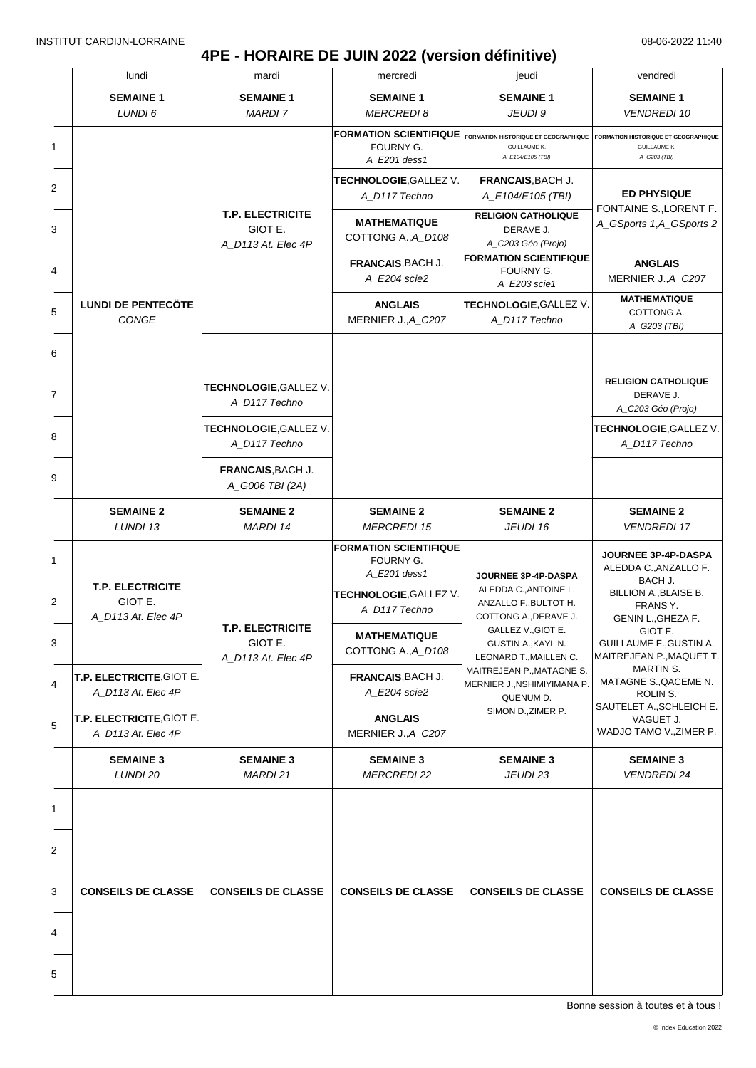### **4PE - HORAIRE DE JUIN 2022 (version définitive)**

|   | lundi                                                    | mardi                                                    | mercredi                                                   | jeudi                                                                                                                                                                                                                                                               | vendredi                                                              |
|---|----------------------------------------------------------|----------------------------------------------------------|------------------------------------------------------------|---------------------------------------------------------------------------------------------------------------------------------------------------------------------------------------------------------------------------------------------------------------------|-----------------------------------------------------------------------|
|   | <b>SEMAINE 1</b><br>LUNDI 6                              | <b>SEMAINE 1</b><br><b>MARDI 7</b>                       | <b>SEMAINE 1</b><br><b>MERCREDI8</b>                       | <b>SEMAINE 1</b><br>JEUDI 9                                                                                                                                                                                                                                         | <b>SEMAINE 1</b><br><b>VENDREDI 10</b>                                |
| 1 |                                                          |                                                          | <b>FORMATION SCIENTIFIQUE</b><br>FOURNY G.<br>A E201 dess1 | FORMATION HISTORIQUE ET GEOGRAPHIQUE<br><b>GUILLAUME K.</b><br>A_E104/E105 (TBI)                                                                                                                                                                                    | FORMATION HISTORIQUE ET GEOGRAPHIQUE<br>GUILLAUME K.<br>A_G203 (TBI)  |
| 2 |                                                          |                                                          | <b>TECHNOLOGIE,GALLEZ V.</b><br>A_D117 Techno              | FRANCAIS, BACH J.<br>A_E104/E105 (TBI)                                                                                                                                                                                                                              | <b>ED PHYSIQUE</b>                                                    |
| 3 |                                                          | <b>T.P. ELECTRICITE</b><br>GIOT E.<br>A_D113 At. Elec 4P | <b>MATHEMATIQUE</b><br>COTTONG A., A_D108                  | <b>RELIGION CATHOLIQUE</b><br>DERAVE J.<br>A_C203 Géo (Projo)                                                                                                                                                                                                       | FONTAINE S., LORENT F.<br>A_GSports 1,A_GSports 2                     |
| 4 |                                                          |                                                          | <b>FRANCAIS, BACH J.</b><br>A E204 scie2                   | <b>FORMATION SCIENTIFIQUE</b><br>FOURNY G.<br>A_E203 scie1                                                                                                                                                                                                          | <b>ANGLAIS</b><br>MERNIER J., A_C207                                  |
| 5 | <b>LUNDI DE PENTECÖTE</b><br><b>CONGE</b>                |                                                          | <b>ANGLAIS</b><br>MERNIER J., A_C207                       | TECHNOLOGIE, GALLEZ V.<br>A_D117 Techno                                                                                                                                                                                                                             | <b>MATHEMATIQUE</b><br>COTTONG A.<br>A_G203 (TBI)                     |
|   |                                                          |                                                          |                                                            |                                                                                                                                                                                                                                                                     |                                                                       |
|   |                                                          | TECHNOLOGIE, GALLEZ V.<br>A D117 Techno                  |                                                            |                                                                                                                                                                                                                                                                     | <b>RELIGION CATHOLIQUE</b><br>DERAVE J.<br>A_C203 Géo (Projo)         |
|   |                                                          | TECHNOLOGIE, GALLEZ V.<br>A_D117 Techno                  |                                                            |                                                                                                                                                                                                                                                                     | TECHNOLOGIE, GALLEZ V.<br>A_D117 Techno                               |
|   |                                                          | FRANCAIS, BACH J.<br>A_G006 TBI (2A)                     |                                                            |                                                                                                                                                                                                                                                                     |                                                                       |
|   | <b>SEMAINE 2</b><br>LUNDI 13                             | <b>SEMAINE 2</b><br>MARDI 14                             | <b>SEMAINE 2</b><br><b>MERCREDI 15</b>                     | <b>SEMAINE 2</b><br>JEUDI 16                                                                                                                                                                                                                                        | <b>SEMAINE 2</b><br><b>VENDREDI 17</b>                                |
|   |                                                          | <b>T.P. ELECTRICITE</b><br>GIOT E.<br>A_D113 At. Elec 4P | <b>FORMATION SCIENTIFIQUE</b><br>FOURNY G.<br>A E201 dess1 | JOURNEE 3P-4P-DASPA<br>ALEDDA C., ANTOINE L.<br>ANZALLO F., BULTOT H.<br>COTTONG A., DERAVE J.<br>GALLEZ V., GIOT E.<br>GUSTIN A., KAYL N.<br>LEONARD T., MAILLEN C.<br>MAITREJEAN P., MATAGNE S.<br>MERNIER J., NSHIMIYIMANA P.<br>QUENUM D.<br>SIMON D., ZIMER P. | JOURNEE 3P-4P-DASPA<br>ALEDDA C., ANZALLO F.<br>BACH J.               |
|   | <b>T.P. ELECTRICITE</b><br>GIOT E.<br>A D113 At. Elec 4P |                                                          | TECHNOLOGIE, GALLEZ V.<br>A_D117 Techno                    |                                                                                                                                                                                                                                                                     | <b>BILLION A., BLAISE B.</b><br>FRANS Y.<br>GENIN L., GHEZA F.        |
|   |                                                          |                                                          | <b>MATHEMATIQUE</b><br>COTTONG A., A_D108                  |                                                                                                                                                                                                                                                                     | GIOT E.<br><b>GUILLAUME F., GUSTIN A.</b><br>MAITREJEAN P., MAQUET T. |
|   | T.P. ELECTRICITE, GIOT E.<br>A_D113 At. Elec 4P          |                                                          | FRANCAIS, BACH J.<br>A_E204 scie2                          |                                                                                                                                                                                                                                                                     | MARTIN S.<br>MATAGNE S., QACEME N.<br>ROLIN S.                        |
|   | T.P. ELECTRICITE, GIOT E.<br>A_D113 At. Elec 4P          |                                                          | <b>ANGLAIS</b><br>MERNIER J., A_C207                       |                                                                                                                                                                                                                                                                     | SAUTELET A., SCHLEICH E.<br>VAGUET J.<br>WADJO TAMO V., ZIMER P.      |
|   | <b>SEMAINE 3</b><br>LUNDI 20                             | <b>SEMAINE 3</b><br>MARDI 21                             | <b>SEMAINE 3</b><br><b>MERCREDI 22</b>                     | <b>SEMAINE 3</b><br>JEUDI 23                                                                                                                                                                                                                                        | <b>SEMAINE 3</b><br><b>VENDREDI 24</b>                                |
|   |                                                          |                                                          |                                                            |                                                                                                                                                                                                                                                                     |                                                                       |
|   |                                                          |                                                          |                                                            |                                                                                                                                                                                                                                                                     |                                                                       |
|   | <b>CONSEILS DE CLASSE</b>                                | <b>CONSEILS DE CLASSE</b>                                | <b>CONSEILS DE CLASSE</b>                                  | <b>CONSEILS DE CLASSE</b>                                                                                                                                                                                                                                           | <b>CONSEILS DE CLASSE</b>                                             |
|   |                                                          |                                                          |                                                            |                                                                                                                                                                                                                                                                     |                                                                       |
|   |                                                          |                                                          |                                                            |                                                                                                                                                                                                                                                                     |                                                                       |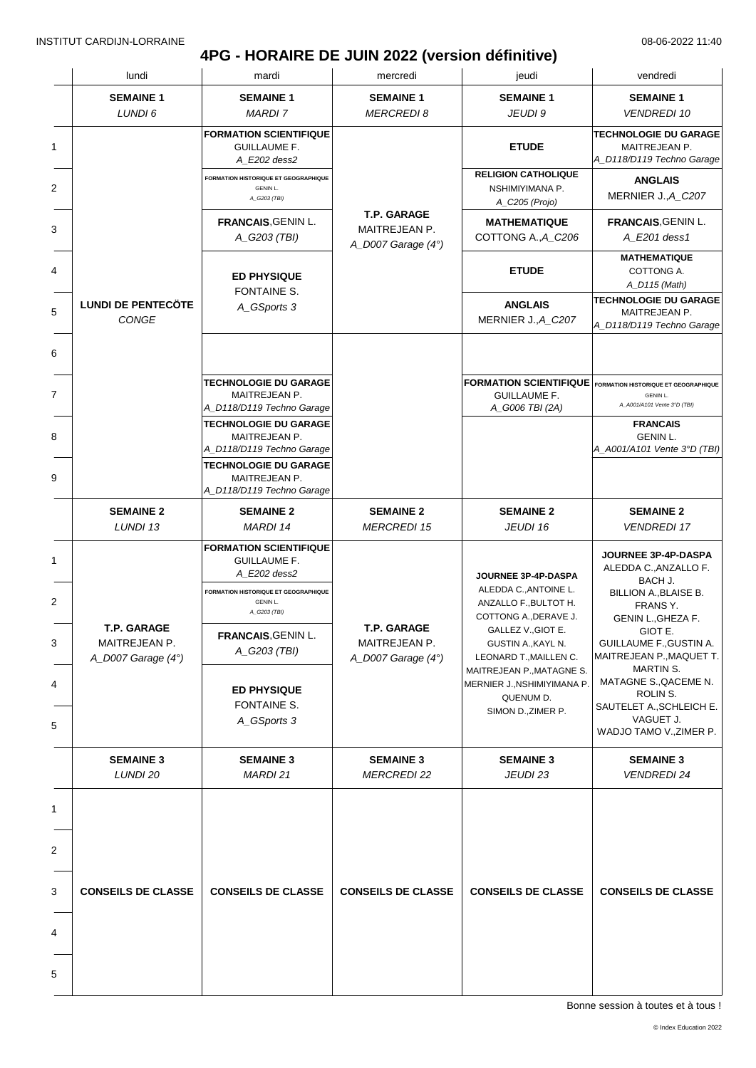# **4PG - HORAIRE DE JUIN 2022 (version définitive)**

|  | lundi                                                     | mardi                                                                                                                                                               | mercredi                                                           | jeudi                                                                                                                                      | vendredi                                                                                                                                                 |
|--|-----------------------------------------------------------|---------------------------------------------------------------------------------------------------------------------------------------------------------------------|--------------------------------------------------------------------|--------------------------------------------------------------------------------------------------------------------------------------------|----------------------------------------------------------------------------------------------------------------------------------------------------------|
|  | <b>SEMAINE 1</b><br>LUNDI 6                               | <b>SEMAINE 1</b><br><b>MARDI 7</b>                                                                                                                                  | <b>SEMAINE 1</b><br><b>MERCREDI8</b>                               | <b>SEMAINE 1</b><br>JEUDI 9                                                                                                                | <b>SEMAINE 1</b><br><b>VENDREDI 10</b>                                                                                                                   |
|  |                                                           | <b>FORMATION SCIENTIFIQUE</b><br><b>GUILLAUME F.</b><br>A_E202 dess2                                                                                                |                                                                    | <b>ETUDE</b>                                                                                                                               | <b>TECHNOLOGIE DU GARAGE</b><br>MAITREJEAN P.<br>A_D118/D119 Techno Garage                                                                               |
|  |                                                           | <b>FORMATION HISTORIQUE ET GEOGRAPHIQUE</b><br><b>GENIN L.</b><br>A_G203 (TBI)                                                                                      |                                                                    | <b>RELIGION CATHOLIQUE</b><br>NSHIMIYIMANA P.<br>A_C205 (Projo)                                                                            | <b>ANGLAIS</b><br>MERNIER J., A_C207                                                                                                                     |
|  |                                                           | FRANCAIS, GENIN L.<br>A G203 (TBI)                                                                                                                                  | <b>T.P. GARAGE</b><br>MAITREJEAN P.<br>A_D007 Garage $(4^{\circ})$ | <b>MATHEMATIQUE</b><br>COTTONG A., A C206                                                                                                  | <b>FRANCAIS, GENIN L.</b><br>A_E201 dess1                                                                                                                |
|  |                                                           | <b>ED PHYSIQUE</b><br>FONTAINE S.                                                                                                                                   |                                                                    | <b>ETUDE</b>                                                                                                                               | <b>MATHEMATIQUE</b><br>COTTONG A.<br>A_D115 (Math)                                                                                                       |
|  | <b>LUNDI DE PENTECÖTE</b><br>CONGE                        | A_GSports 3                                                                                                                                                         |                                                                    | <b>ANGLAIS</b><br>MERNIER J., A_C207                                                                                                       | <b>TECHNOLOGIE DU GARAGE</b><br>MAITREJEAN P.<br>A_D118/D119 Techno Garage                                                                               |
|  |                                                           | <b>TECHNOLOGIE DU GARAGE</b><br>MAITREJEAN P.<br>A_D118/D119 Techno Garage                                                                                          |                                                                    | <b>GUILLAUME F.</b><br>A_G006 TBI (2A)                                                                                                     | <b>FORMATION SCIENTIFIQUE</b> FORMATION HISTORIQUE ET GEOGRAPHIQUE<br><b>GENIN L.</b><br>A_A001/A101 Vente 3°D (TBI)                                     |
|  |                                                           | <b>TECHNOLOGIE DU GARAGE</b><br>MAITREJEAN P.<br>A_D118/D119 Techno Garage<br><b>TECHNOLOGIE DU GARAGE</b>                                                          |                                                                    |                                                                                                                                            | <b>FRANCAIS</b><br><b>GENIN L.</b><br>A_A001/A101 Vente 3°D (TBI)                                                                                        |
|  |                                                           | MAITREJEAN P.<br>A_D118/D119 Techno Garage                                                                                                                          |                                                                    |                                                                                                                                            |                                                                                                                                                          |
|  | <b>SEMAINE 2</b><br>LUNDI 13                              | <b>SEMAINE 2</b><br><b>MARDI 14</b>                                                                                                                                 | <b>SEMAINE 2</b><br><b>MERCREDI 15</b>                             | <b>SEMAINE 2</b><br>JEUDI 16                                                                                                               | <b>SEMAINE 2</b><br><b>VENDREDI 17</b>                                                                                                                   |
|  | <b>T.P. GARAGE</b><br>MAITREJEAN P.<br>A_D007 Garage (4°) | <b>FORMATION SCIENTIFIQUE</b><br><b>GUILLAUME F.</b><br>A E202 dess2<br>FORMATION HISTORIQUE ET GEOGRAPHIQUE<br>GENIN L.<br>A_G203 (TBI)<br><b>FRANCAIS.GENIN L</b> | <b>T.P. GARAGE</b><br>MAITREJEAN P.                                | JOURNEE 3P-4P-DASPA<br>ALEDDA C., ANTOINE L.<br>ANZALLO F., BULTOT H.<br>COTTONG A., DERAVE J.<br>GALLEZ V., GIOT E.<br>GUSTIN A., KAYL N. | JOURNEE 3P-4P-DASPA<br>ALEDDA C., ANZALLO F.<br>BACH J.<br>BILLION A., BLAISE B.<br>FRANS Y.<br>GENIN L., GHEZA F.<br>GIOT E.<br>GUILLAUME F., GUSTIN A. |
|  |                                                           | A_G203 (TBI)<br><b>ED PHYSIQUE</b><br>FONTAINE S.<br>A_GSports 3                                                                                                    | A_D007 Garage (4°)                                                 | LEONARD T., MAILLEN C.<br>MAITREJEAN P., MATAGNE S.<br>MERNIER J., NSHIMIYIMANA P.<br>QUENUM D.<br>SIMON D., ZIMER P.                      | MAITREJEAN P., MAQUET T.<br>MARTIN S.<br>MATAGNE S., QACEME N.<br>ROLIN S.<br>SAUTELET A., SCHLEICH E.<br>VAGUET J.<br>WADJO TAMO V., ZIMER P.           |
|  | <b>SEMAINE 3</b>                                          | <b>SEMAINE 3</b><br>MARDI 21                                                                                                                                        | <b>SEMAINE 3</b>                                                   | <b>SEMAINE 3</b>                                                                                                                           | <b>SEMAINE 3</b>                                                                                                                                         |
|  | LUNDI 20                                                  |                                                                                                                                                                     | <b>MERCREDI 22</b>                                                 | JEUDI 23                                                                                                                                   | <b>VENDREDI 24</b>                                                                                                                                       |
|  | <b>CONSEILS DE CLASSE</b>                                 | <b>CONSEILS DE CLASSE</b>                                                                                                                                           | <b>CONSEILS DE CLASSE</b>                                          | <b>CONSEILS DE CLASSE</b>                                                                                                                  | <b>CONSEILS DE CLASSE</b>                                                                                                                                |
|  |                                                           |                                                                                                                                                                     |                                                                    |                                                                                                                                            |                                                                                                                                                          |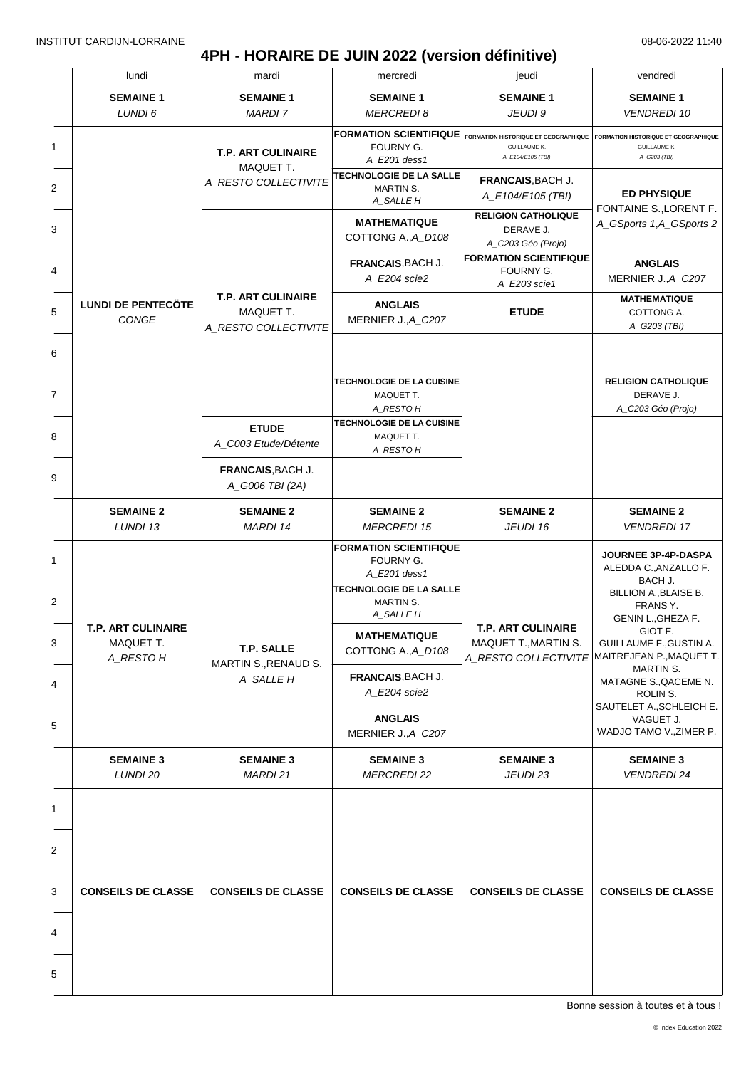### **4PH - HORAIRE DE JUIN 2022 (version définitive)**

| lundi                                               | mardi                                                          | mercredi                                                                                                  | jeudi                                                                            | vendredi                                                                                         |
|-----------------------------------------------------|----------------------------------------------------------------|-----------------------------------------------------------------------------------------------------------|----------------------------------------------------------------------------------|--------------------------------------------------------------------------------------------------|
| <b>SEMAINE 1</b><br>LUNDI 6                         | <b>SEMAINE 1</b><br>MARDI 7                                    | <b>SEMAINE 1</b><br><b>MERCREDI 8</b>                                                                     | <b>SEMAINE 1</b><br>JEUDI 9                                                      | <b>SEMAINE 1</b><br><b>VENDREDI 10</b>                                                           |
|                                                     | <b>T.P. ART CULINAIRE</b>                                      | <b>FORMATION SCIENTIFIQUE</b><br>FOURNY G.<br>A E201 dess1                                                | FORMATION HISTORIQUE ET GEOGRAPHIQUE<br><b>GUILLAUME K.</b><br>A_E104/E105 (TBI) | <b>FORMATION HISTORIQUE ET GEOGRAPHIQUE</b><br><b>GUILLAUME K.</b><br>A_G203 (TBI)               |
|                                                     | MAQUET T.<br>A_RESTO COLLECTIVITE                              | TECHNOLOGIE DE LA SALLE<br>MARTIN S.<br>A_SALLE H                                                         | FRANCAIS, BACH J.<br>A_E104/E105 (TBI)                                           | <b>ED PHYSIQUE</b>                                                                               |
|                                                     |                                                                | <b>MATHEMATIQUE</b><br>COTTONG A., A_D108                                                                 | <b>RELIGION CATHOLIQUE</b><br>DERAVE J.<br>A_C203 Géo (Projo)                    | FONTAINE S., LORENT F.<br>A_GSports 1,A_GSports 2                                                |
|                                                     |                                                                | <b>FRANCAIS, BACH J.</b><br>A_E204 scie2                                                                  | <b>FORMATION SCIENTIFIQUE</b><br>FOURNY G.<br>A_E203 scie1                       | <b>ANGLAIS</b><br>MERNIER J., A_C207                                                             |
| <b>LUNDI DE PENTECÖTE</b><br>CONGE                  | <b>T.P. ART CULINAIRE</b><br>MAQUET T.<br>A_RESTO COLLECTIVITE | <b>ANGLAIS</b><br>MERNIER J., A_C207                                                                      | <b>ETUDE</b>                                                                     | <b>MATHEMATIQUE</b><br>COTTONG A.<br>A_G203 (TBI)                                                |
|                                                     |                                                                | <b>TECHNOLOGIE DE LA CUISINE</b><br>MAQUET T.<br>A_RESTO H                                                |                                                                                  | <b>RELIGION CATHOLIQUE</b><br>DERAVE J.<br>A_C203 Géo (Projo)                                    |
|                                                     | <b>ETUDE</b><br>A_C003 Etude/Détente                           | TECHNOLOGIE DE LA CUISINE<br>MAQUET T.<br>A_RESTO H                                                       |                                                                                  |                                                                                                  |
|                                                     | FRANCAIS, BACH J.<br>A_G006 TBI (2A)                           |                                                                                                           |                                                                                  |                                                                                                  |
| <b>SEMAINE 2</b><br>LUNDI 13                        | <b>SEMAINE 2</b><br>MARDI 14                                   | <b>SEMAINE 2</b><br><b>MERCREDI 15</b>                                                                    | <b>SEMAINE 2</b><br>JEUDI 16                                                     | <b>SEMAINE 2</b><br><b>VENDREDI 17</b>                                                           |
|                                                     |                                                                | <b>FORMATION SCIENTIFIQUE</b><br>FOURNY G.<br>A E201 dess1<br><b>TECHNOLOGIE DE LA SALLE</b><br>MARTIN S. |                                                                                  | JOURNEE 3P-4P-DASPA<br>ALEDDA C., ANZALLO F.<br>BACH J.<br>BILLION A., BLAISE B.                 |
| <b>T.P. ART CULINAIRE</b><br>MAQUET T.<br>A_RESTO H | T.P. SALLE<br>MARTIN S., RENAUD S.                             | A_SALLE H<br><b>MATHEMATIQUE</b><br>COTTONG A., A D108                                                    | <b>T.P. ART CULINAIRE</b><br>MAQUET T., MARTIN S.<br>A_RESTO COLLECTIVITE        | FRANS Y.<br>GENIN L., GHEZA F.<br>GIOT E.<br>GUILLAUME F., GUSTIN A.<br>MAITREJEAN P., MAQUET T. |
|                                                     | A_SALLE H                                                      | FRANCAIS, BACH J.<br>A_E204 scie2                                                                         |                                                                                  | MARTIN S.<br>MATAGNE S., QACEME N.<br>ROLIN S.                                                   |
|                                                     |                                                                | <b>ANGLAIS</b><br>MERNIER J., A_C207                                                                      |                                                                                  | SAUTELET A., SCHLEICH E.<br>VAGUET J.<br>WADJO TAMO V., ZIMER P.                                 |
| <b>SEMAINE 3</b><br>LUNDI 20                        | <b>SEMAINE 3</b><br>MARDI 21                                   | <b>SEMAINE 3</b><br><b>MERCREDI 22</b>                                                                    | <b>SEMAINE 3</b><br>JEUDI 23                                                     | <b>SEMAINE 3</b><br><b>VENDREDI 24</b>                                                           |
|                                                     |                                                                |                                                                                                           |                                                                                  |                                                                                                  |
|                                                     |                                                                |                                                                                                           |                                                                                  |                                                                                                  |
| <b>CONSEILS DE CLASSE</b>                           | <b>CONSEILS DE CLASSE</b>                                      | <b>CONSEILS DE CLASSE</b>                                                                                 | <b>CONSEILS DE CLASSE</b>                                                        | <b>CONSEILS DE CLASSE</b>                                                                        |
|                                                     |                                                                |                                                                                                           |                                                                                  |                                                                                                  |
|                                                     |                                                                |                                                                                                           |                                                                                  |                                                                                                  |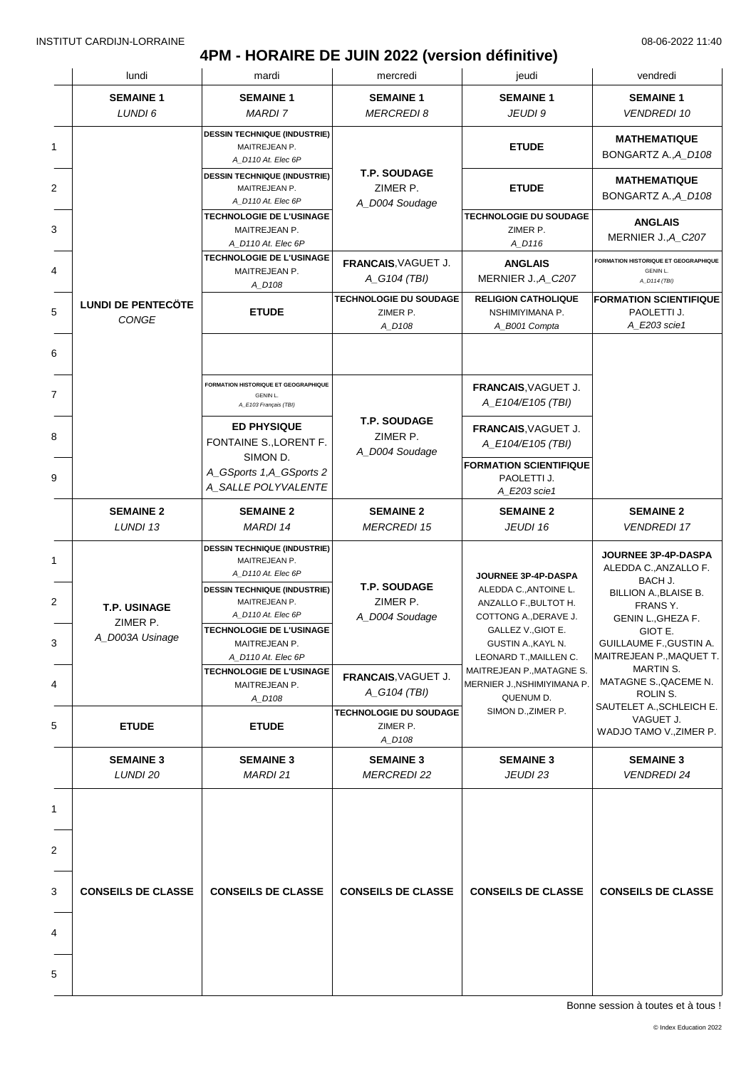# **4PM - HORAIRE DE JUIN 2022 (version définitive)**

|   | lundi                              | mardi                                                                      | mercredi                                            | jeudi                                                                                                                                         | vendredi                                                                                                                  |
|---|------------------------------------|----------------------------------------------------------------------------|-----------------------------------------------------|-----------------------------------------------------------------------------------------------------------------------------------------------|---------------------------------------------------------------------------------------------------------------------------|
|   | <b>SEMAINE 1</b><br>LUNDI 6        | <b>SEMAINE 1</b><br><b>MARDI 7</b>                                         | <b>SEMAINE 1</b><br><b>MERCREDI8</b>                | <b>SEMAINE 1</b><br>JEUDI 9                                                                                                                   | <b>SEMAINE 1</b><br><b>VENDREDI 10</b>                                                                                    |
|   |                                    | <b>DESSIN TECHNIQUE (INDUSTRIE)</b><br>MAITREJEAN P.<br>A D110 At. Elec 6P |                                                     | <b>ETUDE</b>                                                                                                                                  | <b>MATHEMATIQUE</b><br>BONGARTZ A., A_D108                                                                                |
|   |                                    | <b>DESSIN TECHNIQUE (INDUSTRIE)</b><br>MAITREJEAN P.<br>A_D110 At. Elec 6P | <b>T.P. SOUDAGE</b><br>ZIMER P.<br>A D004 Soudage   | <b>ETUDE</b>                                                                                                                                  | <b>MATHEMATIQUE</b><br>BONGARTZ A., A_D108                                                                                |
|   |                                    | <b>TECHNOLOGIE DE L'USINAGE</b><br>MAITREJEAN P.<br>A D110 At. Elec 6P     |                                                     | <b>TECHNOLOGIE DU SOUDAGE</b><br>ZIMER P.<br>A_D116                                                                                           | <b>ANGLAIS</b><br>MERNIER J., A_C207                                                                                      |
|   |                                    | TECHNOLOGIE DE L'USINAGE<br>MAITREJEAN P.<br>A_D108                        | FRANCAIS, VAGUET J.<br>A_G104 (TBI)                 | <b>ANGLAIS</b><br>MERNIER J., A_C207                                                                                                          | FORMATION HISTORIQUE ET GEOGRAPHIQUE<br><b>GENIN L.</b><br>A_D114 (TBI)                                                   |
|   | <b>LUNDI DE PENTECÖTE</b><br>CONGE | <b>ETUDE</b>                                                               | <b>TECHNOLOGIE DU SOUDAGE</b><br>ZIMER P.<br>A_D108 | <b>RELIGION CATHOLIQUE</b><br>NSHIMIYIMANA P.<br>A_B001 Compta                                                                                | <b>FORMATION SCIENTIFIQUE</b><br>PAOLETTI J.<br>A_E203 scie1                                                              |
|   |                                    |                                                                            |                                                     |                                                                                                                                               |                                                                                                                           |
|   |                                    | FORMATION HISTORIQUE ET GEOGRAPHIQUE<br>GENIN L.<br>A_E103 Français (TBI)  |                                                     | FRANCAIS, VAGUET J.<br>A_E104/E105 (TBI)                                                                                                      |                                                                                                                           |
|   |                                    | <b>ED PHYSIQUE</b><br>FONTAINE S., LORENT F.                               | <b>T.P. SOUDAGE</b><br>ZIMER P.<br>A_D004 Soudage   | FRANCAIS, VAGUET J.<br>A_E104/E105 (TBI)                                                                                                      |                                                                                                                           |
|   |                                    | SIMON D.<br>A_GSports 1,A_GSports 2<br>A_SALLE POLYVALENTE                 |                                                     | <b>FORMATION SCIENTIFIQUE</b><br>PAOLETTI J.<br>A_E203 scie1                                                                                  |                                                                                                                           |
|   | <b>SEMAINE 2</b><br>LUNDI 13       | <b>SEMAINE 2</b><br><b>MARDI 14</b>                                        | <b>SEMAINE 2</b><br><b>MERCREDI 15</b>              | <b>SEMAINE 2</b><br>JEUDI 16                                                                                                                  | <b>SEMAINE 2</b><br><b>VENDREDI 17</b>                                                                                    |
|   |                                    | <b>DESSIN TECHNIQUE (INDUSTRIE)</b><br>MAITREJEAN P.<br>A_D110 At. Elec 6P | <b>T.P. SOUDAGE</b>                                 | JOURNEE 3P-4P-DASPA                                                                                                                           | JOURNEE 3P-4P-DASPA<br>ALEDDA C., ANZALLO F.<br>BACH J.                                                                   |
|   | T.P. USINAGE<br>ZIMER P.           | <b>DESSIN TECHNIQUE (INDUSTRIE)</b><br>MAITREJEAN P.<br>A_D110 At. Elec 6P | ZIMER P.<br>A_D004 Soudage                          | ALEDDA C., ANTOINE L.<br>ANZALLO F., BULTOT H.<br>COTTONG A., DERAVE J.<br>GALLEZ V., GIOT E.<br>GUSTIN A., KAYL N.<br>LEONARD T., MAILLEN C. | BILLION A., BLAISE B.<br>FRANS Y.<br>GENIN L., GHEZA F.<br>GIOT E.<br>GUILLAUME F., GUSTIN A.<br>MAITREJEAN P., MAQUET T. |
|   | A_D003A Usinage                    | TECHNOLOGIE DE L'USINAGE<br>MAITREJEAN P.<br>A D110 At. Elec 6P            |                                                     |                                                                                                                                               |                                                                                                                           |
|   |                                    | <b>TECHNOLOGIE DE L'USINAGE</b><br>MAITREJEAN P.<br>A_D108                 | FRANCAIS, VAGUET J.<br>A_G104 (TBI)                 | MAITREJEAN P., MATAGNE S.<br>MERNIER J., NSHIMIYIMANA P.<br>QUENUM D.                                                                         | MARTIN S.<br>MATAGNE S., QACEME N.<br>ROLIN S.<br>SAUTELET A., SCHLEICH E.                                                |
|   | <b>ETUDE</b>                       | <b>ETUDE</b>                                                               | TECHNOLOGIE DU SOUDAGE<br>ZIMER P.<br>A_D108        | SIMON D., ZIMER P.                                                                                                                            | VAGUET J.<br>WADJO TAMO V., ZIMER P.                                                                                      |
|   | <b>SEMAINE 3</b><br>LUNDI 20       | <b>SEMAINE 3</b><br><b>MARDI 21</b>                                        | <b>SEMAINE 3</b><br><i>MERCREDI</i> 22              | <b>SEMAINE 3</b><br><b>JEUDI 23</b>                                                                                                           | <b>SEMAINE 3</b><br><b>VENDREDI 24</b>                                                                                    |
|   |                                    |                                                                            |                                                     |                                                                                                                                               |                                                                                                                           |
|   |                                    |                                                                            |                                                     |                                                                                                                                               |                                                                                                                           |
|   | <b>CONSEILS DE CLASSE</b>          | <b>CONSEILS DE CLASSE</b>                                                  | <b>CONSEILS DE CLASSE</b>                           | <b>CONSEILS DE CLASSE</b>                                                                                                                     | <b>CONSEILS DE CLASSE</b>                                                                                                 |
|   |                                    |                                                                            |                                                     |                                                                                                                                               |                                                                                                                           |
| 5 |                                    |                                                                            |                                                     |                                                                                                                                               |                                                                                                                           |
|   |                                    |                                                                            |                                                     |                                                                                                                                               |                                                                                                                           |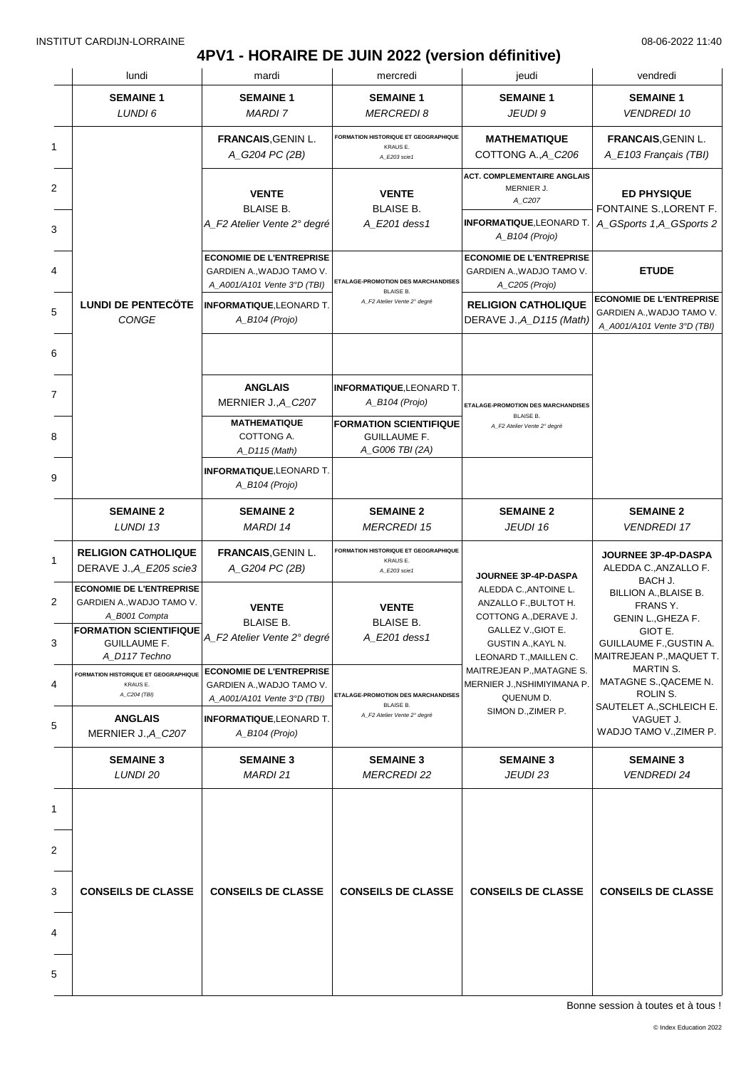# **4PV1 - HORAIRE DE JUIN 2022 (version définitive)**

|        | lundi                                                                                                                                                  | mardi                                                                                       | mercredi                                                                                                               | jeudi                                                                                                                                         | vendredi                                                                                                                             |
|--------|--------------------------------------------------------------------------------------------------------------------------------------------------------|---------------------------------------------------------------------------------------------|------------------------------------------------------------------------------------------------------------------------|-----------------------------------------------------------------------------------------------------------------------------------------------|--------------------------------------------------------------------------------------------------------------------------------------|
|        | <b>SEMAINE 1</b><br>LUNDI 6                                                                                                                            | <b>SEMAINE 1</b><br><b>MARDI 7</b>                                                          | <b>SEMAINE 1</b><br><b>MERCREDI8</b>                                                                                   | <b>SEMAINE 1</b><br>JEUDI 9                                                                                                                   | <b>SEMAINE 1</b><br><b>VENDREDI 10</b>                                                                                               |
| 1      |                                                                                                                                                        | <b>FRANCAIS, GENIN L.</b><br>A_G204 PC (2B)                                                 | FORMATION HISTORIQUE ET GEOGRAPHIQUE<br>KRAUS E.<br>A_E203 scie1                                                       | <b>MATHEMATIQUE</b><br>COTTONG A., A_C206                                                                                                     | <b>FRANCAIS, GENIN L.</b><br>A_E103 Français (TBI)                                                                                   |
| 2<br>3 |                                                                                                                                                        | <b>VENTE</b><br><b>BLAISE B.</b><br>A_F2 Atelier Vente 2° degré                             | <b>VENTE</b><br><b>BLAISE B.</b><br>A_E201 dess1                                                                       | <b>ACT. COMPLEMENTAIRE ANGLAIS</b><br>MERNIER J.<br>A_C207<br><b>INFORMATIQUE, LEONARD T.</b><br>A_B104 (Projo)                               | <b>ED PHYSIQUE</b><br>FONTAINE S., LORENT F.<br>A_GSports 1,A_GSports 2                                                              |
| 4      |                                                                                                                                                        | <b>ECONOMIE DE L'ENTREPRISE</b><br>GARDIEN A., WADJO TAMO V.<br>A_A001/A101 Vente 3°D (TBI) | ETALAGE-PROMOTION DES MARCHANDISES                                                                                     | <b>ECONOMIE DE L'ENTREPRISE</b><br>GARDIEN A., WADJO TAMO V.<br>A_C205 (Projo)                                                                | <b>ETUDE</b>                                                                                                                         |
|        | <b>LUNDI DE PENTECÖTE</b><br>CONGE                                                                                                                     | <b>INFORMATIQUE, LEONARD T.</b><br>A_B104 (Projo)                                           | <b>BLAISE B.</b><br>A_F2 Atelier Vente 2° degré                                                                        | <b>RELIGION CATHOLIQUE</b><br>DERAVE J., A_D115 (Math)                                                                                        | <b>ECONOMIE DE L'ENTREPRISE</b><br>GARDIEN A., WADJO TAMO V.<br>A A001/A101 Vente 3°D (TBI)                                          |
|        |                                                                                                                                                        |                                                                                             |                                                                                                                        |                                                                                                                                               |                                                                                                                                      |
| 7<br>8 |                                                                                                                                                        | <b>ANGLAIS</b><br>MERNIER J., A_C207<br><b>MATHEMATIQUE</b><br>COTTONG A.                   | <b>INFORMATIQUE, LEONARD T.</b><br>$A$ <sub>B104</sub> (Projo)<br><b>FORMATION SCIENTIFIQUE</b><br><b>GUILLAUME F.</b> | ETALAGE-PROMOTION DES MARCHANDISES<br><b>BLAISE B.</b><br>A_F2 Atelier Vente 2° degré                                                         |                                                                                                                                      |
|        |                                                                                                                                                        | A_D115 (Math)<br><b>INFORMATIQUE, LEONARD T.</b><br>A_B104 (Projo)                          | A_G006 TBI (2A)                                                                                                        |                                                                                                                                               |                                                                                                                                      |
|        | <b>SEMAINE 2</b><br>LUNDI 13                                                                                                                           | <b>SEMAINE 2</b><br>MARDI 14                                                                | <b>SEMAINE 2</b><br><b>MERCREDI 15</b>                                                                                 | <b>SEMAINE 2</b><br>JEUDI 16                                                                                                                  | <b>SEMAINE 2</b><br><b>VENDREDI 17</b>                                                                                               |
|        | <b>RELIGION CATHOLIQUE</b><br>DERAVE J., A E205 scie3                                                                                                  | <b>FRANCAIS, GENIN L.</b><br>A_G204 PC (2B)                                                 | <b>FORMATION HISTORIQUE ET GEOGRAPHIQUE</b><br>KRAUSE.<br>A_E203 scie1                                                 | JOURNEE 3P-4P-DASPA                                                                                                                           | <b>JOURNEE 3P-4P-DASPA</b><br>ALEDDA C., ANZALLO F.                                                                                  |
|        | <b>ECONOMIE DE L'ENTREPRISE</b><br>GARDIEN A., WADJO TAMO V.<br>A_B001 Compta<br><b>FORMATION SCIENTIFIQUE</b><br><b>GUILLAUME F.</b><br>A D117 Techno | <b>VENTE</b><br><b>BLAISE B.</b><br>A_F2 Atelier Vente 2° degré                             | <b>VENTE</b><br><b>BLAISE B.</b><br>A_E201 dess1                                                                       | ALEDDA C., ANTOINE L.<br>ANZALLO F., BULTOT H.<br>COTTONG A., DERAVE J.<br>GALLEZ V., GIOT E.<br>GUSTIN A., KAYL N.<br>LEONARD T., MAILLEN C. | BACH J.<br>BILLION A., BLAISE B.<br>FRANS Y.<br>GENIN L., GHEZA F.<br>GIOT E.<br>GUILLAUME F., GUSTIN A.<br>MAITREJEAN P., MAQUET T. |
|        | <b>FORMATION HISTORIQUE ET GEOGRAPHIQUE</b><br>KRAUS E.<br>A_C204 (TBI)                                                                                | <b>ECONOMIE DE L'ENTREPRISE</b><br>GARDIEN A., WADJO TAMO V.<br>A_A001/A101 Vente 3°D (TBI) | ETALAGE-PROMOTION DES MARCHANDISES<br><b>BLAISE B.</b>                                                                 | MAITREJEAN P., MATAGNE S.<br>MERNIER J., NSHIMIYIMANA P.<br>QUENUM D.                                                                         | <b>MARTIN S.</b><br>MATAGNE S., QACEME N.<br>ROLIN S.                                                                                |
|        | <b>ANGLAIS</b><br>MERNIER J., A_C207                                                                                                                   | <b>INFORMATIQUE, LEONARD T.</b><br>$A$ <sub>B104</sub> (Projo)                              | A_F2 Atelier Vente 2° degré                                                                                            | SIMON D., ZIMER P.                                                                                                                            | SAUTELET A., SCHLEICH E.<br>VAGUET J.<br>WADJO TAMO V., ZIMER P.                                                                     |
|        | <b>SEMAINE 3</b><br>LUNDI 20                                                                                                                           | <b>SEMAINE 3</b><br>MARDI 21                                                                | <b>SEMAINE 3</b><br><b>MERCREDI 22</b>                                                                                 | <b>SEMAINE 3</b><br>JEUDI 23                                                                                                                  | <b>SEMAINE 3</b><br><b>VENDREDI 24</b>                                                                                               |
|        |                                                                                                                                                        |                                                                                             |                                                                                                                        |                                                                                                                                               |                                                                                                                                      |
|        |                                                                                                                                                        |                                                                                             |                                                                                                                        |                                                                                                                                               |                                                                                                                                      |
|        | <b>CONSEILS DE CLASSE</b>                                                                                                                              | <b>CONSEILS DE CLASSE</b>                                                                   | <b>CONSEILS DE CLASSE</b>                                                                                              | <b>CONSEILS DE CLASSE</b>                                                                                                                     | <b>CONSEILS DE CLASSE</b>                                                                                                            |
|        |                                                                                                                                                        |                                                                                             |                                                                                                                        |                                                                                                                                               |                                                                                                                                      |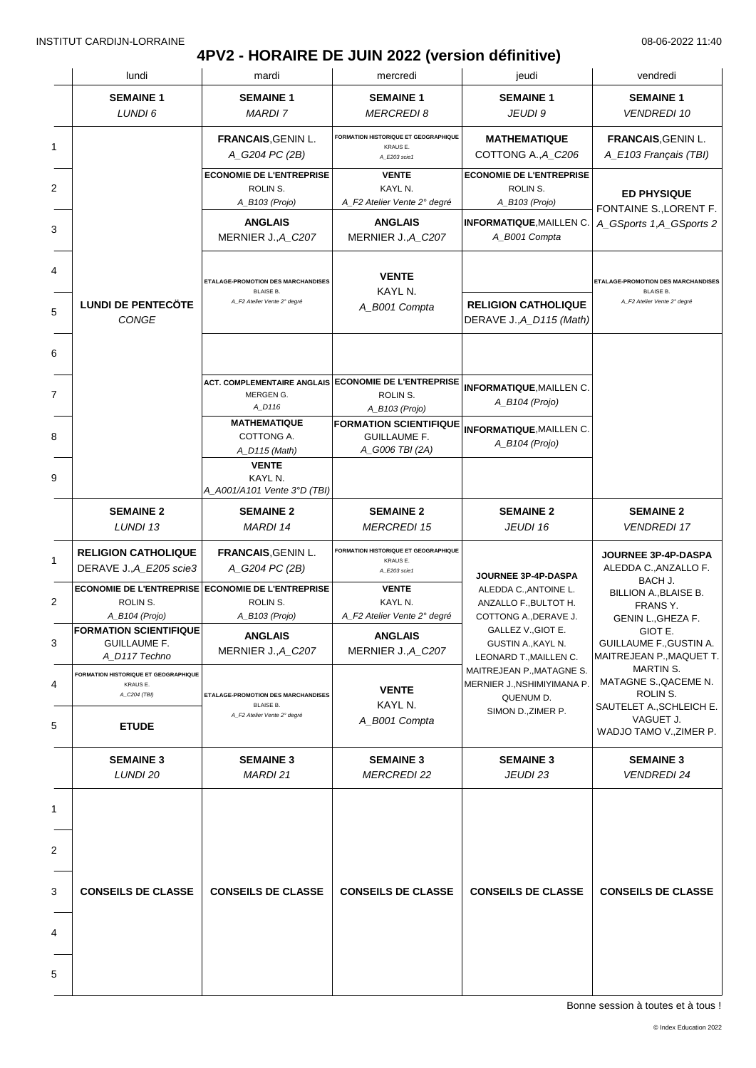### **4PV2 - HORAIRE DE JUIN 2022 (version définitive)** INSTITUT CARDIJN-LORRAINE 08-06-2022 11:40

|   | lundi                                                                           | mardi                                                                                 | mercredi                                                                | jeudi                                                                                                                                                                | vendredi                                                                              |
|---|---------------------------------------------------------------------------------|---------------------------------------------------------------------------------------|-------------------------------------------------------------------------|----------------------------------------------------------------------------------------------------------------------------------------------------------------------|---------------------------------------------------------------------------------------|
|   | <b>SEMAINE 1</b><br>LUNDI 6                                                     | <b>SEMAINE 1</b><br><b>MARDI 7</b>                                                    | <b>SEMAINE 1</b><br><b>MERCREDI 8</b>                                   | <b>SEMAINE 1</b><br>JEUDI 9                                                                                                                                          | <b>SEMAINE 1</b><br><b>VENDREDI 10</b>                                                |
| 1 |                                                                                 | <b>FRANCAIS, GENIN L.</b><br>A_G204 PC (2B)                                           | <b>FORMATION HISTORIQUE ET GEOGRAPHIQUE</b><br>KRAUS E.<br>A_E203 scie1 | <b>MATHEMATIQUE</b><br>COTTONG A., A C206                                                                                                                            | FRANCAIS, GENIN L.<br>A_E103 Français (TBI)                                           |
| 2 |                                                                                 | <b>ECONOMIE DE L'ENTREPRISE</b><br>ROLIN S.<br>A_B103 (Projo)                         | <b>VENTE</b><br>KAYL N.<br>A_F2 Atelier Vente 2° degré                  | <b>ECONOMIE DE L'ENTREPRISE</b><br>ROLIN S.<br>A_B103 (Projo)                                                                                                        | <b>ED PHYSIQUE</b>                                                                    |
| 3 |                                                                                 | <b>ANGLAIS</b><br>MERNIER J., A_C207                                                  | <b>ANGLAIS</b><br>MERNIER J., A_C207                                    | <b>INFORMATIQUE, MAILLEN C.</b><br>A_B001 Compta                                                                                                                     | FONTAINE S., LORENT F.<br>A_GSports 1,A_GSports 2                                     |
|   | <b>LUNDI DE PENTECÖTE</b>                                                       | ETALAGE-PROMOTION DES MARCHANDISES<br><b>BLAISE B.</b><br>A_F2 Atelier Vente 2° degré | <b>VENTE</b><br>KAYL N.<br>A_B001 Compta                                | <b>RELIGION CATHOLIQUE</b>                                                                                                                                           | ETALAGE-PROMOTION DES MARCHANDISES<br><b>BLAISE B.</b><br>A_F2 Atelier Vente 2° degré |
|   | CONGE                                                                           |                                                                                       |                                                                         | DERAVE J., A_D115 (Math)                                                                                                                                             |                                                                                       |
|   |                                                                                 | <b>ACT. COMPLEMENTAIRE ANGLAIS</b><br>MERGEN G.<br>A_D116                             | <b>ECONOMIE DE L'ENTREPRISE</b><br>ROLIN S.<br>A_B103 (Projo)           | <b>INFORMATIQUE, MAILLEN C.</b><br>A_B104 (Projo)                                                                                                                    |                                                                                       |
|   |                                                                                 | <b>MATHEMATIQUE</b><br>COTTONG A.<br>A_D115 (Math)                                    | <b>FORMATION SCIENTIFIQUE</b><br><b>GUILLAUME F.</b><br>A_G006 TBI (2A) | <b>INFORMATIQUE, MAILLEN C.</b><br>$A$ <sub>B104</sub> (Projo)                                                                                                       |                                                                                       |
|   |                                                                                 | <b>VENTE</b><br>KAYL N.<br>A_A001/A101 Vente 3°D (TBI)                                |                                                                         |                                                                                                                                                                      |                                                                                       |
|   | <b>SEMAINE 2</b><br>LUNDI 13                                                    | <b>SEMAINE 2</b><br><b>MARDI 14</b>                                                   | <b>SEMAINE 2</b><br><b>MERCREDI 15</b>                                  | <b>SEMAINE 2</b><br>JEUDI 16                                                                                                                                         | <b>SEMAINE 2</b><br><b>VENDREDI 17</b>                                                |
|   | <b>RELIGION CATHOLIQUE</b><br>DERAVE J., A E205 scie3                           | <b>FRANCAIS, GENIN L.</b><br>A_G204 PC (2B)                                           | FORMATION HISTORIQUE ET GEOGRAPHIQUE<br>KRAUS E.<br>A_E203 scie1        | JOURNEE 3P-4P-DASPA<br>ALEDDA C., ANTOINE L.<br>ANZALLO F., BULTOT H.<br>COTTONG A., DERAVE J.<br>GALLEZ V., GIOT E.<br>GUSTIN A., KAYL N.<br>LEONARD T., MAILLEN C. | JOURNEE 3P-4P-DASPA<br>ALEDDA C., ANZALLO F.                                          |
|   | ECONOMIE DE L'ENTREPRISE ECONOMIE DE L'ENTREPRISE<br>ROLIN S.<br>A_B104 (Projo) | ROLIN S.<br>A_B103 (Projo)                                                            | <b>VENTE</b><br>KAYL N.<br>A_F2 Atelier Vente 2° degré                  |                                                                                                                                                                      | BACH J.<br>BILLION A., BLAISE B.<br>FRANS Y.<br>GENIN L., GHEZA F.                    |
|   | <b>FORMATION SCIENTIFIQUE</b><br><b>GUILLAUME F.</b><br>A D117 Techno           | <b>ANGLAIS</b><br>MERNIER J., A_C207                                                  | <b>ANGLAIS</b><br>MERNIER J., A_C207                                    |                                                                                                                                                                      | GIOT E.<br>GUILLAUME F., GUSTIN A.<br>MAITREJEAN P., MAQUET T.                        |
|   | FORMATION HISTORIQUE ET GEOGRAPHIQUE<br>KRAUS E.<br>A_C204 (TBI)                | ETALAGE-PROMOTION DES MARCHANDISES<br><b>BLAISE B.</b><br>A_F2 Atelier Vente 2° degré | <b>VENTE</b><br>KAYL N.                                                 | MAITREJEAN P., MATAGNE S.<br>MERNIER J., NSHIMIYIMANA P.<br>QUENUM D.<br>SIMON D., ZIMER P.                                                                          | <b>MARTIN S.</b><br>MATAGNE S., QACEME N.<br>ROLIN S.<br>SAUTELET A., SCHLEICH E.     |
|   | <b>ETUDE</b>                                                                    |                                                                                       | A B001 Compta                                                           |                                                                                                                                                                      | VAGUET J.<br>WADJO TAMO V., ZIMER P.                                                  |
|   | <b>SEMAINE 3</b><br>LUNDI 20                                                    | <b>SEMAINE 3</b><br>MARDI 21                                                          | <b>SEMAINE 3</b><br><b>MERCREDI 22</b>                                  | <b>SEMAINE 3</b><br>JEUDI 23                                                                                                                                         | <b>SEMAINE 3</b><br><b>VENDREDI 24</b>                                                |
|   |                                                                                 |                                                                                       |                                                                         |                                                                                                                                                                      |                                                                                       |
|   | <b>CONSEILS DE CLASSE</b>                                                       | <b>CONSEILS DE CLASSE</b>                                                             | <b>CONSEILS DE CLASSE</b>                                               | <b>CONSEILS DE CLASSE</b>                                                                                                                                            | <b>CONSEILS DE CLASSE</b>                                                             |
|   |                                                                                 |                                                                                       |                                                                         |                                                                                                                                                                      |                                                                                       |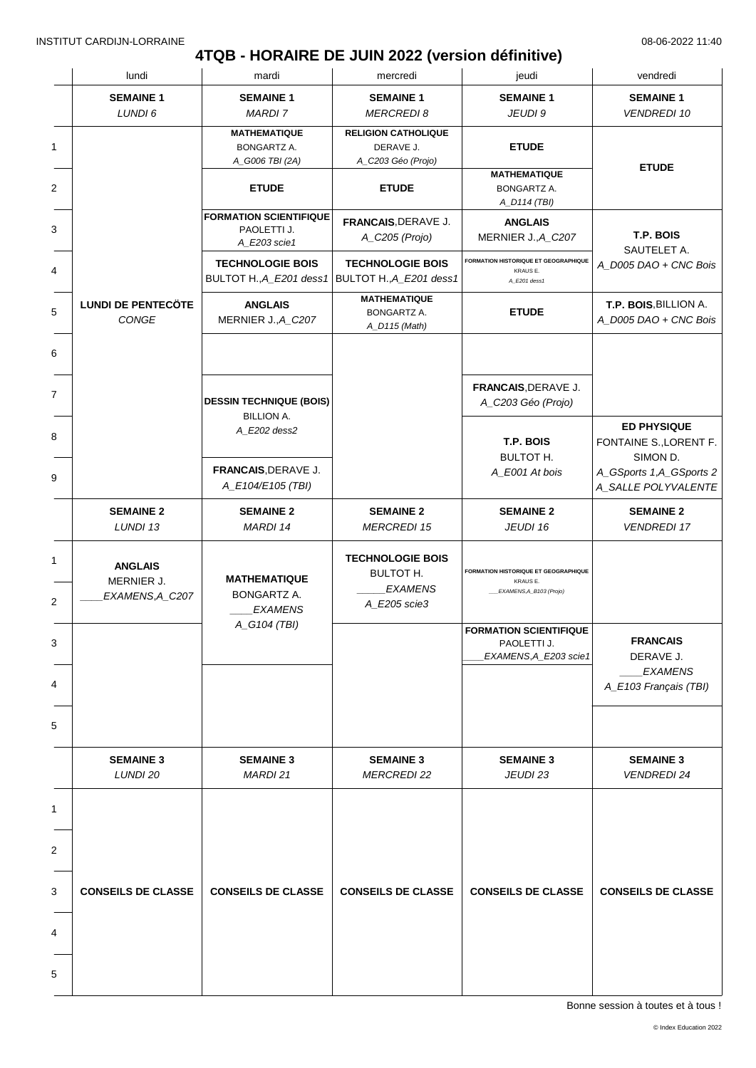### **4TQB - HORAIRE DE JUIN 2022 (version définitive)**

|   | lundi                                           | mardi                                                        | mercredi                                                                      | jeudi                                                                              | vendredi                                                                            |
|---|-------------------------------------------------|--------------------------------------------------------------|-------------------------------------------------------------------------------|------------------------------------------------------------------------------------|-------------------------------------------------------------------------------------|
|   | <b>SEMAINE 1</b><br>LUNDI 6                     | <b>SEMAINE 1</b><br><b>MARDI 7</b>                           | <b>SEMAINE 1</b><br><b>MERCREDI 8</b>                                         | <b>SEMAINE 1</b><br>JEUDI 9                                                        | <b>SEMAINE 1</b><br><b>VENDREDI 10</b>                                              |
| 1 |                                                 | <b>MATHEMATIQUE</b><br>BONGARTZ A.<br>A_G006 TBI (2A)        | <b>RELIGION CATHOLIQUE</b><br>DERAVE J.<br>A_C203 Géo (Projo)                 | <b>ETUDE</b>                                                                       |                                                                                     |
| 2 |                                                 | <b>ETUDE</b>                                                 | <b>ETUDE</b>                                                                  | <b>MATHEMATIQUE</b><br>BONGARTZ A.<br>A_D114 (TBI)                                 | <b>ETUDE</b>                                                                        |
| 3 |                                                 | <b>FORMATION SCIENTIFIQUE</b><br>PAOLETTI J.<br>A_E203 scie1 | FRANCAIS, DERAVE J.<br>A_C205 (Projo)                                         | <b>ANGLAIS</b><br>MERNIER J., A_C207                                               | T.P. BOIS<br>SAUTELET A.                                                            |
| 4 |                                                 | <b>TECHNOLOGIE BOIS</b><br>BULTOT H., A_E201 dess1           | <b>TECHNOLOGIE BOIS</b><br>BULTOT H., A_E201 dess1                            | FORMATION HISTORIQUE ET GEOGRAPHIQUE<br>KRAUS E.<br>A_E201 dess1                   | A_D005 DAO + CNC Bois                                                               |
| 5 | <b>LUNDI DE PENTECÖTE</b><br>CONGE              | <b>ANGLAIS</b><br>MERNIER J., A_C207                         | <b>MATHEMATIQUE</b><br>BONGARTZ A.<br>A_D115 (Math)                           | <b>ETUDE</b>                                                                       | T.P. BOIS, BILLION A.<br>A_D005 DAO + CNC Bois                                      |
| 6 |                                                 |                                                              |                                                                               |                                                                                    |                                                                                     |
| 7 |                                                 | <b>DESSIN TECHNIQUE (BOIS)</b><br><b>BILLION A.</b>          |                                                                               | FRANCAIS, DERAVE J.<br>A_C203 Géo (Projo)                                          |                                                                                     |
| 8 |                                                 | A_E202 dess2<br>FRANCAIS, DERAVE J.                          |                                                                               | T.P. BOIS<br>BULTOT H.<br>A_E001 At bois                                           | <b>ED PHYSIQUE</b><br>FONTAINE S., LORENT F.<br>SIMON D.<br>A_GSports 1,A_GSports 2 |
| 9 |                                                 | A_E104/E105 (TBI)                                            |                                                                               |                                                                                    | A_SALLE POLYVALENTE                                                                 |
|   | <b>SEMAINE 2</b><br>LUNDI 13                    | <b>SEMAINE 2</b><br>MARDI 14                                 | <b>SEMAINE 2</b><br><b>MERCREDI 15</b>                                        | <b>SEMAINE 2</b><br>JEUDI 16                                                       | <b>SEMAINE 2</b><br><b>VENDREDI 17</b>                                              |
|   | <b>ANGLAIS</b><br>MERNIER J.<br>EXAMENS, A_C207 | <b>MATHEMATIQUE</b><br><b>BONGARTZ A.</b><br><b>EXAMENS</b>  | <b>TECHNOLOGIE BOIS</b><br><b>BULTOT H.</b><br><b>EXAMENS</b><br>A_E205 scie3 | <b>FORMATION HISTORIQUE ET GEOGRAPHIQUE</b><br>KRAUS E.<br>EXAMENS, A_B103 (Projo) |                                                                                     |
| 3 |                                                 | A_G104 (TBI)                                                 |                                                                               | <b>FORMATION SCIENTIFIQUE</b><br>PAOLETTI J.<br>EXAMENS, A_E203 scie1              | <b>FRANCAIS</b><br>DERAVE J.<br><b>EXAMENS</b>                                      |
|   |                                                 |                                                              |                                                                               |                                                                                    | A_E103 Français (TBI)                                                               |
|   |                                                 |                                                              |                                                                               |                                                                                    |                                                                                     |
|   | <b>SEMAINE 3</b><br>LUNDI 20                    | <b>SEMAINE 3</b><br><b>MARDI 21</b>                          | <b>SEMAINE 3</b><br><b>MERCREDI 22</b>                                        | <b>SEMAINE 3</b><br>JEUDI 23                                                       | <b>SEMAINE 3</b><br><b>VENDREDI 24</b>                                              |
|   |                                                 |                                                              |                                                                               |                                                                                    |                                                                                     |
|   |                                                 |                                                              |                                                                               |                                                                                    |                                                                                     |
|   | <b>CONSEILS DE CLASSE</b>                       | <b>CONSEILS DE CLASSE</b>                                    | <b>CONSEILS DE CLASSE</b>                                                     | <b>CONSEILS DE CLASSE</b>                                                          | <b>CONSEILS DE CLASSE</b>                                                           |
| 4 |                                                 |                                                              |                                                                               |                                                                                    |                                                                                     |
| 5 |                                                 |                                                              |                                                                               |                                                                                    |                                                                                     |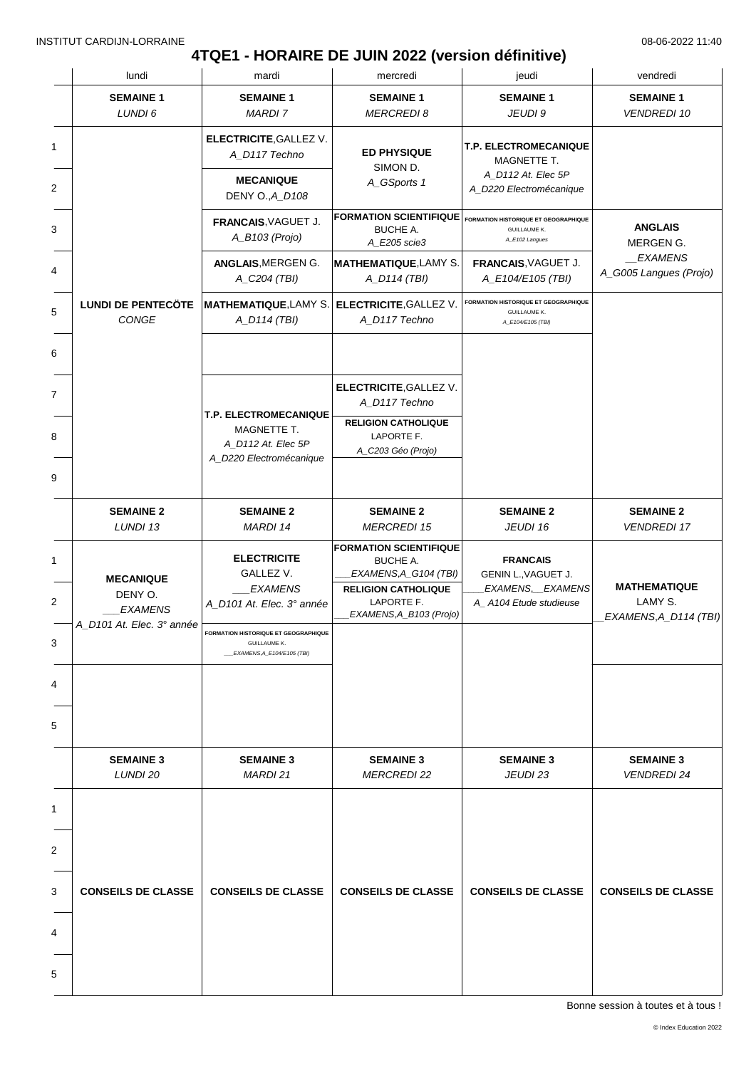# **4TQE1 - HORAIRE DE JUIN 2022 (version définitive)**

|   | lundi                                                                      | mardi                                                                                     | mercredi                                                                                                                                  | jeudi                                                                                | vendredi                                                |
|---|----------------------------------------------------------------------------|-------------------------------------------------------------------------------------------|-------------------------------------------------------------------------------------------------------------------------------------------|--------------------------------------------------------------------------------------|---------------------------------------------------------|
|   | <b>SEMAINE 1</b><br>LUNDI 6                                                | <b>SEMAINE 1</b><br><b>MARDI 7</b>                                                        | <b>SEMAINE 1</b><br><b>MERCREDI 8</b>                                                                                                     | <b>SEMAINE 1</b><br>JEUDI 9                                                          | <b>SEMAINE 1</b><br><b>VENDREDI 10</b>                  |
| 1 |                                                                            | <b>ELECTRICITE, GALLEZ V.</b><br>A_D117 Techno                                            | <b>ED PHYSIQUE</b><br>SIMON D.                                                                                                            | T.P. ELECTROMECANIQUE<br>MAGNETTE T.                                                 |                                                         |
| 2 |                                                                            | <b>MECANIQUE</b><br>DENY O., A_D108                                                       | A_GSports 1                                                                                                                               | A_D112 At. Elec 5P<br>A_D220 Electromécanique                                        |                                                         |
|   |                                                                            | FRANCAIS, VAGUET J.<br>A_B103 (Projo)                                                     | <b>FORMATION SCIENTIFIQUE</b><br><b>BUCHE A.</b><br>A_E205 scie3                                                                          | <b>FORMATION HISTORIQUE ET GEOGRAPHIQUE</b><br><b>GUILLAUME K.</b><br>A_E102 Langues | <b>ANGLAIS</b><br>MERGEN G.                             |
|   |                                                                            | ANGLAIS, MERGEN G.<br>A_C204 (TBI)                                                        | <b>MATHEMATIQUE, LAMY S.</b><br>A_D114 (TBI)                                                                                              | FRANCAIS, VAGUET J.<br>A_E104/E105 (TBI)                                             | <i>EXAMENS</i><br>A_G005 Langues (Projo)                |
|   | <b>LUNDI DE PENTECÖTE</b><br>CONGE                                         | <b>MATHEMATIQUE, LAMY S.</b><br>A_D114 (TBI)                                              | <b>ELECTRICITE, GALLEZ V.</b><br>A_D117 Techno                                                                                            | FORMATION HISTORIQUE ET GEOGRAPHIQUE<br><b>GUILLAUME K.</b><br>A_E104/E105 (TBI)     |                                                         |
|   |                                                                            |                                                                                           |                                                                                                                                           |                                                                                      |                                                         |
|   |                                                                            | <b>T.P. ELECTROMECANIQUE</b>                                                              | <b>ELECTRICITE, GALLEZ V.</b><br>A_D117 Techno                                                                                            |                                                                                      |                                                         |
|   |                                                                            | MAGNETTE T.<br>A_D112 At. Elec 5P<br>A_D220 Electromécanique                              | <b>RELIGION CATHOLIQUE</b><br>LAPORTE F.<br>A_C203 Géo (Projo)                                                                            |                                                                                      |                                                         |
|   | <b>SEMAINE 2</b><br>LUNDI 13                                               | <b>SEMAINE 2</b><br>MARDI 14                                                              | <b>SEMAINE 2</b><br><b>MERCREDI 15</b>                                                                                                    | <b>SEMAINE 2</b><br>JEUDI 16                                                         | <b>SEMAINE 2</b><br><b>VENDREDI 17</b>                  |
|   | <b>MECANIQUE</b><br>DENY O.<br><b>EXAMENS</b><br>A_D101 At. Elec. 3° année | <b>ELECTRICITE</b><br>GALLEZ V.<br><b>EXAMENS</b><br>A_D101 At. Elec. 3° année            | <b>FORMATION SCIENTIFIQUE</b><br>BUCHE A.<br>EXAMENS, A_G104 (TBI)<br><b>RELIGION CATHOLIQUE</b><br>LAPORTE F.<br>EXAMENS, A_B103 (Projo) | <b>FRANCAIS</b><br>GENIN L., VAGUET J.<br>EXAMENS, EXAMENS<br>A_A104 Etude studieuse | <b>MATHEMATIQUE</b><br>LAMY S.<br>EXAMENS, A_D114 (TBI) |
|   |                                                                            | FORMATION HISTORIQUE ET GEOGRAPHIQUE<br><b>GUILLAUME K.</b><br>EXAMENS, A E104/E105 (TBI) |                                                                                                                                           |                                                                                      |                                                         |
|   |                                                                            |                                                                                           |                                                                                                                                           |                                                                                      |                                                         |
|   |                                                                            |                                                                                           |                                                                                                                                           |                                                                                      |                                                         |
|   | <b>SEMAINE 3</b><br>LUNDI 20                                               | <b>SEMAINE 3</b><br>MARDI 21                                                              | <b>SEMAINE 3</b><br><b>MERCREDI 22</b>                                                                                                    | <b>SEMAINE 3</b><br>JEUDI 23                                                         | <b>SEMAINE 3</b><br><b>VENDREDI 24</b>                  |
|   |                                                                            |                                                                                           |                                                                                                                                           |                                                                                      |                                                         |
|   |                                                                            |                                                                                           |                                                                                                                                           |                                                                                      |                                                         |
|   | <b>CONSEILS DE CLASSE</b>                                                  | <b>CONSEILS DE CLASSE</b>                                                                 | <b>CONSEILS DE CLASSE</b>                                                                                                                 | <b>CONSEILS DE CLASSE</b>                                                            | <b>CONSEILS DE CLASSE</b>                               |
|   |                                                                            |                                                                                           |                                                                                                                                           |                                                                                      |                                                         |
|   |                                                                            |                                                                                           |                                                                                                                                           |                                                                                      |                                                         |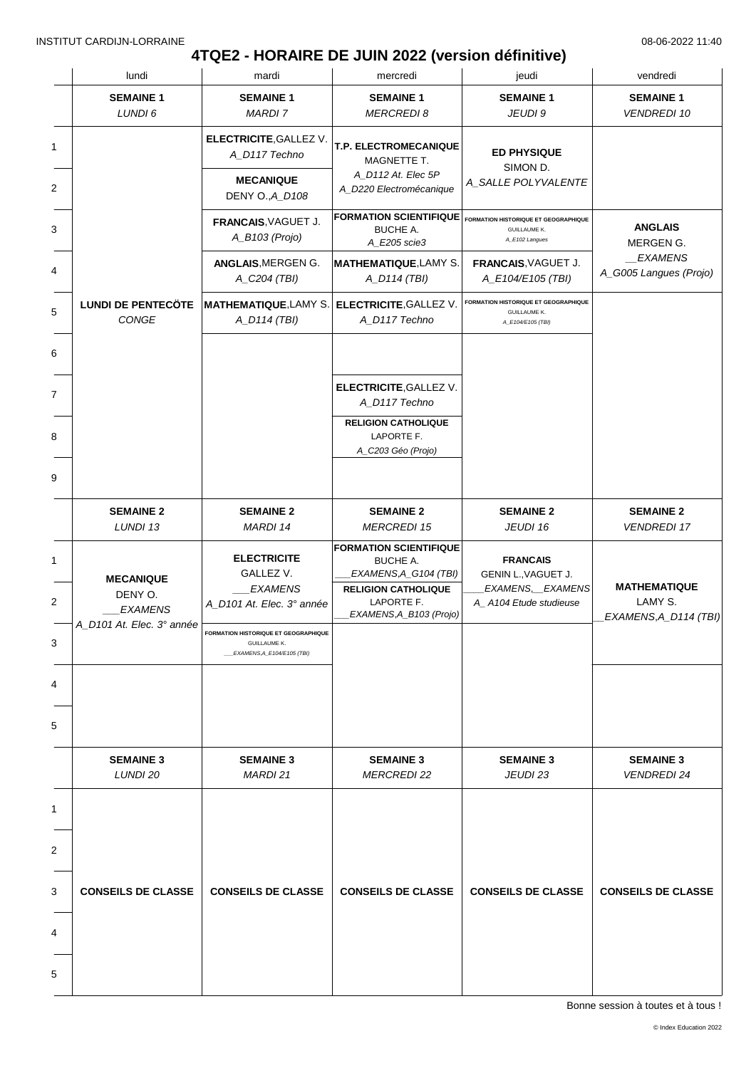# **4TQE2 - HORAIRE DE JUIN 2022 (version définitive)**

| lundi                                         | mardi                                                                                     | mercredi                                                                                                                                        | jeudi                                                                                   | vendredi                                                |
|-----------------------------------------------|-------------------------------------------------------------------------------------------|-------------------------------------------------------------------------------------------------------------------------------------------------|-----------------------------------------------------------------------------------------|---------------------------------------------------------|
| <b>SEMAINE 1</b><br>LUNDI 6                   | <b>SEMAINE 1</b><br><b>MARDI7</b>                                                         | <b>SEMAINE 1</b><br><b>MERCREDI8</b>                                                                                                            | <b>SEMAINE 1</b><br>JEUDI 9                                                             | <b>SEMAINE 1</b><br><b>VENDREDI 10</b>                  |
|                                               | <b>ELECTRICITE, GALLEZ V.</b><br>A_D117 Techno                                            | T.P. ELECTROMECANIQUE<br>MAGNETTE T.                                                                                                            | <b>ED PHYSIQUE</b><br>SIMON D.                                                          |                                                         |
|                                               | <b>MECANIQUE</b><br>DENY O., A_D108                                                       | A_D112 At. Elec 5P<br>A_D220 Electromécanique                                                                                                   | A_SALLE POLYVALENTE                                                                     |                                                         |
|                                               | FRANCAIS, VAGUET J.<br>A_B103 (Projo)                                                     | <b>FORMATION SCIENTIFIQUE</b><br><b>BUCHE A.</b><br>A_E205 scie3                                                                                | <b>FORMATION HISTORIQUE ET GEOGRAPHIQUE</b><br><b>GUILLAUME K.</b><br>A_E102 Langues    | <b>ANGLAIS</b><br>MERGEN G.                             |
|                                               | ANGLAIS, MERGEN G.<br>A_C204 (TBI)                                                        | <b>MATHEMATIQUE, LAMY S.</b><br>A_D114 (TBI)                                                                                                    | FRANCAIS, VAGUET J.<br>A_E104/E105 (TBI)                                                | _EXAMENS<br>A_G005 Langues (Projo)                      |
| <b>LUNDI DE PENTECÖTE</b><br>CONGE            | <b>MATHEMATIQUE, LAMY S.</b><br>A_D114 (TBI)                                              | <b>ELECTRICITE, GALLEZ V.</b><br>A_D117 Techno                                                                                                  | <b>FORMATION HISTORIQUE ET GEOGRAPHIQUE</b><br><b>GUILLAUME K.</b><br>A_E104/E105 (TBI) |                                                         |
|                                               |                                                                                           |                                                                                                                                                 |                                                                                         |                                                         |
|                                               |                                                                                           | <b>ELECTRICITE, GALLEZ V.</b><br>A_D117 Techno                                                                                                  |                                                                                         |                                                         |
|                                               |                                                                                           | <b>RELIGION CATHOLIQUE</b><br>LAPORTE F.<br>A_C203 Géo (Projo)                                                                                  |                                                                                         |                                                         |
|                                               |                                                                                           |                                                                                                                                                 |                                                                                         |                                                         |
| <b>SEMAINE 2</b><br>LUNDI 13                  | <b>SEMAINE 2</b><br>MARDI 14                                                              | <b>SEMAINE 2</b><br><b>MERCREDI 15</b>                                                                                                          | <b>SEMAINE 2</b><br>JEUDI 16                                                            | <b>SEMAINE 2</b><br><b>VENDREDI 17</b>                  |
| <b>MECANIQUE</b><br>DENY O.<br><b>EXAMENS</b> | <b>ELECTRICITE</b><br>GALLEZ V.<br><b>EXAMENS</b><br>A_D101 At. Elec. 3° année            | <b>FORMATION SCIENTIFIQUE</b><br><b>BUCHE A.</b><br>EXAMENS, A_G104 (TBI)<br><b>RELIGION CATHOLIQUE</b><br>LAPORTE F.<br>EXAMENS,A_B103 (Projo) | <b>FRANCAIS</b><br>GENIN L., VAGUET J.<br>EXAMENS, EXAMENS<br>A A104 Etude studieuse    | <b>MATHEMATIQUE</b><br>LAMY S.<br>EXAMENS, A_D114 (TBI) |
| A_D101 At. Elec. 3° année                     | FORMATION HISTORIQUE ET GEOGRAPHIQUE<br><b>GUILLAUME K.</b><br>EXAMENS, A_E104/E105 (TBI) |                                                                                                                                                 |                                                                                         |                                                         |
|                                               |                                                                                           |                                                                                                                                                 |                                                                                         |                                                         |
|                                               |                                                                                           |                                                                                                                                                 |                                                                                         |                                                         |
| <b>SEMAINE 3</b><br>LUNDI 20                  | <b>SEMAINE 3</b><br>MARDI 21                                                              | <b>SEMAINE 3</b><br><b>MERCREDI 22</b>                                                                                                          | <b>SEMAINE 3</b><br>JEUDI 23                                                            | <b>SEMAINE 3</b><br><b>VENDREDI 24</b>                  |
|                                               |                                                                                           |                                                                                                                                                 |                                                                                         |                                                         |
|                                               |                                                                                           |                                                                                                                                                 |                                                                                         |                                                         |
| <b>CONSEILS DE CLASSE</b>                     | <b>CONSEILS DE CLASSE</b>                                                                 | <b>CONSEILS DE CLASSE</b>                                                                                                                       | <b>CONSEILS DE CLASSE</b>                                                               | <b>CONSEILS DE CLASSE</b>                               |
|                                               |                                                                                           |                                                                                                                                                 |                                                                                         |                                                         |
|                                               |                                                                                           |                                                                                                                                                 |                                                                                         |                                                         |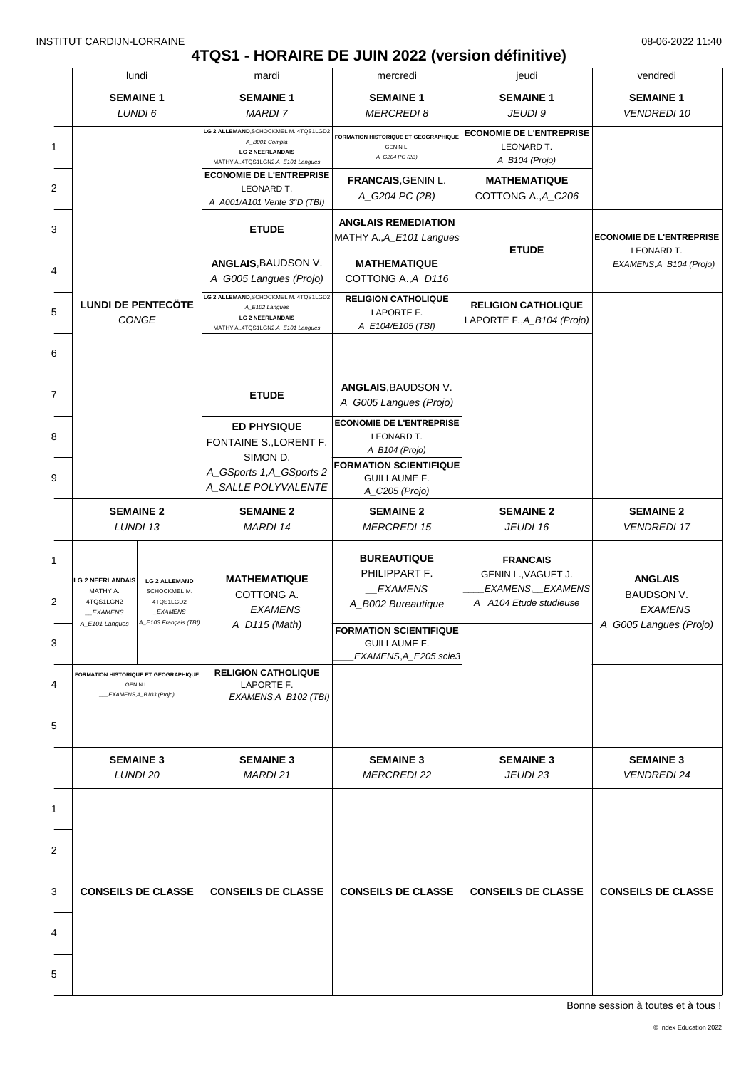# **4TQS1 - HORAIRE DE JUIN 2022 (version définitive)**

|                              |                                                                               | lundi                                                                                  | mardi                                                                                                                    | mercredi                                                                                         | jeudi                                                                                | vendredi                                                                        |
|------------------------------|-------------------------------------------------------------------------------|----------------------------------------------------------------------------------------|--------------------------------------------------------------------------------------------------------------------------|--------------------------------------------------------------------------------------------------|--------------------------------------------------------------------------------------|---------------------------------------------------------------------------------|
|                              | <b>SEMAINE 1</b>                                                              | LUNDI 6                                                                                | <b>SEMAINE 1</b><br><b>MARDI 7</b>                                                                                       | <b>SEMAINE 1</b><br><b>MERCREDI8</b>                                                             | <b>SEMAINE 1</b><br>JEUDI 9                                                          | <b>SEMAINE 1</b><br><b>VENDREDI 10</b>                                          |
|                              |                                                                               |                                                                                        | LG 2 ALLEMAND, SCHOCKMEL M., 4TQS1LGD2<br>A_B001 Compta<br><b>LG 2 NEERLANDAIS</b><br>MATHY A.,4TQS1LGN2,A_E101 Langues  | FORMATION HISTORIQUE ET GEOGRAPHIQUE<br><b>GENIN L.</b><br>A_G204 PC (2B)                        | <b>ECONOMIE DE L'ENTREPRISE</b><br>LEONARD T.<br>A_B104 (Projo)                      |                                                                                 |
|                              |                                                                               |                                                                                        | <b>ECONOMIE DE L'ENTREPRISE</b><br>LEONARD T.<br>A_A001/A101 Vente 3°D (TBI)                                             | <b>FRANCAIS, GENIN L.</b><br>A_G204 PC (2B)                                                      | <b>MATHEMATIQUE</b><br>COTTONG A., A_C206                                            |                                                                                 |
|                              |                                                                               |                                                                                        | <b>ETUDE</b>                                                                                                             | <b>ANGLAIS REMEDIATION</b><br>MATHY A., A_E101 Langues                                           | <b>ETUDE</b>                                                                         | <b>ECONOMIE DE L'ENTREPRISE</b><br>LEONARD T.                                   |
|                              |                                                                               |                                                                                        | ANGLAIS, BAUDSON V.<br>A_G005 Langues (Projo)                                                                            | <b>MATHEMATIQUE</b><br>COTTONG A., A_D116                                                        |                                                                                      | EXAMENS, A_B104 (Projo)                                                         |
|                              | <b>LUNDI DE PENTECÖTE</b><br>CONGE                                            |                                                                                        | LG 2 ALLEMAND, SCHOCKMEL M., 4TQS1LGD2<br>A_E102 Langues<br><b>LG 2 NEERLANDAIS</b><br>MATHY A.,4TQS1LGN2,A_E101 Langues | <b>RELIGION CATHOLIQUE</b><br>LAPORTE F.<br>A_E104/E105 (TBI)                                    | <b>RELIGION CATHOLIQUE</b><br>LAPORTE F., A_B104 (Projo)                             |                                                                                 |
|                              |                                                                               |                                                                                        |                                                                                                                          | ANGLAIS, BAUDSON V.                                                                              |                                                                                      |                                                                                 |
|                              |                                                                               |                                                                                        | <b>ETUDE</b>                                                                                                             | A_G005 Langues (Projo)                                                                           |                                                                                      |                                                                                 |
|                              |                                                                               |                                                                                        | <b>ED PHYSIQUE</b><br>FONTAINE S., LORENT F.<br>SIMON D.                                                                 | <b>ECONOMIE DE L'ENTREPRISE</b><br>LEONARD T.<br>A_B104 (Projo)<br><b>FORMATION SCIENTIFIQUE</b> |                                                                                      |                                                                                 |
|                              |                                                                               |                                                                                        | A_GSports 1,A_GSports 2<br>A_SALLE POLYVALENTE                                                                           | <b>GUILLAUME F.</b><br>A_C205 (Projo)                                                            |                                                                                      |                                                                                 |
| <b>SEMAINE 2</b><br>LUNDI 13 |                                                                               |                                                                                        | <b>SEMAINE 2</b><br><b>MARDI 14</b>                                                                                      | <b>SEMAINE 2</b><br><b>MERCREDI 15</b>                                                           | <b>SEMAINE 2</b><br>JEUDI 16                                                         | <b>SEMAINE 2</b><br><b>VENDREDI 17</b>                                          |
|                              | <b>LG 2 NEERLANDAIS</b><br>MATHY A.<br>4TQS1LGN2<br>EXAMENS<br>A_E101 Langues | <b>LG 2 ALLEMAND</b><br>SCHOCKMEL M.<br>4TQS1LGD2<br>_EXAMENS<br>A_E103 Français (TBI) | <b>MATHEMATIQUE</b><br>COTTONG A.<br><b>EXAMENS</b><br>A_D115 (Math)                                                     | <b>BUREAUTIQUE</b><br>PHILIPPART F.<br><i>EXAMENS</i><br>A_B002 Bureautique                      | <b>FRANCAIS</b><br>GENIN L., VAGUET J.<br>EXAMENS, EXAMENS<br>A_A104 Etude studieuse | <b>ANGLAIS</b><br><b>BAUDSON V.</b><br><b>EXAMENS</b><br>A_G005 Langues (Projo) |
|                              |                                                                               |                                                                                        |                                                                                                                          | <b>FORMATION SCIENTIFIQUE</b><br><b>GUILLAUME F.</b><br>EXAMENS, A_E205 scie3                    |                                                                                      |                                                                                 |
|                              | <b>GENIN L.</b>                                                               | FORMATION HISTORIQUE ET GEOGRAPHIQUE<br>__EXAMENS, A_B103 (Projo)                      | <b>RELIGION CATHOLIQUE</b><br>LAPORTE F.<br>EXAMENS, A_B102 (TBI)                                                        |                                                                                                  |                                                                                      |                                                                                 |
|                              |                                                                               |                                                                                        |                                                                                                                          |                                                                                                  |                                                                                      |                                                                                 |
|                              | <b>SEMAINE 3</b><br>LUNDI 20                                                  |                                                                                        | <b>SEMAINE 3</b><br><b>MARDI 21</b>                                                                                      | <b>SEMAINE 3</b><br><b>MERCREDI 22</b>                                                           | <b>SEMAINE 3</b><br>JEUDI 23                                                         | <b>SEMAINE 3</b><br><b>VENDREDI 24</b>                                          |
|                              |                                                                               |                                                                                        |                                                                                                                          |                                                                                                  |                                                                                      |                                                                                 |
| <b>CONSEILS DE CLASSE</b>    |                                                                               |                                                                                        |                                                                                                                          |                                                                                                  |                                                                                      |                                                                                 |
|                              |                                                                               |                                                                                        | <b>CONSEILS DE CLASSE</b>                                                                                                | <b>CONSEILS DE CLASSE</b>                                                                        | <b>CONSEILS DE CLASSE</b>                                                            | <b>CONSEILS DE CLASSE</b>                                                       |
|                              |                                                                               |                                                                                        |                                                                                                                          |                                                                                                  |                                                                                      |                                                                                 |
|                              |                                                                               |                                                                                        |                                                                                                                          |                                                                                                  |                                                                                      |                                                                                 |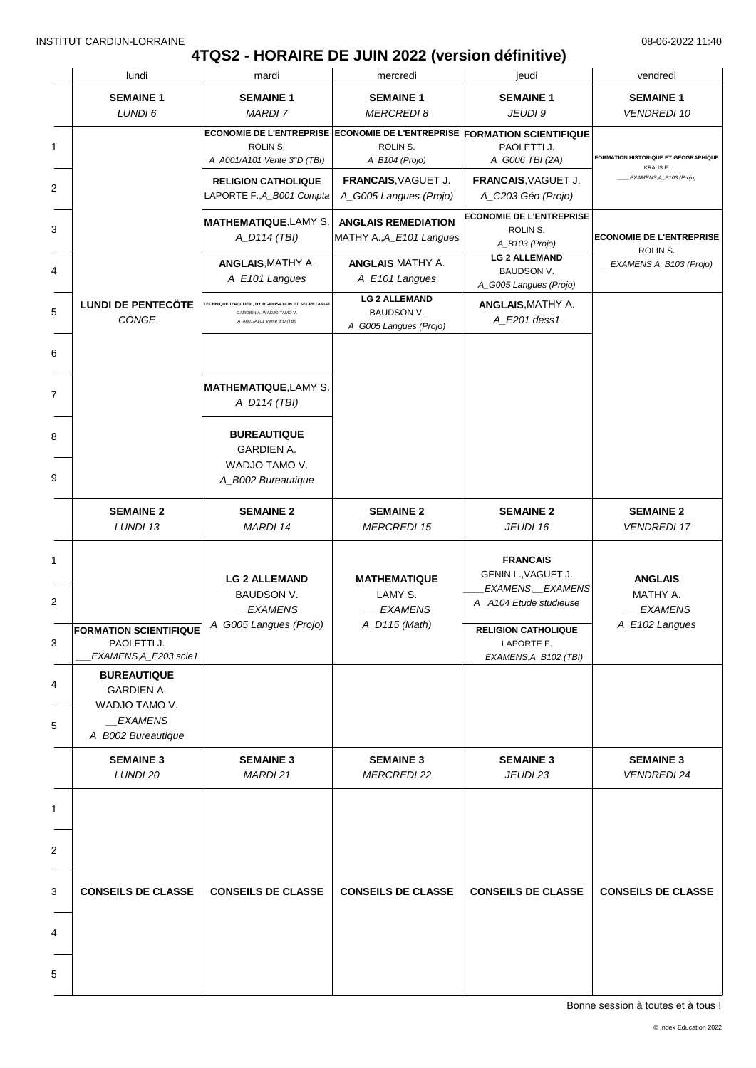# **4TQS2 - HORAIRE DE JUIN 2022 (version définitive)**

| lundi                                                                                     | mardi                                                                                                                 | mercredi                                                                                               | jeudi                                                                                                                                                     | vendredi                                                       |
|-------------------------------------------------------------------------------------------|-----------------------------------------------------------------------------------------------------------------------|--------------------------------------------------------------------------------------------------------|-----------------------------------------------------------------------------------------------------------------------------------------------------------|----------------------------------------------------------------|
| <b>SEMAINE 1</b><br>LUNDI 6                                                               | <b>SEMAINE 1</b><br><b>MARDI7</b>                                                                                     | <b>SEMAINE 1</b><br><b>MERCREDI8</b>                                                                   | <b>SEMAINE 1</b><br>JEUDI 9                                                                                                                               | <b>SEMAINE 1</b><br><b>VENDREDI 10</b>                         |
|                                                                                           | ROLIN S.<br>A_A001/A101 Vente 3°D (TBI)                                                                               | ECONOMIE DE L'ENTREPRISE ECONOMIE DE L'ENTREPRISE FORMATION SCIENTIFIQUE<br>ROLIN S.<br>A_B104 (Projo) | PAOLETTI J.<br>A_G006 TBI (2A)                                                                                                                            | <b>FORMATION HISTORIQUE ET GEOGRAPHIQUE</b>                    |
|                                                                                           | <b>RELIGION CATHOLIQUE</b><br>LAPORTE F., A_B001 Compta                                                               | FRANCAIS, VAGUET J.<br>A_G005 Langues (Projo)                                                          | FRANCAIS, VAGUET J.<br>A_C203 Géo (Projo)                                                                                                                 | KRAUS E.<br>EXAMENS, A_B103 (Projo)                            |
|                                                                                           | <b>MATHEMATIQUE, LAMY S.</b><br>A_D114 (TBI)                                                                          | <b>ANGLAIS REMEDIATION</b><br>MATHY A., A_E101 Langues                                                 | <b>ECONOMIE DE L'ENTREPRISE</b><br>ROLIN S.<br>A_B103 (Projo)                                                                                             | <b>ECONOMIE DE L'ENTREPRISE</b><br>ROLIN S.                    |
|                                                                                           | <b>ANGLAIS, MATHY A.</b><br>A_E101 Langues                                                                            | <b>ANGLAIS, MATHY A.</b><br>A_E101 Langues                                                             | <b>LG 2 ALLEMAND</b><br>BAUDSON V.<br>A_G005 Langues (Projo)                                                                                              | _EXAMENS,A_B103 (Projo)                                        |
| <b>LUNDI DE PENTECÖTE</b><br>CONGE                                                        | <b>FECHNIQUE D'ACCUEIL, D'ORGANISATION ET SECRETARIAT</b><br>GARDIEN A., WADJO TAMO V.<br>A_A001/A101 Vente 3°D (TBI) | <b>LG 2 ALLEMAND</b><br><b>BAUDSON V.</b><br>A_G005 Langues (Projo)                                    | <b>ANGLAIS, MATHY A.</b><br>A_E201 dess1                                                                                                                  |                                                                |
|                                                                                           | <b>MATHEMATIQUE, LAMY S.</b><br>A_D114 (TBI)                                                                          |                                                                                                        |                                                                                                                                                           |                                                                |
|                                                                                           | <b>BUREAUTIQUE</b><br><b>GARDIEN A.</b><br>WADJO TAMO V.<br>A_B002 Bureautique                                        |                                                                                                        |                                                                                                                                                           |                                                                |
| <b>SEMAINE 2</b><br>LUNDI 13                                                              | <b>SEMAINE 2</b><br><b>MARDI 14</b>                                                                                   | <b>SEMAINE 2</b><br><b>MERCREDI 15</b>                                                                 | <b>SEMAINE 2</b><br>JEUDI 16                                                                                                                              | <b>SEMAINE 2</b><br><b>VENDREDI 17</b>                         |
| <b>FORMATION SCIENTIFIQUE</b><br>PAOLETTI J.<br>EXAMENS, A_E203 scie1                     | <b>LG 2 ALLEMAND</b><br>BAUDSON V.<br>_EXAMENS<br>A_G005 Langues (Projo)                                              | <b>MATHEMATIQUE</b><br>LAMY S.<br><b>EXAMENS</b><br>A_D115 (Math)                                      | <b>FRANCAIS</b><br>GENIN L., VAGUET J.<br>EXAMENS, EXAMENS<br>A_A104 Etude studieuse<br><b>RELIGION CATHOLIQUE</b><br>LAPORTE F.<br>EXAMENS, A_B102 (TBI) | <b>ANGLAIS</b><br>MATHY A.<br><b>EXAMENS</b><br>A_E102 Langues |
| <b>BUREAUTIQUE</b><br>GARDIEN A.<br>WADJO TAMO V.<br><b>EXAMENS</b><br>A_B002 Bureautique |                                                                                                                       |                                                                                                        |                                                                                                                                                           |                                                                |
| <b>SEMAINE 3</b><br>LUNDI 20                                                              | <b>SEMAINE 3</b><br><b>MARDI 21</b>                                                                                   | <b>SEMAINE 3</b><br><b>MERCREDI 22</b>                                                                 | <b>SEMAINE 3</b><br>JEUDI 23                                                                                                                              | <b>SEMAINE 3</b><br><b>VENDREDI 24</b>                         |
|                                                                                           |                                                                                                                       |                                                                                                        |                                                                                                                                                           |                                                                |
| <b>CONSEILS DE CLASSE</b>                                                                 | <b>CONSEILS DE CLASSE</b>                                                                                             | <b>CONSEILS DE CLASSE</b>                                                                              | <b>CONSEILS DE CLASSE</b>                                                                                                                                 | <b>CONSEILS DE CLASSE</b>                                      |
|                                                                                           |                                                                                                                       |                                                                                                        |                                                                                                                                                           |                                                                |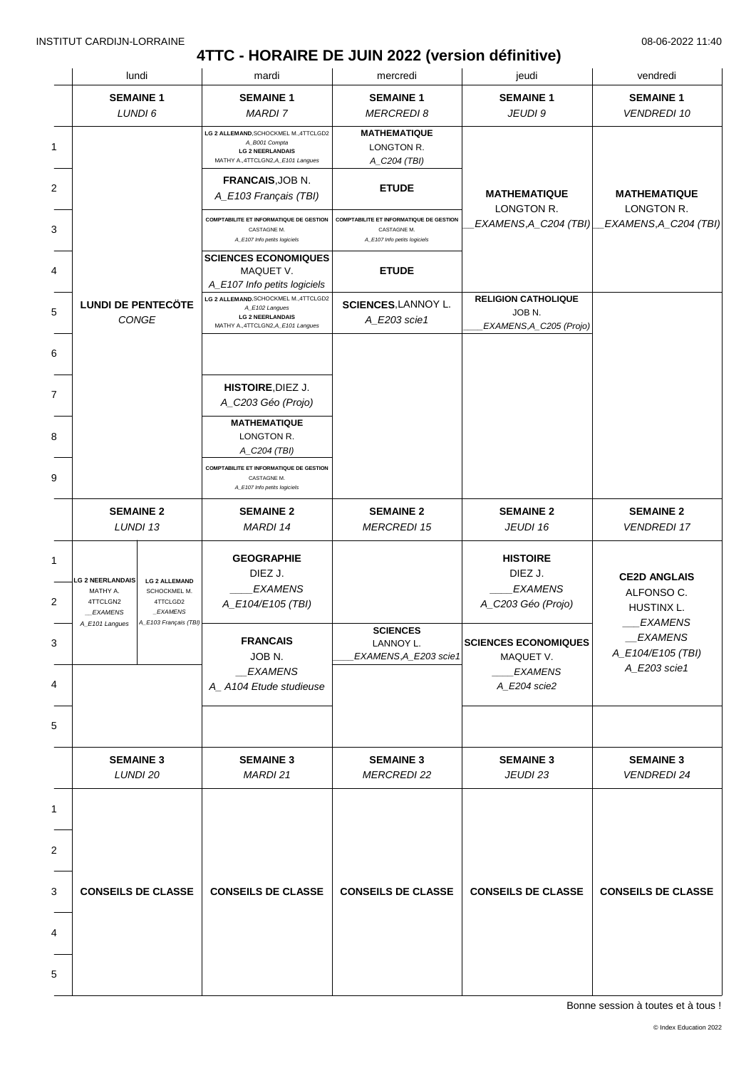# **4TTC - HORAIRE DE JUIN 2022 (version définitive)**

|  | lundi                                                      |                                                              | mardi                                                                                                                    | mercredi                                                                                      | jeudi                                                                      | vendredi                                                       |
|--|------------------------------------------------------------|--------------------------------------------------------------|--------------------------------------------------------------------------------------------------------------------------|-----------------------------------------------------------------------------------------------|----------------------------------------------------------------------------|----------------------------------------------------------------|
|  | <b>SEMAINE 1</b><br>LUNDI 6                                |                                                              | <b>SEMAINE 1</b><br><b>MARDI7</b>                                                                                        | <b>SEMAINE 1</b><br><b>MERCREDI8</b>                                                          | <b>SEMAINE 1</b><br>JEUDI 9                                                | <b>SEMAINE 1</b><br><b>VENDREDI 10</b>                         |
|  |                                                            |                                                              | LG 2 ALLEMAND, SCHOCKMEL M., 4TTCLGD2<br>A_B001 Compta<br><b>LG 2 NEERLANDAIS</b><br>MATHY A., 4TTCLGN2, A_E101 Langues  | <b>MATHEMATIQUE</b><br>LONGTON R.<br>A_C204 (TBI)                                             |                                                                            |                                                                |
|  |                                                            |                                                              | FRANCAIS, JOB N.<br>A_E103 Français (TBI)                                                                                | <b>ETUDE</b>                                                                                  | <b>MATHEMATIQUE</b>                                                        | <b>MATHEMATIQUE</b>                                            |
|  |                                                            |                                                              | <b>COMPTABILITE ET INFORMATIQUE DE GESTION</b><br>CASTAGNE M.<br>A_E107 Info petits logiciels                            | <b>COMPTABILITE ET INFORMATIQUE DE GESTION</b><br>CASTAGNE M.<br>A_E107 Info petits logiciels | LONGTON R.<br>EXAMENS,A_C204 (TBI)                                         | LONGTON R.<br>EXAMENS, A_C204 (TBI)                            |
|  |                                                            |                                                              | <b>SCIENCES ECONOMIQUES</b><br>MAQUET V.<br>A_E107 Info petits logiciels                                                 | <b>ETUDE</b>                                                                                  |                                                                            |                                                                |
|  | <b>LUNDI DE PENTECÖTE</b>                                  | <b>CONGE</b>                                                 | LG 2 ALLEMAND, SCHOCKMEL M., 4TTCLGD2<br>A_E102 Langues<br><b>LG 2 NEERLANDAIS</b><br>MATHY A., 4TTCLGN2, A_E101 Langues | SCIENCES, LANNOY L.<br>A_E203 scie1                                                           | <b>RELIGION CATHOLIQUE</b><br>JOB <sub>N.</sub><br>EXAMENS, A_C205 (Projo) |                                                                |
|  |                                                            |                                                              |                                                                                                                          |                                                                                               |                                                                            |                                                                |
|  |                                                            |                                                              | HISTOIRE, DIEZ J.<br>A_C203 Géo (Projo)                                                                                  |                                                                                               |                                                                            |                                                                |
|  |                                                            |                                                              | <b>MATHEMATIQUE</b><br>LONGTON R.<br>A_C204 (TBI)                                                                        |                                                                                               |                                                                            |                                                                |
|  |                                                            |                                                              | <b>COMPTABILITE ET INFORMATIQUE DE GESTION</b><br>CASTAGNE M.<br>A_E107 Info petits logiciels                            |                                                                                               |                                                                            |                                                                |
|  | <b>SEMAINE 2</b>                                           | LUNDI 13                                                     | <b>SEMAINE 2</b><br>MARDI 14                                                                                             | <b>SEMAINE 2</b><br><b>MERCREDI 15</b>                                                        | <b>SEMAINE 2</b><br>JEUDI 16                                               | <b>SEMAINE 2</b><br><b>VENDREDI 17</b>                         |
|  | <b>LG 2 NEERLANDAIS</b><br>MATHY A.<br>4TTCLGN2<br>EXAMENS | <b>LG 2 ALLEMAND</b><br>SCHOCKMEL M.<br>4TTCLGD2<br>_EXAMENS | <b>GEOGRAPHIE</b><br>DIEZ J.<br><b>EXAMENS</b><br>A_E104/E105 (TBI)                                                      |                                                                                               | <b>HISTOIRE</b><br>DIEZ J.<br><b>EXAMENS</b><br>A_C203 Géo (Projo)         | <b>CE2D ANGLAIS</b><br>ALFONSO C.<br>HUSTINX L.                |
|  | A_E101 Langues                                             | A_E103 Français (TBI)                                        | <b>FRANCAIS</b><br>JOB <sub>N.</sub><br><b>EXAMENS</b><br>A_A104 Etude studieuse                                         | <b>SCIENCES</b><br>LANNOY L.<br>EXAMENS, A_E203 scie1                                         | <b>SCIENCES ECONOMIQUES</b><br>MAQUET V.<br><b>EXAMENS</b><br>A_E204 scie2 | <b>EXAMENS</b><br>EXAMENS<br>A_E104/E105 (TBI)<br>A_E203 scie1 |
|  |                                                            |                                                              |                                                                                                                          |                                                                                               |                                                                            |                                                                |
|  | <b>SEMAINE 3</b><br>LUNDI 20                               |                                                              | <b>SEMAINE 3</b><br>MARDI 21                                                                                             | <b>SEMAINE 3</b><br><b>MERCREDI 22</b>                                                        | <b>SEMAINE 3</b><br>JEUDI 23                                               | <b>SEMAINE 3</b><br><b>VENDREDI 24</b>                         |
|  | <b>CONSEILS DE CLASSE</b>                                  |                                                              |                                                                                                                          |                                                                                               |                                                                            |                                                                |
|  |                                                            |                                                              |                                                                                                                          |                                                                                               |                                                                            |                                                                |
|  |                                                            |                                                              | <b>CONSEILS DE CLASSE</b>                                                                                                | <b>CONSEILS DE CLASSE</b>                                                                     | <b>CONSEILS DE CLASSE</b>                                                  | <b>CONSEILS DE CLASSE</b>                                      |
|  |                                                            |                                                              |                                                                                                                          |                                                                                               |                                                                            |                                                                |
|  |                                                            |                                                              |                                                                                                                          |                                                                                               |                                                                            |                                                                |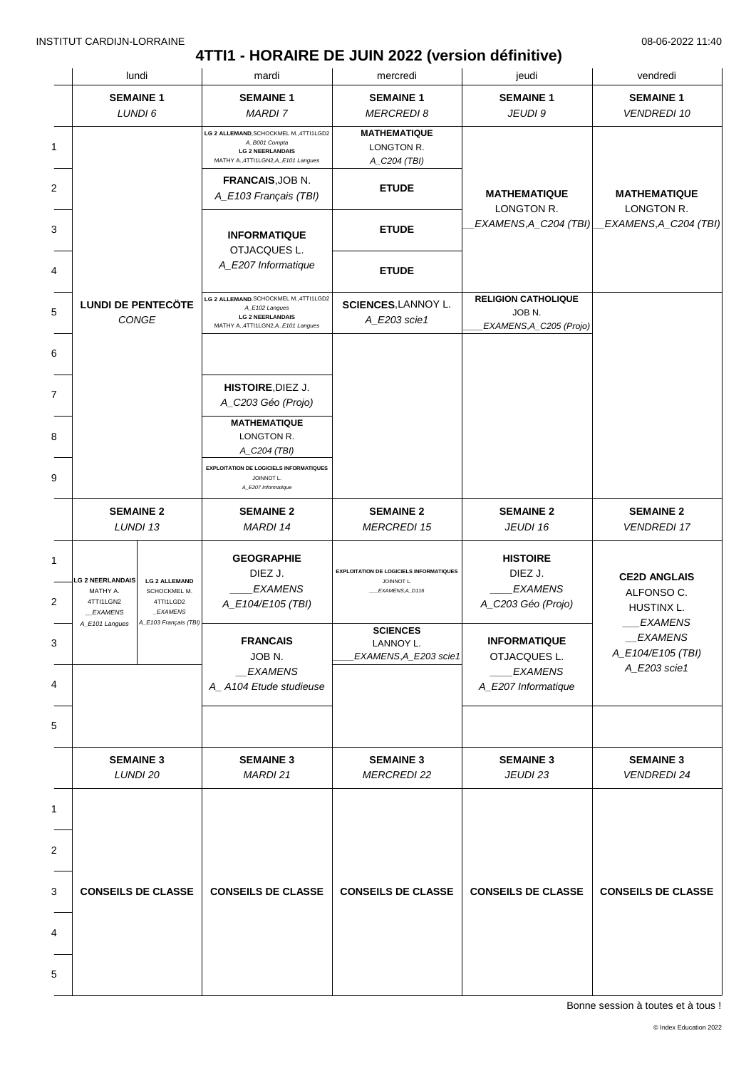# **4TTI1 - HORAIRE DE JUIN 2022 (version définitive)**

|  | lundi                                                              |                                                                                        | mardi                                                                                                                      | mercredi                                                                        | jeudi                                                              | vendredi                                                          |
|--|--------------------------------------------------------------------|----------------------------------------------------------------------------------------|----------------------------------------------------------------------------------------------------------------------------|---------------------------------------------------------------------------------|--------------------------------------------------------------------|-------------------------------------------------------------------|
|  | <b>SEMAINE 1</b>                                                   | LUNDI 6                                                                                | <b>SEMAINE 1</b><br><b>MARDI 7</b>                                                                                         | <b>SEMAINE 1</b><br><b>MERCREDI 8</b>                                           | <b>SEMAINE 1</b><br>JEUDI 9                                        | <b>SEMAINE 1</b><br><b>VENDREDI 10</b>                            |
|  |                                                                    |                                                                                        | LG 2 ALLEMAND, SCHOCKMEL M., 4TTI1LGD2<br>A_B001 Compta<br><b>LG 2 NEERLANDAIS</b><br>MATHY A.,4TTI1LGN2,A_E101 Langues    | <b>MATHEMATIQUE</b><br>LONGTON R.<br>A_C204 (TBI)                               |                                                                    |                                                                   |
|  |                                                                    |                                                                                        | FRANCAIS, JOB N.<br>A_E103 Français (TBI)                                                                                  | <b>ETUDE</b>                                                                    | <b>MATHEMATIQUE</b><br>LONGTON R.                                  | <b>MATHEMATIQUE</b><br>LONGTON R.                                 |
|  |                                                                    |                                                                                        | <b>INFORMATIQUE</b><br>OTJACQUES L.                                                                                        | <b>ETUDE</b>                                                                    | EXAMENS, A_C204 (TBI)                                              | EXAMENS, A_C204 (TBI)                                             |
|  |                                                                    |                                                                                        | A_E207 Informatique                                                                                                        | <b>ETUDE</b>                                                                    |                                                                    |                                                                   |
|  | <b>LUNDI DE PENTECÖTE</b>                                          | CONGE                                                                                  | LG 2 ALLEMAND, SCHOCKMEL M., 4TTI1LGD2<br>A_E102 Langues<br><b>LG 2 NEERLANDAIS</b><br>MATHY A., 4TTI1LGN2, A_E101 Langues | SCIENCES, LANNOY L.<br>A_E203 scie1                                             | <b>RELIGION CATHOLIQUE</b><br>JOB N.<br>EXAMENS, A_C205 (Projo)    |                                                                   |
|  |                                                                    |                                                                                        |                                                                                                                            |                                                                                 |                                                                    |                                                                   |
|  |                                                                    |                                                                                        | HISTOIRE, DIEZ J.<br>A_C203 Géo (Projo)                                                                                    |                                                                                 |                                                                    |                                                                   |
|  |                                                                    |                                                                                        | <b>MATHEMATIQUE</b><br>LONGTON R.<br>A_C204 (TBI)                                                                          |                                                                                 |                                                                    |                                                                   |
|  |                                                                    |                                                                                        | <b>EXPLOITATION DE LOGICIELS INFORMATIQUES</b><br>JOINNOT L.<br>A_E207 Informatique                                        |                                                                                 |                                                                    |                                                                   |
|  |                                                                    | <b>SEMAINE 2</b><br>LUNDI 13                                                           | <b>SEMAINE 2</b><br><b>MARDI 14</b>                                                                                        | <b>SEMAINE 2</b><br><b>MERCREDI 15</b>                                          | <b>SEMAINE 2</b><br>JEUDI 16                                       | <b>SEMAINE 2</b><br><b>VENDREDI 17</b>                            |
|  | <b>LG 2 NEERLANDAIS</b><br>MATHY A.<br>4TTI1LGN2<br><b>EXAMENS</b> | <b>LG 2 ALLEMAND</b><br>SCHOCKMEL M.<br>4TTI1LGD2<br>_EXAMENS<br>A_E103 Français (TBI) | <b>GEOGRAPHIE</b><br>DIEZ J.<br><b>EXAMENS</b><br>A_E104/E105 (TBI)                                                        | <b>EXPLOITATION DE LOGICIELS INFORMATIQUES</b><br>JOINNOT L.<br>EXAMENS, A_D116 | <b>HISTOIRE</b><br>DIEZ J.<br><b>EXAMENS</b><br>A_C203 Géo (Projo) | <b>CE2D ANGLAIS</b><br>ALFONSO C.<br>HUSTINX L.<br><b>EXAMENS</b> |
|  | A_E101 Langues                                                     |                                                                                        | <b>FRANCAIS</b><br>JOB <sub>N.</sub><br>_EXAMENS                                                                           | <b>SCIENCES</b><br>LANNOY L.<br>EXAMENS, A_E203 scie1                           | <b>INFORMATIQUE</b><br>OTJACQUES L.<br><b>EXAMENS</b>              | EXAMENS<br>A_E104/E105 (TBI)<br>A_E203 scie1                      |
|  |                                                                    |                                                                                        | A_A104 Etude studieuse                                                                                                     |                                                                                 | A_E207 Informatique                                                |                                                                   |
|  |                                                                    |                                                                                        |                                                                                                                            |                                                                                 |                                                                    |                                                                   |
|  |                                                                    | <b>SEMAINE 3</b><br>LUNDI 20                                                           | <b>SEMAINE 3</b><br>MARDI 21                                                                                               | <b>SEMAINE 3</b><br><b>MERCREDI 22</b>                                          | <b>SEMAINE 3</b><br>JEUDI 23                                       | <b>SEMAINE 3</b><br><b>VENDREDI 24</b>                            |
|  | <b>CONSEILS DE CLASSE</b>                                          |                                                                                        |                                                                                                                            |                                                                                 |                                                                    |                                                                   |
|  |                                                                    |                                                                                        |                                                                                                                            |                                                                                 |                                                                    |                                                                   |
|  |                                                                    |                                                                                        | <b>CONSEILS DE CLASSE</b>                                                                                                  | <b>CONSEILS DE CLASSE</b>                                                       | <b>CONSEILS DE CLASSE</b>                                          | <b>CONSEILS DE CLASSE</b>                                         |
|  |                                                                    |                                                                                        |                                                                                                                            |                                                                                 |                                                                    |                                                                   |
|  |                                                                    |                                                                                        |                                                                                                                            |                                                                                 |                                                                    |                                                                   |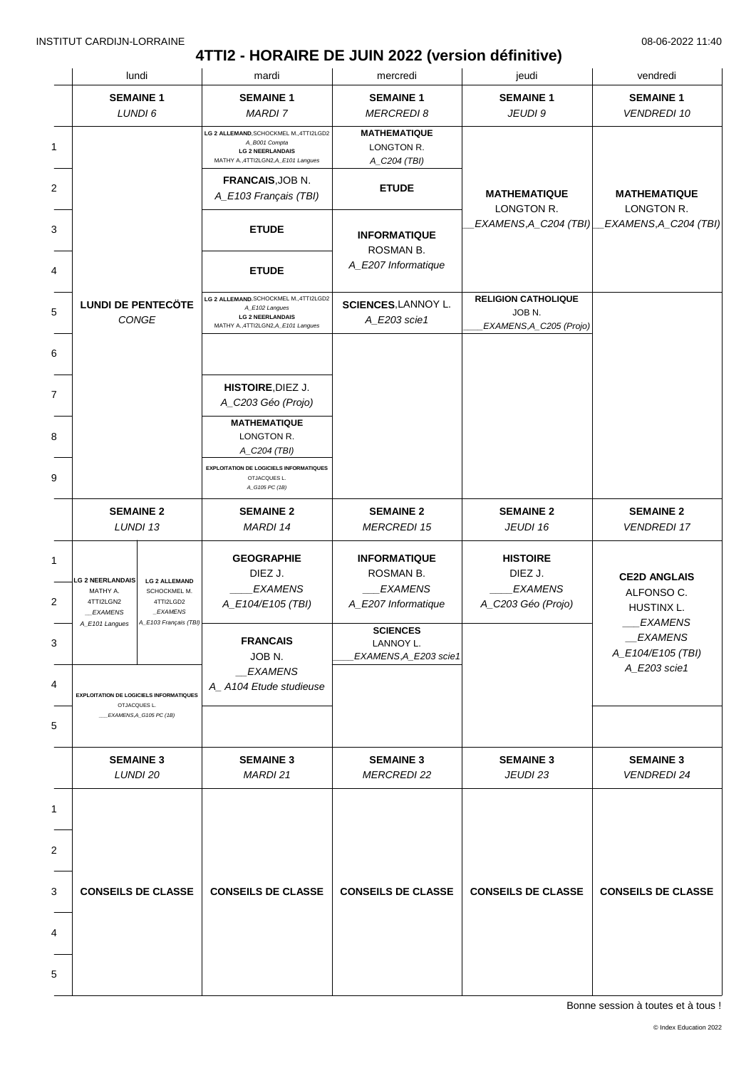### **4TTI2 - HORAIRE DE JUIN 2022 (version définitive)**

|  | lundi                                                                                     |                                                                                        | mardi                                                                                                                      | mercredi                                                                  | jeudi                                                                      | vendredi                                                          |
|--|-------------------------------------------------------------------------------------------|----------------------------------------------------------------------------------------|----------------------------------------------------------------------------------------------------------------------------|---------------------------------------------------------------------------|----------------------------------------------------------------------------|-------------------------------------------------------------------|
|  | <b>SEMAINE 1</b>                                                                          |                                                                                        | <b>SEMAINE 1</b>                                                                                                           | <b>SEMAINE 1</b>                                                          | <b>SEMAINE 1</b>                                                           | <b>SEMAINE 1</b>                                                  |
|  | LUNDI 6                                                                                   |                                                                                        | <b>MARDI 7</b>                                                                                                             | <b>MERCREDI 8</b>                                                         | JEUDI 9                                                                    | <b>VENDREDI 10</b>                                                |
|  |                                                                                           |                                                                                        | LG 2 ALLEMAND, SCHOCKMEL M., 4TTI2LGD2<br>A_B001 Compta<br><b>LG 2 NEERLANDAIS</b><br>MATHY A., 4TTI2LGN2, A_E101 Langues  | <b>MATHEMATIQUE</b><br>LONGTON R.<br>A_C204 (TBI)                         |                                                                            |                                                                   |
|  |                                                                                           |                                                                                        | FRANCAIS, JOB N.<br>A_E103 Français (TBI)                                                                                  | <b>ETUDE</b>                                                              | <b>MATHEMATIQUE</b><br>LONGTON R.                                          | <b>MATHEMATIQUE</b><br>LONGTON R.                                 |
|  |                                                                                           |                                                                                        | <b>ETUDE</b>                                                                                                               | <b>INFORMATIQUE</b><br>ROSMAN B.                                          | EXAMENS, A_C204 (TBI)                                                      | EXAMENS, A_C204 (TBI)                                             |
|  |                                                                                           |                                                                                        | <b>ETUDE</b>                                                                                                               | A_E207 Informatique                                                       |                                                                            |                                                                   |
|  | <b>LUNDI DE PENTECÖTE</b><br>CONGE                                                        |                                                                                        | LG 2 ALLEMAND, SCHOCKMEL M., 4TTI2LGD2<br>A_E102 Langues<br><b>LG 2 NEERLANDAIS</b><br>MATHY A., 4TTI2LGN2, A_E101 Langues | SCIENCES, LANNOY L.<br>A_E203 scie1                                       | <b>RELIGION CATHOLIQUE</b><br>JOB <sub>N.</sub><br>EXAMENS, A_C205 (Projo) |                                                                   |
|  |                                                                                           |                                                                                        |                                                                                                                            |                                                                           |                                                                            |                                                                   |
|  |                                                                                           |                                                                                        | HISTOIRE, DIEZ J.<br>A_C203 Géo (Projo)                                                                                    |                                                                           |                                                                            |                                                                   |
|  |                                                                                           |                                                                                        | <b>MATHEMATIQUE</b><br>LONGTON R.<br>A_C204 (TBI)                                                                          |                                                                           |                                                                            |                                                                   |
|  |                                                                                           |                                                                                        | <b>EXPLOITATION DE LOGICIELS INFORMATIQUES</b><br>OTJACQUES L.<br>A_G105 PC (1B)                                           |                                                                           |                                                                            |                                                                   |
|  | <b>SEMAINE 2</b><br>LUNDI 13                                                              |                                                                                        | <b>SEMAINE 2</b><br>MARDI 14                                                                                               | <b>SEMAINE 2</b><br><b>MERCREDI 15</b>                                    | <b>SEMAINE 2</b><br>JEUDI 16                                               | <b>SEMAINE 2</b><br><b>VENDREDI 17</b>                            |
|  | <b>LG 2 NEERLANDAIS</b><br>MATHY A.<br>4TTI2LGN2<br><b>EXAMENS</b><br>A_E101 Langues      | <b>LG 2 ALLEMAND</b><br>SCHOCKMEL M.<br>4TTI2LGD2<br>_EXAMENS<br>A_E103 Français (TBI) | <b>GEOGRAPHIE</b><br>DIEZ J.<br><b>EXAMENS</b><br>A_E104/E105 (TBI)                                                        | <b>INFORMATIQUE</b><br>ROSMAN B.<br><b>EXAMENS</b><br>A_E207 Informatique | <b>HISTOIRE</b><br>DIEZ J.<br><b>EXAMENS</b><br>A_C203 Géo (Projo)         | <b>CE2D ANGLAIS</b><br>ALFONSO C.<br>HUSTINX L.<br><b>EXAMENS</b> |
|  |                                                                                           |                                                                                        | <b>FRANCAIS</b><br>JOB <sub>N.</sub><br>_EXAMENS                                                                           | <b>SCIENCES</b><br>LANNOY L.<br>EXAMENS, A_E203 scie1                     |                                                                            | <i>EXAMENS</i><br>A_E104/E105 (TBI)<br>A_E203 scie1               |
|  | <b>EXPLOITATION DE LOGICIELS INFORMATIQUES</b><br>OTJACQUES L.<br>EXAMENS, A_G105 PC (1B) |                                                                                        | A_A104 Etude studieuse                                                                                                     |                                                                           |                                                                            |                                                                   |
|  | <b>SEMAINE 3</b><br>LUNDI 20                                                              |                                                                                        | <b>SEMAINE 3</b><br>MARDI 21                                                                                               | <b>SEMAINE 3</b><br><b>MERCREDI 22</b>                                    | <b>SEMAINE 3</b><br>JEUDI 23                                               | <b>SEMAINE 3</b><br><b>VENDREDI 24</b>                            |
|  | <b>CONSEILS DE CLASSE</b>                                                                 |                                                                                        |                                                                                                                            |                                                                           |                                                                            |                                                                   |
|  |                                                                                           |                                                                                        |                                                                                                                            |                                                                           |                                                                            |                                                                   |
|  |                                                                                           |                                                                                        | <b>CONSEILS DE CLASSE</b>                                                                                                  | <b>CONSEILS DE CLASSE</b>                                                 | <b>CONSEILS DE CLASSE</b>                                                  | <b>CONSEILS DE CLASSE</b>                                         |
|  |                                                                                           |                                                                                        |                                                                                                                            |                                                                           |                                                                            |                                                                   |
|  |                                                                                           |                                                                                        |                                                                                                                            |                                                                           |                                                                            |                                                                   |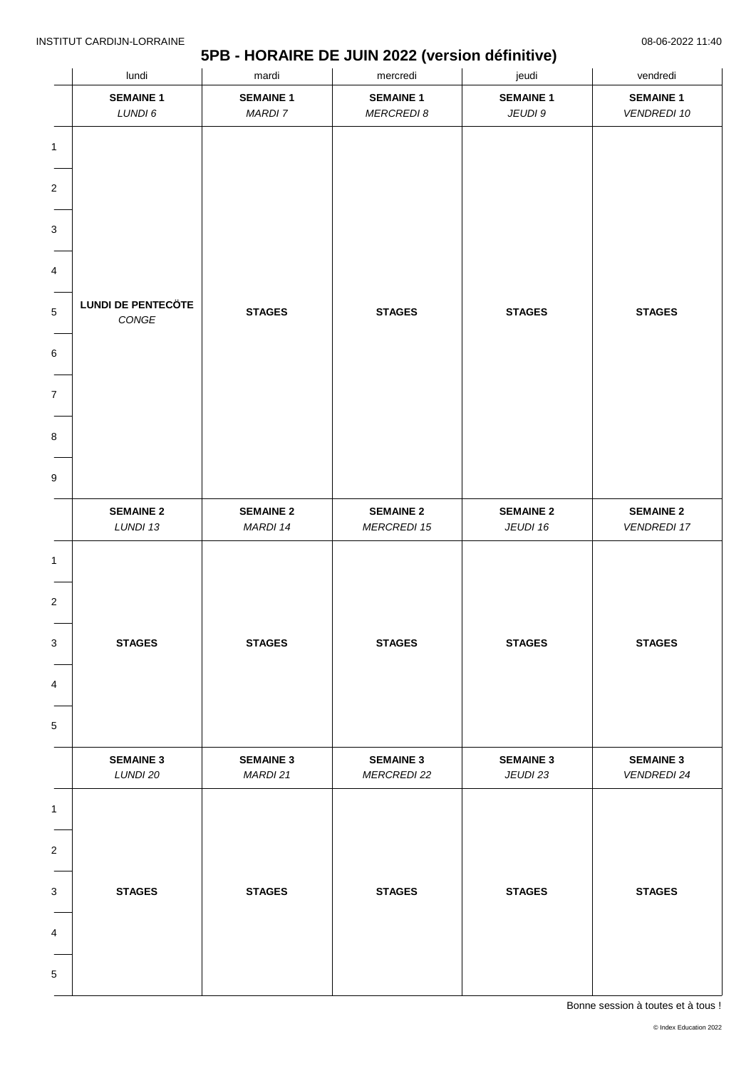### **5PB - HORAIRE DE JUIN 2022 (version définitive)**

|                         | lundi                     | mardi            | mercredi           | jeudi            | vendredi           |
|-------------------------|---------------------------|------------------|--------------------|------------------|--------------------|
|                         | <b>SEMAINE 1</b>          | <b>SEMAINE 1</b> | <b>SEMAINE 1</b>   | <b>SEMAINE 1</b> | <b>SEMAINE 1</b>   |
|                         | LUNDI 6                   | <b>MARDI 7</b>   | <b>MERCREDI 8</b>  | JEUDI 9          | <b>VENDREDI 10</b> |
| 1                       |                           |                  |                    |                  |                    |
|                         |                           |                  |                    |                  |                    |
| 2                       |                           |                  |                    |                  |                    |
|                         |                           |                  |                    |                  |                    |
| 3                       |                           |                  |                    |                  |                    |
|                         |                           |                  |                    |                  |                    |
| 4                       |                           |                  |                    |                  |                    |
| 5                       | <b>LUNDI DE PENTECÖTE</b> | <b>STAGES</b>    | <b>STAGES</b>      | <b>STAGES</b>    | <b>STAGES</b>      |
|                         | $\mathsf{CONGE}$          |                  |                    |                  |                    |
| 6                       |                           |                  |                    |                  |                    |
|                         |                           |                  |                    |                  |                    |
| 7                       |                           |                  |                    |                  |                    |
|                         |                           |                  |                    |                  |                    |
| 8                       |                           |                  |                    |                  |                    |
|                         |                           |                  |                    |                  |                    |
| 9                       |                           |                  |                    |                  |                    |
|                         | <b>SEMAINE 2</b>          | <b>SEMAINE 2</b> | <b>SEMAINE 2</b>   | <b>SEMAINE 2</b> | <b>SEMAINE 2</b>   |
|                         | LUNDI 13                  | MARDI 14         | <b>MERCREDI 15</b> | JEUDI 16         | <b>VENDREDI 17</b> |
| 1                       |                           |                  |                    |                  |                    |
|                         |                           |                  |                    |                  |                    |
| $\overline{\mathbf{c}}$ |                           |                  |                    |                  |                    |
|                         |                           |                  |                    |                  |                    |
| 3                       | <b>STAGES</b>             | <b>STAGES</b>    | <b>STAGES</b>      | <b>STAGES</b>    | <b>STAGES</b>      |
|                         |                           |                  |                    |                  |                    |
| 4                       |                           |                  |                    |                  |                    |
|                         |                           |                  |                    |                  |                    |
| 5                       |                           |                  |                    |                  |                    |
|                         | <b>SEMAINE 3</b>          | <b>SEMAINE 3</b> | <b>SEMAINE 3</b>   | <b>SEMAINE 3</b> | <b>SEMAINE 3</b>   |
|                         | LUNDI 20                  | MARDI 21         | <b>MERCREDI 22</b> | JEUDI 23         | <b>VENDREDI 24</b> |
| $\mathbf{1}$            |                           |                  |                    |                  |                    |
|                         |                           |                  |                    |                  |                    |
| 2                       |                           |                  |                    |                  |                    |
|                         |                           |                  |                    |                  |                    |
| 3                       | <b>STAGES</b>             | <b>STAGES</b>    | <b>STAGES</b>      | <b>STAGES</b>    | <b>STAGES</b>      |
|                         |                           |                  |                    |                  |                    |
| 4                       |                           |                  |                    |                  |                    |
|                         |                           |                  |                    |                  |                    |
| 5                       |                           |                  |                    |                  |                    |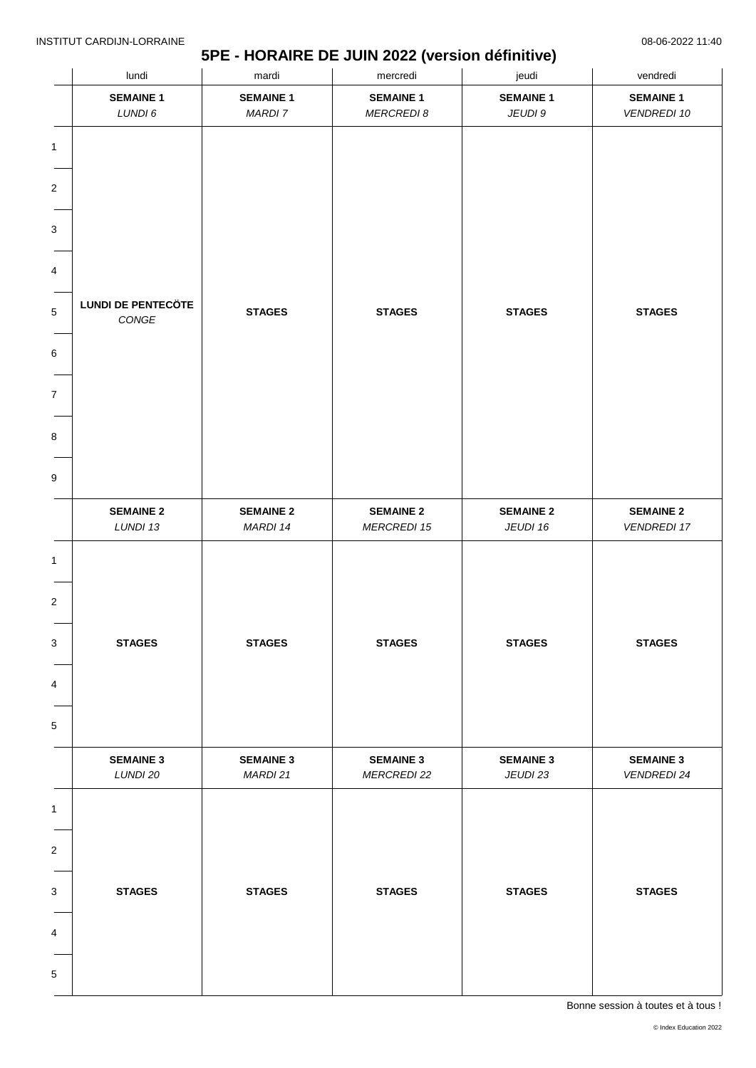### **5PE - HORAIRE DE JUIN 2022 (version définitive)**

|                       | lundi                              | mardi                        |                                        | jeudi                        | vendredi                               |  |
|-----------------------|------------------------------------|------------------------------|----------------------------------------|------------------------------|----------------------------------------|--|
|                       | <b>SEMAINE 1</b>                   | <b>SEMAINE 1</b>             | <b>SEMAINE 1</b>                       | <b>SEMAINE 1</b>             | <b>SEMAINE 1</b>                       |  |
|                       | LUNDI 6                            | <b>MARDI 7</b>               | <b>MERCREDI 8</b>                      | JEUDI 9                      | <b>VENDREDI 10</b>                     |  |
| 1<br>2<br>3           |                                    |                              |                                        |                              |                                        |  |
|                       |                                    |                              |                                        |                              |                                        |  |
| 4                     |                                    |                              |                                        |                              |                                        |  |
| 5                     | <b>LUNDI DE PENTECÖTE</b><br>CONGE | <b>STAGES</b>                | <b>STAGES</b>                          | <b>STAGES</b>                | <b>STAGES</b>                          |  |
| 6                     |                                    |                              |                                        |                              |                                        |  |
| 7                     |                                    |                              |                                        |                              |                                        |  |
| 8                     |                                    |                              |                                        |                              |                                        |  |
| 9                     |                                    |                              |                                        |                              |                                        |  |
|                       | <b>SEMAINE 2</b><br>LUNDI 13       | <b>SEMAINE 2</b><br>MARDI 14 | <b>SEMAINE 2</b><br><b>MERCREDI 15</b> | <b>SEMAINE 2</b><br>JEUDI 16 | <b>SEMAINE 2</b><br><b>VENDREDI 17</b> |  |
| 1<br>2<br>3<br>4<br>5 | <b>STAGES</b>                      | <b>STAGES</b>                | <b>STAGES</b>                          | <b>STAGES</b>                | <b>STAGES</b>                          |  |
|                       |                                    |                              |                                        |                              |                                        |  |
|                       | <b>SEMAINE 3</b><br>LUNDI 20       | <b>SEMAINE 3</b><br>MARDI 21 | <b>SEMAINE 3</b><br><b>MERCREDI 22</b> | <b>SEMAINE 3</b><br>JEUDI 23 | <b>SEMAINE 3</b><br><b>VENDREDI 24</b> |  |
| $\mathbf{1}$          |                                    |                              |                                        |                              |                                        |  |
| 2                     |                                    |                              |                                        |                              |                                        |  |
| 3                     | <b>STAGES</b>                      | <b>STAGES</b>                | <b>STAGES</b>                          | <b>STAGES</b>                | <b>STAGES</b>                          |  |
| 4                     |                                    |                              |                                        |                              |                                        |  |
|                       |                                    |                              |                                        |                              |                                        |  |
| 5                     |                                    |                              |                                        |                              |                                        |  |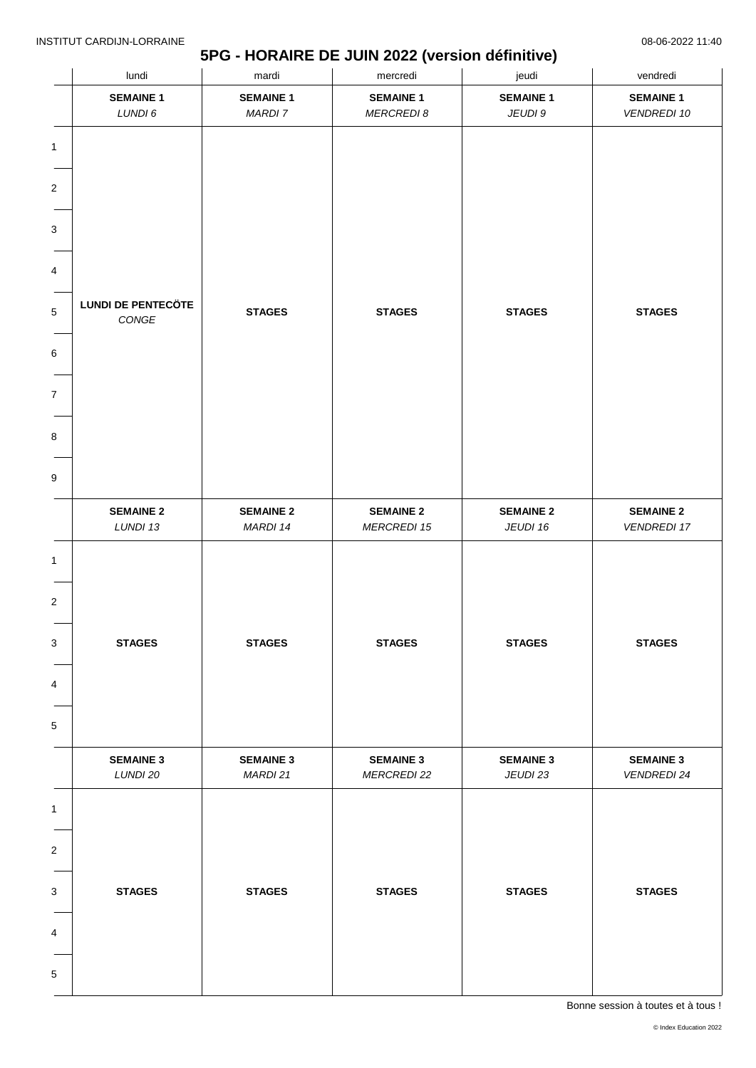### **5PG - HORAIRE DE JUIN 2022 (version définitive)**

| lundi                              | mardi                              |                                        | $\overline{\phantom{a}}$<br>jeudi | vendredi                               |  |
|------------------------------------|------------------------------------|----------------------------------------|-----------------------------------|----------------------------------------|--|
| <b>SEMAINE 1</b><br>LUNDI 6        | <b>SEMAINE 1</b><br><b>MARDI 7</b> | <b>SEMAINE 1</b><br><b>MERCREDI 8</b>  | <b>SEMAINE 1</b><br>JEUDI 9       | <b>SEMAINE 1</b><br><b>VENDREDI 10</b> |  |
|                                    |                                    |                                        |                                   |                                        |  |
|                                    |                                    |                                        |                                   |                                        |  |
|                                    |                                    |                                        |                                   |                                        |  |
|                                    |                                    |                                        |                                   |                                        |  |
|                                    |                                    |                                        |                                   |                                        |  |
|                                    |                                    |                                        |                                   |                                        |  |
| <b>LUNDI DE PENTECÖTE</b><br>CONGE | <b>STAGES</b>                      | <b>STAGES</b>                          | <b>STAGES</b>                     | <b>STAGES</b>                          |  |
|                                    |                                    |                                        |                                   |                                        |  |
|                                    |                                    |                                        |                                   |                                        |  |
|                                    |                                    |                                        |                                   |                                        |  |
|                                    |                                    |                                        |                                   |                                        |  |
|                                    |                                    |                                        |                                   |                                        |  |
| <b>SEMAINE 2</b><br>LUNDI 13       | <b>SEMAINE 2</b><br>MARDI 14       | <b>SEMAINE 2</b><br><b>MERCREDI 15</b> | <b>SEMAINE 2</b><br>JEUDI 16      | <b>SEMAINE 2</b><br><b>VENDREDI 17</b> |  |
|                                    |                                    |                                        |                                   |                                        |  |
|                                    |                                    |                                        |                                   |                                        |  |
|                                    |                                    |                                        |                                   |                                        |  |
| <b>STAGES</b>                      | <b>STAGES</b>                      | <b>STAGES</b>                          | <b>STAGES</b>                     | <b>STAGES</b>                          |  |
|                                    |                                    |                                        |                                   |                                        |  |
|                                    |                                    |                                        |                                   |                                        |  |
|                                    |                                    |                                        |                                   |                                        |  |
|                                    |                                    |                                        |                                   | <b>SEMAINE 3</b>                       |  |
| LUNDI 20                           | MARDI 21                           | <b>MERCREDI 22</b>                     | JEUDI 23                          | <b>VENDREDI 24</b>                     |  |
|                                    |                                    |                                        |                                   |                                        |  |
|                                    |                                    |                                        |                                   |                                        |  |
|                                    |                                    |                                        |                                   |                                        |  |
| <b>STAGES</b>                      | <b>STAGES</b>                      | <b>STAGES</b>                          | <b>STAGES</b>                     | <b>STAGES</b>                          |  |
|                                    |                                    |                                        |                                   |                                        |  |
|                                    |                                    |                                        |                                   |                                        |  |
|                                    |                                    |                                        |                                   |                                        |  |
|                                    | <b>SEMAINE 3</b>                   | <b>SEMAINE 3</b>                       | mercredi<br><b>SEMAINE 3</b>      | <b>SEMAINE 3</b>                       |  |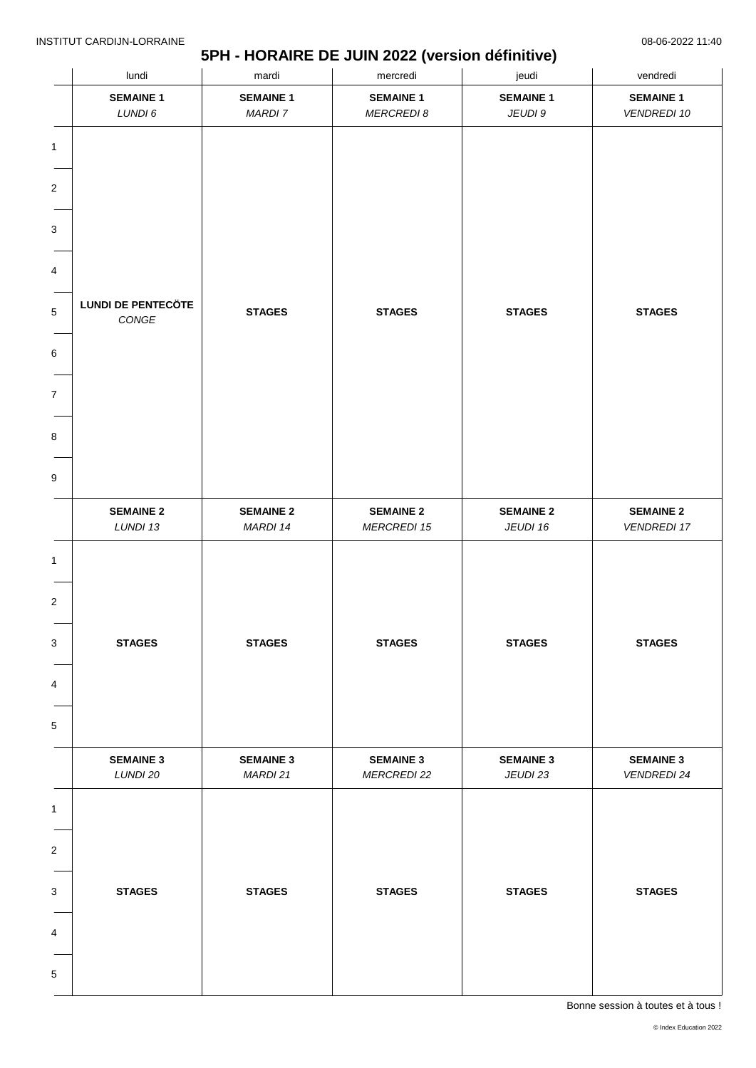### **5PH - HORAIRE DE JUIN 2022 (version définitive)**

|                         | lundi                     | mardi            | mercredi           | jeudi            | vendredi           |
|-------------------------|---------------------------|------------------|--------------------|------------------|--------------------|
|                         | <b>SEMAINE 1</b>          | <b>SEMAINE 1</b> | <b>SEMAINE 1</b>   | <b>SEMAINE 1</b> | <b>SEMAINE 1</b>   |
|                         | LUNDI 6                   | <b>MARDI 7</b>   | <b>MERCREDI 8</b>  | JEUDI 9          | <b>VENDREDI 10</b> |
| 1                       |                           |                  |                    |                  |                    |
|                         |                           |                  |                    |                  |                    |
| 2                       |                           |                  |                    |                  |                    |
|                         |                           |                  |                    |                  |                    |
| 3                       |                           |                  |                    |                  |                    |
|                         |                           |                  |                    |                  |                    |
| 4                       |                           |                  |                    |                  |                    |
| 5                       | <b>LUNDI DE PENTECÖTE</b> | <b>STAGES</b>    | <b>STAGES</b>      | <b>STAGES</b>    | <b>STAGES</b>      |
|                         | $\mathsf{CONGE}$          |                  |                    |                  |                    |
| 6                       |                           |                  |                    |                  |                    |
|                         |                           |                  |                    |                  |                    |
| 7                       |                           |                  |                    |                  |                    |
|                         |                           |                  |                    |                  |                    |
| 8                       |                           |                  |                    |                  |                    |
|                         |                           |                  |                    |                  |                    |
| 9                       |                           |                  |                    |                  |                    |
|                         | <b>SEMAINE 2</b>          | <b>SEMAINE 2</b> | <b>SEMAINE 2</b>   | <b>SEMAINE 2</b> | <b>SEMAINE 2</b>   |
|                         | LUNDI 13                  | MARDI 14         | <b>MERCREDI 15</b> | JEUDI 16         | <b>VENDREDI 17</b> |
| 1                       |                           |                  |                    |                  |                    |
|                         |                           |                  |                    |                  |                    |
| $\overline{\mathbf{c}}$ |                           |                  |                    |                  |                    |
|                         |                           |                  |                    |                  |                    |
| 3                       | <b>STAGES</b>             | <b>STAGES</b>    | <b>STAGES</b>      | <b>STAGES</b>    | <b>STAGES</b>      |
|                         |                           |                  |                    |                  |                    |
| 4                       |                           |                  |                    |                  |                    |
|                         |                           |                  |                    |                  |                    |
| 5                       |                           |                  |                    |                  |                    |
|                         | <b>SEMAINE 3</b>          | <b>SEMAINE 3</b> | <b>SEMAINE 3</b>   | <b>SEMAINE 3</b> | <b>SEMAINE 3</b>   |
|                         | LUNDI 20                  | MARDI 21         | <b>MERCREDI 22</b> | JEUDI 23         | <b>VENDREDI 24</b> |
| $\mathbf{1}$            |                           |                  |                    |                  |                    |
|                         |                           |                  |                    |                  |                    |
| 2                       |                           |                  |                    |                  |                    |
|                         |                           |                  |                    |                  |                    |
| 3                       | <b>STAGES</b>             | <b>STAGES</b>    | <b>STAGES</b>      | <b>STAGES</b>    | <b>STAGES</b>      |
|                         |                           |                  |                    |                  |                    |
| 4                       |                           |                  |                    |                  |                    |
|                         |                           |                  |                    |                  |                    |
| 5                       |                           |                  |                    |                  |                    |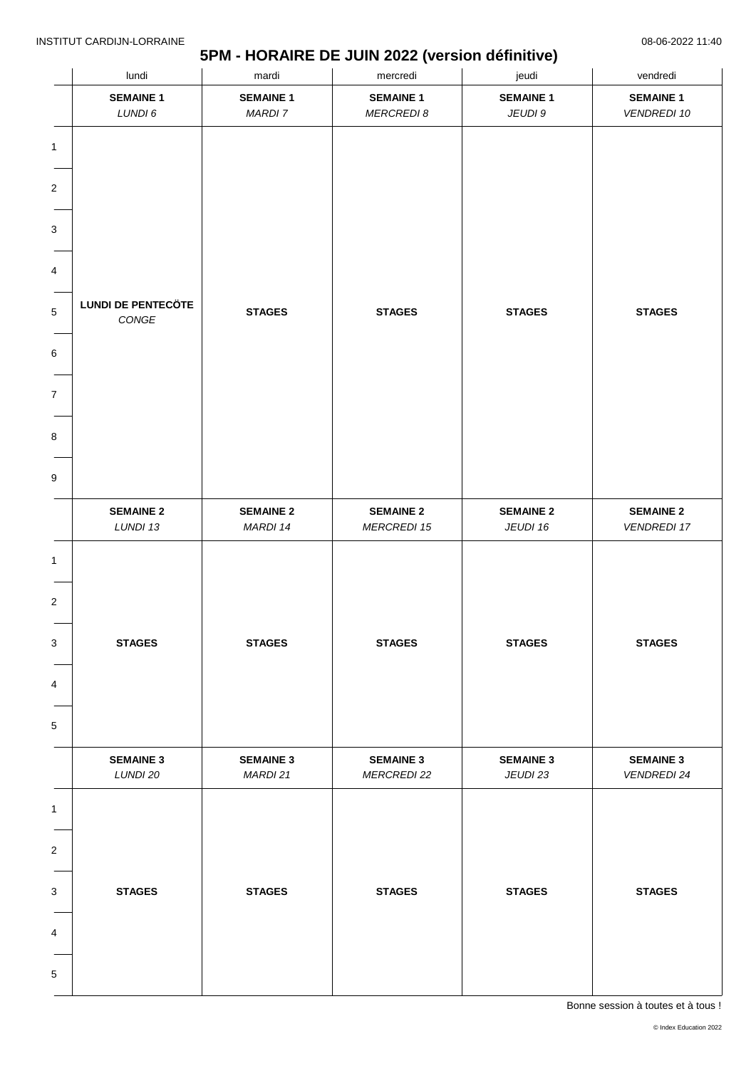### **5PM - HORAIRE DE JUIN 2022 (version définitive)**

|                              | lundi                                         | mardi                        |                                        | jeudi                        | vendredi                               |  |
|------------------------------|-----------------------------------------------|------------------------------|----------------------------------------|------------------------------|----------------------------------------|--|
|                              | <b>SEMAINE 1</b>                              | <b>SEMAINE 1</b>             | <b>SEMAINE 1</b>                       | <b>SEMAINE 1</b>             | <b>SEMAINE 1</b>                       |  |
|                              | LUNDI 6                                       | <b>MARDI 7</b>               | <b>MERCREDI 8</b>                      | JEUDI 9                      | <b>VENDREDI 10</b>                     |  |
| 1                            |                                               |                              |                                        |                              |                                        |  |
| 2                            |                                               |                              |                                        |                              |                                        |  |
| 3                            |                                               |                              |                                        |                              |                                        |  |
|                              |                                               |                              |                                        |                              |                                        |  |
| 4                            |                                               |                              |                                        |                              |                                        |  |
| 5                            | <b>LUNDI DE PENTECÖTE</b><br>$\mathit{CONGE}$ | <b>STAGES</b>                | <b>STAGES</b>                          | <b>STAGES</b>                | <b>STAGES</b>                          |  |
| 6                            |                                               |                              |                                        |                              |                                        |  |
| $\overline{7}$               |                                               |                              |                                        |                              |                                        |  |
|                              |                                               |                              |                                        |                              |                                        |  |
| 8                            |                                               |                              |                                        |                              |                                        |  |
| 9                            |                                               |                              |                                        |                              |                                        |  |
|                              |                                               |                              |                                        |                              |                                        |  |
|                              | <b>SEMAINE 2</b><br>LUNDI 13                  | <b>SEMAINE 2</b><br>MARDI 14 | <b>SEMAINE 2</b><br><b>MERCREDI 15</b> | <b>SEMAINE 2</b><br>JEUDI 16 | <b>SEMAINE 2</b><br><b>VENDREDI 17</b> |  |
| 1<br>$\overline{\mathbf{c}}$ |                                               |                              |                                        |                              |                                        |  |
| 3                            | <b>STAGES</b>                                 | <b>STAGES</b>                | <b>STAGES</b>                          | <b>STAGES</b>                | <b>STAGES</b>                          |  |
| 4                            |                                               |                              |                                        |                              |                                        |  |
|                              |                                               |                              |                                        |                              |                                        |  |
| 5                            |                                               |                              |                                        |                              |                                        |  |
|                              | <b>SEMAINE 3</b>                              | <b>SEMAINE 3</b>             | <b>SEMAINE 3</b>                       | <b>SEMAINE 3</b>             | <b>SEMAINE 3</b>                       |  |
|                              | LUNDI 20                                      | MARDI 21                     | <b>MERCREDI 22</b>                     | JEUDI 23                     | <b>VENDREDI 24</b>                     |  |
| $\mathbf{1}$                 |                                               |                              |                                        |                              |                                        |  |
|                              |                                               |                              |                                        |                              |                                        |  |
| 2                            |                                               |                              |                                        |                              |                                        |  |
| 3                            | <b>STAGES</b>                                 | <b>STAGES</b>                | <b>STAGES</b>                          | <b>STAGES</b>                | <b>STAGES</b>                          |  |
|                              |                                               |                              |                                        |                              |                                        |  |
| 4                            |                                               |                              |                                        |                              |                                        |  |
| 5                            |                                               |                              |                                        |                              |                                        |  |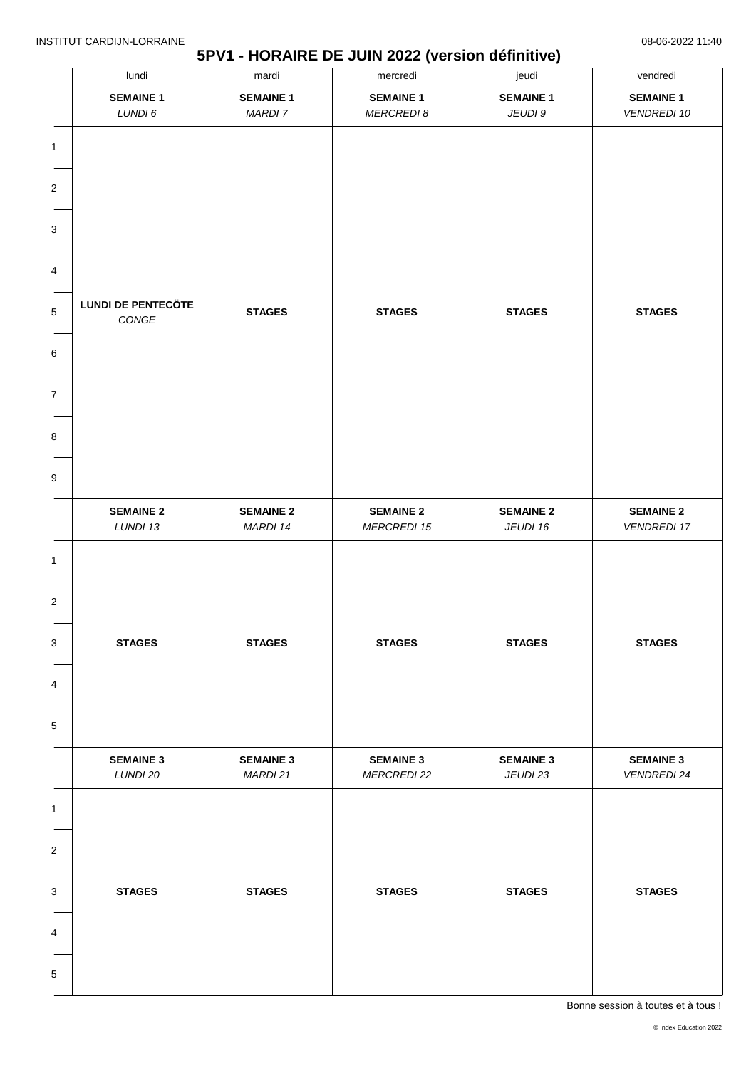### **5PV1 - HORAIRE DE JUIN 2022 (version définitive)**

|                                                       | lundi                              | mardi                        | mercredi                               | jeudi                        | vendredi                               |
|-------------------------------------------------------|------------------------------------|------------------------------|----------------------------------------|------------------------------|----------------------------------------|
|                                                       | <b>SEMAINE 1</b>                   | <b>SEMAINE 1</b>             | <b>SEMAINE 1</b>                       | <b>SEMAINE 1</b>             | <b>SEMAINE 1</b>                       |
|                                                       | LUNDI 6                            | <b>MARDI 7</b>               | <b>MERCREDI 8</b>                      | JEUDI 9                      | <b>VENDREDI 10</b>                     |
| $\mathbf{1}$<br>$\sqrt{2}$                            |                                    |                              |                                        |                              |                                        |
| 3                                                     |                                    |                              |                                        |                              |                                        |
| 4                                                     |                                    |                              |                                        |                              |                                        |
|                                                       |                                    |                              |                                        |                              |                                        |
| $\mathbf 5$                                           | <b>LUNDI DE PENTECÖTE</b><br>CONGE | <b>STAGES</b>                | <b>STAGES</b>                          | <b>STAGES</b>                | <b>STAGES</b>                          |
| 6                                                     |                                    |                              |                                        |                              |                                        |
| $\boldsymbol{7}$                                      |                                    |                              |                                        |                              |                                        |
| 8                                                     |                                    |                              |                                        |                              |                                        |
| 9                                                     |                                    |                              |                                        |                              |                                        |
|                                                       | <b>SEMAINE 2</b><br>LUNDI 13       | <b>SEMAINE 2</b><br>MARDI 14 | <b>SEMAINE 2</b><br><b>MERCREDI 15</b> | <b>SEMAINE 2</b><br>JEUDI 16 | <b>SEMAINE 2</b><br><b>VENDREDI 17</b> |
| 1<br>$\overline{\mathbf{c}}$<br>3<br>4<br>$\mathbf 5$ | <b>STAGES</b>                      | <b>STAGES</b>                | <b>STAGES</b>                          | <b>STAGES</b>                | <b>STAGES</b>                          |
|                                                       | <b>SEMAINE 3</b><br>LUNDI 20       | <b>SEMAINE 3</b><br>MARDI 21 | <b>SEMAINE 3</b><br><b>MERCREDI 22</b> | <b>SEMAINE 3</b><br>JEUDI 23 | <b>SEMAINE 3</b><br><b>VENDREDI 24</b> |
| $\mathbf 1$                                           |                                    |                              |                                        |                              |                                        |
| $\overline{\mathbf{c}}$                               |                                    |                              |                                        |                              |                                        |
| 3                                                     | <b>STAGES</b>                      | <b>STAGES</b>                | <b>STAGES</b>                          | <b>STAGES</b>                | <b>STAGES</b>                          |
| 4                                                     |                                    |                              |                                        |                              |                                        |
| 5                                                     |                                    |                              |                                        |                              |                                        |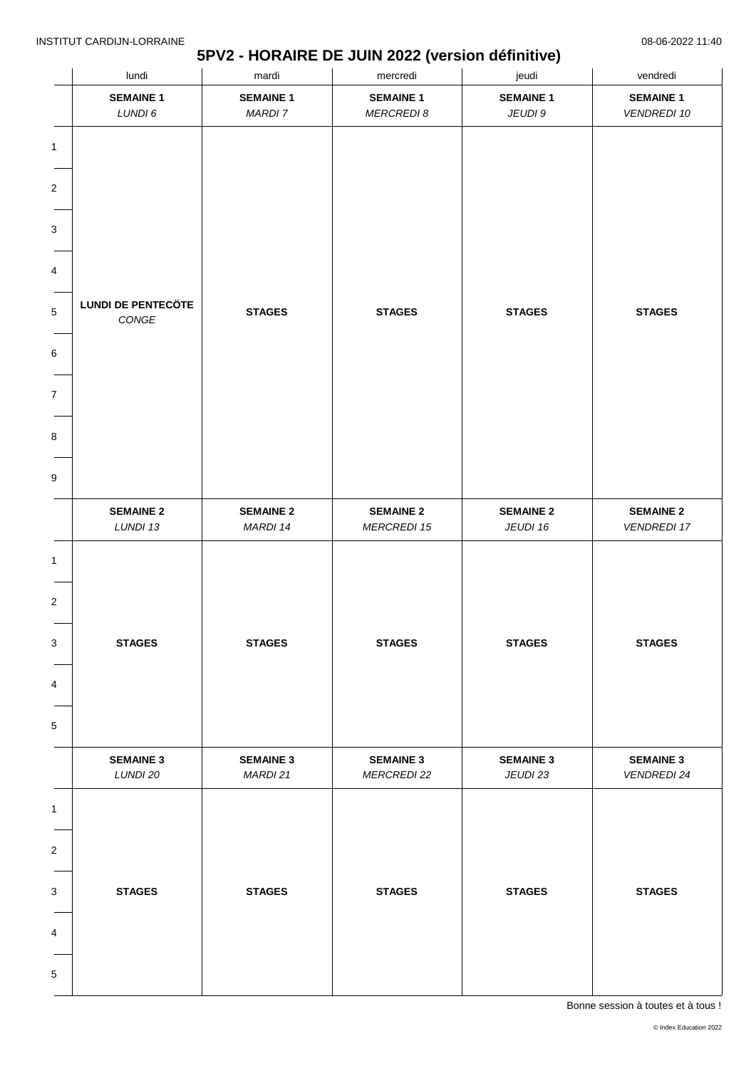### **5PV2 - HORAIRE DE JUIN 2022 (version définitive)**

|                                  | lundi                              | mardi                        | mercredi                               | jeudi                        | vendredi                               |
|----------------------------------|------------------------------------|------------------------------|----------------------------------------|------------------------------|----------------------------------------|
|                                  | <b>SEMAINE 1</b>                   | <b>SEMAINE 1</b>             | <b>SEMAINE 1</b>                       | <b>SEMAINE 1</b>             | <b>SEMAINE 1</b>                       |
|                                  | LUNDI 6                            | <b>MARDI 7</b>               | <b>MERCREDI 8</b>                      | JEUDI 9                      | <b>VENDREDI 10</b>                     |
| $\mathbf{1}$<br>$\boldsymbol{2}$ |                                    |                              |                                        |                              |                                        |
|                                  |                                    |                              |                                        |                              |                                        |
| 3                                |                                    |                              |                                        |                              |                                        |
|                                  |                                    |                              |                                        |                              |                                        |
| 4                                |                                    |                              |                                        |                              |                                        |
| 5                                | <b>LUNDI DE PENTECÖTE</b><br>CONGE | <b>STAGES</b>                | <b>STAGES</b>                          | <b>STAGES</b>                | <b>STAGES</b>                          |
| 6                                |                                    |                              |                                        |                              |                                        |
| $\overline{7}$                   |                                    |                              |                                        |                              |                                        |
|                                  |                                    |                              |                                        |                              |                                        |
| 8                                |                                    |                              |                                        |                              |                                        |
| 9                                |                                    |                              |                                        |                              |                                        |
|                                  | <b>SEMAINE 2</b><br>LUNDI 13       | <b>SEMAINE 2</b><br>MARDI 14 | <b>SEMAINE 2</b><br><b>MERCREDI 15</b> | <b>SEMAINE 2</b><br>JEUDI 16 | <b>SEMAINE 2</b><br><b>VENDREDI 17</b> |
| $\mathbf{1}$<br>$\boldsymbol{2}$ |                                    |                              |                                        |                              |                                        |
| 3                                | <b>STAGES</b>                      | <b>STAGES</b>                | <b>STAGES</b>                          | <b>STAGES</b>                | <b>STAGES</b>                          |
| 4                                |                                    |                              |                                        |                              |                                        |
| 5                                |                                    |                              |                                        |                              |                                        |
|                                  | <b>SEMAINE 3</b><br>LUNDI 20       | <b>SEMAINE 3</b><br>MARDI 21 | <b>SEMAINE 3</b><br><b>MERCREDI 22</b> | <b>SEMAINE 3</b><br>JEUDI 23 | <b>SEMAINE 3</b><br><b>VENDREDI 24</b> |
| $\mathbf{1}$                     |                                    |                              |                                        |                              |                                        |
|                                  |                                    |                              |                                        |                              |                                        |
| 2                                |                                    |                              |                                        |                              |                                        |
| 3                                | <b>STAGES</b>                      | <b>STAGES</b>                | <b>STAGES</b>                          | <b>STAGES</b>                | <b>STAGES</b>                          |
|                                  |                                    |                              |                                        |                              |                                        |
| 4                                |                                    |                              |                                        |                              |                                        |
|                                  |                                    |                              |                                        |                              |                                        |
| 5                                |                                    |                              |                                        |                              |                                        |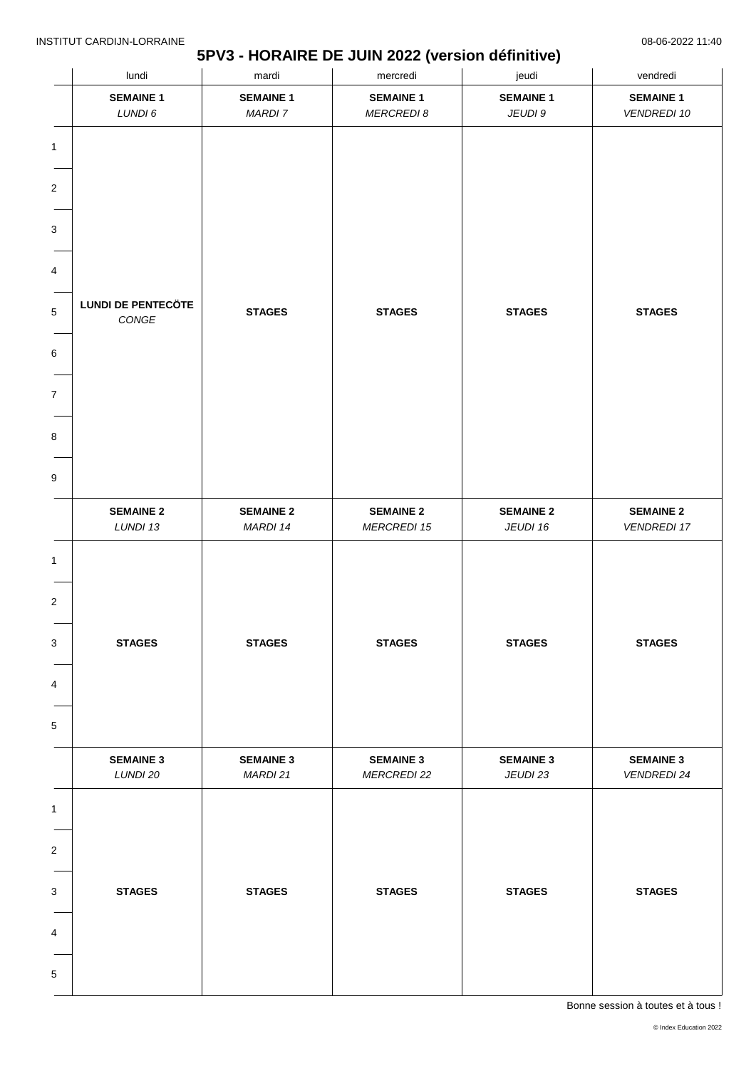### **5PV3 - HORAIRE DE JUIN 2022 (version définitive)**

|                                                          | lundi                                         | mardi                              | mercredi                               | jeudi                        | vendredi                               |  |
|----------------------------------------------------------|-----------------------------------------------|------------------------------------|----------------------------------------|------------------------------|----------------------------------------|--|
|                                                          | <b>SEMAINE 1</b><br>LUNDI 6                   | <b>SEMAINE 1</b><br><b>MARDI 7</b> | <b>SEMAINE 1</b><br><b>MERCREDI 8</b>  | <b>SEMAINE 1</b><br>JEUDI 9  | <b>SEMAINE 1</b><br><b>VENDREDI 10</b> |  |
| $\mathbf{1}$<br>$\sqrt{2}$<br>3<br>4<br>$\mathbf 5$<br>6 | <b>LUNDI DE PENTECÖTE</b><br>$\mathit{CONGE}$ | <b>STAGES</b>                      | <b>STAGES</b>                          | <b>STAGES</b>                | <b>STAGES</b>                          |  |
| $\boldsymbol{7}$<br>8<br>$\boldsymbol{9}$                |                                               |                                    |                                        |                              |                                        |  |
|                                                          | <b>SEMAINE 2</b><br>LUNDI 13                  | <b>SEMAINE 2</b><br>MARDI 14       | <b>SEMAINE 2</b><br><b>MERCREDI 15</b> | <b>SEMAINE 2</b><br>JEUDI 16 | <b>SEMAINE 2</b><br><b>VENDREDI 17</b> |  |
| $\mathbf{1}$<br>$\overline{\mathbf{c}}$<br>3<br>4<br>5   | <b>STAGES</b>                                 | <b>STAGES</b>                      | <b>STAGES</b>                          | <b>STAGES</b>                | <b>STAGES</b>                          |  |
|                                                          | <b>SEMAINE 3</b><br>LUNDI 20                  | <b>SEMAINE 3</b><br>MARDI 21       | <b>SEMAINE 3</b><br><b>MERCREDI 22</b> | <b>SEMAINE 3</b><br>JEUDI 23 | <b>SEMAINE 3</b><br><b>VENDREDI 24</b> |  |
| $\mathbf{1}$<br>$\boldsymbol{2}$<br>3<br>4<br>5          | <b>STAGES</b>                                 | <b>STAGES</b>                      | <b>STAGES</b>                          | <b>STAGES</b>                | <b>STAGES</b>                          |  |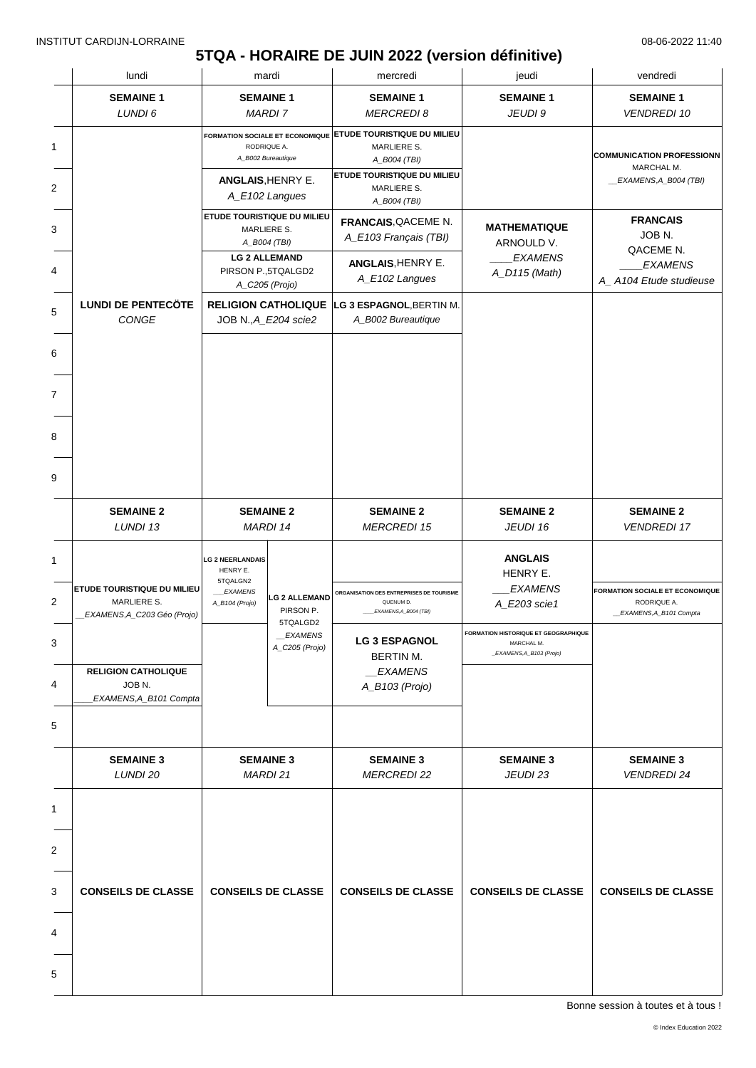# **5TQA - HORAIRE DE JUIN 2022 (version définitive)**

|   | lundi<br>mardi                                                            |                                                                   | mercredi                                                     | jeudi                                                        | vendredi                                                                       |                                                   |
|---|---------------------------------------------------------------------------|-------------------------------------------------------------------|--------------------------------------------------------------|--------------------------------------------------------------|--------------------------------------------------------------------------------|---------------------------------------------------|
|   | <b>SEMAINE 1</b><br><b>SEMAINE 1</b>                                      |                                                                   | <b>SEMAINE 1</b>                                             | <b>SEMAINE 1</b>                                             | <b>SEMAINE 1</b>                                                               |                                                   |
|   | LUNDI 6                                                                   |                                                                   | <b>MARDI7</b>                                                | <b>MERCREDI 8</b>                                            | JEUDI 9                                                                        | <b>VENDREDI 10</b>                                |
| 1 |                                                                           | RODRIQUE A.<br>A_B002 Bureautique                                 | FORMATION SOCIALE ET ECONOMIQUE                              | ETUDE TOURISTIQUE DU MILIEU<br>MARLIERE S.<br>A_B004 (TBI)   |                                                                                | <b>COMMUNICATION PROFESSIONN</b>                  |
|   |                                                                           | ANGLAIS, HENRY E.<br>A_E102 Langues                               |                                                              | ETUDE TOURISTIQUE DU MILIEU<br>MARLIERE S.                   |                                                                                | MARCHAL M.<br>_EXAMENS, A_B004 (TBI)              |
|   |                                                                           | ETUDE TOURISTIQUE DU MILIEU                                       |                                                              | A_B004 (TBI)                                                 |                                                                                |                                                   |
|   |                                                                           | MARLIERE S.                                                       | A_B004 (TBI)                                                 | FRANCAIS, QACEME N.<br>A_E103 Français (TBI)                 | <b>MATHEMATIQUE</b><br>ARNOULD V.                                              | <b>FRANCAIS</b><br>JOB <sub>N.</sub><br>QACEME N. |
|   |                                                                           |                                                                   | <b>LG 2 ALLEMAND</b><br>PIRSON P.,5TQALGD2<br>A_C205 (Projo) | ANGLAIS, HENRY E.<br>A_E102 Langues                          | <b>EXAMENS</b><br>A_D115 (Math)                                                | <b>EXAMENS</b><br>A_A104 Etude studieuse          |
|   | <b>LUNDI DE PENTECÖTE</b><br>CONGE                                        |                                                                   | <b>RELIGION CATHOLIQUE</b><br>JOB N., A_E204 scie2           | LG 3 ESPAGNOL, BERTIN M.<br>A_B002 Bureautique               |                                                                                |                                                   |
|   |                                                                           |                                                                   |                                                              |                                                              |                                                                                |                                                   |
|   |                                                                           |                                                                   |                                                              |                                                              |                                                                                |                                                   |
|   |                                                                           |                                                                   |                                                              |                                                              |                                                                                |                                                   |
|   |                                                                           |                                                                   |                                                              |                                                              |                                                                                |                                                   |
|   | <b>SEMAINE 2</b><br>LUNDI 13                                              | <b>SEMAINE 2</b><br><b>MARDI 14</b>                               |                                                              | <b>SEMAINE 2</b><br><b>MERCREDI 15</b>                       | <b>SEMAINE 2</b><br>JEUDI 16                                                   | <b>SEMAINE 2</b><br><b>VENDREDI 17</b>            |
|   | ETUDE TOURISTIQUE DU MILIEU                                               | <b>LG 2 NEERLANDAIS</b><br>HENRY E.<br>5TQALGN2<br><b>EXAMENS</b> | <b>LG 2 ALLEMAND</b>                                         | ORGANISATION DES ENTREPRISES DE TOURISME                     | <b>ANGLAIS</b><br>HENRY E.<br><b>EXAMENS</b>                                   | <b>FORMATION SOCIALE ET ECONOMIQUE</b>            |
|   | <b>MARLIERE S.</b><br>EXAMENS, A_C203 Géo (Projo)                         | A_B104 (Projo)                                                    | PIRSON P.<br>5TQALGD2                                        | QUENUM D.<br>EXAMENS, A_B004 (TBI)                           | A_E203 scie1                                                                   | RODRIQUE A.<br>_EXAMENS,A_B101 Compta             |
|   |                                                                           |                                                                   | <b>EXAMENS</b><br>A_C205 (Projo)                             | <b>LG 3 ESPAGNOL</b><br><b>BERTIN M.</b>                     | FORMATION HISTORIQUE ET GEOGRAPHIQUE<br>MARCHAL M.<br>_EXAMENS, A_B103 (Projo) |                                                   |
|   | <b>RELIGION CATHOLIQUE</b><br>JOB <sub>N.</sub><br>EXAMENS, A_B101 Compta |                                                                   |                                                              | <b>EXAMENS</b><br>$\overline{\phantom{a}}$<br>A_B103 (Projo) |                                                                                |                                                   |
|   |                                                                           |                                                                   |                                                              |                                                              |                                                                                |                                                   |
|   | <b>SEMAINE 3</b><br>LUNDI 20                                              | <b>SEMAINE 3</b><br>MARDI 21                                      |                                                              | <b>SEMAINE 3</b><br><b>MERCREDI 22</b>                       | <b>SEMAINE 3</b><br>JEUDI 23                                                   | <b>SEMAINE 3</b><br><b>VENDREDI 24</b>            |
|   |                                                                           |                                                                   |                                                              |                                                              |                                                                                |                                                   |
|   |                                                                           |                                                                   |                                                              |                                                              |                                                                                |                                                   |
|   | <b>CONSEILS DE CLASSE</b>                                                 | <b>CONSEILS DE CLASSE</b>                                         |                                                              | <b>CONSEILS DE CLASSE</b>                                    | <b>CONSEILS DE CLASSE</b>                                                      | <b>CONSEILS DE CLASSE</b>                         |
|   |                                                                           |                                                                   |                                                              |                                                              |                                                                                |                                                   |
|   |                                                                           |                                                                   |                                                              |                                                              |                                                                                |                                                   |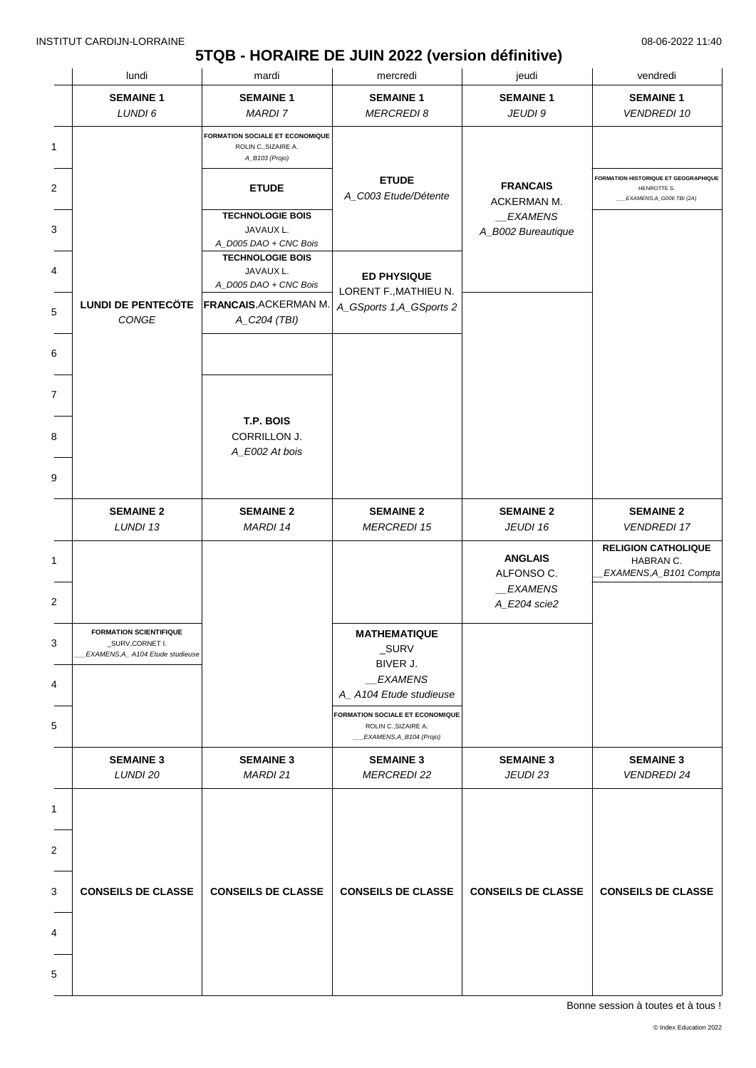# **5TQB - HORAIRE DE JUIN 2022 (version définitive)**

|                | lundi                                                                                | mardi                                                                     | mercredi                                                                                    | jeudi                                                   | vendredi                                                                        |
|----------------|--------------------------------------------------------------------------------------|---------------------------------------------------------------------------|---------------------------------------------------------------------------------------------|---------------------------------------------------------|---------------------------------------------------------------------------------|
|                | <b>SEMAINE 1</b><br>LUNDI 6                                                          | <b>SEMAINE 1</b><br><b>MARDI 7</b>                                        | <b>SEMAINE 1</b><br><b>MERCREDI 8</b>                                                       | <b>SEMAINE 1</b><br>JEUDI 9                             | <b>SEMAINE 1</b><br><b>VENDREDI 10</b>                                          |
| 1              |                                                                                      | FORMATION SOCIALE ET ECONOMIQUE<br>ROLIN C., SIZAIRE A.<br>A_B103 (Projo) |                                                                                             |                                                         |                                                                                 |
| $\overline{2}$ |                                                                                      | <b>ETUDE</b>                                                              | <b>ETUDE</b><br>A_C003 Etude/Détente                                                        | <b>FRANCAIS</b><br>ACKERMAN M.                          | FORMATION HISTORIQUE ET GEOGRAPHIQUE<br>HENROTTE S.<br>EXAMENS, A_G006 TBI (2A) |
| 3              |                                                                                      | <b>TECHNOLOGIE BOIS</b><br>JAVAUX L.<br>A_D005 DAO + CNC Bois             |                                                                                             | _EXAMENS<br>A_B002 Bureautique                          |                                                                                 |
| 4              |                                                                                      | <b>TECHNOLOGIE BOIS</b><br>JAVAUX L.<br>A_D005 DAO + CNC Bois             | <b>ED PHYSIQUE</b><br>LORENT F., MATHIEU N.                                                 |                                                         |                                                                                 |
| $\mathbf 5$    | <b>LUNDI DE PENTECÖTE</b><br>CONGE                                                   | <b>FRANCAIS, ACKERMAN M.</b><br>A_C204 (TBI)                              | A_GSports 1,A_GSports 2                                                                     |                                                         |                                                                                 |
| 6              |                                                                                      |                                                                           |                                                                                             |                                                         |                                                                                 |
| $\overline{7}$ |                                                                                      |                                                                           |                                                                                             |                                                         |                                                                                 |
| 8              |                                                                                      | T.P. BOIS<br>CORRILLON J.<br>A_E002 At bois                               |                                                                                             |                                                         |                                                                                 |
| 9              |                                                                                      |                                                                           |                                                                                             |                                                         |                                                                                 |
|                | <b>SEMAINE 2</b><br>LUNDI 13                                                         | <b>SEMAINE 2</b><br>MARDI 14                                              | <b>SEMAINE 2</b><br><b>MERCREDI 15</b>                                                      | <b>SEMAINE 2</b><br>JEUDI 16                            | <b>SEMAINE 2</b><br><b>VENDREDI 17</b>                                          |
|                |                                                                                      |                                                                           |                                                                                             | <b>ANGLAIS</b><br>ALFONSO C.<br>EXAMENS<br>A_E204 scie2 | <b>RELIGION CATHOLIQUE</b><br>HABRAN C.<br>EXAMENS, A_B101 Compta               |
|                | <b>FORMATION SCIENTIFIQUE</b><br>_SURV,CORNET I.<br>EXAMENS, A_ A104 Etude studieuse |                                                                           | <b>MATHEMATIQUE</b><br>_SURV                                                                |                                                         |                                                                                 |
|                |                                                                                      |                                                                           | BIVER J.<br><b>EXAMENS</b><br>A_A104 Etude studieuse                                        |                                                         |                                                                                 |
|                |                                                                                      |                                                                           | <b>FORMATION SOCIALE ET ECONOMIQUE</b><br>ROLIN C., SIZAIRE A.<br>__EXAMENS, A_B104 (Projo) |                                                         |                                                                                 |
|                | <b>SEMAINE 3</b><br>LUNDI 20                                                         | <b>SEMAINE 3</b><br>MARDI 21                                              | <b>SEMAINE 3</b><br><b>MERCREDI 22</b>                                                      | <b>SEMAINE 3</b><br>JEUDI 23                            | <b>SEMAINE 3</b><br><b>VENDREDI 24</b>                                          |
|                |                                                                                      |                                                                           |                                                                                             |                                                         |                                                                                 |
|                |                                                                                      |                                                                           |                                                                                             |                                                         |                                                                                 |
|                | <b>CONSEILS DE CLASSE</b>                                                            | <b>CONSEILS DE CLASSE</b>                                                 | <b>CONSEILS DE CLASSE</b>                                                                   | <b>CONSEILS DE CLASSE</b>                               | <b>CONSEILS DE CLASSE</b>                                                       |
|                |                                                                                      |                                                                           |                                                                                             |                                                         |                                                                                 |
| 5              |                                                                                      |                                                                           |                                                                                             |                                                         |                                                                                 |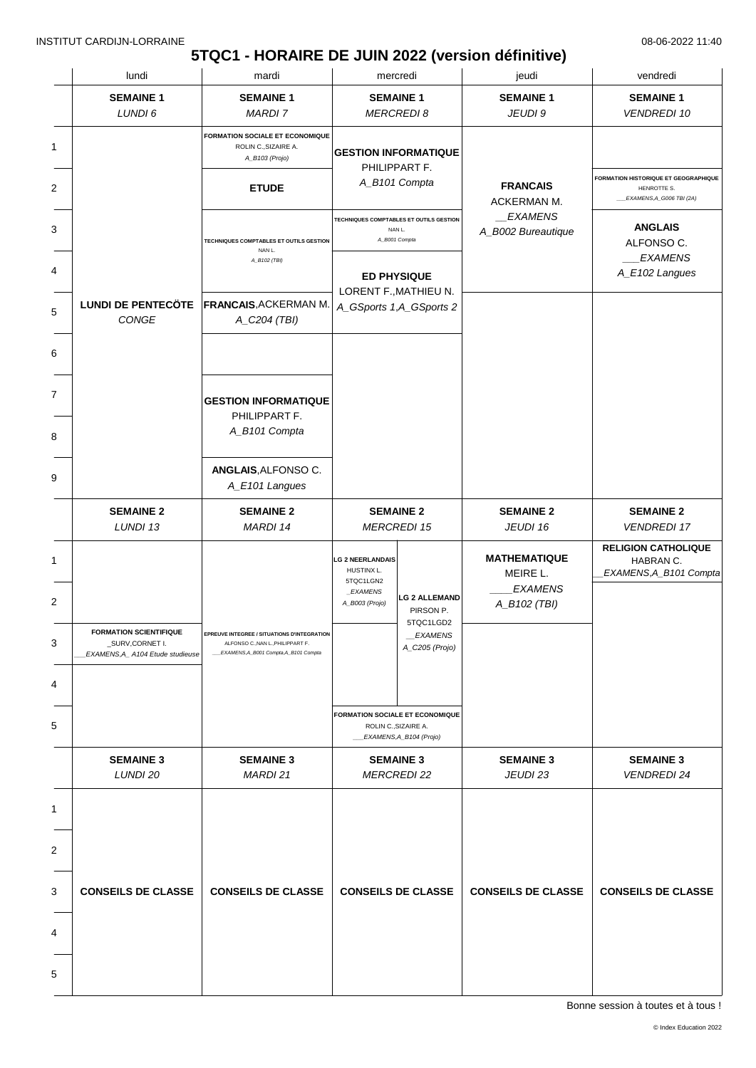### **5TQC1 - HORAIRE DE JUIN 2022 (version définitive)**

| lundi<br>mardi<br>mercredi                                                           |                                                                                                                           | jeudi                                                                                    | vendredi                                                                           |                                                                   |                                                                                 |
|--------------------------------------------------------------------------------------|---------------------------------------------------------------------------------------------------------------------------|------------------------------------------------------------------------------------------|------------------------------------------------------------------------------------|-------------------------------------------------------------------|---------------------------------------------------------------------------------|
| <b>SEMAINE 1</b><br>LUNDI 6                                                          | <b>SEMAINE 1</b><br><b>MARDI 7</b>                                                                                        | <b>SEMAINE 1</b>                                                                         | <b>MERCREDI 8</b>                                                                  | <b>SEMAINE 1</b><br>JEUDI 9                                       | <b>SEMAINE 1</b><br><b>VENDREDI 10</b>                                          |
|                                                                                      | <b>FORMATION SOCIALE ET ECONOMIQUE</b><br>ROLIN C., SIZAIRE A.<br>A_B103 (Projo)<br><b>ETUDE</b>                          | <b>GESTION INFORMATIQUE</b>                                                              | PHILIPPART F.<br>A_B101 Compta                                                     | <b>FRANCAIS</b>                                                   | FORMATION HISTORIQUE ET GEOGRAPHIQUE<br>HENROTTE S.<br>EXAMENS, A_G006 TBI (2A) |
|                                                                                      | TECHNIQUES COMPTABLES ET OUTILS GESTION<br>NAN L.<br>A_B102 (TBI)                                                         | TECHNIQUES COMPTABLES ET OUTILS GESTION<br>NAN L.<br>A_B001 Compta<br><b>ED PHYSIQUE</b> |                                                                                    | ACKERMAN M.<br>EXAMENS<br>A_B002 Bureautique                      | <b>ANGLAIS</b><br>ALFONSO C.<br><b>EXAMENS</b><br>A_E102 Langues                |
| CONGE                                                                                | LUNDI DE PENTECÔTE FRANCAIS, ACKERMAN M.<br>A_C204 (TBI)                                                                  | LORENT F., MATHIEU N.<br>A_GSports 1,A_GSports 2                                         |                                                                                    |                                                                   |                                                                                 |
|                                                                                      | <b>GESTION INFORMATIQUE</b><br>PHILIPPART F.<br>A_B101 Compta                                                             |                                                                                          |                                                                                    |                                                                   |                                                                                 |
|                                                                                      | ANGLAIS, ALFONSO C.<br>A_E101 Langues                                                                                     |                                                                                          |                                                                                    |                                                                   |                                                                                 |
| <b>SEMAINE 2</b><br>LUNDI 13                                                         | <b>SEMAINE 2</b><br>MARDI 14                                                                                              |                                                                                          | <b>SEMAINE 2</b><br><b>MERCREDI 15</b>                                             | <b>SEMAINE 2</b><br>JEUDI 16                                      | <b>SEMAINE 2</b><br><b>VENDREDI 17</b>                                          |
| <b>FORMATION SCIENTIFIQUE</b><br>_SURV,CORNET I.<br>EXAMENS, A_ A104 Etude studieuse | EPREUVE INTEGREE / SITUATIONS D'INTEGRATION<br>ALFONSO C., NAN L., PHILIPPART F.<br>EXAMENS, A_B001 Compta, A_B101 Compta | <b>LG 2 NEERLANDAIS</b><br>HUSTINX L.<br>5TQC1LGN2<br><b>EXAMENS</b><br>A_B003 (Projo)   | <b>LG 2 ALLEMAND</b><br>PIRSON P.<br>5TQC1LGD2<br><b>EXAMENS</b><br>A_C205 (Projo) | <b>MATHEMATIQUE</b><br>MEIRE L.<br><b>EXAMENS</b><br>A_B102 (TBI) | <b>RELIGION CATHOLIQUE</b><br>HABRAN C.<br>EXAMENS, A_B101 Compta               |
|                                                                                      |                                                                                                                           | <b>FORMATION SOCIALE ET ECONOMIQUE</b>                                                   |                                                                                    |                                                                   |                                                                                 |
|                                                                                      |                                                                                                                           |                                                                                          | ROLIN C., SIZAIRE A.<br>_EXAMENS, A_B104 (Projo)                                   |                                                                   |                                                                                 |
| <b>SEMAINE 3</b><br>LUNDI 20                                                         | <b>SEMAINE 3</b><br>MARDI 21                                                                                              |                                                                                          | <b>SEMAINE 3</b><br><b>MERCREDI 22</b>                                             | <b>SEMAINE 3</b><br>JEUDI 23                                      | <b>SEMAINE 3</b><br><b>VENDREDI 24</b>                                          |
|                                                                                      |                                                                                                                           |                                                                                          |                                                                                    |                                                                   |                                                                                 |
| <b>CONSEILS DE CLASSE</b>                                                            | <b>CONSEILS DE CLASSE</b>                                                                                                 |                                                                                          | <b>CONSEILS DE CLASSE</b>                                                          | <b>CONSEILS DE CLASSE</b>                                         | <b>CONSEILS DE CLASSE</b>                                                       |
|                                                                                      |                                                                                                                           |                                                                                          |                                                                                    |                                                                   |                                                                                 |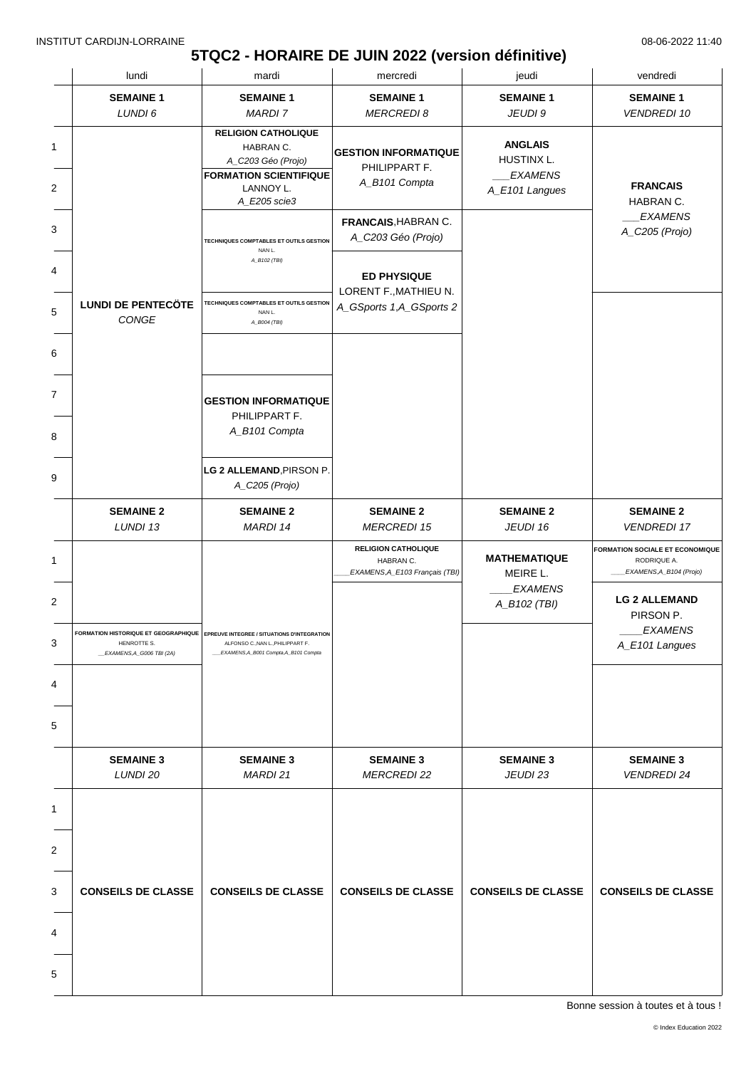## **5TQC2 - HORAIRE DE JUIN 2022 (version définitive)**

|                       | lundi                                    | mardi<br>jeudi<br>mercredi                                                                                                                                            |                                                                                                                     |                                                                   | vendredi                                                                                                                                           |
|-----------------------|------------------------------------------|-----------------------------------------------------------------------------------------------------------------------------------------------------------------------|---------------------------------------------------------------------------------------------------------------------|-------------------------------------------------------------------|----------------------------------------------------------------------------------------------------------------------------------------------------|
|                       | <b>SEMAINE 1</b>                         | <b>SEMAINE 1</b>                                                                                                                                                      | <b>SEMAINE 1</b>                                                                                                    | <b>SEMAINE 1</b>                                                  | <b>SEMAINE 1</b>                                                                                                                                   |
|                       | LUNDI 6                                  | <b>MARDI 7</b>                                                                                                                                                        | <b>MERCREDI 8</b>                                                                                                   | JEUDI 9                                                           | <b>VENDREDI 10</b>                                                                                                                                 |
| 1<br>2                |                                          | <b>RELIGION CATHOLIQUE</b><br>HABRAN C.<br>A_C203 Géo (Projo)<br><b>FORMATION SCIENTIFIQUE</b><br>LANNOY L.<br>A_E205 scie3                                           | <b>GESTION INFORMATIQUE</b><br>PHILIPPART F.<br>A_B101 Compta                                                       | <b>ANGLAIS</b><br>HUSTINX L.<br><b>EXAMENS</b><br>A_E101 Langues  | <b>FRANCAIS</b><br>HABRAN C.                                                                                                                       |
| 3<br>4<br>5           | <b>LUNDI DE PENTECÖTE</b><br>CONGE       | TECHNIQUES COMPTABLES ET OUTILS GESTION<br>NAN L.<br>A_B102 (TBI)<br><b>TECHNIQUES COMPTABLES ET OUTILS GESTION</b><br>NAN L.<br>A_B004 (TBI)                         | FRANCAIS, HABRAN C.<br>A_C203 Géo (Projo)<br><b>ED PHYSIQUE</b><br>LORENT F., MATHIEU N.<br>A_GSports 1,A_GSports 2 |                                                                   | <b>EXAMENS</b><br>A_C205 (Projo)                                                                                                                   |
| 6<br>7<br>8<br>9      |                                          | <b>GESTION INFORMATIQUE</b><br>PHILIPPART F.<br>A_B101 Compta<br>LG 2 ALLEMAND, PIRSON P.<br>A_C205 (Projo)                                                           |                                                                                                                     |                                                                   |                                                                                                                                                    |
|                       | <b>SEMAINE 2</b><br>LUNDI 13             | <b>SEMAINE 2</b><br>MARDI 14                                                                                                                                          | <b>SEMAINE 2</b><br><b>MERCREDI 15</b>                                                                              | <b>SEMAINE 2</b><br>JEUDI 16                                      | <b>SEMAINE 2</b><br><b>VENDREDI 17</b>                                                                                                             |
| 1<br>2<br>3<br>4<br>5 | HENROTTE S.<br>_EXAMENS, A_G006 TBI (2A) | <b>EOPMATION HISTORIOUE ET GEOGRAPHIOUE EDDEUVE INTEGREE / SITUATIONS D'INTEGRATION</b><br>ALFONSO C., NAN L., PHILIPPART F.<br>EXAMENS, A_B001 Compta, A_B101 Compta | <b>RELIGION CATHOLIQUE</b><br>HABRAN C.<br>EXAMENS, A_E103 Français (TBI)                                           | <b>MATHEMATIQUE</b><br>MEIRE L.<br><b>EXAMENS</b><br>A_B102 (TBI) | FORMATION SOCIALE ET ECONOMIQUE<br>RODRIQUE A.<br>EXAMENS, A_B104 (Projo)<br><b>LG 2 ALLEMAND</b><br>PIRSON P.<br><b>EXAMENS</b><br>A_E101 Langues |
|                       | <b>SEMAINE 3</b>                         | <b>SEMAINE 3</b>                                                                                                                                                      | <b>SEMAINE 3</b>                                                                                                    | <b>SEMAINE 3</b>                                                  | <b>SEMAINE 3</b>                                                                                                                                   |
| 1                     | LUNDI 20                                 | MARDI 21                                                                                                                                                              | <b>MERCREDI 22</b>                                                                                                  | JEUDI 23                                                          | <b>VENDREDI 24</b>                                                                                                                                 |
|                       | <b>CONSEILS DE CLASSE</b>                | <b>CONSEILS DE CLASSE</b>                                                                                                                                             | <b>CONSEILS DE CLASSE</b>                                                                                           | <b>CONSEILS DE CLASSE</b>                                         | <b>CONSEILS DE CLASSE</b>                                                                                                                          |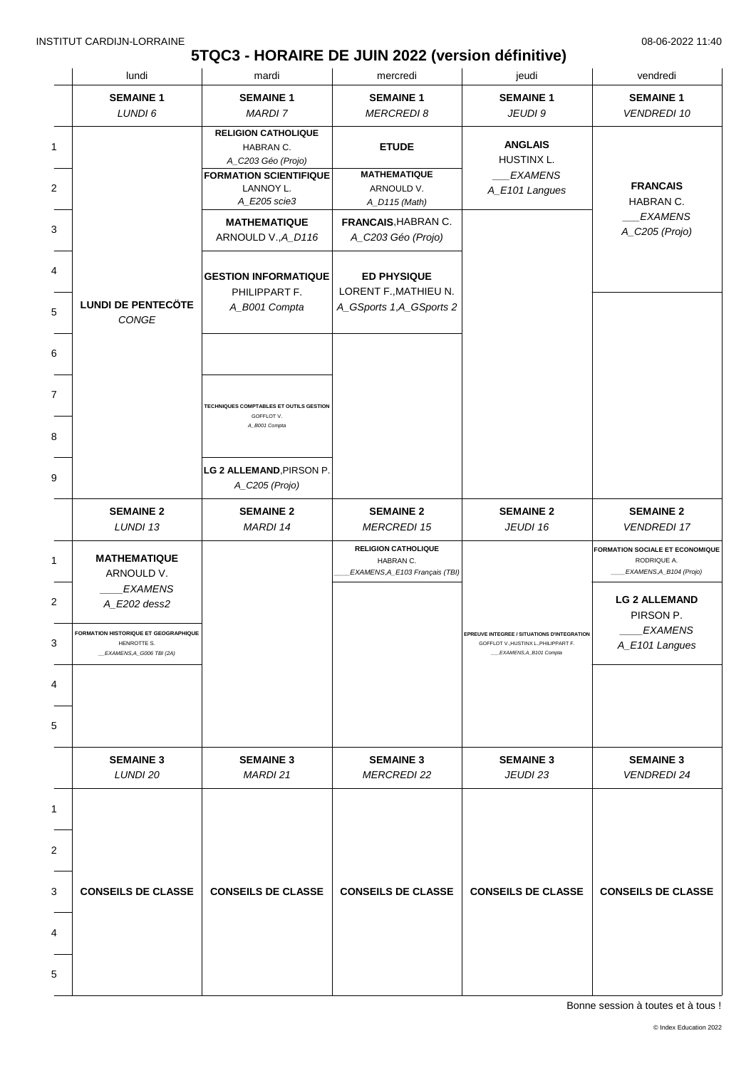## **5TQC3 - HORAIRE DE JUIN 2022 (version définitive)**

|                | lundi                                                                                  | mardi                                                                  | mercredi                                                                  | jeudi                                                                                                                 | vendredi                                                                         |
|----------------|----------------------------------------------------------------------------------------|------------------------------------------------------------------------|---------------------------------------------------------------------------|-----------------------------------------------------------------------------------------------------------------------|----------------------------------------------------------------------------------|
|                | <b>SEMAINE 1</b><br>LUNDI 6                                                            | <b>SEMAINE 1</b><br><b>MARDI 7</b>                                     | <b>SEMAINE 1</b><br><b>MERCREDI 8</b>                                     | <b>SEMAINE 1</b><br>JEUDI 9                                                                                           | <b>SEMAINE 1</b><br><b>VENDREDI 10</b>                                           |
| 1              |                                                                                        | <b>RELIGION CATHOLIQUE</b><br>HABRAN C.<br>A_C203 Géo (Projo)          | <b>ETUDE</b>                                                              | <b>ANGLAIS</b><br>HUSTINX L.                                                                                          |                                                                                  |
| $\overline{2}$ |                                                                                        | <b>FORMATION SCIENTIFIQUE</b><br>LANNOY L.<br>A_E205 scie3             | <b>MATHEMATIQUE</b><br>ARNOULD V.<br>A_D115 (Math)                        | <b>EXAMENS</b><br>A_E101 Langues                                                                                      | <b>FRANCAIS</b><br>HABRAN C.                                                     |
| 3              |                                                                                        | <b>MATHEMATIQUE</b><br>ARNOULD V., A_D116                              | FRANCAIS, HABRAN C.<br>A_C203 Géo (Projo)                                 |                                                                                                                       | <b>EXAMENS</b><br>A_C205 (Projo)                                                 |
|                |                                                                                        | <b>GESTION INFORMATIQUE</b><br>PHILIPPART F.                           | <b>ED PHYSIQUE</b><br>LORENT F., MATHIEU N.                               |                                                                                                                       |                                                                                  |
|                | <b>LUNDI DE PENTECÖTE</b><br>CONGE                                                     | A_B001 Compta                                                          | A_GSports 1,A_GSports 2                                                   |                                                                                                                       |                                                                                  |
|                |                                                                                        |                                                                        |                                                                           |                                                                                                                       |                                                                                  |
| 7              |                                                                                        | TECHNIQUES COMPTABLES ET OUTILS GESTION<br>GOFFLOT V.<br>A_B001 Compta |                                                                           |                                                                                                                       |                                                                                  |
|                |                                                                                        | LG 2 ALLEMAND, PIRSON P.                                               |                                                                           |                                                                                                                       |                                                                                  |
| 9              |                                                                                        | A_C205 (Projo)                                                         |                                                                           |                                                                                                                       |                                                                                  |
|                | <b>SEMAINE 2</b><br>LUNDI 13                                                           | <b>SEMAINE 2</b><br>MARDI 14                                           | <b>SEMAINE 2</b><br><b>MERCREDI 15</b>                                    | <b>SEMAINE 2</b><br>JEUDI 16                                                                                          | <b>SEMAINE 2</b><br><b>VENDREDI 17</b>                                           |
|                | <b>MATHEMATIQUE</b><br>ARNOULD V.                                                      |                                                                        | <b>RELIGION CATHOLIQUE</b><br>HABRAN C.<br>EXAMENS, A_E103 Français (TBI) |                                                                                                                       | <b>FORMATION SOCIALE ET ECONOMIQUE</b><br>RODRIQUE A.<br>EXAMENS, A_B104 (Projo) |
|                | <b>EXAMENS</b><br>A_E202 dess2                                                         |                                                                        |                                                                           |                                                                                                                       | <b>LG 2 ALLEMAND</b><br>PIRSON P.                                                |
|                | <b>FORMATION HISTORIQUE ET GEOGRAPHIQUE</b><br>HENROTTE S.<br>_EXAMENS,A_G006 TBI (2A) |                                                                        |                                                                           | <b>EPREUVE INTEGREE / SITUATIONS D'INTEGRATION</b><br>GOFFLOT V., HUSTINX L., PHILIPPART F.<br>EXAMENS, A_B101 Compta | EXAMENS<br>A_E101 Langues                                                        |
| 4              |                                                                                        |                                                                        |                                                                           |                                                                                                                       |                                                                                  |
| 5              |                                                                                        |                                                                        |                                                                           |                                                                                                                       |                                                                                  |
|                | <b>SEMAINE 3</b><br>LUNDI 20                                                           | <b>SEMAINE 3</b><br>MARDI 21                                           | <b>SEMAINE 3</b><br><b>MERCREDI 22</b>                                    | <b>SEMAINE 3</b><br>JEUDI 23                                                                                          | <b>SEMAINE 3</b><br><b>VENDREDI 24</b>                                           |
| 1              |                                                                                        |                                                                        |                                                                           |                                                                                                                       |                                                                                  |
| 2              |                                                                                        |                                                                        |                                                                           |                                                                                                                       |                                                                                  |
| 3              | <b>CONSEILS DE CLASSE</b>                                                              | <b>CONSEILS DE CLASSE</b>                                              | <b>CONSEILS DE CLASSE</b>                                                 | <b>CONSEILS DE CLASSE</b>                                                                                             | <b>CONSEILS DE CLASSE</b>                                                        |
| 4              |                                                                                        |                                                                        |                                                                           |                                                                                                                       |                                                                                  |
| 5              |                                                                                        |                                                                        |                                                                           |                                                                                                                       |                                                                                  |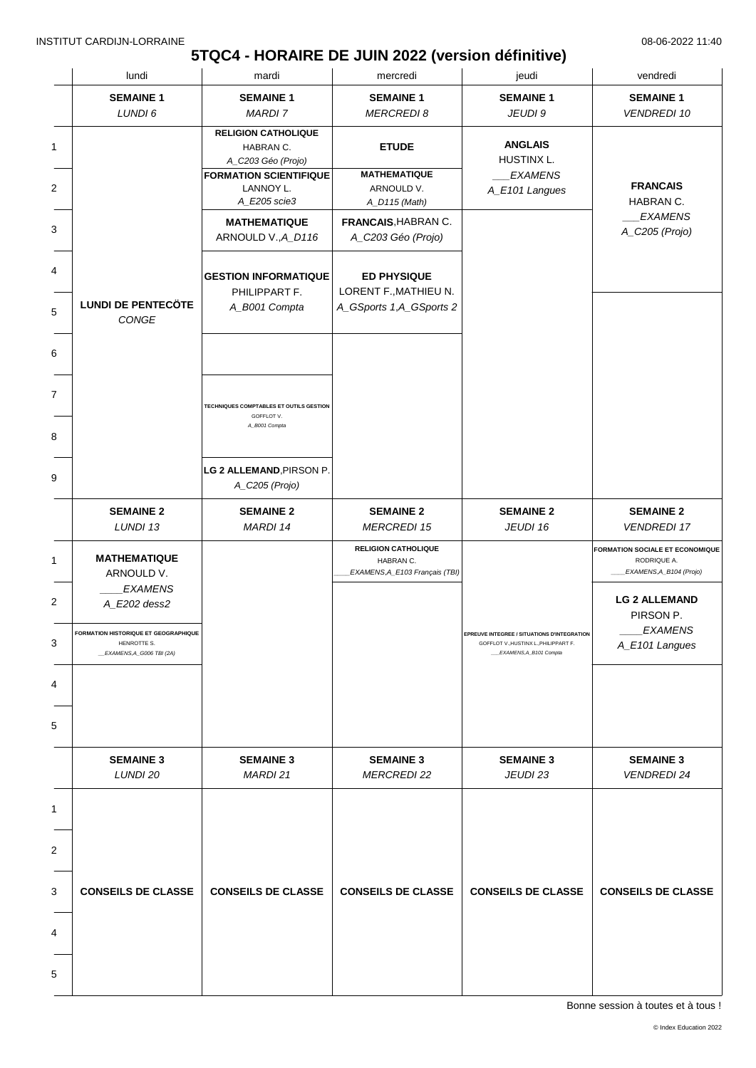## **5TQC4 - HORAIRE DE JUIN 2022 (version définitive)**

|   | lundi                                                                            | mardi                                                         | mercredi                                                                  | jeudi                                                                                                                 | vendredi                                                                         |
|---|----------------------------------------------------------------------------------|---------------------------------------------------------------|---------------------------------------------------------------------------|-----------------------------------------------------------------------------------------------------------------------|----------------------------------------------------------------------------------|
|   | <b>SEMAINE 1</b><br>LUNDI 6                                                      | <b>SEMAINE 1</b><br><b>MARDI 7</b>                            | <b>SEMAINE 1</b><br><b>MERCREDI 8</b>                                     | <b>SEMAINE 1</b><br>JEUDI 9                                                                                           | <b>SEMAINE 1</b><br><b>VENDREDI 10</b>                                           |
| 1 |                                                                                  | <b>RELIGION CATHOLIQUE</b><br>HABRAN C.<br>A_C203 Géo (Projo) | <b>ETUDE</b>                                                              | <b>ANGLAIS</b><br>HUSTINX L.                                                                                          |                                                                                  |
| 2 |                                                                                  | <b>FORMATION SCIENTIFIQUE</b><br>LANNOY L.<br>A_E205 scie3    | <b>MATHEMATIQUE</b><br>ARNOULD V.<br>A_D115 (Math)                        | <b>EXAMENS</b><br>A_E101 Langues                                                                                      | <b>FRANCAIS</b><br>HABRAN C.                                                     |
| 3 |                                                                                  | <b>MATHEMATIQUE</b><br>ARNOULD V., A_D116                     | FRANCAIS, HABRAN C.<br>A_C203 Géo (Projo)                                 |                                                                                                                       | <b>EXAMENS</b><br>A_C205 (Projo)                                                 |
| 4 |                                                                                  | <b>GESTION INFORMATIQUE</b><br>PHILIPPART F.                  | <b>ED PHYSIQUE</b><br>LORENT F., MATHIEU N.                               |                                                                                                                       |                                                                                  |
| 5 | <b>LUNDI DE PENTECÖTE</b><br>CONGE                                               | A_B001 Compta                                                 | A_GSports 1,A_GSports 2                                                   |                                                                                                                       |                                                                                  |
| 6 |                                                                                  |                                                               |                                                                           |                                                                                                                       |                                                                                  |
| 7 |                                                                                  | TECHNIQUES COMPTABLES ET OUTILS GESTION<br>GOFFLOT V.         |                                                                           |                                                                                                                       |                                                                                  |
| 8 |                                                                                  | A_B001 Compta                                                 |                                                                           |                                                                                                                       |                                                                                  |
| 9 |                                                                                  | LG 2 ALLEMAND, PIRSON P.<br>A_C205 (Projo)                    |                                                                           |                                                                                                                       |                                                                                  |
|   | <b>SEMAINE 2</b><br>LUNDI 13                                                     | <b>SEMAINE 2</b><br>MARDI 14                                  | <b>SEMAINE 2</b><br><b>MERCREDI 15</b>                                    | <b>SEMAINE 2</b><br>JEUDI 16                                                                                          | <b>SEMAINE 2</b><br><b>VENDREDI 17</b>                                           |
| 1 | <b>MATHEMATIQUE</b><br>ARNOULD V.                                                |                                                               | <b>RELIGION CATHOLIQUE</b><br>HABRAN C.<br>EXAMENS, A_E103 Français (TBI) |                                                                                                                       | <b>FORMATION SOCIALE ET ECONOMIQUE</b><br>RODRIQUE A.<br>EXAMENS, A_B104 (Projo) |
| 2 | <b>EXAMENS</b><br>A_E202 dess2                                                   |                                                               |                                                                           |                                                                                                                       | <b>LG 2 ALLEMAND</b><br>PIRSON P.                                                |
| 3 | FORMATION HISTORIQUE ET GEOGRAPHIQUE<br>HENROTTE S.<br>__EXAMENS,A_G006 TBI (2A) |                                                               |                                                                           | <b>EPREUVE INTEGREE / SITUATIONS D'INTEGRATION</b><br>GOFFLOT V., HUSTINX L., PHILIPPART F.<br>EXAMENS, A_B101 Compta | <i>EXAMENS</i><br>A_E101 Langues                                                 |
| 4 |                                                                                  |                                                               |                                                                           |                                                                                                                       |                                                                                  |
| 5 |                                                                                  |                                                               |                                                                           |                                                                                                                       |                                                                                  |
|   | <b>SEMAINE 3</b><br>LUNDI 20                                                     | <b>SEMAINE 3</b><br>MARDI 21                                  | <b>SEMAINE 3</b><br><b>MERCREDI 22</b>                                    | <b>SEMAINE 3</b><br>JEUDI 23                                                                                          | <b>SEMAINE 3</b><br><b>VENDREDI 24</b>                                           |
| 1 |                                                                                  |                                                               |                                                                           |                                                                                                                       |                                                                                  |
| 2 |                                                                                  |                                                               |                                                                           |                                                                                                                       |                                                                                  |
| 3 | <b>CONSEILS DE CLASSE</b>                                                        | <b>CONSEILS DE CLASSE</b>                                     | <b>CONSEILS DE CLASSE</b>                                                 | <b>CONSEILS DE CLASSE</b>                                                                                             | <b>CONSEILS DE CLASSE</b>                                                        |
| 4 |                                                                                  |                                                               |                                                                           |                                                                                                                       |                                                                                  |
| 5 |                                                                                  |                                                               |                                                                           |                                                                                                                       |                                                                                  |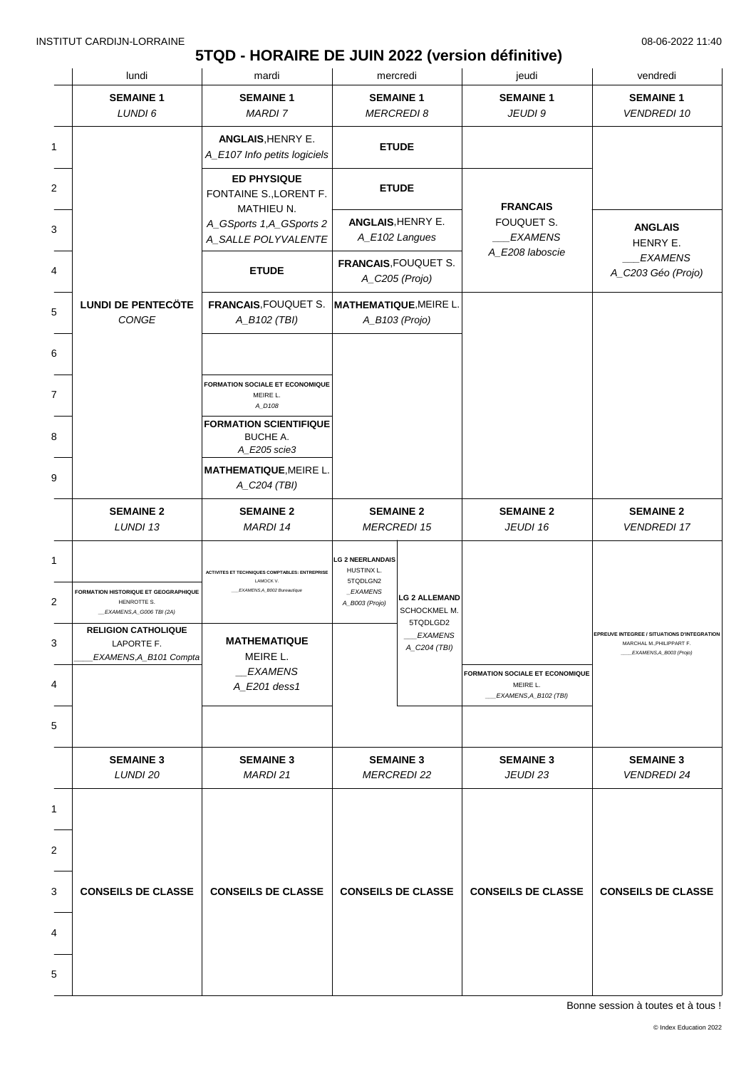### **5TQD - HORAIRE DE JUIN 2022 (version définitive)**

| lundi                                                                                           | mardi                                                                                            |                                                                                 | mercredi                                                   | jeudi                                                                  | vendredi                                                                                                   |
|-------------------------------------------------------------------------------------------------|--------------------------------------------------------------------------------------------------|---------------------------------------------------------------------------------|------------------------------------------------------------|------------------------------------------------------------------------|------------------------------------------------------------------------------------------------------------|
| <b>SEMAINE 1</b><br>LUNDI 6                                                                     | <b>SEMAINE 1</b><br><b>MARDI7</b>                                                                |                                                                                 | <b>SEMAINE 1</b><br><b>MERCREDI 8</b>                      | <b>SEMAINE 1</b><br>JEUDI 9                                            | <b>SEMAINE 1</b><br><b>VENDREDI 10</b>                                                                     |
|                                                                                                 | ANGLAIS, HENRY E.<br>A_E107 Info petits logiciels                                                |                                                                                 | <b>ETUDE</b>                                               |                                                                        |                                                                                                            |
|                                                                                                 | <b>ED PHYSIQUE</b><br>FONTAINE S., LORENT F.<br><b>MATHIEU N.</b>                                |                                                                                 | <b>ETUDE</b>                                               | <b>FRANCAIS</b>                                                        |                                                                                                            |
|                                                                                                 | A_GSports 1,A_GSports 2<br>A_SALLE POLYVALENTE                                                   |                                                                                 | ANGLAIS, HENRY E.<br>A_E102 Langues                        | FOUQUET S.<br><b>EXAMENS</b>                                           | <b>ANGLAIS</b><br>HENRY E.                                                                                 |
|                                                                                                 | <b>ETUDE</b>                                                                                     | <b>FRANCAIS, FOUQUET S.</b>                                                     | A_C205 (Projo)                                             | A_E208 laboscie                                                        | <b>EXAMENS</b><br>A_C203 Géo (Projo)                                                                       |
| <b>LUNDI DE PENTECÖTE</b><br>CONGE                                                              | FRANCAIS, FOUQUET S.<br>A_B102 (TBI)                                                             | <b>MATHEMATIQUE, MEIRE L</b>                                                    | A_B103 (Projo)                                             |                                                                        |                                                                                                            |
|                                                                                                 |                                                                                                  |                                                                                 |                                                            |                                                                        |                                                                                                            |
|                                                                                                 | <b>FORMATION SOCIALE ET ECONOMIQUE</b><br>MEIRE L.<br>A_D108                                     |                                                                                 |                                                            |                                                                        |                                                                                                            |
|                                                                                                 | <b>FORMATION SCIENTIFIQUE</b><br><b>BUCHE A.</b><br>A_E205 scie3                                 |                                                                                 |                                                            |                                                                        |                                                                                                            |
|                                                                                                 | <b>MATHEMATIQUE, MEIRE L.</b><br>A_C204 (TBI)                                                    |                                                                                 |                                                            |                                                                        |                                                                                                            |
| <b>SEMAINE 2</b><br>LUNDI 13                                                                    | <b>SEMAINE 2</b><br>MARDI 14                                                                     |                                                                                 | <b>SEMAINE 2</b><br><b>MERCREDI 15</b>                     | <b>SEMAINE 2</b><br>JEUDI 16                                           | <b>SEMAINE 2</b><br><b>VENDREDI 17</b>                                                                     |
| FORMATION HISTORIQUE ET GEOGRAPHIQUE<br>HENROTTE S.                                             | <b>ACTIVITES ET TECHNIQUES COMPTABLES: ENTREPRISE</b><br>LAMOCK V.<br>EXAMENS,A_B002 Bureautique | <b>LG 2 NEERLANDAIS</b><br>HUSTINX L.<br>5TQDLGN2<br>_EXAMENS<br>A_B003 (Projo) | <b>LG 2 ALLEMAND</b>                                       |                                                                        |                                                                                                            |
| _EXAMENS, A_G006 TBI (2A)<br><b>RELIGION CATHOLIQUE</b><br>LAPORTE F.<br>EXAMENS, A_B101 Compta | <b>MATHEMATIQUE</b><br>MEIRE L.                                                                  |                                                                                 | SCHOCKMEL M.<br>5TQDLGD2<br><i>EXAMENS</i><br>A_C204 (TBI) |                                                                        | <b>EPREUVE INTEGREE / SITUATIONS D'INTEGRATION</b><br>MARCHAL M., PHILIPPART F.<br>EXAMENS, A_B003 (Projo) |
|                                                                                                 | <b>EXAMENS</b><br>A_E201 dess1                                                                   |                                                                                 |                                                            | FORMATION SOCIALE ET ECONOMIQUE<br>MEIRE L.<br>__EXAMENS, A_B102 (TBI) |                                                                                                            |
|                                                                                                 |                                                                                                  |                                                                                 |                                                            |                                                                        |                                                                                                            |
| <b>SEMAINE 3</b><br>LUNDI 20                                                                    | <b>SEMAINE 3</b><br>MARDI 21                                                                     |                                                                                 | <b>SEMAINE 3</b><br><b>MERCREDI 22</b>                     | <b>SEMAINE 3</b><br>JEUDI 23                                           | <b>SEMAINE 3</b><br><b>VENDREDI 24</b>                                                                     |
|                                                                                                 |                                                                                                  |                                                                                 |                                                            |                                                                        |                                                                                                            |
|                                                                                                 |                                                                                                  |                                                                                 |                                                            |                                                                        |                                                                                                            |
| <b>CONSEILS DE CLASSE</b>                                                                       | <b>CONSEILS DE CLASSE</b>                                                                        |                                                                                 | <b>CONSEILS DE CLASSE</b>                                  | <b>CONSEILS DE CLASSE</b>                                              | <b>CONSEILS DE CLASSE</b>                                                                                  |
|                                                                                                 |                                                                                                  |                                                                                 |                                                            |                                                                        |                                                                                                            |
|                                                                                                 |                                                                                                  |                                                                                 |                                                            |                                                                        |                                                                                                            |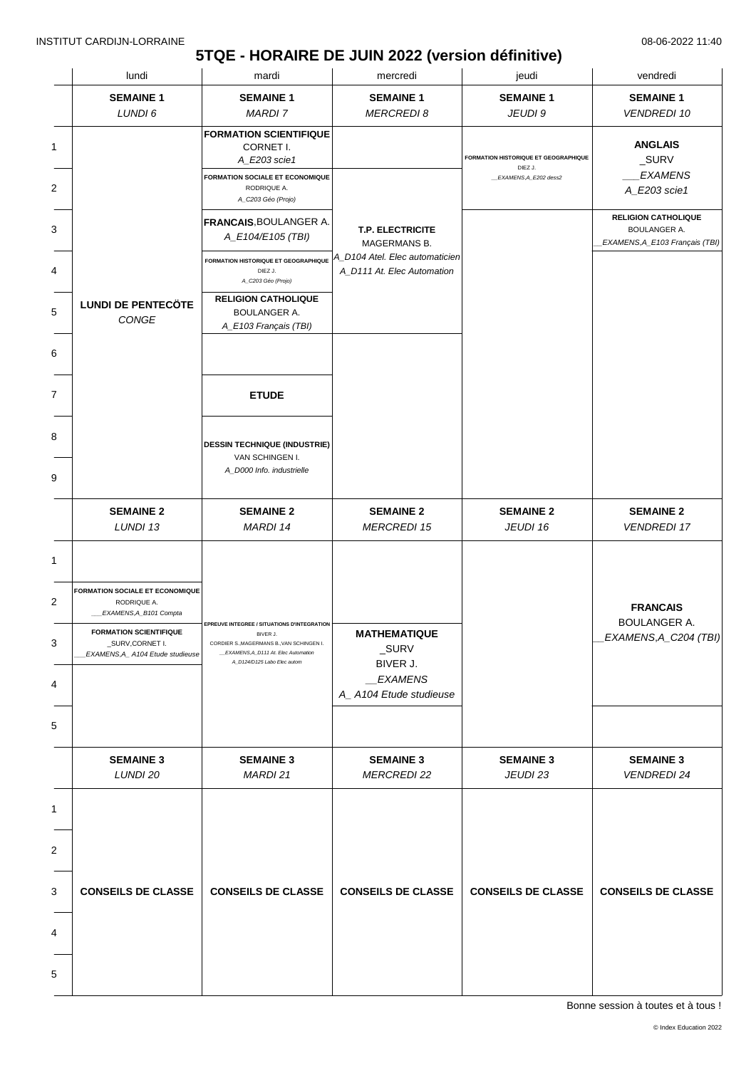# **5TQE - HORAIRE DE JUIN 2022 (version définitive)**

| lundi                                                                               | mardi                                                                                                                       | mercredi                                                                                                             | jeudi                                                  | vendredi                                                                            |
|-------------------------------------------------------------------------------------|-----------------------------------------------------------------------------------------------------------------------------|----------------------------------------------------------------------------------------------------------------------|--------------------------------------------------------|-------------------------------------------------------------------------------------|
| <b>SEMAINE 1</b>                                                                    | <b>SEMAINE 1</b>                                                                                                            | <b>SEMAINE 1</b>                                                                                                     | <b>SEMAINE 1</b>                                       | <b>SEMAINE 1</b>                                                                    |
| LUNDI 6                                                                             | <b>MARDI 7</b>                                                                                                              | <b>MERCREDI 8</b>                                                                                                    | JEUDI 9                                                | <b>VENDREDI 10</b>                                                                  |
|                                                                                     | <b>FORMATION SCIENTIFIQUE</b><br>CORNET I.<br>A_E203 scie1                                                                  |                                                                                                                      | <b>FORMATION HISTORIQUE ET GEOGRAPHIQUE</b><br>DIEZ J. | <b>ANGLAIS</b><br>_SURV                                                             |
|                                                                                     | <b>FORMATION SOCIALE ET ECONOMIQUE</b><br>RODRIQUE A.<br>A_C203 Géo (Projo)                                                 |                                                                                                                      | _EXAMENS, A_E202 dess2                                 | <b>EXAMENS</b><br>A_E203 scie1                                                      |
|                                                                                     | <b>FRANCAIS, BOULANGER A.</b><br>A_E104/E105 (TBI)                                                                          | <b>T.P. ELECTRICITE</b>                                                                                              |                                                        | <b>RELIGION CATHOLIQUE</b><br><b>BOULANGER A.</b><br>EXAMENS, A_E103 Français (TBI) |
|                                                                                     | <b>FORMATION HISTORIQUE ET GEOGRAPHIQUE</b><br>DIEZ J.<br>A_C203 Géo (Projo)                                                | A_D104 Atel. Elec automaticien<br>A_D111 At. Elec Automation                                                         |                                                        |                                                                                     |
| <b>LUNDI DE PENTECÖTE</b><br>CONGE                                                  | <b>RELIGION CATHOLIQUE</b><br><b>BOULANGER A.</b>                                                                           |                                                                                                                      |                                                        |                                                                                     |
|                                                                                     |                                                                                                                             |                                                                                                                      |                                                        |                                                                                     |
|                                                                                     | <b>ETUDE</b>                                                                                                                |                                                                                                                      |                                                        |                                                                                     |
|                                                                                     | <b>DESSIN TECHNIQUE (INDUSTRIE)</b>                                                                                         |                                                                                                                      |                                                        |                                                                                     |
|                                                                                     | A_D000 Info. industrielle                                                                                                   |                                                                                                                      |                                                        |                                                                                     |
| <b>SEMAINE 2</b><br>LUNDI 13                                                        | <b>SEMAINE 2</b><br>MARDI 14                                                                                                | <b>SEMAINE 2</b><br><b>MERCREDI 15</b>                                                                               | <b>SEMAINE 2</b><br>JEUDI 16                           | <b>SEMAINE 2</b><br><b>VENDREDI 17</b>                                              |
|                                                                                     |                                                                                                                             |                                                                                                                      |                                                        |                                                                                     |
| <b>FORMATION SOCIALE ET ECONOMIQUE</b><br>RODRIQUE A.<br>EXAMENS, A_B101 Compta     |                                                                                                                             |                                                                                                                      |                                                        | <b>FRANCAIS</b>                                                                     |
| <b>FORMATION SCIENTIFIQUE</b><br>_SURV,CORNET I.<br>EXAMENS, A_A104 Etude studieuse | BIVER J.<br>CORDIER S., MAGERMANS B., VAN SCHINGEN I.<br>EXAMENS, A_D111 At. Elec Automation<br>A_D124/D125 Labo Elec autom | <b>MATHEMATIQUE</b><br>_SURV<br>BIVER J.                                                                             |                                                        | <b>BOULANGER A.</b><br>EXAMENS,A_C204 (TBI)                                         |
|                                                                                     |                                                                                                                             | EXAMENS<br>A_A104 Etude studieuse                                                                                    |                                                        |                                                                                     |
|                                                                                     |                                                                                                                             |                                                                                                                      |                                                        |                                                                                     |
| <b>SEMAINE 3</b><br>LUNDI 20                                                        | <b>SEMAINE 3</b><br>MARDI 21                                                                                                | <b>SEMAINE 3</b><br><b>MERCREDI 22</b>                                                                               | <b>SEMAINE 3</b><br>JEUDI 23                           | <b>SEMAINE 3</b><br><b>VENDREDI 24</b>                                              |
|                                                                                     |                                                                                                                             |                                                                                                                      |                                                        |                                                                                     |
|                                                                                     |                                                                                                                             |                                                                                                                      |                                                        |                                                                                     |
|                                                                                     |                                                                                                                             |                                                                                                                      |                                                        |                                                                                     |
|                                                                                     |                                                                                                                             |                                                                                                                      |                                                        | <b>CONSEILS DE CLASSE</b>                                                           |
|                                                                                     |                                                                                                                             |                                                                                                                      |                                                        |                                                                                     |
|                                                                                     |                                                                                                                             |                                                                                                                      |                                                        |                                                                                     |
|                                                                                     |                                                                                                                             |                                                                                                                      |                                                        |                                                                                     |
|                                                                                     | <b>CONSEILS DE CLASSE</b>                                                                                                   | A_E103 Français (TBI)<br>VAN SCHINGEN I.<br>EPREUVE INTEGREE / SITUATIONS D'INTEGRATION<br><b>CONSEILS DE CLASSE</b> | <b>MAGERMANS B.</b><br><b>CONSEILS DE CLASSE</b>       | <b>CONSEILS DE CLASSE</b>                                                           |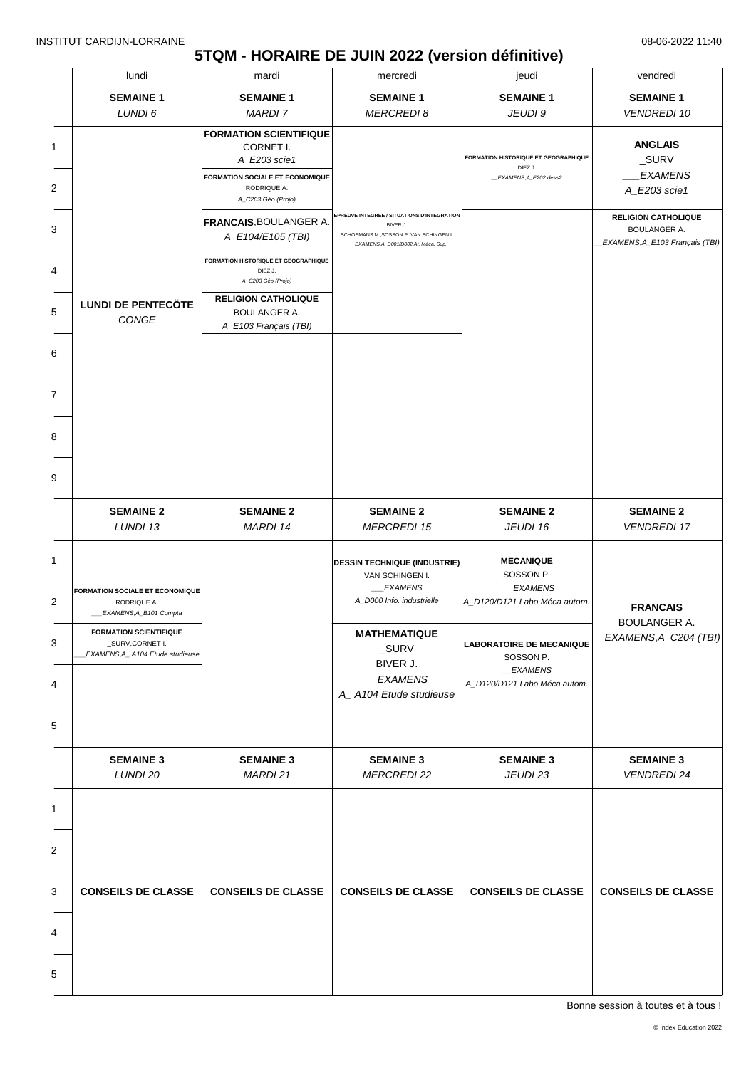### **5TQM - HORAIRE DE JUIN 2022 (version définitive)**

| lundi                                                                                | mardi                                                                        | mercredi                                                                                                                                   | jeudi                                                                           | vendredi                                                                     |
|--------------------------------------------------------------------------------------|------------------------------------------------------------------------------|--------------------------------------------------------------------------------------------------------------------------------------------|---------------------------------------------------------------------------------|------------------------------------------------------------------------------|
| <b>SEMAINE 1</b>                                                                     | <b>SEMAINE 1</b>                                                             | <b>SEMAINE 1</b>                                                                                                                           | <b>SEMAINE 1</b>                                                                | <b>SEMAINE 1</b>                                                             |
| LUNDI 6                                                                              | <b>MARDI 7</b>                                                               | <b>MERCREDI8</b>                                                                                                                           | JEUDI 9                                                                         | <b>VENDREDI 10</b>                                                           |
|                                                                                      | <b>FORMATION SCIENTIFIQUE</b><br>CORNET I.<br>A_E203 scie1                   |                                                                                                                                            | <b>FORMATION HISTORIQUE ET GEOGRAPHIQUE</b><br>DIEZ J.                          | <b>ANGLAIS</b><br>_SURV                                                      |
|                                                                                      | <b>FORMATION SOCIALE ET ECONOMIQUE</b><br>RODRIQUE A.<br>A_C203 Géo (Projo)  |                                                                                                                                            | _EXAMENS, A_E202 dess2                                                          | <b>EXAMENS</b><br>A_E203 scie1                                               |
|                                                                                      | <b>FRANCAIS, BOULANGER A.</b><br>A_E104/E105 (TBI)                           | EPREUVE INTEGREE / SITUATIONS D'INTEGRATION<br>BIVER J.<br>SCHOEMANS M., SOSSON P., VAN SCHINGEN I.<br>EXAMENS, A_D001/D002 At. Méca. Sup. |                                                                                 | <b>RELIGION CATHOLIQUE</b><br>BOULANGER A.<br>EXAMENS, A_E103 Français (TBI) |
|                                                                                      | <b>FORMATION HISTORIQUE ET GEOGRAPHIQUE</b><br>DIEZ J.<br>A_C203 Géo (Projo) |                                                                                                                                            |                                                                                 |                                                                              |
| <b>LUNDI DE PENTECÖTE</b><br>CONGE                                                   | <b>RELIGION CATHOLIQUE</b><br><b>BOULANGER A.</b><br>A_E103 Français (TBI)   |                                                                                                                                            |                                                                                 |                                                                              |
|                                                                                      |                                                                              |                                                                                                                                            |                                                                                 |                                                                              |
|                                                                                      |                                                                              |                                                                                                                                            |                                                                                 |                                                                              |
|                                                                                      |                                                                              |                                                                                                                                            |                                                                                 |                                                                              |
|                                                                                      |                                                                              |                                                                                                                                            |                                                                                 |                                                                              |
| <b>SEMAINE 2</b><br>LUNDI 13                                                         | <b>SEMAINE 2</b><br>MARDI 14                                                 | <b>SEMAINE 2</b><br><b>MERCREDI 15</b>                                                                                                     | <b>SEMAINE 2</b><br>JEUDI 16                                                    | <b>SEMAINE 2</b><br><b>VENDREDI 17</b>                                       |
| <b>FORMATION SOCIALE ET ECONOMIQUE</b><br>RODRIQUE A.<br>_EXAMENS,A_B101 Compta      |                                                                              | <b>DESSIN TECHNIQUE (INDUSTRIE)</b><br>VAN SCHINGEN I.<br><b>EXAMENS</b><br>A_D000 Info. industrielle                                      | <b>MECANIQUE</b><br>SOSSON P.<br><b>EXAMENS</b><br>A_D120/D121 Labo Méca autom. | <b>FRANCAIS</b>                                                              |
| <b>FORMATION SCIENTIFIQUE</b><br>_SURV,CORNET I.<br>EXAMENS, A_ A104 Etude studieuse |                                                                              | <b>MATHEMATIQUE</b><br>$\_SURV$<br>BIVER J.                                                                                                | <b>LABORATOIRE DE MECANIQUE</b><br>SOSSON P.<br>_EXAMENS                        | <b>BOULANGER A.</b><br>EXAMENS, A_C204 (TBI)                                 |
|                                                                                      |                                                                              | _EXAMENS<br>A_A104 Etude studieuse                                                                                                         | A_D120/D121 Labo Méca autom.                                                    |                                                                              |
|                                                                                      |                                                                              |                                                                                                                                            |                                                                                 |                                                                              |
| <b>SEMAINE 3</b><br>LUNDI 20                                                         | <b>SEMAINE 3</b><br>MARDI 21                                                 | <b>SEMAINE 3</b><br><b>MERCREDI 22</b>                                                                                                     | <b>SEMAINE 3</b><br>JEUDI 23                                                    | <b>SEMAINE 3</b><br><b>VENDREDI 24</b>                                       |
|                                                                                      |                                                                              |                                                                                                                                            |                                                                                 |                                                                              |
|                                                                                      |                                                                              |                                                                                                                                            |                                                                                 |                                                                              |
| <b>CONSEILS DE CLASSE</b>                                                            | <b>CONSEILS DE CLASSE</b>                                                    | <b>CONSEILS DE CLASSE</b>                                                                                                                  | <b>CONSEILS DE CLASSE</b>                                                       | <b>CONSEILS DE CLASSE</b>                                                    |
|                                                                                      |                                                                              |                                                                                                                                            |                                                                                 |                                                                              |
|                                                                                      |                                                                              |                                                                                                                                            |                                                                                 |                                                                              |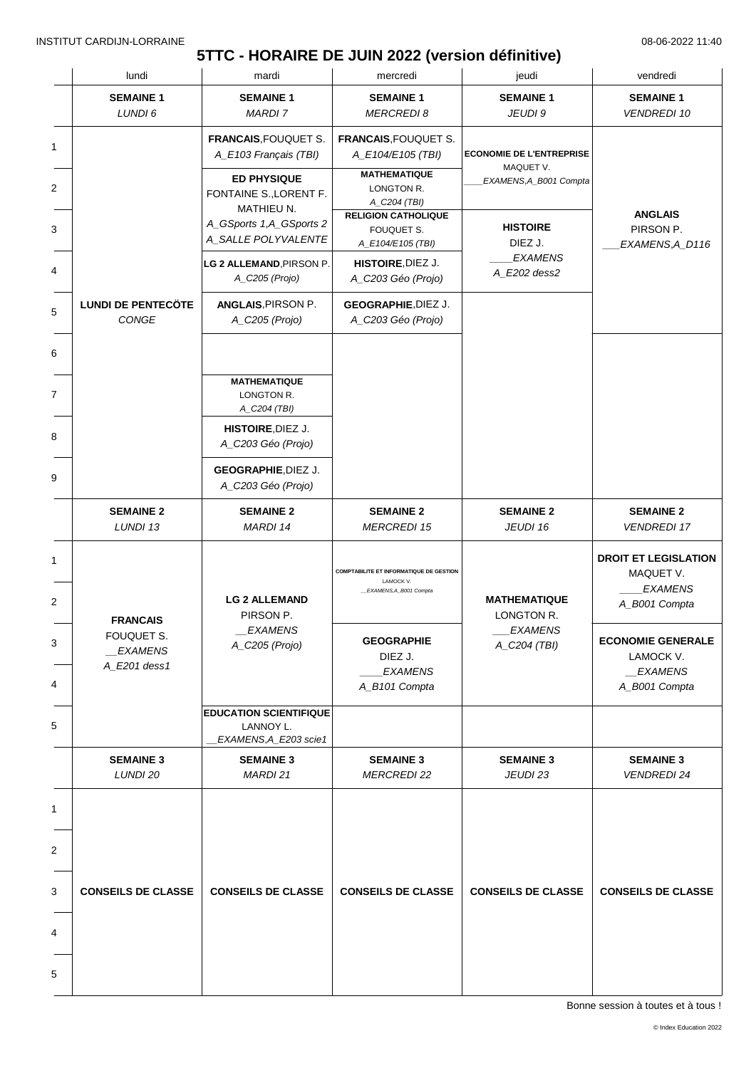# **5TTC - HORAIRE DE JUIN 2022 (version définitive)**

|                     | lundi                                        | mardi                                                                                                | mercredi                                                                                              | jeudi                                                                  | vendredi                                                                    |
|---------------------|----------------------------------------------|------------------------------------------------------------------------------------------------------|-------------------------------------------------------------------------------------------------------|------------------------------------------------------------------------|-----------------------------------------------------------------------------|
|                     | <b>SEMAINE 1</b><br>LUNDI 6                  | <b>SEMAINE 1</b><br>MARDI 7                                                                          | <b>SEMAINE 1</b><br><b>MERCREDI 8</b>                                                                 | <b>SEMAINE 1</b><br>JEUDI 9                                            | <b>SEMAINE 1</b><br><b>VENDREDI 10</b>                                      |
| 1<br>$\overline{2}$ |                                              | <b>FRANCAIS, FOUQUET S.</b><br>A_E103 Français (TBI)<br><b>ED PHYSIQUE</b><br>FONTAINE S., LORENT F. | <b>FRANCAIS, FOUQUET S.</b><br>A_E104/E105 (TBI)<br><b>MATHEMATIQUE</b><br>LONGTON R.<br>A_C204 (TBI) | <b>ECONOMIE DE L'ENTREPRISE</b><br>MAQUET V.<br>EXAMENS, A_B001 Compta |                                                                             |
| 3                   |                                              | MATHIEU N.<br>A_GSports 1,A_GSports 2<br>A_SALLE POLYVALENTE                                         | <b>RELIGION CATHOLIQUE</b><br>FOUQUET S.<br>A_E104/E105 (TBI)                                         | <b>HISTOIRE</b><br>DIEZ J.                                             | <b>ANGLAIS</b><br>PIRSON P.<br>EXAMENS, A_D116                              |
| 4                   |                                              | LG 2 ALLEMAND, PIRSON P.<br>A_C205 (Projo)                                                           | HISTOIRE, DIEZ J.<br>A_C203 Géo (Projo)                                                               | <b>EXAMENS</b><br>A_E202 dess2                                         |                                                                             |
| 5                   | <b>LUNDI DE PENTECÖTE</b><br>CONGE           | ANGLAIS, PIRSON P.<br>A_C205 (Projo)                                                                 | <b>GEOGRAPHIE, DIEZ J.</b><br>A_C203 Géo (Projo)                                                      |                                                                        |                                                                             |
| 6                   |                                              |                                                                                                      |                                                                                                       |                                                                        |                                                                             |
| $\overline{7}$      |                                              | <b>MATHEMATIQUE</b><br>LONGTON R.<br>A_C204 (TBI)                                                    |                                                                                                       |                                                                        |                                                                             |
| 8                   |                                              | HISTOIRE, DIEZ J.<br>A_C203 Géo (Projo)                                                              |                                                                                                       |                                                                        |                                                                             |
| 9                   |                                              | <b>GEOGRAPHIE, DIEZ J.</b><br>A_C203 Géo (Projo)                                                     |                                                                                                       |                                                                        |                                                                             |
|                     | <b>SEMAINE 2</b><br>LUNDI 13                 | <b>SEMAINE 2</b><br>MARDI 14                                                                         | <b>SEMAINE 2</b><br><b>MERCREDI 15</b>                                                                | <b>SEMAINE 2</b><br>JEUDI 16                                           | <b>SEMAINE 2</b><br><b>VENDREDI 17</b>                                      |
| 1<br>$\overline{2}$ | <b>FRANCAIS</b>                              | <b>LG 2 ALLEMAND</b><br>PIRSON P.                                                                    | <b>COMPTABILITE ET INFORMATIQUE DE GESTION</b><br>LAMOCK V.<br>EXAMENS, A_B001 Compta                 | <b>MATHEMATIQUE</b><br>LONGTON R.                                      | <b>DROIT ET LEGISLATION</b><br>MAQUET V.<br><b>EXAMENS</b><br>A_B001 Compta |
| 3<br>4              | FOUQUET S.<br><b>EXAMENS</b><br>A_E201 dess1 | <b>EXAMENS</b><br>A_C205 (Projo)                                                                     | <b>GEOGRAPHIE</b><br>DIEZ J.<br><b>EXAMENS</b><br>A_B101 Compta                                       | <b>EXAMENS</b><br>A_C204 (TBI)                                         | <b>ECONOMIE GENERALE</b><br>LAMOCK V.<br>_EXAMENS<br>A_B001 Compta          |
| 5                   |                                              | <b>EDUCATION SCIENTIFIQUE</b><br>LANNOY L.<br>EXAMENS, A_E203 scie1                                  |                                                                                                       |                                                                        |                                                                             |
|                     | <b>SEMAINE 3</b><br>LUNDI 20                 | <b>SEMAINE 3</b><br>MARDI 21                                                                         | <b>SEMAINE 3</b><br><b>MERCREDI 22</b>                                                                | <b>SEMAINE 3</b><br>JEUDI 23                                           | <b>SEMAINE 3</b><br><b>VENDREDI 24</b>                                      |
| 1                   |                                              |                                                                                                      |                                                                                                       |                                                                        |                                                                             |
| $\overline{2}$      |                                              |                                                                                                      |                                                                                                       |                                                                        |                                                                             |
| 3                   | <b>CONSEILS DE CLASSE</b>                    | <b>CONSEILS DE CLASSE</b>                                                                            | <b>CONSEILS DE CLASSE</b>                                                                             | <b>CONSEILS DE CLASSE</b>                                              | <b>CONSEILS DE CLASSE</b>                                                   |
| 4                   |                                              |                                                                                                      |                                                                                                       |                                                                        |                                                                             |
| 5                   |                                              |                                                                                                      |                                                                                                       |                                                                        |                                                                             |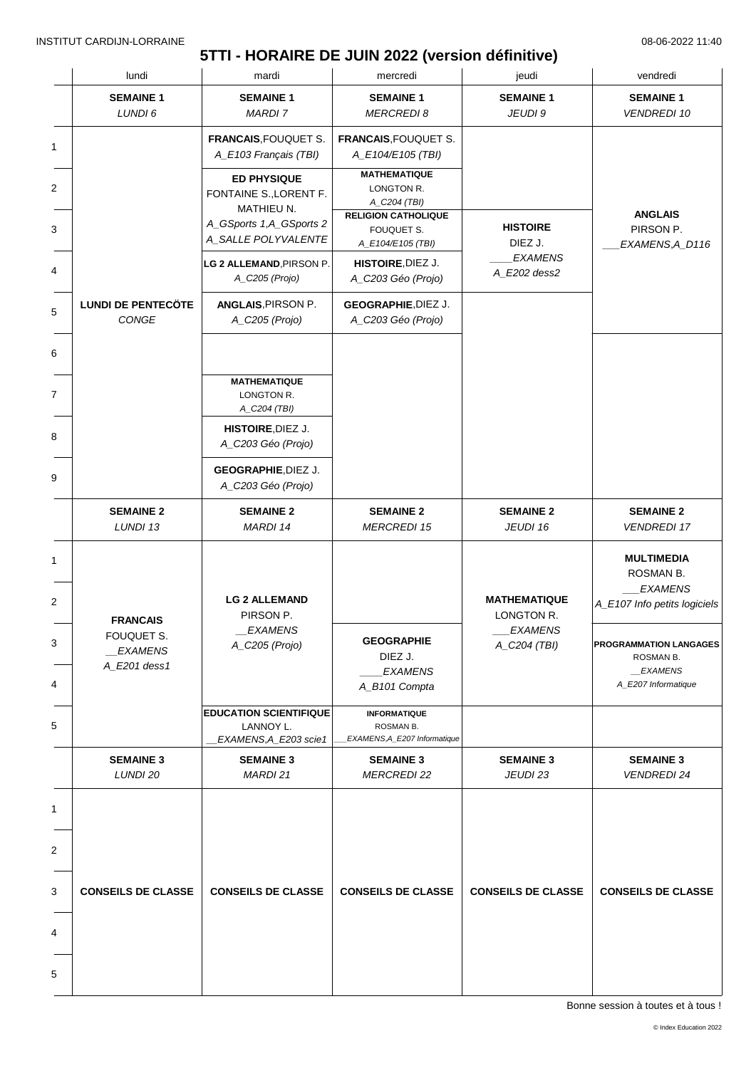### **5TTI - HORAIRE DE JUIN 2022 (version définitive)**

| lundi                                                           | mardi                                                               | mercredi                                                         | jeudi                               | vendredi                                                                         |
|-----------------------------------------------------------------|---------------------------------------------------------------------|------------------------------------------------------------------|-------------------------------------|----------------------------------------------------------------------------------|
| <b>SEMAINE 1</b>                                                | <b>SEMAINE 1</b>                                                    | <b>SEMAINE 1</b>                                                 | <b>SEMAINE 1</b>                    | <b>SEMAINE 1</b>                                                                 |
| LUNDI 6                                                         | <b>MARDI 7</b>                                                      | <b>MERCREDI 8</b>                                                | JEUDI 9                             | <b>VENDREDI 10</b>                                                               |
|                                                                 | FRANCAIS, FOUQUET S.<br>A_E103 Français (TBI)                       | <b>FRANCAIS, FOUQUET S.</b><br>A_E104/E105 (TBI)                 |                                     |                                                                                  |
|                                                                 | <b>ED PHYSIQUE</b><br>FONTAINE S., LORENT F.                        | <b>MATHEMATIQUE</b><br>LONGTON R.<br>A_C204 (TBI)                |                                     |                                                                                  |
|                                                                 | <b>MATHIEU N.</b><br>A_GSports 1,A_GSports 2<br>A_SALLE POLYVALENTE | <b>RELIGION CATHOLIQUE</b><br>FOUQUET S.<br>A_E104/E105 (TBI)    | <b>HISTOIRE</b><br>DIEZ J.          | <b>ANGLAIS</b><br>PIRSON P.<br>EXAMENS, A_D116                                   |
|                                                                 | LG 2 ALLEMAND, PIRSON P.<br>A_C205 (Projo)                          | <b>HISTOIRE, DIEZ J.</b><br>A_C203 Géo (Projo)                   | <b>EXAMENS</b><br>A_E202 dess2      |                                                                                  |
| <b>LUNDI DE PENTECÖTE</b><br>CONGE                              | ANGLAIS, PIRSON P.<br>A_C205 (Projo)                                | <b>GEOGRAPHIE, DIEZ J.</b><br>A_C203 Géo (Projo)                 |                                     |                                                                                  |
|                                                                 |                                                                     |                                                                  |                                     |                                                                                  |
|                                                                 | <b>MATHEMATIQUE</b><br>LONGTON R.<br>A_C204 (TBI)                   |                                                                  |                                     |                                                                                  |
|                                                                 | HISTOIRE, DIEZ J.<br>A_C203 Géo (Projo)                             |                                                                  |                                     |                                                                                  |
|                                                                 | <b>GEOGRAPHIE, DIEZ J.</b><br>A_C203 Géo (Projo)                    |                                                                  |                                     |                                                                                  |
| <b>SEMAINE 2</b><br>LUNDI 13                                    | <b>SEMAINE 2</b><br>MARDI 14                                        | <b>SEMAINE 2</b><br><b>MERCREDI 15</b>                           | <b>SEMAINE 2</b><br>JEUDI 16        | <b>SEMAINE 2</b><br><b>VENDREDI 17</b>                                           |
|                                                                 | <b>LG 2 ALLEMAND</b><br>PIRSON P.                                   |                                                                  | <b>MATHEMATIQUE</b><br>LONGTON R.   | <b>MULTIMEDIA</b><br>ROSMAN B.<br><b>EXAMENS</b><br>A_E107 Info petits logiciels |
| <b>FRANCAIS</b><br>FOUQUET S.<br><i>EXAMENS</i><br>A_E201 dess1 | <i><b>EXAMENS</b></i><br>A_C205 (Projo)                             | <b>GEOGRAPHIE</b><br>DIEZ J.<br><b>EXAMENS</b><br>A_B101 Compta  | <b>EXAMENS</b><br>A_C204 (TBI)      | PROGRAMMATION LANGAGES<br>ROSMAN B.<br><b>EXAMENS</b><br>A_E207 Informatique     |
|                                                                 | <b>EDUCATION SCIENTIFIQUE</b><br>LANNOY L.<br>EXAMENS, A_E203 scie1 | <b>INFORMATIQUE</b><br>ROSMAN B.<br>EXAMENS, A_E207 Informatique |                                     |                                                                                  |
| <b>SEMAINE 3</b><br>LUNDI 20                                    | <b>SEMAINE 3</b><br><b>MARDI 21</b>                                 | <b>SEMAINE 3</b><br><b>MERCREDI 22</b>                           | <b>SEMAINE 3</b><br><b>JEUDI 23</b> | <b>SEMAINE 3</b><br><b>VENDREDI 24</b>                                           |
|                                                                 |                                                                     |                                                                  |                                     |                                                                                  |
|                                                                 |                                                                     |                                                                  |                                     |                                                                                  |
| <b>CONSEILS DE CLASSE</b>                                       | <b>CONSEILS DE CLASSE</b>                                           | <b>CONSEILS DE CLASSE</b>                                        | <b>CONSEILS DE CLASSE</b>           | <b>CONSEILS DE CLASSE</b>                                                        |
|                                                                 |                                                                     |                                                                  |                                     |                                                                                  |
|                                                                 |                                                                     |                                                                  |                                     |                                                                                  |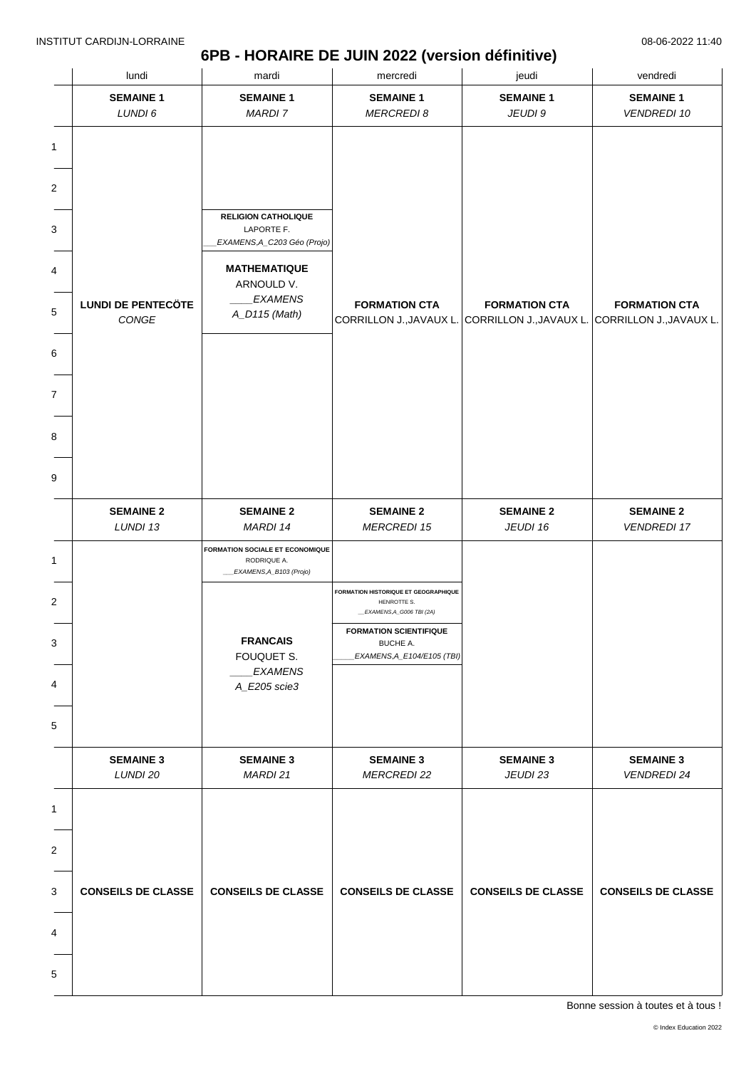### **6PB - HORAIRE DE JUIN 2022 (version définitive)**

| lundi                              | mardi                                          | mercredi                                                   | jeudi                                                                                           | vendredi                               |
|------------------------------------|------------------------------------------------|------------------------------------------------------------|-------------------------------------------------------------------------------------------------|----------------------------------------|
| <b>SEMAINE 1</b><br>LUNDI 6        | <b>SEMAINE 1</b><br><b>MARDI 7</b>             | <b>SEMAINE 1</b><br><b>MERCREDI 8</b>                      | <b>SEMAINE 1</b><br>JEUDI 9                                                                     | <b>SEMAINE 1</b><br><b>VENDREDI 10</b> |
|                                    |                                                |                                                            |                                                                                                 |                                        |
|                                    |                                                |                                                            |                                                                                                 |                                        |
|                                    |                                                |                                                            |                                                                                                 |                                        |
|                                    | <b>RELIGION CATHOLIQUE</b>                     |                                                            |                                                                                                 |                                        |
|                                    | LAPORTE F.<br>EXAMENS, A_C203 Géo (Projo)      |                                                            |                                                                                                 |                                        |
|                                    | <b>MATHEMATIQUE</b>                            |                                                            |                                                                                                 |                                        |
|                                    | ARNOULD V.<br><b>EXAMENS</b>                   |                                                            |                                                                                                 |                                        |
| <b>LUNDI DE PENTECÖTE</b><br>CONGE | A_D115 (Math)                                  | <b>FORMATION CTA</b>                                       | <b>FORMATION CTA</b><br>CORRILLON J., JAVAUX L. CORRILLON J., JAVAUX L. CORRILLON J., JAVAUX L. | <b>FORMATION CTA</b>                   |
|                                    |                                                |                                                            |                                                                                                 |                                        |
|                                    |                                                |                                                            |                                                                                                 |                                        |
|                                    |                                                |                                                            |                                                                                                 |                                        |
|                                    |                                                |                                                            |                                                                                                 |                                        |
|                                    |                                                |                                                            |                                                                                                 |                                        |
|                                    |                                                |                                                            |                                                                                                 |                                        |
|                                    |                                                |                                                            |                                                                                                 |                                        |
| <b>SEMAINE 2</b><br>LUNDI 13       | <b>SEMAINE 2</b><br>MARDI 14                   | <b>SEMAINE 2</b><br><b>MERCREDI 15</b>                     | <b>SEMAINE 2</b><br>JEUDI 16                                                                    | <b>SEMAINE 2</b><br><b>VENDREDI 17</b> |
|                                    | FORMATION SOCIALE ET ECONOMIQUE<br>RODRIQUE A. |                                                            |                                                                                                 |                                        |
|                                    | _EXAMENS, A_B103 (Projo)                       |                                                            |                                                                                                 |                                        |
|                                    |                                                | <b>FORMATION HISTORIQUE ET GEOGRAPHIQUE</b><br>HENROTTE S. |                                                                                                 |                                        |
|                                    |                                                | EXAMENS, A_G006 TBI (2A)<br><b>FORMATION SCIENTIFIQUE</b>  |                                                                                                 |                                        |
|                                    | <b>FRANCAIS</b><br>FOUQUET S.                  | BUCHE A.<br>EXAMENS, A_E104/E105 (TBI)                     |                                                                                                 |                                        |
|                                    | <b>EXAMENS</b><br>A_E205 scie3                 |                                                            |                                                                                                 |                                        |
|                                    |                                                |                                                            |                                                                                                 |                                        |
|                                    |                                                |                                                            |                                                                                                 |                                        |
| <b>SEMAINE 3</b>                   | <b>SEMAINE 3</b>                               | <b>SEMAINE 3</b>                                           | <b>SEMAINE 3</b>                                                                                | <b>SEMAINE 3</b>                       |
| LUNDI 20                           | MARDI 21                                       | <b>MERCREDI 22</b>                                         | JEUDI 23                                                                                        | <b>VENDREDI 24</b>                     |
|                                    |                                                |                                                            |                                                                                                 |                                        |
|                                    |                                                |                                                            |                                                                                                 |                                        |
|                                    |                                                |                                                            |                                                                                                 |                                        |
| <b>CONSEILS DE CLASSE</b>          | <b>CONSEILS DE CLASSE</b>                      | <b>CONSEILS DE CLASSE</b>                                  | <b>CONSEILS DE CLASSE</b>                                                                       | <b>CONSEILS DE CLASSE</b>              |
|                                    |                                                |                                                            |                                                                                                 |                                        |
|                                    |                                                |                                                            |                                                                                                 |                                        |
|                                    |                                                |                                                            |                                                                                                 |                                        |
|                                    |                                                |                                                            |                                                                                                 |                                        |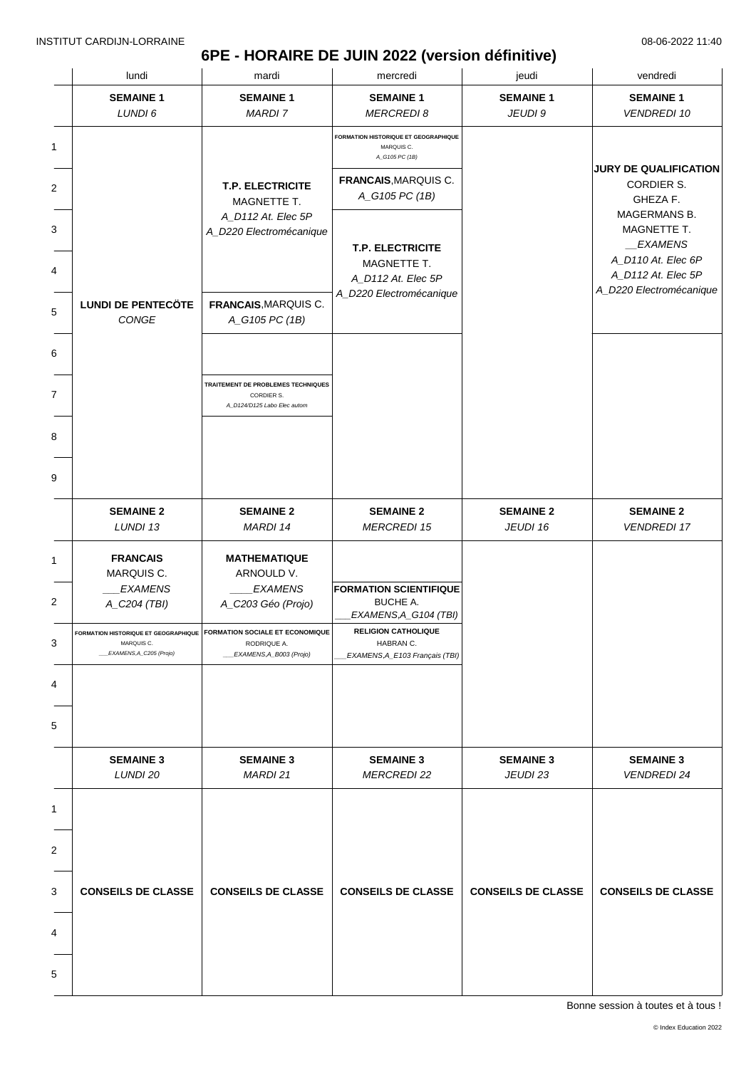# **6PE - HORAIRE DE JUIN 2022 (version définitive)**

|                | lundi                                 | mardi                                                                                                          | mercredi                                                                                     | jeudi                        | vendredi                                                           |
|----------------|---------------------------------------|----------------------------------------------------------------------------------------------------------------|----------------------------------------------------------------------------------------------|------------------------------|--------------------------------------------------------------------|
|                | <b>SEMAINE 1</b><br>LUNDI 6           | <b>SEMAINE 1</b><br><b>MARDI7</b>                                                                              | <b>SEMAINE 1</b><br><b>MERCREDI 8</b>                                                        | <b>SEMAINE 1</b><br>JEUDI 9  | <b>SEMAINE 1</b><br><b>VENDREDI 10</b>                             |
| 1              |                                       | <b>T.P. ELECTRICITE</b>                                                                                        | FORMATION HISTORIQUE ET GEOGRAPHIQUE<br>MARQUIS C.<br>A_G105 PC (1B)<br>FRANCAIS, MARQUIS C. |                              | <b>JURY DE QUALIFICATION</b><br><b>CORDIER S.</b>                  |
| $\overline{2}$ |                                       | MAGNETTE T.<br>A_D112 At. Elec 5P                                                                              | A_G105 PC (1B)                                                                               |                              | GHEZA F.<br>MAGERMANS B.                                           |
| 3<br>4         |                                       | A_D220 Electromécanique                                                                                        | <b>T.P. ELECTRICITE</b><br>MAGNETTE T.<br>A_D112 At. Elec 5P                                 |                              | MAGNETTE T.<br>EXAMENS<br>A_D110 At. Elec 6P<br>A_D112 At. Elec 5P |
| 5              | <b>LUNDI DE PENTECÖTE</b><br>CONGE    | FRANCAIS, MARQUIS C.<br>A_G105 PC (1B)                                                                         | A_D220 Electromécanique                                                                      |                              | A_D220 Electromécanique                                            |
| 6              |                                       |                                                                                                                |                                                                                              |                              |                                                                    |
| $\overline{7}$ |                                       | TRAITEMENT DE PROBLEMES TECHNIQUES<br>CORDIER S.<br>A D124/D125 Labo Elec autom                                |                                                                                              |                              |                                                                    |
| 8              |                                       |                                                                                                                |                                                                                              |                              |                                                                    |
| 9              |                                       |                                                                                                                |                                                                                              |                              |                                                                    |
|                | <b>SEMAINE 2</b><br>LUNDI 13          | <b>SEMAINE 2</b><br>MARDI 14                                                                                   | <b>SEMAINE 2</b><br><b>MERCREDI 15</b>                                                       | <b>SEMAINE 2</b><br>JEUDI 16 | <b>SEMAINE 2</b><br><b>VENDREDI 17</b>                             |
| $\mathbf{1}$   | <b>FRANCAIS</b><br>MARQUIS C.         | <b>MATHEMATIQUE</b><br>ARNOULD V.                                                                              |                                                                                              |                              |                                                                    |
| $\overline{2}$ | <b>EXAMENS</b><br>A_C204 (TBI)        | <b>EXAMENS</b><br>A_C203 Géo (Projo)                                                                           | <b>FORMATION SCIENTIFIQUE</b><br><b>BUCHE A.</b><br>EXAMENS, A_G104 (TBI)                    |                              |                                                                    |
| 3              | MARQUIS C.<br>EXAMENS, A_C205 (Projo) | FORMATION HISTORIQUE ET GEOGRAPHIQUE FORMATION SOCIALE ET ECONOMIQUE<br>RODRIQUE A.<br>EXAMENS, A_B003 (Projo) | <b>RELIGION CATHOLIQUE</b><br>HABRAN C.<br>EXAMENS, A_E103 Français (TBI)                    |                              |                                                                    |
| 4              |                                       |                                                                                                                |                                                                                              |                              |                                                                    |
| 5              |                                       |                                                                                                                |                                                                                              |                              |                                                                    |
|                | <b>SEMAINE 3</b><br>LUNDI 20          | <b>SEMAINE 3</b><br>MARDI 21                                                                                   | <b>SEMAINE 3</b><br><b>MERCREDI 22</b>                                                       | <b>SEMAINE 3</b><br>JEUDI 23 | <b>SEMAINE 3</b><br><b>VENDREDI 24</b>                             |
| 1              |                                       |                                                                                                                |                                                                                              |                              |                                                                    |
| $\overline{2}$ |                                       |                                                                                                                |                                                                                              |                              |                                                                    |
| 3              | <b>CONSEILS DE CLASSE</b>             | <b>CONSEILS DE CLASSE</b>                                                                                      | <b>CONSEILS DE CLASSE</b>                                                                    | <b>CONSEILS DE CLASSE</b>    | <b>CONSEILS DE CLASSE</b>                                          |
| 4              |                                       |                                                                                                                |                                                                                              |                              |                                                                    |
| 5              |                                       |                                                                                                                |                                                                                              |                              |                                                                    |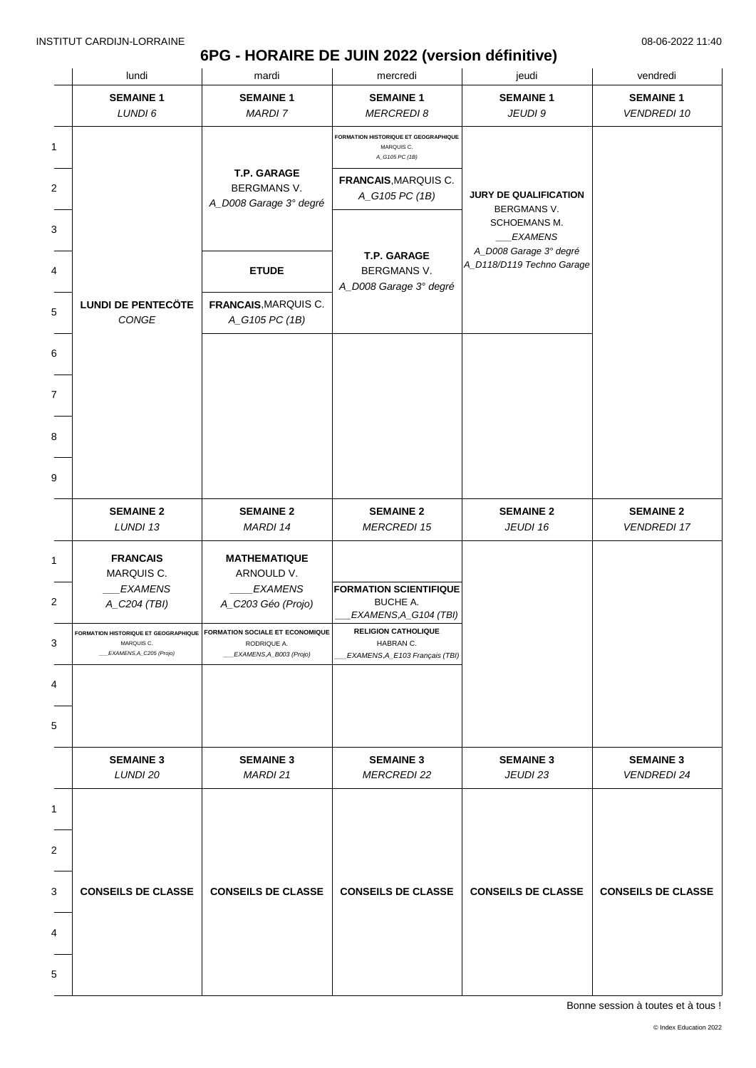# **6PG - HORAIRE DE JUIN 2022 (version définitive)**

| lundi                                 | mardi                                                                                                             | mercredi                                                                  | jeudi                                                    | vendredi                               |
|---------------------------------------|-------------------------------------------------------------------------------------------------------------------|---------------------------------------------------------------------------|----------------------------------------------------------|----------------------------------------|
| <b>SEMAINE 1</b><br>LUNDI 6           | <b>SEMAINE 1</b><br><b>MARDI7</b>                                                                                 | <b>SEMAINE 1</b><br><b>MERCREDI 8</b>                                     | <b>SEMAINE 1</b><br>JEUDI 9                              | <b>SEMAINE 1</b><br><b>VENDREDI 10</b> |
|                                       |                                                                                                                   | FORMATION HISTORIQUE ET GEOGRAPHIQUE<br>MARQUIS C.<br>A_G105 PC (1B)      |                                                          |                                        |
|                                       | T.P. GARAGE<br><b>BERGMANS V.</b><br>A_D008 Garage 3° degré                                                       | FRANCAIS, MARQUIS C.<br>A_G105 PC (1B)                                    | JURY DE QUALIFICATION<br>BERGMANS V.                     |                                        |
|                                       |                                                                                                                   |                                                                           | SCHOEMANS M.<br><b>EXAMENS</b><br>A_D008 Garage 3° degré |                                        |
|                                       | <b>ETUDE</b>                                                                                                      | T.P. GARAGE<br>BERGMANS V.<br>A_D008 Garage 3° degré                      | A_D118/D119 Techno Garage                                |                                        |
| <b>LUNDI DE PENTECÖTE</b><br>CONGE    | FRANCAIS, MARQUIS C.<br>A_G105 PC (1B)                                                                            |                                                                           |                                                          |                                        |
|                                       |                                                                                                                   |                                                                           |                                                          |                                        |
|                                       |                                                                                                                   |                                                                           |                                                          |                                        |
|                                       |                                                                                                                   |                                                                           |                                                          |                                        |
|                                       |                                                                                                                   |                                                                           |                                                          |                                        |
| <b>SEMAINE 2</b><br>LUNDI 13          | <b>SEMAINE 2</b><br>MARDI 14                                                                                      | <b>SEMAINE 2</b><br><b>MERCREDI 15</b>                                    | <b>SEMAINE 2</b><br>JEUDI 16                             | <b>SEMAINE 2</b><br><b>VENDREDI 17</b> |
| <b>FRANCAIS</b><br>MARQUIS C.         | <b>MATHEMATIQUE</b><br>ARNOULD V.                                                                                 |                                                                           |                                                          |                                        |
| <b>EXAMENS</b><br>A_C204 (TBI)        | <b>EXAMENS</b><br>A_C203 Géo (Projo)                                                                              | <b>FORMATION SCIENTIFIQUE</b><br><b>BUCHE A.</b><br>EXAMENS, A_G104 (TBI) |                                                          |                                        |
| MARQUIS C.<br>EXAMENS, A_C205 (Projo) | FORMATION HISTORIQUE ET GEOGRAPHIQUE   FORMATION SOCIALE ET ECONOMIQUE<br>RODRIQUE A.<br>_EXAMENS, A_B003 (Projo) | <b>RELIGION CATHOLIQUE</b><br>HABRAN C.<br>EXAMENS, A_E103 Français (TBI) |                                                          |                                        |
|                                       |                                                                                                                   |                                                                           |                                                          |                                        |
|                                       |                                                                                                                   |                                                                           |                                                          |                                        |
| <b>SEMAINE 3</b><br>LUNDI 20          | <b>SEMAINE 3</b><br>MARDI 21                                                                                      | <b>SEMAINE 3</b><br><b>MERCREDI 22</b>                                    | <b>SEMAINE 3</b><br>JEUDI 23                             | <b>SEMAINE 3</b><br><b>VENDREDI 24</b> |
|                                       |                                                                                                                   |                                                                           |                                                          |                                        |
|                                       |                                                                                                                   |                                                                           |                                                          |                                        |
| <b>CONSEILS DE CLASSE</b>             | <b>CONSEILS DE CLASSE</b>                                                                                         | <b>CONSEILS DE CLASSE</b>                                                 | <b>CONSEILS DE CLASSE</b>                                | <b>CONSEILS DE CLASSE</b>              |
|                                       |                                                                                                                   |                                                                           |                                                          |                                        |
|                                       |                                                                                                                   |                                                                           |                                                          |                                        |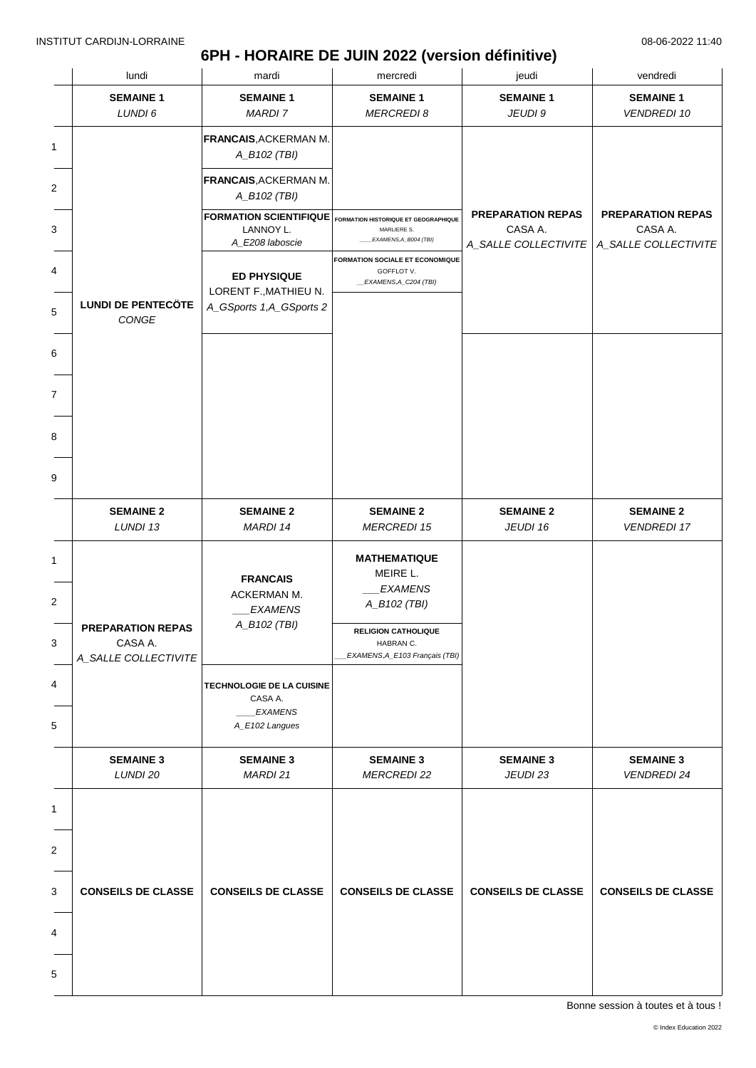## **6PH - HORAIRE DE JUIN 2022 (version définitive)**

|   | lundi                              | mardi                                                            | mercredi                                                                                        | jeudi                                                       | vendredi                                                    |
|---|------------------------------------|------------------------------------------------------------------|-------------------------------------------------------------------------------------------------|-------------------------------------------------------------|-------------------------------------------------------------|
|   | <b>SEMAINE 1</b><br>LUNDI 6        | <b>SEMAINE 1</b><br><b>MARDI 7</b>                               | <b>SEMAINE 1</b><br><b>MERCREDI 8</b>                                                           | <b>SEMAINE 1</b><br>JEUDI 9                                 | <b>SEMAINE 1</b><br><b>VENDREDI 10</b>                      |
|   |                                    | <b>FRANCAIS, ACKERMAN M.</b><br>A_B102 (TBI)                     |                                                                                                 |                                                             |                                                             |
|   |                                    | <b>FRANCAIS, ACKERMAN M.</b><br>A_B102 (TBI)                     |                                                                                                 |                                                             |                                                             |
|   |                                    | <b>FORMATION SCIENTIFIQUE</b><br>LANNOY L.<br>A_E208 laboscie    | FORMATION HISTORIQUE ET GEOGRAPHIQUE<br>MARLIERE S.<br>EXAMENS, A_B004 (TBI)                    | <b>PREPARATION REPAS</b><br>CASA A.<br>A_SALLE COLLECTIVITE | <b>PREPARATION REPAS</b><br>CASA A.<br>A_SALLE COLLECTIVITE |
|   |                                    | <b>ED PHYSIQUE</b><br>LORENT F., MATHIEU N.                      | FORMATION SOCIALE ET ECONOMIQUE<br>GOFFLOT V.<br>_EXAMENS,A_C204 (TBI)                          |                                                             |                                                             |
|   | <b>LUNDI DE PENTECÖTE</b><br>CONGE | A_GSports 1,A_GSports 2                                          |                                                                                                 |                                                             |                                                             |
|   |                                    |                                                                  |                                                                                                 |                                                             |                                                             |
|   |                                    |                                                                  |                                                                                                 |                                                             |                                                             |
|   |                                    |                                                                  |                                                                                                 |                                                             |                                                             |
|   |                                    |                                                                  |                                                                                                 |                                                             |                                                             |
|   | <b>SEMAINE 2</b><br>LUNDI 13       | <b>SEMAINE 2</b><br>MARDI 14                                     | <b>SEMAINE 2</b><br><b>MERCREDI 15</b>                                                          | <b>SEMAINE 2</b><br>JEUDI 16                                | <b>SEMAINE 2</b><br><b>VENDREDI 17</b>                      |
|   | <b>PREPARATION REPAS</b>           | <b>FRANCAIS</b><br>ACKERMAN M.<br><b>EXAMENS</b><br>A_B102 (TBI) | <b>MATHEMATIQUE</b><br>MEIRE L.<br><b>EXAMENS</b><br>A_B102 (TBI)<br><b>RELIGION CATHOLIQUE</b> |                                                             |                                                             |
|   | CASA A.<br>A_SALLE COLLECTIVITE    |                                                                  | HABRAN C.<br>EXAMENS, A_E103 Français (TBI)                                                     |                                                             |                                                             |
|   |                                    | TECHNOLOGIE DE LA CUISINE<br>CASA A.<br><b>EXAMENS</b>           |                                                                                                 |                                                             |                                                             |
|   |                                    | A_E102 Langues                                                   |                                                                                                 |                                                             |                                                             |
|   | <b>SEMAINE 3</b><br>LUNDI 20       | <b>SEMAINE 3</b><br>MARDI 21                                     | <b>SEMAINE 3</b><br><b>MERCREDI 22</b>                                                          | <b>SEMAINE 3</b><br>JEUDI 23                                | <b>SEMAINE 3</b><br><b>VENDREDI 24</b>                      |
|   |                                    |                                                                  |                                                                                                 |                                                             |                                                             |
|   |                                    |                                                                  |                                                                                                 |                                                             |                                                             |
|   | <b>CONSEILS DE CLASSE</b>          | <b>CONSEILS DE CLASSE</b>                                        | <b>CONSEILS DE CLASSE</b>                                                                       | <b>CONSEILS DE CLASSE</b>                                   | <b>CONSEILS DE CLASSE</b>                                   |
|   |                                    |                                                                  |                                                                                                 |                                                             |                                                             |
|   |                                    |                                                                  |                                                                                                 |                                                             |                                                             |
| 5 |                                    |                                                                  |                                                                                                 |                                                             |                                                             |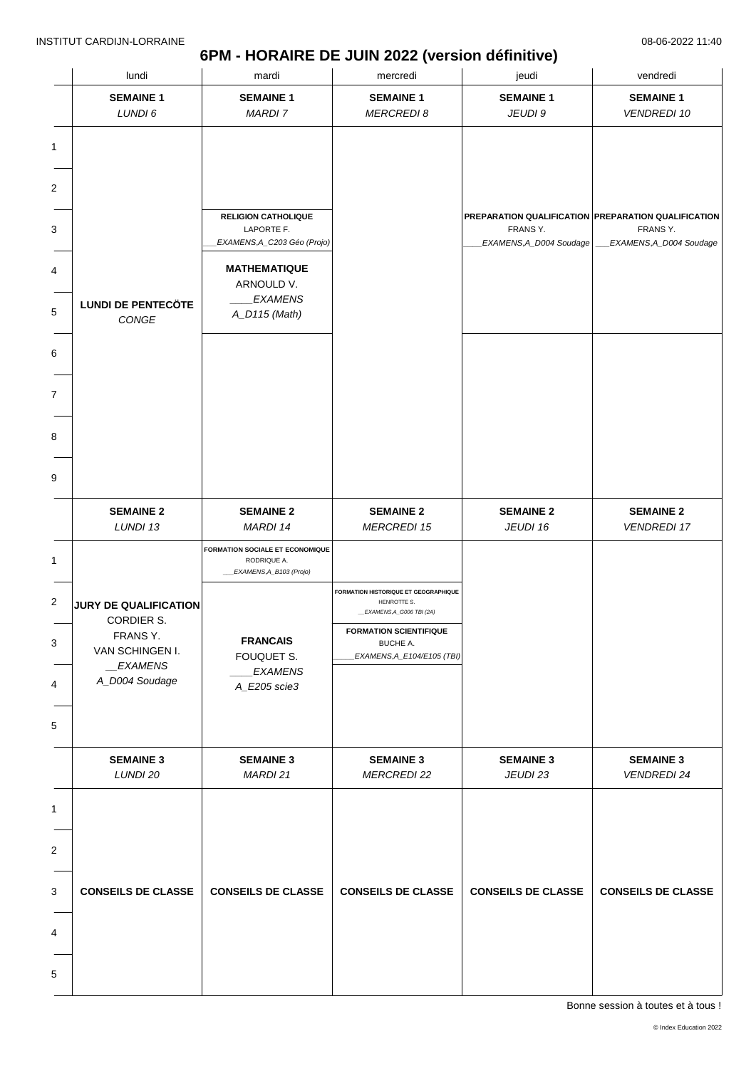### **6PM - HORAIRE DE JUIN 2022 (version définitive)**

| lundi                            | mardi                                          | mercredi                                            | jeudi                                               | vendredi                               |
|----------------------------------|------------------------------------------------|-----------------------------------------------------|-----------------------------------------------------|----------------------------------------|
| <b>SEMAINE 1</b>                 | <b>SEMAINE 1</b>                               | <b>SEMAINE 1</b>                                    | <b>SEMAINE 1</b>                                    | <b>SEMAINE 1</b>                       |
| LUNDI 6                          | <b>MARDI 7</b>                                 | <b>MERCREDI 8</b>                                   | JEUDI 9                                             | <b>VENDREDI 10</b>                     |
|                                  |                                                |                                                     |                                                     |                                        |
|                                  |                                                |                                                     |                                                     |                                        |
|                                  |                                                |                                                     |                                                     |                                        |
|                                  |                                                |                                                     |                                                     |                                        |
|                                  | <b>RELIGION CATHOLIQUE</b>                     |                                                     | PREPARATION QUALIFICATION PREPARATION QUALIFICATION |                                        |
|                                  | LAPORTE F.<br>EXAMENS, A_C203 Géo (Projo)      |                                                     | FRANS Y.<br>EXAMENS, A_D004 Soudage                 | FRANS Y.<br>EXAMENS, A_D004 Soudage    |
|                                  |                                                |                                                     |                                                     |                                        |
|                                  | <b>MATHEMATIQUE</b><br>ARNOULD V.              |                                                     |                                                     |                                        |
| <b>LUNDI DE PENTECÖTE</b>        | <b>EXAMENS</b>                                 |                                                     |                                                     |                                        |
| CONGE                            | A_D115 (Math)                                  |                                                     |                                                     |                                        |
|                                  |                                                |                                                     |                                                     |                                        |
|                                  |                                                |                                                     |                                                     |                                        |
|                                  |                                                |                                                     |                                                     |                                        |
|                                  |                                                |                                                     |                                                     |                                        |
|                                  |                                                |                                                     |                                                     |                                        |
|                                  |                                                |                                                     |                                                     |                                        |
|                                  |                                                |                                                     |                                                     |                                        |
|                                  |                                                |                                                     |                                                     |                                        |
|                                  |                                                |                                                     |                                                     |                                        |
| <b>SEMAINE 2</b><br>LUNDI 13     | <b>SEMAINE 2</b><br>MARDI 14                   | <b>SEMAINE 2</b><br><b>MERCREDI 15</b>              | <b>SEMAINE 2</b><br>JEUDI 16                        | <b>SEMAINE 2</b><br><b>VENDREDI 17</b> |
|                                  |                                                |                                                     |                                                     |                                        |
|                                  | FORMATION SOCIALE ET ECONOMIQUE<br>RODRIQUE A. |                                                     |                                                     |                                        |
|                                  | EXAMENS, A_B103 (Projo)                        |                                                     |                                                     |                                        |
| JURY DE QUALIFICATION            |                                                | FORMATION HISTORIQUE ET GEOGRAPHIQUE<br>HENROTTE S. |                                                     |                                        |
| CORDIER S.                       |                                                | _EXAMENS, A_G006 TBI (2A)                           |                                                     |                                        |
| FRANS Y.                         | <b>FRANCAIS</b>                                | <b>FORMATION SCIENTIFIQUE</b><br>BUCHE A.           |                                                     |                                        |
| VAN SCHINGEN I.<br>$\_EXAMPLENS$ | FOUQUET S.                                     | EXAMENS, A_E104/E105 (TBI)                          |                                                     |                                        |
| A_D004 Soudage                   | <b>EXAMENS</b><br>A_E205 scie3                 |                                                     |                                                     |                                        |
|                                  |                                                |                                                     |                                                     |                                        |
|                                  |                                                |                                                     |                                                     |                                        |
|                                  |                                                |                                                     |                                                     |                                        |
| <b>SEMAINE 3</b>                 | <b>SEMAINE 3</b>                               | <b>SEMAINE 3</b>                                    | <b>SEMAINE 3</b>                                    | <b>SEMAINE 3</b>                       |
| LUNDI 20                         | MARDI 21                                       | <b>MERCREDI 22</b>                                  | JEUDI 23                                            | <b>VENDREDI 24</b>                     |
|                                  |                                                |                                                     |                                                     |                                        |
|                                  |                                                |                                                     |                                                     |                                        |
|                                  |                                                |                                                     |                                                     |                                        |
|                                  |                                                |                                                     |                                                     |                                        |
|                                  |                                                |                                                     |                                                     |                                        |
| <b>CONSEILS DE CLASSE</b>        | <b>CONSEILS DE CLASSE</b>                      | <b>CONSEILS DE CLASSE</b>                           | <b>CONSEILS DE CLASSE</b>                           | <b>CONSEILS DE CLASSE</b>              |
|                                  |                                                |                                                     |                                                     |                                        |
|                                  |                                                |                                                     |                                                     |                                        |
|                                  |                                                |                                                     |                                                     |                                        |
|                                  |                                                |                                                     |                                                     |                                        |
|                                  |                                                |                                                     |                                                     |                                        |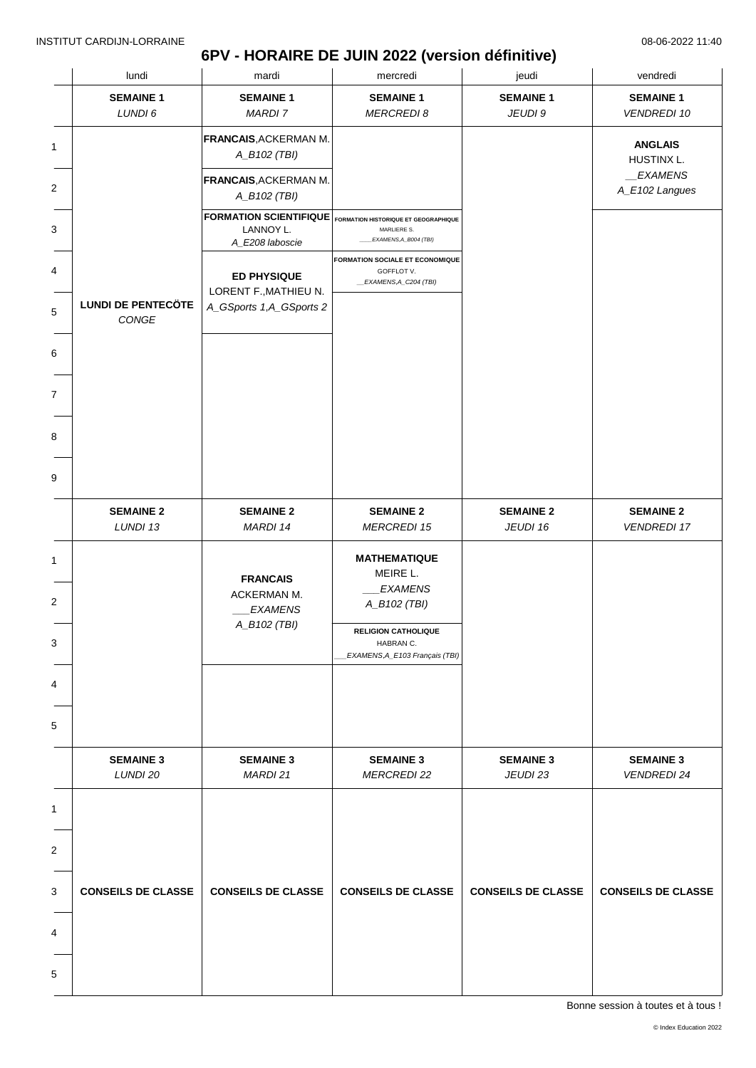### **6PV - HORAIRE DE JUIN 2022 (version définitive)**

|                | lundi                              | mardi                                                                                       | mercredi                                                                       | jeudi                        | vendredi                               |
|----------------|------------------------------------|---------------------------------------------------------------------------------------------|--------------------------------------------------------------------------------|------------------------------|----------------------------------------|
|                | <b>SEMAINE 1</b>                   | <b>SEMAINE 1</b>                                                                            | <b>SEMAINE 1</b>                                                               | <b>SEMAINE 1</b>             | <b>SEMAINE 1</b>                       |
|                | LUNDI 6                            | <b>MARDI 7</b>                                                                              | <b>MERCREDI 8</b>                                                              | JEUDI 9                      | <b>VENDREDI 10</b>                     |
| 1              |                                    | <b>FRANCAIS, ACKERMAN M.</b><br>A_B102 (TBI)                                                |                                                                                |                              | <b>ANGLAIS</b><br>HUSTINX L.           |
| $\overline{c}$ |                                    | <b>FRANCAIS, ACKERMAN M.</b><br>A_B102 (TBI)                                                |                                                                                |                              | EXAMENS<br>A_E102 Langues              |
| 3              |                                    | FORMATION SCIENTIFIQUE FORMATION HISTORIQUE ET GEOGRAPHIQUE<br>LANNOY L.<br>A_E208 laboscie | MARLIERE S.<br>EXAMENS,A_B004 (TBI)                                            |                              |                                        |
|                |                                    | <b>ED PHYSIQUE</b>                                                                          | <b>FORMATION SOCIALE ET ECONOMIQUE</b><br>GOFFLOT V.<br>_EXAMENS, A_C204 (TBI) |                              |                                        |
| 5              | <b>LUNDI DE PENTECÖTE</b><br>CONGE | LORENT F., MATHIEU N.<br>A_GSports 1,A_GSports 2                                            |                                                                                |                              |                                        |
| 6              |                                    |                                                                                             |                                                                                |                              |                                        |
| 7              |                                    |                                                                                             |                                                                                |                              |                                        |
|                |                                    |                                                                                             |                                                                                |                              |                                        |
|                |                                    |                                                                                             |                                                                                |                              |                                        |
|                | <b>SEMAINE 2</b><br>LUNDI 13       | <b>SEMAINE 2</b><br>MARDI 14                                                                | <b>SEMAINE 2</b><br><b>MERCREDI 15</b>                                         | <b>SEMAINE 2</b><br>JEUDI 16 | <b>SEMAINE 2</b><br><b>VENDREDI 17</b> |
| 1              |                                    | <b>FRANCAIS</b>                                                                             | <b>MATHEMATIQUE</b><br>MEIRE L.                                                |                              |                                        |
| 2              |                                    | ACKERMAN M.<br><b>EXAMENS</b>                                                               | <b>EXAMENS</b><br>A_B102 (TBI)                                                 |                              |                                        |
| 3              |                                    | A_B102 (TBI)                                                                                | <b>RELIGION CATHOLIQUE</b><br>HABRAN C.<br>EXAMENS, A_E103 Français (TBI)      |                              |                                        |
| 4              |                                    |                                                                                             |                                                                                |                              |                                        |
| 5              |                                    |                                                                                             |                                                                                |                              |                                        |
|                | <b>SEMAINE 3</b><br>LUNDI 20       | <b>SEMAINE 3</b><br>MARDI 21                                                                | <b>SEMAINE 3</b><br><b>MERCREDI 22</b>                                         | <b>SEMAINE 3</b><br>JEUDI 23 | <b>SEMAINE 3</b><br><b>VENDREDI 24</b> |
| 1              |                                    |                                                                                             |                                                                                |                              |                                        |
| $\overline{c}$ |                                    |                                                                                             |                                                                                |                              |                                        |
| 3              | <b>CONSEILS DE CLASSE</b>          | <b>CONSEILS DE CLASSE</b>                                                                   | <b>CONSEILS DE CLASSE</b>                                                      | <b>CONSEILS DE CLASSE</b>    | <b>CONSEILS DE CLASSE</b>              |
| 4              |                                    |                                                                                             |                                                                                |                              |                                        |
| 5              |                                    |                                                                                             |                                                                                |                              |                                        |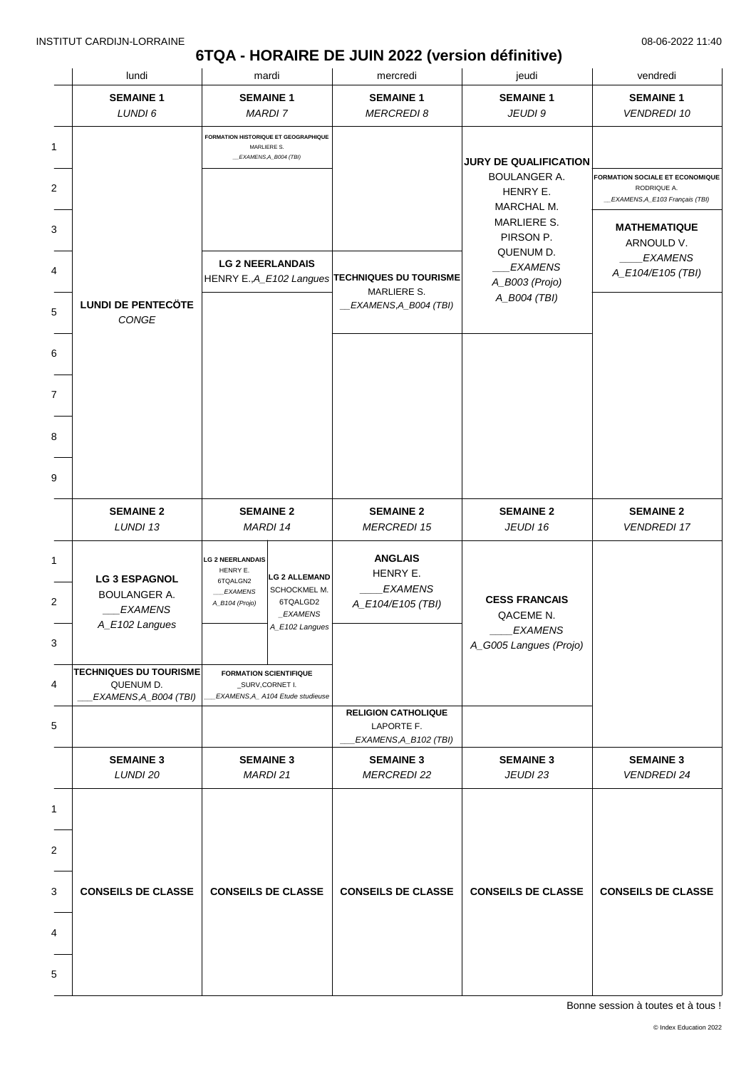# **6TQA - HORAIRE DE JUIN 2022 (version définitive)**

| lundi                                                                           |                                                                                     | mardi                                                                                | mercredi                                                                                       | jeudi                                                                                                                         | vendredi                                                                                                                      |
|---------------------------------------------------------------------------------|-------------------------------------------------------------------------------------|--------------------------------------------------------------------------------------|------------------------------------------------------------------------------------------------|-------------------------------------------------------------------------------------------------------------------------------|-------------------------------------------------------------------------------------------------------------------------------|
| <b>SEMAINE 1</b><br>LUNDI 6                                                     |                                                                                     | <b>SEMAINE 1</b><br><b>MARDI 7</b>                                                   | <b>SEMAINE 1</b><br><b>MERCREDI 8</b>                                                          | <b>SEMAINE 1</b><br>JEUDI 9                                                                                                   | <b>SEMAINE 1</b><br><b>VENDREDI 10</b>                                                                                        |
|                                                                                 |                                                                                     | <b>FORMATION HISTORIQUE ET GEOGRAPHIQUE</b><br>MARLIERE S.<br>_EXAMENS, A_B004 (TBI) |                                                                                                | <b>JURY DE QUALIFICATION</b><br><b>BOULANGER A.</b><br>HENRY E.<br>MARCHAL M.<br><b>MARLIERE S.</b><br>PIRSON P.<br>QUENUM D. | <b>FORMATION SOCIALE ET ECONOMIQUE</b><br>RODRIQUE A.<br>_EXAMENS, A_E103 Français (TBI)<br><b>MATHEMATIQUE</b><br>ARNOULD V. |
| <b>LUNDI DE PENTECÖTE</b><br>CONGE                                              |                                                                                     | <b>LG 2 NEERLANDAIS</b>                                                              | HENRY E., A_E102 Langues TECHNIQUES DU TOURISME<br>MARLIERE S.<br><b>EXAMENS, A_B004 (TBI)</b> | <b>EXAMENS</b><br>A_B003 (Projo)<br>A_B004 (TBI)                                                                              | <b>EXAMENS</b><br>A_E104/E105 (TBI)                                                                                           |
|                                                                                 |                                                                                     |                                                                                      |                                                                                                |                                                                                                                               |                                                                                                                               |
|                                                                                 |                                                                                     |                                                                                      |                                                                                                |                                                                                                                               |                                                                                                                               |
| <b>SEMAINE 2</b><br>LUNDI 13                                                    |                                                                                     | <b>SEMAINE 2</b><br><b>MARDI 14</b>                                                  | <b>SEMAINE 2</b><br><b>MERCREDI 15</b>                                                         | <b>SEMAINE 2</b><br>JEUDI 16                                                                                                  | <b>SEMAINE 2</b><br><b>VENDREDI 17</b>                                                                                        |
| <b>LG 3 ESPAGNOL</b><br><b>BOULANGER A.</b><br><b>EXAMENS</b><br>A_E102 Langues | <b>LG 2 NEERLANDAIS</b><br>HENRY E.<br>6TQALGN2<br><b>EXAMENS</b><br>A_B104 (Projo) | <b>LG 2 ALLEMAND</b><br>SCHOCKMEL M.<br>6TQALGD2<br>_EXAMENS<br>A_E102 Langues       | <b>ANGLAIS</b><br>HENRY E.<br><b>EXAMENS</b><br>A_E104/E105 (TBI)                              | <b>CESS FRANCAIS</b><br>QACEME N.<br><b>EXAMENS</b><br>A_G005 Langues (Projo)                                                 |                                                                                                                               |
| <b>TECHNIQUES DU TOURISME</b><br>QUENUM D.<br>EXAMENS, A_B004 (TBI)             |                                                                                     | <b>FORMATION SCIENTIFIQUE</b><br>_SURV,CORNET I.<br>EXAMENS, A_ A104 Etude studieuse |                                                                                                |                                                                                                                               |                                                                                                                               |
|                                                                                 |                                                                                     |                                                                                      | <b>RELIGION CATHOLIQUE</b><br>LAPORTE F.<br>EXAMENS, A_B102 (TBI)                              |                                                                                                                               |                                                                                                                               |
| <b>SEMAINE 3</b><br>LUNDI 20                                                    |                                                                                     | <b>SEMAINE 3</b><br>MARDI 21                                                         | <b>SEMAINE 3</b><br><b>MERCREDI 22</b>                                                         | <b>SEMAINE 3</b><br>JEUDI 23                                                                                                  | <b>SEMAINE 3</b><br><b>VENDREDI 24</b>                                                                                        |
| <b>CONSEILS DE CLASSE</b>                                                       |                                                                                     | <b>CONSEILS DE CLASSE</b>                                                            | <b>CONSEILS DE CLASSE</b>                                                                      | <b>CONSEILS DE CLASSE</b>                                                                                                     | <b>CONSEILS DE CLASSE</b>                                                                                                     |
|                                                                                 |                                                                                     |                                                                                      |                                                                                                |                                                                                                                               |                                                                                                                               |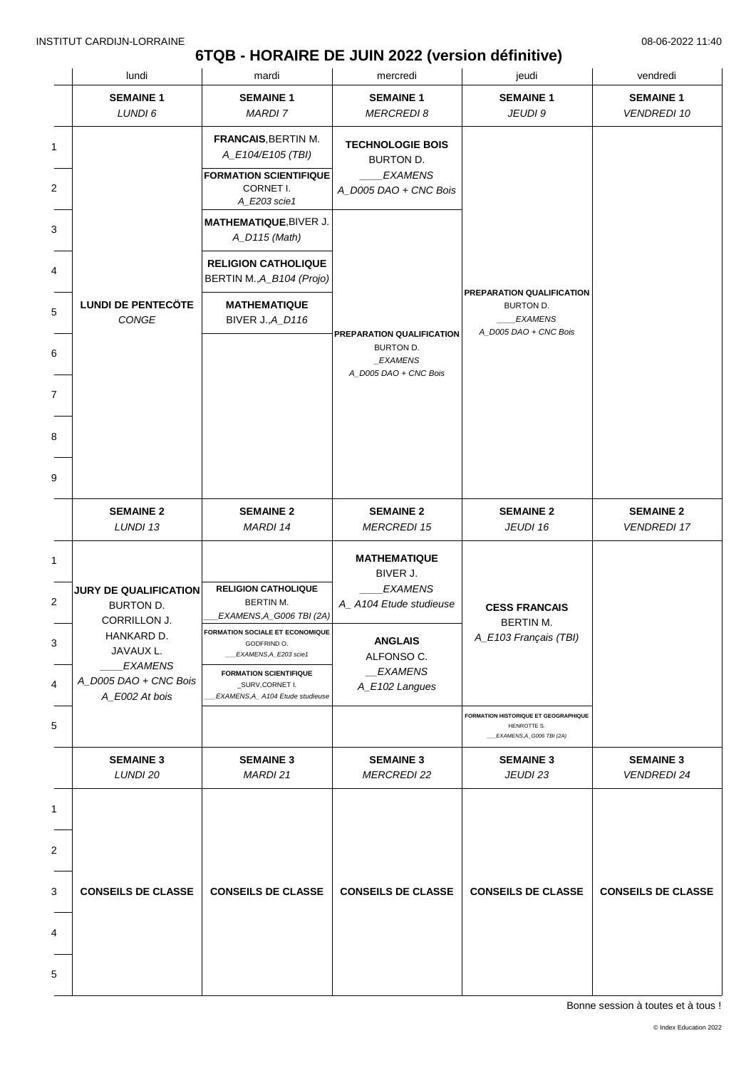# **6TQB - HORAIRE DE JUIN 2022 (version définitive)**

|                | lundi                                     | mardi                                                                                                         | mercredi                                                                        | jeudi                                                                             | vendredi                               |
|----------------|-------------------------------------------|---------------------------------------------------------------------------------------------------------------|---------------------------------------------------------------------------------|-----------------------------------------------------------------------------------|----------------------------------------|
|                | <b>SEMAINE 1</b><br>LUNDI 6               | <b>SEMAINE 1</b><br><b>MARDI 7</b>                                                                            | <b>SEMAINE 1</b><br><b>MERCREDI8</b>                                            | <b>SEMAINE 1</b><br>JEUDI 9                                                       | <b>SEMAINE 1</b><br><b>VENDREDI 10</b> |
| $\overline{2}$ |                                           | <b>FRANCAIS, BERTIN M.</b><br>A_E104/E105 (TBI)<br><b>FORMATION SCIENTIFIQUE</b><br>CORNET I.<br>A_E203 scie1 | <b>TECHNOLOGIE BOIS</b><br>BURTON D.<br><b>EXAMENS</b><br>A_D005 DAO + CNC Bois |                                                                                   |                                        |
|                |                                           | MATHEMATIQUE, BIVER J.<br>A_D115 (Math)                                                                       |                                                                                 |                                                                                   |                                        |
|                |                                           | <b>RELIGION CATHOLIQUE</b><br>BERTIN M., A_B104 (Projo)                                                       |                                                                                 | PREPARATION QUALIFICATION                                                         |                                        |
|                | <b>LUNDI DE PENTECÖTE</b><br>CONGE        | <b>MATHEMATIQUE</b><br><b>BIVER J., A_D116</b>                                                                | PREPARATION QUALIFICATION                                                       | BURTON D.<br><b>EXAMENS</b><br>A_D005 DAO + CNC Bois                              |                                        |
|                |                                           |                                                                                                               | BURTON D.<br>_EXAMENS<br>A_D005 DAO + CNC Bois                                  |                                                                                   |                                        |
|                |                                           |                                                                                                               |                                                                                 |                                                                                   |                                        |
|                |                                           |                                                                                                               |                                                                                 |                                                                                   |                                        |
|                | <b>SEMAINE 2</b><br>LUNDI 13              | <b>SEMAINE 2</b><br>MARDI 14                                                                                  | <b>SEMAINE 2</b><br><b>MERCREDI 15</b>                                          | <b>SEMAINE 2</b><br>JEUDI 16                                                      | <b>SEMAINE 2</b><br><b>VENDREDI 17</b> |
|                | JURY DE QUALIFICATION                     | <b>RELIGION CATHOLIQUE</b>                                                                                    | <b>MATHEMATIQUE</b><br>BIVER J.<br><b>EXAMENS</b>                               |                                                                                   |                                        |
|                | <b>BURTON D.</b><br>CORRILLON J.          | BERTIN M.<br>EXAMENS,A_G006 TBI (2A)                                                                          | A_A104 Etude studieuse<br><b>ANGLAIS</b><br>ALFONSO C.                          | <b>CESS FRANCAIS</b><br>BERTIN M.<br>A_E103 Français (TBI)                        |                                        |
|                | HANKARD D.<br>JAVAUX L.<br><b>EXAMENS</b> | <b>FORMATION SOCIALE ET ECONOMIQUE</b><br>GODFRIND O.<br>EXAMENS, A_E203 scie1                                |                                                                                 |                                                                                   |                                        |
|                | A_D005 DAO + CNC Bois<br>A_E002 At bois   | <b>FORMATION SCIENTIFIQUE</b><br>_SURV,CORNET I.<br>EXAMENS, A_ A104 Etude studieuse                          | _EXAMENS<br>A_E102 Langues                                                      |                                                                                   |                                        |
|                |                                           |                                                                                                               |                                                                                 | FORMATION HISTORIQUE ET GEOGRAPHIQUE<br>HENROTTE S.<br>___EXAMENS,A_G006 TBI (2A) |                                        |
|                | <b>SEMAINE 3</b><br>LUNDI 20              | <b>SEMAINE 3</b><br><b>MARDI 21</b>                                                                           | <b>SEMAINE 3</b><br><b>MERCREDI 22</b>                                          | <b>SEMAINE 3</b><br>JEUDI 23                                                      | <b>SEMAINE 3</b><br><b>VENDREDI 24</b> |
|                |                                           |                                                                                                               |                                                                                 |                                                                                   |                                        |
|                |                                           |                                                                                                               |                                                                                 |                                                                                   |                                        |
|                | <b>CONSEILS DE CLASSE</b>                 | <b>CONSEILS DE CLASSE</b>                                                                                     | <b>CONSEILS DE CLASSE</b>                                                       | <b>CONSEILS DE CLASSE</b>                                                         | <b>CONSEILS DE CLASSE</b>              |
|                |                                           |                                                                                                               |                                                                                 |                                                                                   |                                        |
|                |                                           |                                                                                                               |                                                                                 |                                                                                   |                                        |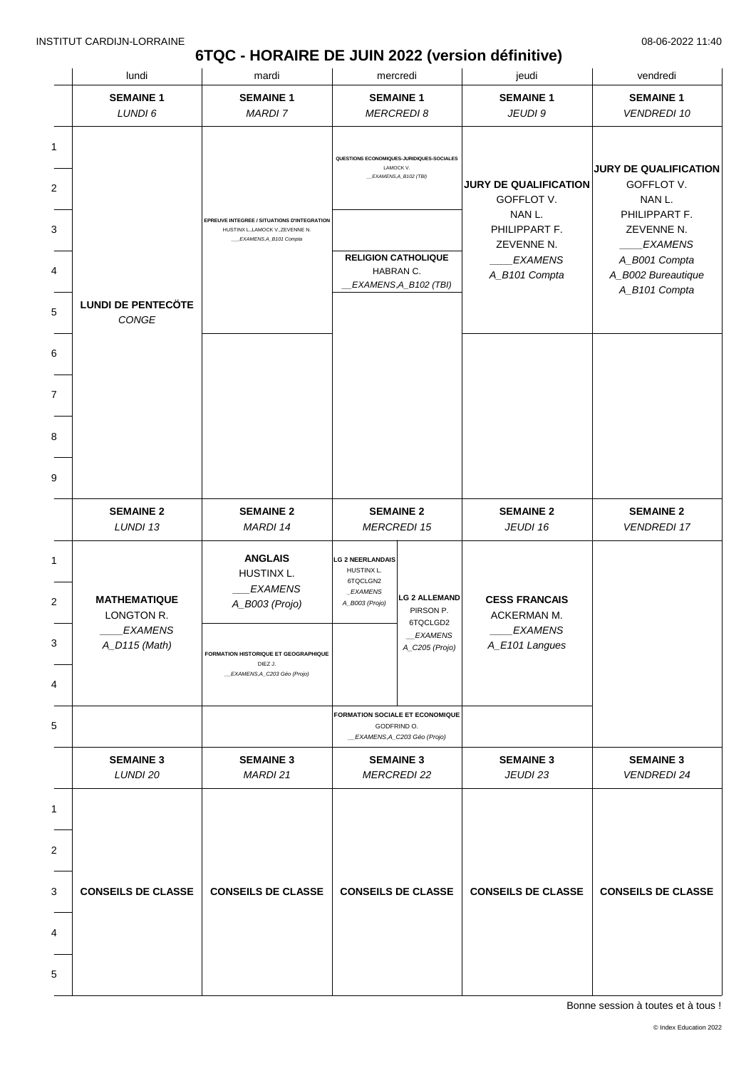# **6TQC - HORAIRE DE JUIN 2022 (version définitive)**

|                  | lundi                                                                | mardi                                                                                                                                               |                                                                                 | mercredi                                                                   | jeudi                                                                   | vendredi                                   |
|------------------|----------------------------------------------------------------------|-----------------------------------------------------------------------------------------------------------------------------------------------------|---------------------------------------------------------------------------------|----------------------------------------------------------------------------|-------------------------------------------------------------------------|--------------------------------------------|
|                  | <b>SEMAINE 1</b>                                                     | <b>SEMAINE 1</b>                                                                                                                                    | <b>SEMAINE 1</b>                                                                |                                                                            | <b>SEMAINE 1</b>                                                        | <b>SEMAINE 1</b>                           |
|                  | LUNDI 6                                                              | <b>MARDI7</b>                                                                                                                                       |                                                                                 | <b>MERCREDI 8</b>                                                          | JEUDI 9                                                                 | <b>VENDREDI 10</b>                         |
| 1<br>2           |                                                                      |                                                                                                                                                     | LAMOCK V.                                                                       | QUESTIONS ECONOMIQUES-JURIDIQUES-SOCIALES<br>EXAMENS, A_B102 (TBI)         | <b>JURY DE QUALIFICATION</b>                                            | <b>JURY DE QUALIFICATION</b><br>GOFFLOT V. |
| 3                |                                                                      | EPREUVE INTEGREE / SITUATIONS D'INTEGRATION<br>HUSTINX L., LAMOCK V., ZEVENNE N.                                                                    |                                                                                 |                                                                            | GOFFLOT V.<br>NAN L.<br>PHILIPPART F.                                   | NAN L.<br>PHILIPPART F.<br>ZEVENNE N.      |
|                  |                                                                      | EXAMENS,A_B101 Compta                                                                                                                               | <b>RELIGION CATHOLIQUE</b>                                                      |                                                                            | ZEVENNE N.<br><b>EXAMENS</b>                                            | <b>EXAMENS</b><br>A_B001 Compta            |
| 4                | <b>LUNDI DE PENTECÖTE</b>                                            |                                                                                                                                                     | HABRAN C.                                                                       | _EXAMENS,A_B102 (TBI)                                                      | A_B101 Compta                                                           | A_B002 Bureautique<br>A_B101 Compta        |
| 5                | CONGE                                                                |                                                                                                                                                     |                                                                                 |                                                                            |                                                                         |                                            |
| 6                |                                                                      |                                                                                                                                                     |                                                                                 |                                                                            |                                                                         |                                            |
| 7                |                                                                      |                                                                                                                                                     |                                                                                 |                                                                            |                                                                         |                                            |
| 8                |                                                                      |                                                                                                                                                     |                                                                                 |                                                                            |                                                                         |                                            |
| 9                |                                                                      |                                                                                                                                                     |                                                                                 |                                                                            |                                                                         |                                            |
|                  | <b>SEMAINE 2</b><br>LUNDI 13                                         | <b>SEMAINE 2</b><br>MARDI 14                                                                                                                        | <b>SEMAINE 2</b>                                                                | <b>MERCREDI 15</b>                                                         | <b>SEMAINE 2</b><br>JEUDI 16                                            | <b>SEMAINE 2</b><br><b>VENDREDI 17</b>     |
| 1<br>2<br>3<br>4 | <b>MATHEMATIQUE</b><br>LONGTON R.<br><b>EXAMENS</b><br>A_D115 (Math) | <b>ANGLAIS</b><br>HUSTINX L.<br><b>EXAMENS</b><br>A_B003 (Projo)<br>FORMATION HISTORIQUE ET GEOGRAPHIQUE<br>DIEZ J.<br>_EXAMENS, A_C203 Géo (Projo) | <b>LG 2 NEERLANDAIS</b><br>HUSTINX L.<br>6TQCLGN2<br>_EXAMENS<br>A_B003 (Projo) | <b>LG 2 ALLEMAND</b><br>PIRSON P.<br>6TQCLGD2<br>EXAMENS<br>A_C205 (Projo) | <b>CESS FRANCAIS</b><br>ACKERMAN M.<br><b>EXAMENS</b><br>A_E101 Langues |                                            |
| 5                |                                                                      |                                                                                                                                                     | GODFRIND O.                                                                     | <b>FORMATION SOCIALE ET ECONOMIQUE</b><br>_EXAMENS, A_C203 Géo (Projo)     |                                                                         |                                            |
|                  | <b>SEMAINE 3</b><br>LUNDI 20                                         | <b>SEMAINE 3</b><br>MARDI 21                                                                                                                        | <b>SEMAINE 3</b><br><b>MERCREDI 22</b>                                          |                                                                            | <b>SEMAINE 3</b><br>JEUDI 23                                            | <b>SEMAINE 3</b><br><b>VENDREDI 24</b>     |
| 1                |                                                                      |                                                                                                                                                     |                                                                                 |                                                                            |                                                                         |                                            |
| 2                |                                                                      |                                                                                                                                                     |                                                                                 |                                                                            |                                                                         |                                            |
| 3                | <b>CONSEILS DE CLASSE</b>                                            | <b>CONSEILS DE CLASSE</b>                                                                                                                           | <b>CONSEILS DE CLASSE</b>                                                       |                                                                            | <b>CONSEILS DE CLASSE</b>                                               | <b>CONSEILS DE CLASSE</b>                  |
| 4                |                                                                      |                                                                                                                                                     |                                                                                 |                                                                            |                                                                         |                                            |
| 5                |                                                                      |                                                                                                                                                     |                                                                                 |                                                                            |                                                                         |                                            |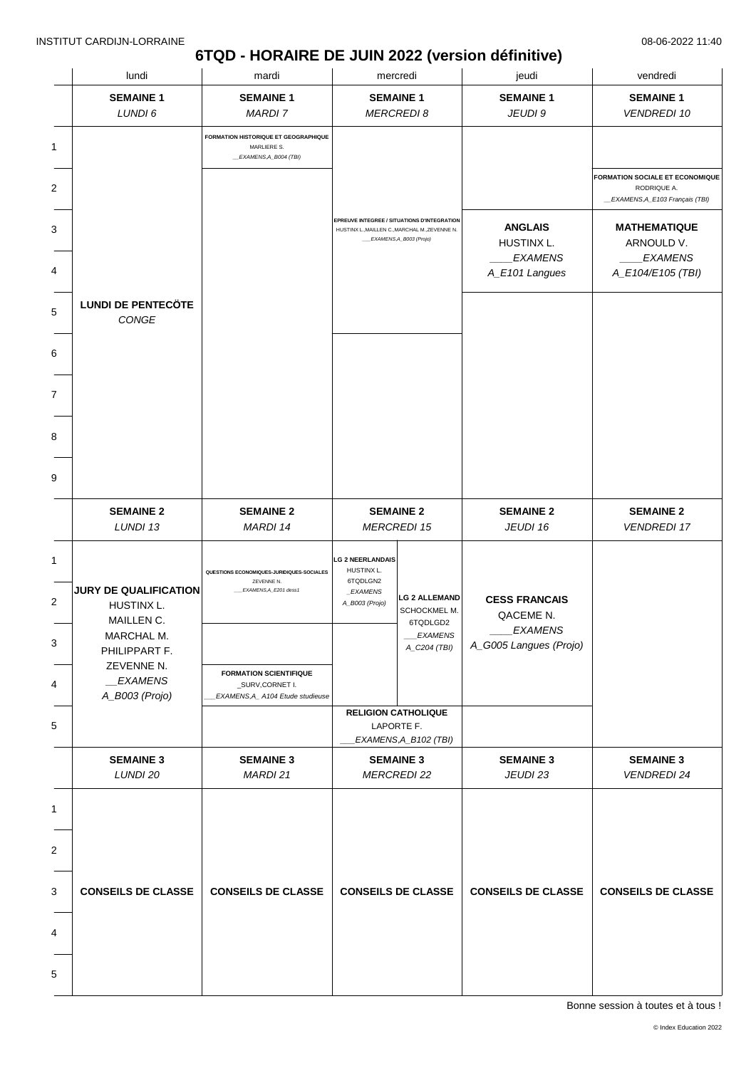### **6TQD - HORAIRE DE JUIN 2022 (version définitive)**

| lundi                                                                                   | mardi                                                                               |                                                                                 | mercredi                                                                       | jeudi                                                                         | vendredi                                                                          |
|-----------------------------------------------------------------------------------------|-------------------------------------------------------------------------------------|---------------------------------------------------------------------------------|--------------------------------------------------------------------------------|-------------------------------------------------------------------------------|-----------------------------------------------------------------------------------|
| <b>SEMAINE 1</b>                                                                        | <b>SEMAINE 1</b><br><b>MARDI7</b>                                                   | <b>SEMAINE 1</b>                                                                |                                                                                | <b>SEMAINE 1</b>                                                              | <b>SEMAINE 1</b>                                                                  |
| LUNDI 6                                                                                 |                                                                                     |                                                                                 | <b>MERCREDI 8</b>                                                              | JEUDI 9                                                                       | <b>VENDREDI 10</b>                                                                |
|                                                                                         | FORMATION HISTORIQUE ET GEOGRAPHIQUE<br>MARLIERE S.<br>_EXAMENS, A_B004 (TBI)       |                                                                                 |                                                                                |                                                                               |                                                                                   |
|                                                                                         |                                                                                     |                                                                                 |                                                                                |                                                                               | FORMATION SOCIALE ET ECONOMIQUE<br>RODRIQUE A.<br>_EXAMENS, A_E103 Français (TBI) |
|                                                                                         |                                                                                     | HUSTINX L., MAILLEN C., MARCHAL M., ZEVENNE N.                                  | EPREUVE INTEGREE / SITUATIONS D'INTEGRATION<br>EXAMENS, A_B003 (Projo)         | <b>ANGLAIS</b>                                                                | <b>MATHEMATIQUE</b>                                                               |
|                                                                                         |                                                                                     |                                                                                 |                                                                                | HUSTINX L.<br><b>EXAMENS</b><br>A_E101 Langues                                | ARNOULD V.<br><b>EXAMENS</b><br>A_E104/E105 (TBI)                                 |
| <b>LUNDI DE PENTECÖTE</b>                                                               |                                                                                     |                                                                                 |                                                                                |                                                                               |                                                                                   |
| CONGE                                                                                   |                                                                                     |                                                                                 |                                                                                |                                                                               |                                                                                   |
|                                                                                         |                                                                                     |                                                                                 |                                                                                |                                                                               |                                                                                   |
|                                                                                         |                                                                                     |                                                                                 |                                                                                |                                                                               |                                                                                   |
|                                                                                         |                                                                                     |                                                                                 |                                                                                |                                                                               |                                                                                   |
|                                                                                         |                                                                                     |                                                                                 |                                                                                |                                                                               |                                                                                   |
| <b>SEMAINE 2</b><br>LUNDI 13                                                            | <b>SEMAINE 2</b><br>MARDI 14                                                        | <b>SEMAINE 2</b>                                                                | <b>MERCREDI 15</b>                                                             | <b>SEMAINE 2</b><br>JEUDI 16                                                  | <b>SEMAINE 2</b><br><b>VENDREDI 17</b>                                            |
| <b>JURY DE QUALIFICATION</b><br>HUSTINX L.<br>MAILLEN C.<br>MARCHAL M.<br>PHILIPPART F. | QUESTIONS ECONOMIQUES-JURIDIQUES-SOCIALES<br>ZEVENNE N.<br>EXAMENS, A_E201 dess1    | <b>LG 2 NEERLANDAIS</b><br>HUSTINX L.<br>6TQDLGN2<br>_EXAMENS<br>A_B003 (Projo) | <b>LG 2 ALLEMAND</b><br>SCHOCKMEL M.<br>6TQDLGD2<br>___EXAMENS<br>A_C204 (TBI) | <b>CESS FRANCAIS</b><br>QACEME N.<br><i>EXAMENS</i><br>A_G005 Langues (Projo) |                                                                                   |
| ZEVENNE N.<br><b>EXAMENS</b><br>A_B003 (Projo)                                          | <b>FORMATION SCIENTIFIQUE</b><br>_SURV,CORNET I.<br>EXAMENS, A_A104 Etude studieuse |                                                                                 |                                                                                |                                                                               |                                                                                   |
|                                                                                         |                                                                                     |                                                                                 | <b>RELIGION CATHOLIQUE</b><br>LAPORTE F.<br>EXAMENS, A_B102 (TBI)              |                                                                               |                                                                                   |
| <b>SEMAINE 3</b><br>LUNDI 20                                                            | <b>SEMAINE 3</b><br>MARDI 21                                                        |                                                                                 | <b>SEMAINE 3</b><br><b>MERCREDI 22</b>                                         | <b>SEMAINE 3</b><br>JEUDI 23                                                  | <b>SEMAINE 3</b><br><b>VENDREDI 24</b>                                            |
|                                                                                         |                                                                                     |                                                                                 |                                                                                |                                                                               |                                                                                   |
|                                                                                         |                                                                                     |                                                                                 |                                                                                |                                                                               |                                                                                   |
| <b>CONSEILS DE CLASSE</b>                                                               | <b>CONSEILS DE CLASSE</b>                                                           | <b>CONSEILS DE CLASSE</b>                                                       |                                                                                | <b>CONSEILS DE CLASSE</b>                                                     | <b>CONSEILS DE CLASSE</b>                                                         |
|                                                                                         |                                                                                     |                                                                                 |                                                                                |                                                                               |                                                                                   |
|                                                                                         |                                                                                     |                                                                                 |                                                                                |                                                                               |                                                                                   |
|                                                                                         |                                                                                     |                                                                                 |                                                                                |                                                                               |                                                                                   |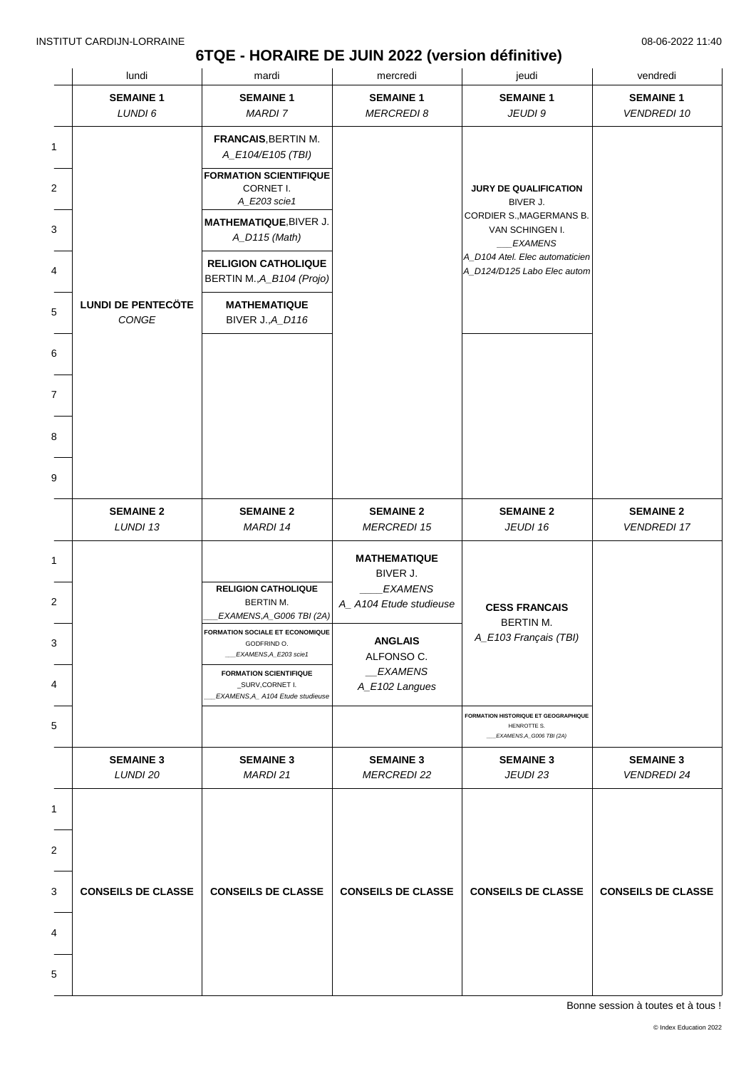## **6TQE - HORAIRE DE JUIN 2022 (version définitive)**

|                | lundi                              | mardi                                                                               | mercredi                                 | jeudi                                                                              | vendredi                               |
|----------------|------------------------------------|-------------------------------------------------------------------------------------|------------------------------------------|------------------------------------------------------------------------------------|----------------------------------------|
|                | <b>SEMAINE 1</b><br>LUNDI 6        | <b>SEMAINE 1</b><br><b>MARDI 7</b>                                                  | <b>SEMAINE 1</b><br><b>MERCREDI 8</b>    | <b>SEMAINE 1</b><br>JEUDI 9                                                        | <b>SEMAINE 1</b><br><b>VENDREDI 10</b> |
| 1              |                                    | <b>FRANCAIS, BERTIN M.</b><br>A_E104/E105 (TBI)                                     |                                          |                                                                                    |                                        |
| $\overline{c}$ |                                    | <b>FORMATION SCIENTIFIQUE</b><br>CORNET I.<br>A_E203 scie1                          |                                          | <b>JURY DE QUALIFICATION</b><br>BIVER J.                                           |                                        |
| 3              |                                    | MATHEMATIQUE, BIVER J.<br>A_D115 (Math)                                             |                                          | CORDIER S., MAGERMANS B.<br>VAN SCHINGEN I.<br><b>EXAMENS</b>                      |                                        |
| 4              |                                    | <b>RELIGION CATHOLIQUE</b><br>BERTIN M., A_B104 (Projo)                             |                                          | A_D104 Atel. Elec automaticien<br>A_D124/D125 Labo Elec autom                      |                                        |
| 5              | <b>LUNDI DE PENTECÖTE</b><br>CONGE | <b>MATHEMATIQUE</b><br><b>BIVER J., A_D116</b>                                      |                                          |                                                                                    |                                        |
| 6              |                                    |                                                                                     |                                          |                                                                                    |                                        |
| 7              |                                    |                                                                                     |                                          |                                                                                    |                                        |
| 8              |                                    |                                                                                     |                                          |                                                                                    |                                        |
| 9              |                                    |                                                                                     |                                          |                                                                                    |                                        |
|                | <b>SEMAINE 2</b><br>LUNDI 13       | <b>SEMAINE 2</b><br>MARDI 14                                                        | <b>SEMAINE 2</b><br><b>MERCREDI 15</b>   | <b>SEMAINE 2</b><br>JEUDI 16                                                       | <b>SEMAINE 2</b><br><b>VENDREDI 17</b> |
|                |                                    |                                                                                     | <b>MATHEMATIQUE</b><br>BIVER J.          |                                                                                    |                                        |
| 2              |                                    | <b>RELIGION CATHOLIQUE</b><br>BERTIN M.<br>EXAMENS, A_G006 TBI (2A)                 | <b>EXAMENS</b><br>A_A104 Etude studieuse | <b>CESS FRANCAIS</b>                                                               |                                        |
| 3              |                                    | <b>FORMATION SOCIALE ET ECONOMIQUE</b><br>GODFRIND O.<br>_EXAMENS, A_E203 scie1     | <b>ANGLAIS</b><br>ALFONSO C.             | BERTIN M.<br>A_E103 Français (TBI)                                                 |                                        |
| 4              |                                    | <b>FORMATION SCIENTIFIQUE</b><br>_SURV,CORNET I.<br>EXAMENS, A_A104 Etude studieuse | <b>EXAMENS</b><br>A_E102 Langues         |                                                                                    |                                        |
| 5              |                                    |                                                                                     |                                          | FORMATION HISTORIQUE ET GEOGRAPHIQUE<br>HENROTTE S.<br>___EXAMENS, A_G006 TBI (2A) |                                        |
|                | <b>SEMAINE 3</b><br>LUNDI 20       | <b>SEMAINE 3</b><br>MARDI 21                                                        | <b>SEMAINE 3</b><br><b>MERCREDI 22</b>   | <b>SEMAINE 3</b><br>JEUDI 23                                                       | <b>SEMAINE 3</b><br><b>VENDREDI 24</b> |
| 1              |                                    |                                                                                     |                                          |                                                                                    |                                        |
| 2              |                                    |                                                                                     |                                          |                                                                                    |                                        |
| 3              | <b>CONSEILS DE CLASSE</b>          | <b>CONSEILS DE CLASSE</b>                                                           | <b>CONSEILS DE CLASSE</b>                | <b>CONSEILS DE CLASSE</b>                                                          | <b>CONSEILS DE CLASSE</b>              |
| 4              |                                    |                                                                                     |                                          |                                                                                    |                                        |
| 5              |                                    |                                                                                     |                                          |                                                                                    |                                        |
|                |                                    |                                                                                     |                                          |                                                                                    |                                        |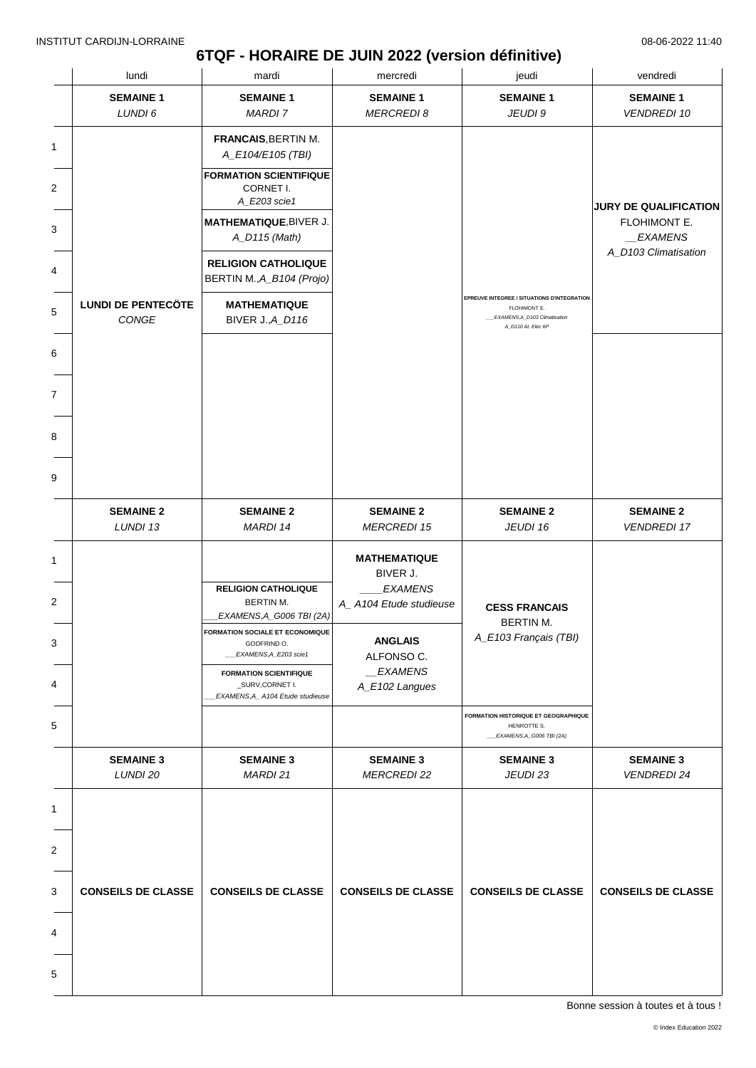## **6TQF - HORAIRE DE JUIN 2022 (version définitive)**

|                                      | lundi                              | mardi                                                                                                                                                                                                                                                                 | mercredi                                                                                                                                        | jeudi                                                                                                              | vendredi                                                                         |
|--------------------------------------|------------------------------------|-----------------------------------------------------------------------------------------------------------------------------------------------------------------------------------------------------------------------------------------------------------------------|-------------------------------------------------------------------------------------------------------------------------------------------------|--------------------------------------------------------------------------------------------------------------------|----------------------------------------------------------------------------------|
|                                      | <b>SEMAINE 1</b><br>LUNDI 6        | <b>SEMAINE 1</b><br><b>MARDI 7</b>                                                                                                                                                                                                                                    | <b>SEMAINE 1</b><br><b>MERCREDI 8</b>                                                                                                           | <b>SEMAINE 1</b><br>JEUDI 9                                                                                        | <b>SEMAINE 1</b><br><b>VENDREDI 10</b>                                           |
| 1<br>2<br>3<br>4<br>5<br>6<br>7<br>8 | <b>LUNDI DE PENTECÖTE</b><br>CONGE | <b>FRANCAIS, BERTIN M.</b><br>A_E104/E105 (TBI)<br><b>FORMATION SCIENTIFIQUE</b><br>CORNET I.<br>A_E203 scie1<br>MATHEMATIQUE, BIVER J.<br>A_D115 (Math)<br><b>RELIGION CATHOLIQUE</b><br>BERTIN M., A_B104 (Projo)<br><b>MATHEMATIQUE</b><br><b>BIVER J., A_D116</b> |                                                                                                                                                 | EPREUVE INTEGREE / SITUATIONS D'INTEGRATION<br>FLOHIMONT E.<br>EXAMENS, A_D103 Climatisation<br>A_D110 At. Elec 6P | <b>JURY DE QUALIFICATION</b><br>FLOHIMONT E.<br>_EXAMENS<br>A_D103 Climatisation |
| 9                                    | <b>SEMAINE 2</b><br>LUNDI 13       | <b>SEMAINE 2</b><br>MARDI 14                                                                                                                                                                                                                                          | <b>SEMAINE 2</b><br><b>MERCREDI 15</b>                                                                                                          | <b>SEMAINE 2</b><br>JEUDI 16                                                                                       | <b>SEMAINE 2</b><br><b>VENDREDI 17</b>                                           |
| 1<br>2<br>3<br>4                     |                                    | <b>RELIGION CATHOLIQUE</b><br>BERTIN M.<br>EXAMENS, A_G006 TBI (2A)<br><b>FORMATION SOCIALE ET ECONOMIQUE</b><br>GODFRIND O.<br>EXAMENS, A_E203 scie1<br><b>FORMATION SCIENTIFIQUE</b><br>_SURV,CORNET I.                                                             | <b>MATHEMATIQUE</b><br>BIVER J.<br><b>EXAMENS</b><br>A_A104 Etude studieuse<br><b>ANGLAIS</b><br>ALFONSO C.<br><i>EXAMENS</i><br>A_E102 Langues | <b>CESS FRANCAIS</b><br><b>BERTIN M.</b><br>A_E103 Français (TBI)                                                  |                                                                                  |
| 5                                    |                                    | EXAMENS, A_A104 Etude studieuse                                                                                                                                                                                                                                       |                                                                                                                                                 | <b>FORMATION HISTORIQUE ET GEOGRAPHIQUE</b><br>HENROTTE S.<br>__EXAMENS, A_G006 TBI (2A)                           |                                                                                  |
|                                      | <b>SEMAINE 3</b><br>LUNDI 20       | <b>SEMAINE 3</b><br>MARDI 21                                                                                                                                                                                                                                          | <b>SEMAINE 3</b><br><b>MERCREDI 22</b>                                                                                                          | <b>SEMAINE 3</b><br>JEUDI 23                                                                                       | <b>SEMAINE 3</b><br><b>VENDREDI 24</b>                                           |
| 1<br>2<br>3<br>4                     | <b>CONSEILS DE CLASSE</b>          | <b>CONSEILS DE CLASSE</b>                                                                                                                                                                                                                                             | <b>CONSEILS DE CLASSE</b>                                                                                                                       | <b>CONSEILS DE CLASSE</b>                                                                                          | <b>CONSEILS DE CLASSE</b>                                                        |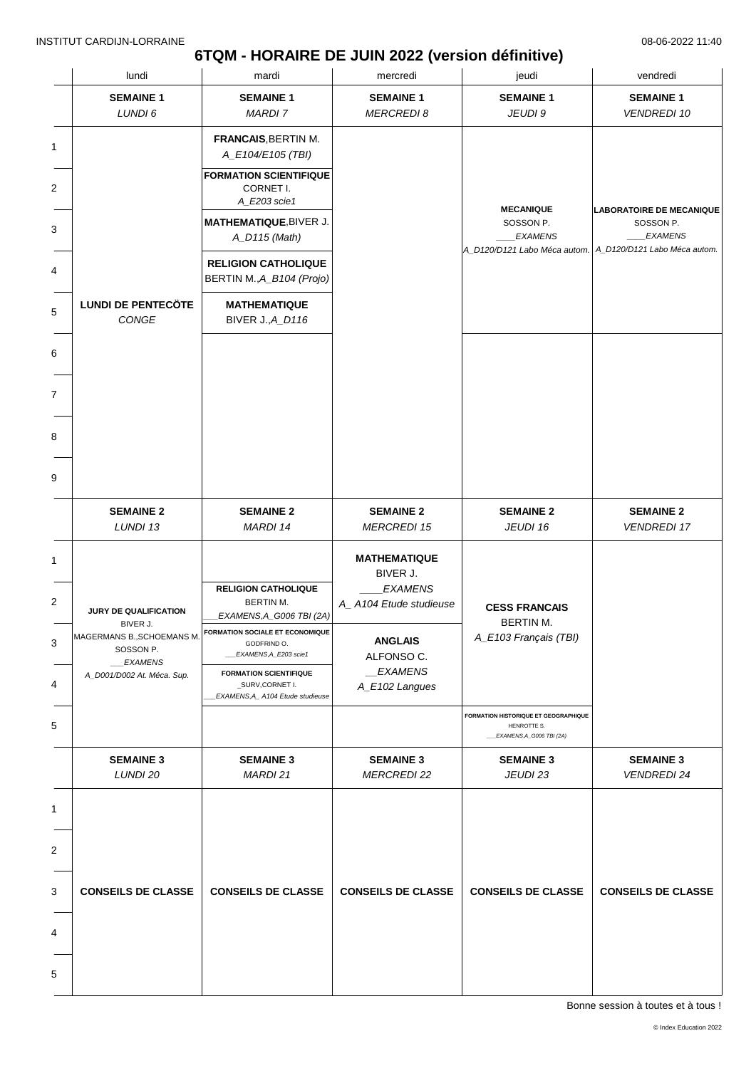## **6TQM - HORAIRE DE JUIN 2022 (version définitive)**

|   | lundi                                                                                         | mardi                                                                                                             | mercredi                                                                    | jeudi                                                                                                        | vendredi                                                       |
|---|-----------------------------------------------------------------------------------------------|-------------------------------------------------------------------------------------------------------------------|-----------------------------------------------------------------------------|--------------------------------------------------------------------------------------------------------------|----------------------------------------------------------------|
|   | <b>SEMAINE 1</b><br>LUNDI 6                                                                   | <b>SEMAINE 1</b><br><b>MARDI 7</b>                                                                                | <b>SEMAINE 1</b><br><b>MERCREDI 8</b>                                       | <b>SEMAINE 1</b><br>JEUDI 9                                                                                  | <b>SEMAINE 1</b><br><b>VENDREDI 10</b>                         |
| 1 |                                                                                               | <b>FRANCAIS, BERTIN M.</b><br>A_E104/E105 (TBI)                                                                   |                                                                             |                                                                                                              |                                                                |
| 2 |                                                                                               | <b>FORMATION SCIENTIFIQUE</b><br>CORNET I.<br>A_E203 scie1                                                        |                                                                             |                                                                                                              |                                                                |
| 3 |                                                                                               | MATHEMATIQUE, BIVER J.<br>A_D115 (Math)                                                                           |                                                                             | <b>MECANIQUE</b><br>SOSSON P.<br><b>EXAMENS</b><br>A_D120/D121 Labo Méca autom. A_D120/D121 Labo Méca autom. | <b>LABORATOIRE DE MECANIQUE</b><br>SOSSON P.<br><b>EXAMENS</b> |
| 4 |                                                                                               | <b>RELIGION CATHOLIQUE</b><br>BERTIN M., A_B104 (Projo)                                                           |                                                                             |                                                                                                              |                                                                |
| 5 | <b>LUNDI DE PENTECÖTE</b><br>CONGE                                                            | <b>MATHEMATIQUE</b><br><b>BIVER J., A_D116</b>                                                                    |                                                                             |                                                                                                              |                                                                |
| 6 |                                                                                               |                                                                                                                   |                                                                             |                                                                                                              |                                                                |
| 7 |                                                                                               |                                                                                                                   |                                                                             |                                                                                                              |                                                                |
|   |                                                                                               |                                                                                                                   |                                                                             |                                                                                                              |                                                                |
|   |                                                                                               |                                                                                                                   |                                                                             |                                                                                                              |                                                                |
|   | <b>SEMAINE 2</b><br>LUNDI 13                                                                  | <b>SEMAINE 2</b><br>MARDI 14                                                                                      | <b>SEMAINE 2</b><br><b>MERCREDI 15</b>                                      | <b>SEMAINE 2</b><br>JEUDI 16                                                                                 | <b>SEMAINE 2</b><br><b>VENDREDI 17</b>                         |
|   |                                                                                               | <b>RELIGION CATHOLIQUE</b><br>BERTIN M.                                                                           | <b>MATHEMATIQUE</b><br>BIVER J.<br><b>EXAMENS</b><br>A_A104 Etude studieuse | <b>CESS FRANCAIS</b>                                                                                         |                                                                |
|   | JURY DE QUALIFICATION<br>BIVER J.<br>MAGERMANS B.,SCHOEMANS M.<br>SOSSON P.<br><i>EXAMENS</i> | <b>EXAMENS, A_G006 TBI (2A)</b><br><b>FORMATION SOCIALE ET ECONOMIQUE</b><br>GODFRIND O.<br>EXAMENS, A_E203 scie1 | <b>ANGLAIS</b><br>ALFONSO C.<br>_EXAMENS                                    | BERTIN M.<br>A_E103 Français (TBI)                                                                           |                                                                |
|   | A_D001/D002 At. Méca. Sup.                                                                    | <b>FORMATION SCIENTIFIQUE</b><br>_SURV,CORNET I.<br>EXAMENS, A_ A104 Etude studieuse                              | A_E102 Langues                                                              |                                                                                                              |                                                                |
|   |                                                                                               |                                                                                                                   |                                                                             | FORMATION HISTORIQUE ET GEOGRAPHIQUE<br>HENROTTE S.<br>EXAMENS, A_G006 TBI (2A)                              |                                                                |
|   | <b>SEMAINE 3</b><br>LUNDI 20                                                                  | <b>SEMAINE 3</b><br>MARDI 21                                                                                      | <b>SEMAINE 3</b><br><b>MERCREDI 22</b>                                      | <b>SEMAINE 3</b><br>JEUDI 23                                                                                 | <b>SEMAINE 3</b><br><b>VENDREDI 24</b>                         |
|   |                                                                                               |                                                                                                                   |                                                                             |                                                                                                              |                                                                |
|   |                                                                                               |                                                                                                                   |                                                                             |                                                                                                              |                                                                |
|   | <b>CONSEILS DE CLASSE</b>                                                                     | <b>CONSEILS DE CLASSE</b>                                                                                         | <b>CONSEILS DE CLASSE</b>                                                   | <b>CONSEILS DE CLASSE</b>                                                                                    | <b>CONSEILS DE CLASSE</b>                                      |
|   |                                                                                               |                                                                                                                   |                                                                             |                                                                                                              |                                                                |
| 5 |                                                                                               |                                                                                                                   |                                                                             |                                                                                                              |                                                                |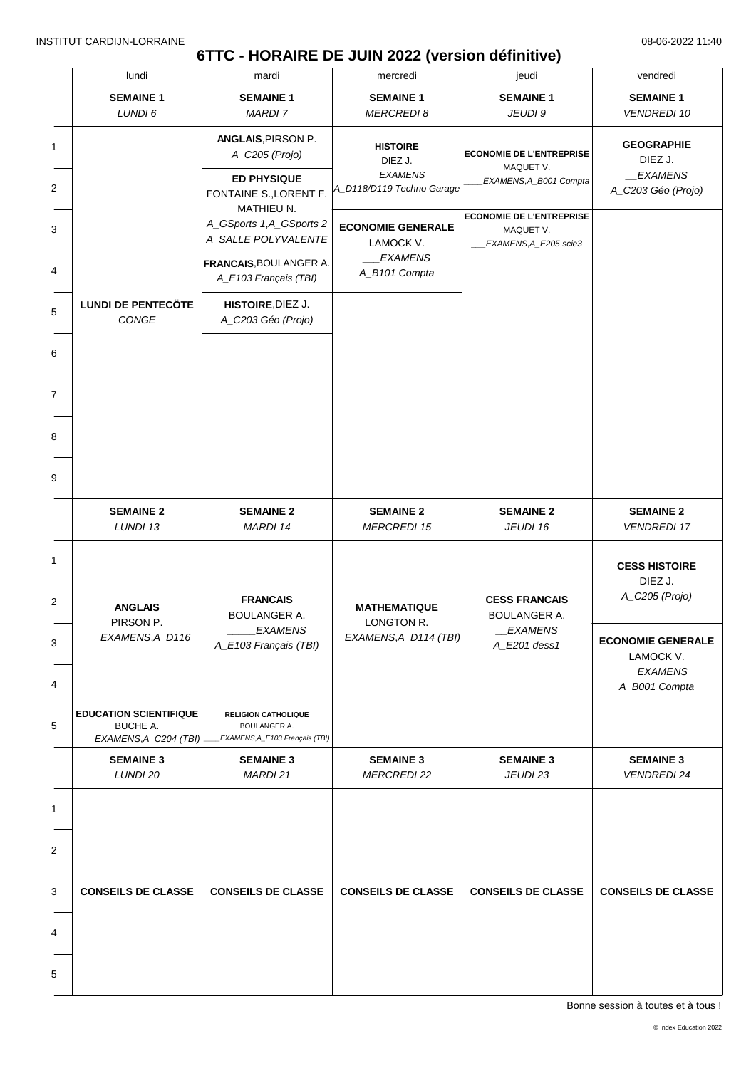# **6TTC - HORAIRE DE JUIN 2022 (version définitive)**

|        | lundi                                                              | mardi                                                                                  | mercredi                                                            | jeudi                                                                  | vendredi                                                                 |
|--------|--------------------------------------------------------------------|----------------------------------------------------------------------------------------|---------------------------------------------------------------------|------------------------------------------------------------------------|--------------------------------------------------------------------------|
|        | <b>SEMAINE 1</b><br>LUNDI 6                                        | <b>SEMAINE 1</b><br>MARDI 7                                                            | <b>SEMAINE 1</b><br><b>MERCREDI 8</b>                               | <b>SEMAINE 1</b><br>JEUDI 9                                            | <b>SEMAINE 1</b><br><b>VENDREDI 10</b>                                   |
| 1<br>2 |                                                                    | ANGLAIS, PIRSON P.<br>A_C205 (Projo)<br><b>ED PHYSIQUE</b><br>FONTAINE S., LORENT F.   | <b>HISTOIRE</b><br>DIEZ J.<br>_EXAMENS<br>A_D118/D119 Techno Garage | <b>ECONOMIE DE L'ENTREPRISE</b><br>MAQUET V.<br>EXAMENS, A_B001 Compta | <b>GEOGRAPHIE</b><br>DIEZ J.<br>_EXAMENS<br>A_C203 Géo (Projo)           |
| 3      |                                                                    | MATHIEU N.<br>A_GSports 1,A_GSports 2<br>A_SALLE POLYVALENTE<br>FRANCAIS, BOULANGER A. | <b>ECONOMIE GENERALE</b><br>LAMOCK V.<br><b>EXAMENS</b>             | <b>ECONOMIE DE L'ENTREPRISE</b><br>MAQUET V.<br>EXAMENS, A_E205 scie3  |                                                                          |
| 4      | <b>LUNDI DE PENTECÖTE</b>                                          | A_E103 Français (TBI)                                                                  | A_B101 Compta                                                       |                                                                        |                                                                          |
| 5      | CONGE                                                              | HISTOIRE, DIEZ J.<br>A_C203 Géo (Projo)                                                |                                                                     |                                                                        |                                                                          |
| 6      |                                                                    |                                                                                        |                                                                     |                                                                        |                                                                          |
| 7      |                                                                    |                                                                                        |                                                                     |                                                                        |                                                                          |
|        |                                                                    |                                                                                        |                                                                     |                                                                        |                                                                          |
|        |                                                                    |                                                                                        |                                                                     |                                                                        |                                                                          |
|        | <b>SEMAINE 2</b><br>LUNDI 13                                       | <b>SEMAINE 2</b><br>MARDI 14                                                           | <b>SEMAINE 2</b><br><b>MERCREDI 15</b>                              | <b>SEMAINE 2</b><br>JEUDI 16                                           | <b>SEMAINE 2</b><br><b>VENDREDI 17</b>                                   |
|        | <b>ANGLAIS</b>                                                     | <b>FRANCAIS</b><br><b>BOULANGER A.</b>                                                 | <b>MATHEMATIQUE</b>                                                 | <b>CESS FRANCAIS</b><br><b>BOULANGER A.</b>                            | <b>CESS HISTOIRE</b><br>DIEZ J.<br>A_C205 (Projo)                        |
|        | PIRSON P.<br>EXAMENS, A_D116                                       | EXAMENS<br>A_E103 Français (TBI)                                                       | LONGTON R.<br><b>EXAMENS, A_D114 (TBI)</b>                          | <b>EXAMENS</b><br>A_E201 dess1                                         | <b>ECONOMIE GENERALE</b><br>LAMOCK V.<br><b>EXAMENS</b><br>A_B001 Compta |
|        | <b>EDUCATION SCIENTIFIQUE</b><br>BUCHE A.<br>EXAMENS, A_C204 (TBI) | <b>RELIGION CATHOLIQUE</b><br><b>BOULANGER A.</b><br>EXAMENS, A_E103 Français (TBI)    |                                                                     |                                                                        |                                                                          |
|        | <b>SEMAINE 3</b><br>LUNDI 20                                       | <b>SEMAINE 3</b><br><b>MARDI 21</b>                                                    | <b>SEMAINE 3</b><br><b>MERCREDI 22</b>                              | <b>SEMAINE 3</b><br>JEUDI 23                                           | <b>SEMAINE 3</b><br><b>VENDREDI 24</b>                                   |
|        |                                                                    |                                                                                        |                                                                     |                                                                        |                                                                          |
|        | <b>CONSEILS DE CLASSE</b>                                          | <b>CONSEILS DE CLASSE</b>                                                              | <b>CONSEILS DE CLASSE</b>                                           | <b>CONSEILS DE CLASSE</b>                                              | <b>CONSEILS DE CLASSE</b>                                                |
|        |                                                                    |                                                                                        |                                                                     |                                                                        |                                                                          |
|        |                                                                    |                                                                                        |                                                                     |                                                                        |                                                                          |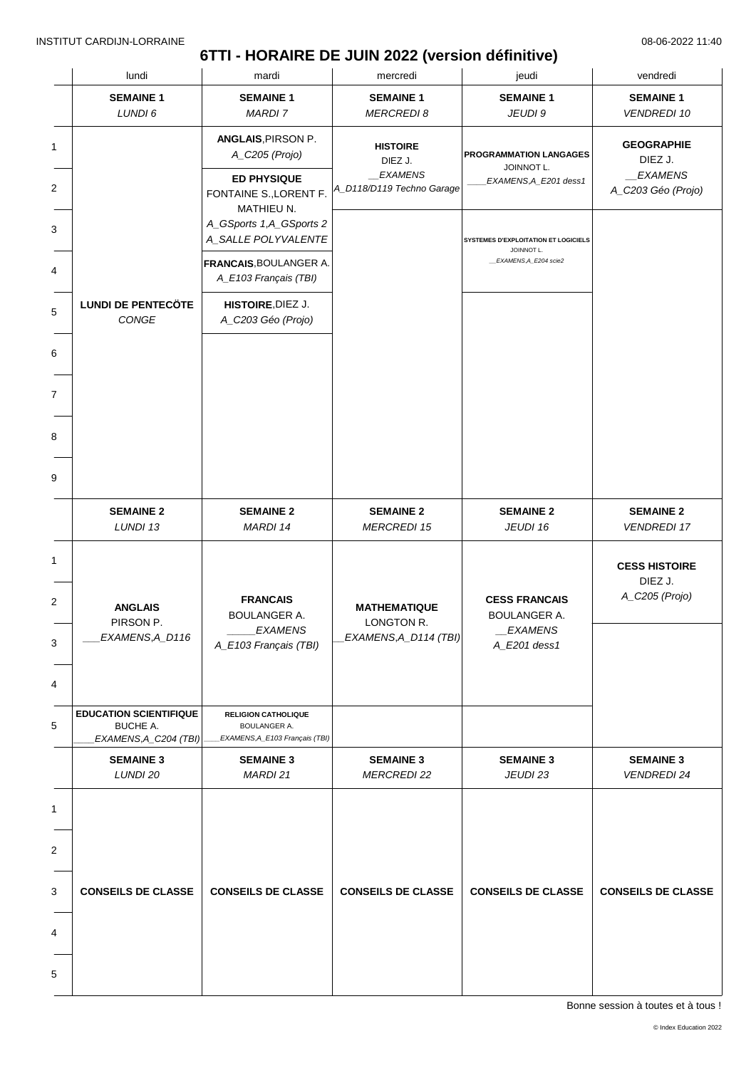# **6TTI - HORAIRE DE JUIN 2022 (version définitive)**

|                               | lundi                                                                     | mardi                                                                                                           | mercredi                                                                  | jeudi                                                                               | vendredi                                                      |
|-------------------------------|---------------------------------------------------------------------------|-----------------------------------------------------------------------------------------------------------------|---------------------------------------------------------------------------|-------------------------------------------------------------------------------------|---------------------------------------------------------------|
|                               | <b>SEMAINE 1</b><br>LUNDI 6                                               | <b>SEMAINE 1</b><br><b>MARDI 7</b>                                                                              | <b>SEMAINE 1</b><br><b>MERCREDI 8</b>                                     | <b>SEMAINE 1</b><br>JEUDI 9                                                         | <b>SEMAINE 1</b><br><b>VENDREDI 10</b>                        |
| 1<br>$\overline{2}$           |                                                                           | ANGLAIS, PIRSON P.<br>A_C205 (Projo)<br><b>ED PHYSIQUE</b><br>FONTAINE S., LORENT F.                            | <b>HISTOIRE</b><br>DIEZ J.<br><b>EXAMENS</b><br>A_D118/D119 Techno Garage | PROGRAMMATION LANGAGES<br>JOINNOT L.<br>EXAMENS, A_E201 dess1                       | <b>GEOGRAPHIE</b><br>DIEZ J.<br>EXAMENS<br>A_C203 Géo (Projo) |
| 3<br>4                        |                                                                           | MATHIEU N.<br>A_GSports 1,A_GSports 2<br>A_SALLE POLYVALENTE<br>FRANCAIS, BOULANGER A.<br>A_E103 Français (TBI) |                                                                           | <b>SYSTEMES D'EXPLOITATION ET LOGICIELS</b><br>JOINNOT L.<br>_EXAMENS, A_E204 scie2 |                                                               |
| $\mathbf 5$                   | <b>LUNDI DE PENTECÖTE</b><br>CONGE                                        | HISTOIRE, DIEZ J.<br>A_C203 Géo (Projo)                                                                         |                                                                           |                                                                                     |                                                               |
| 6<br>$\overline{7}$<br>8<br>9 |                                                                           |                                                                                                                 |                                                                           |                                                                                     |                                                               |
|                               | <b>SEMAINE 2</b><br>LUNDI 13                                              | <b>SEMAINE 2</b><br>MARDI 14                                                                                    | <b>SEMAINE 2</b><br><b>MERCREDI 15</b>                                    | <b>SEMAINE 2</b><br>JEUDI 16                                                        | <b>SEMAINE 2</b><br><b>VENDREDI 17</b>                        |
| 3                             | <b>ANGLAIS</b><br>PIRSON P.<br>EXAMENS, A_D116                            | <b>FRANCAIS</b><br><b>BOULANGER A.</b><br><i><b>EXAMENS</b></i><br>A_E103 Français (TBI)                        | <b>MATHEMATIQUE</b><br>LONGTON R.<br>EXAMENS, A_D114 (TBI)                | <b>CESS FRANCAIS</b><br><b>BOULANGER A.</b><br><b>EXAMENS</b><br>A_E201 dess1       | <b>CESS HISTOIRE</b><br>DIEZ J.<br>A_C205 (Projo)             |
|                               | <b>EDUCATION SCIENTIFIQUE</b><br><b>BUCHE A.</b><br>EXAMENS, A_C204 (TBI) | <b>RELIGION CATHOLIQUE</b><br><b>BOULANGER A.</b><br>EXAMENS, A_E103 Français (TBI)                             |                                                                           |                                                                                     |                                                               |
|                               | <b>SEMAINE 3</b><br>LUNDI 20                                              | <b>SEMAINE 3</b><br>MARDI 21                                                                                    | <b>SEMAINE 3</b><br><b>MERCREDI 22</b>                                    | <b>SEMAINE 3</b><br>JEUDI 23                                                        | <b>SEMAINE 3</b><br><b>VENDREDI 24</b>                        |
| 2<br>3<br>4                   | <b>CONSEILS DE CLASSE</b>                                                 | <b>CONSEILS DE CLASSE</b>                                                                                       | <b>CONSEILS DE CLASSE</b>                                                 | <b>CONSEILS DE CLASSE</b>                                                           | <b>CONSEILS DE CLASSE</b>                                     |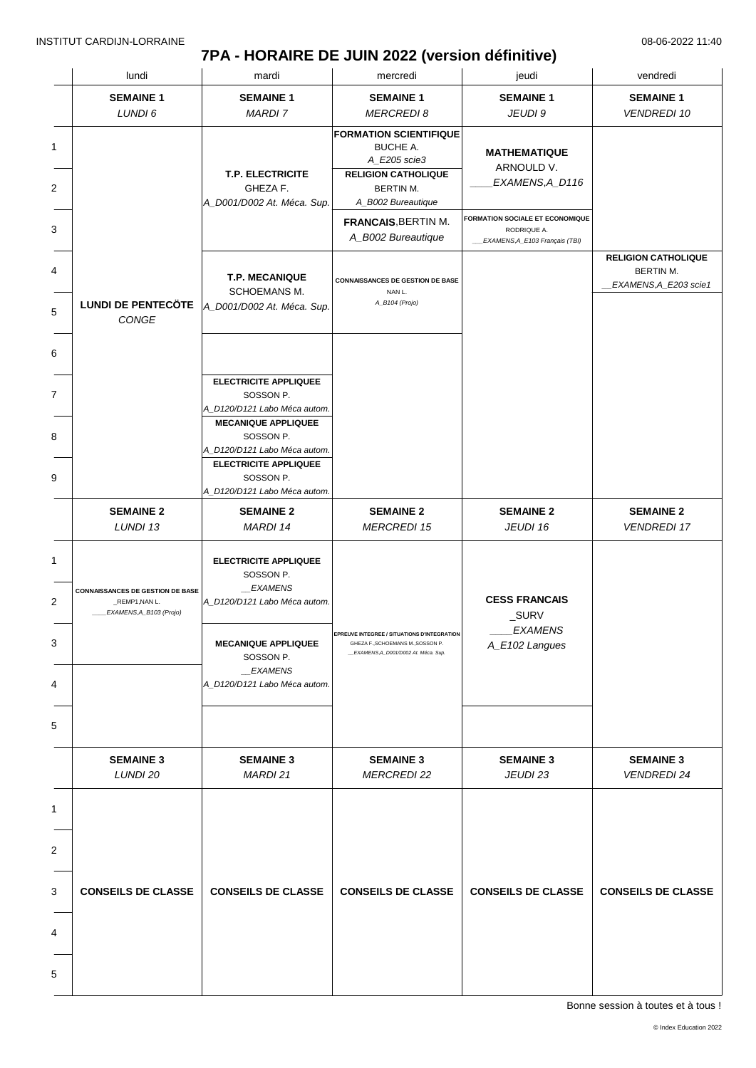### **7PA - HORAIRE DE JUIN 2022 (version définitive)**

|   | lundi                                                                                | mardi                                                                                     | mercredi                                                                                                                 | jeudi                                                 | vendredi                               |
|---|--------------------------------------------------------------------------------------|-------------------------------------------------------------------------------------------|--------------------------------------------------------------------------------------------------------------------------|-------------------------------------------------------|----------------------------------------|
|   | <b>SEMAINE 1</b>                                                                     | <b>SEMAINE 1</b>                                                                          | <b>SEMAINE 1</b>                                                                                                         | <b>SEMAINE 1</b>                                      | <b>SEMAINE 1</b>                       |
|   | LUNDI 6                                                                              | <b>MARDI 7</b>                                                                            | <b>MERCREDI 8</b>                                                                                                        | JEUDI 9                                               | <b>VENDREDI 10</b>                     |
|   |                                                                                      |                                                                                           | <b>FORMATION SCIENTIFIQUE</b><br><b>BUCHE A.</b><br>A_E205 scie3                                                         | <b>MATHEMATIQUE</b>                                   |                                        |
|   |                                                                                      | <b>T.P. ELECTRICITE</b><br>GHEZA F.                                                       | <b>RELIGION CATHOLIQUE</b><br>BERTIN M.                                                                                  | ARNOULD V.<br>EXAMENS,A_D116                          |                                        |
|   |                                                                                      | A_D001/D002 At. Méca. Sup.                                                                | A_B002 Bureautique<br><b>FRANCAIS, BERTIN M.</b>                                                                         | <b>FORMATION SOCIALE ET ECONOMIQUE</b><br>RODRIQUE A. |                                        |
|   |                                                                                      |                                                                                           | A_B002 Bureautique                                                                                                       | _EXAMENS, A_E103 Français (TBI)                       | <b>RELIGION CATHOLIQUE</b>             |
|   |                                                                                      | <b>T.P. MECANIQUE</b><br>SCHOEMANS M.                                                     | <b>CONNAISSANCES DE GESTION DE BASE</b><br>NAN L.                                                                        |                                                       | BERTIN M.<br>__EXAMENS,A_E203 scie1    |
|   | CONGE                                                                                | LUNDI DE PENTECÖTE  A_D001/D002 At. Méca. Sup.                                            | A_B104 (Projo)                                                                                                           |                                                       |                                        |
|   |                                                                                      |                                                                                           |                                                                                                                          |                                                       |                                        |
|   |                                                                                      | <b>ELECTRICITE APPLIQUEE</b><br>SOSSON P.<br>A D120/D121 Labo Méca autom.                 |                                                                                                                          |                                                       |                                        |
|   |                                                                                      | <b>MECANIQUE APPLIQUEE</b><br>SOSSON P.<br>A_D120/D121 Labo Méca autom.                   |                                                                                                                          |                                                       |                                        |
|   |                                                                                      | <b>ELECTRICITE APPLIQUEE</b><br>SOSSON P.<br>A_D120/D121 Labo Méca autom.                 |                                                                                                                          |                                                       |                                        |
|   | <b>SEMAINE 2</b><br>LUNDI 13                                                         | <b>SEMAINE 2</b><br>MARDI 14                                                              | <b>SEMAINE 2</b><br><b>MERCREDI 15</b>                                                                                   | <b>SEMAINE 2</b><br>JEUDI 16                          | <b>SEMAINE 2</b><br><b>VENDREDI 17</b> |
|   | <b>CONNAISSANCES DE GESTION DE BASE</b><br>_REMP1, NAN L.<br>EXAMENS, A_B103 (Projo) | <b>ELECTRICITE APPLIQUEE</b><br>SOSSON P.<br>__EXAMENS<br>A_D120/D121 Labo Méca autom.    |                                                                                                                          | <b>CESS FRANCAIS</b><br>_SURV                         |                                        |
|   |                                                                                      | <b>MECANIQUE APPLIQUEE</b><br>SOSSON P.<br><i>EXAMENS</i><br>A D120/D121 Labo Méca autom. | <b>EPREUVE INTEGREE / SITUATIONS D'INTEG</b><br>GHEZA F., SCHOEMANS M., SOSSON P.<br>_EXAMENS,A_D001/D002 At. Méca. Sup. | <b>EXAMENS</b><br>A_E102 Langues                      |                                        |
|   |                                                                                      |                                                                                           |                                                                                                                          |                                                       |                                        |
|   |                                                                                      |                                                                                           |                                                                                                                          |                                                       |                                        |
|   | <b>SEMAINE 3</b><br>LUNDI 20                                                         | <b>SEMAINE 3</b><br>MARDI 21                                                              | <b>SEMAINE 3</b><br><b>MERCREDI 22</b>                                                                                   | <b>SEMAINE 3</b><br>JEUDI 23                          | <b>SEMAINE 3</b><br><b>VENDREDI 24</b> |
|   |                                                                                      |                                                                                           |                                                                                                                          |                                                       |                                        |
|   |                                                                                      |                                                                                           |                                                                                                                          |                                                       |                                        |
|   |                                                                                      |                                                                                           |                                                                                                                          |                                                       |                                        |
|   | <b>CONSEILS DE CLASSE</b>                                                            | <b>CONSEILS DE CLASSE</b>                                                                 | <b>CONSEILS DE CLASSE</b>                                                                                                | <b>CONSEILS DE CLASSE</b>                             | <b>CONSEILS DE CLASSE</b>              |
|   |                                                                                      |                                                                                           |                                                                                                                          |                                                       |                                        |
| 4 |                                                                                      |                                                                                           |                                                                                                                          |                                                       |                                        |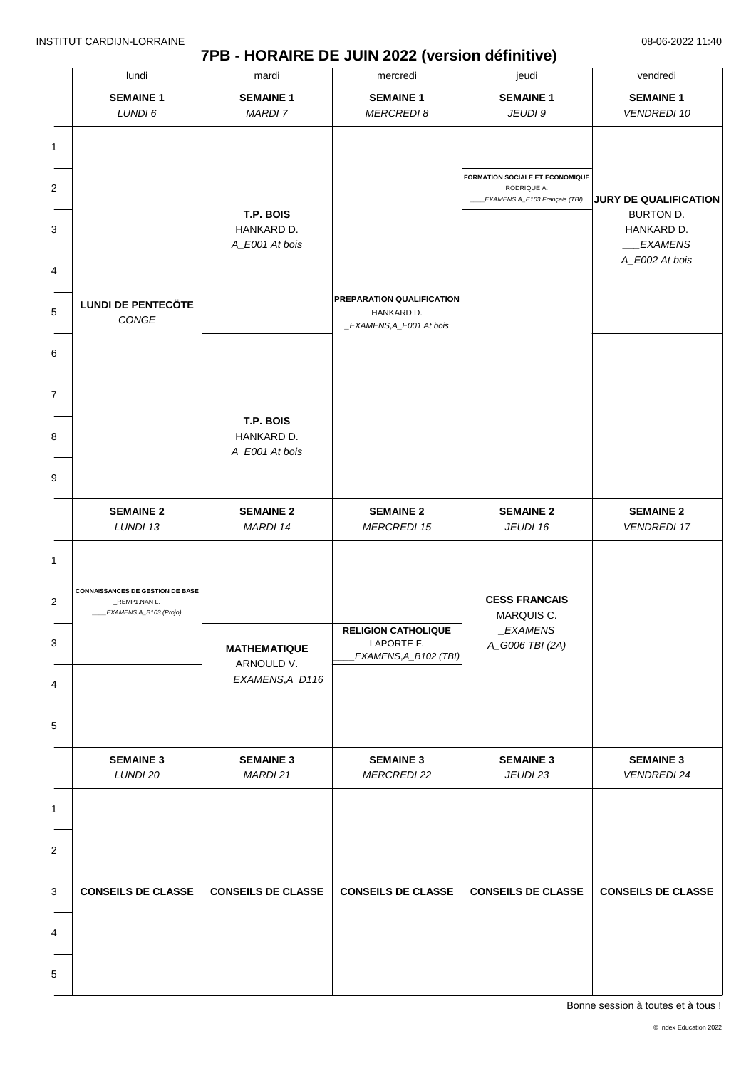### **7PB - HORAIRE DE JUIN 2022 (version définitive)**

|        | lundi                                                                                | mardi                                     | mercredi                                                            | jeudi                                                 | vendredi                                                                      |
|--------|--------------------------------------------------------------------------------------|-------------------------------------------|---------------------------------------------------------------------|-------------------------------------------------------|-------------------------------------------------------------------------------|
|        | <b>SEMAINE 1</b>                                                                     | <b>SEMAINE 1</b>                          | <b>SEMAINE 1</b>                                                    | <b>SEMAINE 1</b>                                      | <b>SEMAINE 1</b>                                                              |
|        | LUNDI 6                                                                              | <b>MARDI 7</b>                            | <b>MERCREDI 8</b>                                                   | JEUDI 9                                               | <b>VENDREDI 10</b>                                                            |
| 1<br>2 |                                                                                      |                                           |                                                                     | <b>FORMATION SOCIALE ET ECONOMIQUE</b><br>RODRIQUE A. |                                                                               |
| 3      |                                                                                      | T.P. BOIS<br>HANKARD D.<br>A_E001 At bois |                                                                     | EXAMENS, A_E103 Français (TBI)                        | JURY DE QUALIFICATION<br>BURTON D.<br>HANKARD D.<br>EXAMENS<br>A_E002 At bois |
|        |                                                                                      |                                           |                                                                     |                                                       |                                                                               |
|        | <b>LUNDI DE PENTECÖTE</b><br>CONGE                                                   |                                           | PREPARATION QUALIFICATION<br>HANKARD D.<br>_EXAMENS, A_E001 At bois |                                                       |                                                                               |
|        |                                                                                      |                                           |                                                                     |                                                       |                                                                               |
|        |                                                                                      |                                           |                                                                     |                                                       |                                                                               |
|        |                                                                                      | T.P. BOIS<br>HANKARD D.<br>A_E001 At bois |                                                                     |                                                       |                                                                               |
|        |                                                                                      |                                           |                                                                     |                                                       |                                                                               |
|        | <b>SEMAINE 2</b><br>LUNDI 13                                                         | <b>SEMAINE 2</b><br>MARDI 14              | <b>SEMAINE 2</b><br><b>MERCREDI 15</b>                              | <b>SEMAINE 2</b><br>JEUDI 16                          | <b>SEMAINE 2</b><br><b>VENDREDI 17</b>                                        |
|        | <b>CONNAISSANCES DE GESTION DE BASE</b><br>_REMP1, NAN L.<br>EXAMENS, A_B103 (Projo) |                                           |                                                                     | <b>CESS FRANCAIS</b><br>MARQUIS C.                    |                                                                               |
|        |                                                                                      | <b>MATHEMATIQUE</b><br>ARNOULD V.         | <b>RELIGION CATHOLIQUE</b><br>LAPORTE F.<br>EXAMENS, A_B102 (TBI)   | _EXAMENS<br>A_G006 TBI (2A)                           |                                                                               |
|        |                                                                                      | EXAMENS, A_D116                           |                                                                     |                                                       |                                                                               |
|        |                                                                                      |                                           |                                                                     |                                                       |                                                                               |
|        | <b>SEMAINE 3</b><br>LUNDI 20                                                         | <b>SEMAINE 3</b><br>MARDI 21              | <b>SEMAINE 3</b><br><b>MERCREDI 22</b>                              | <b>SEMAINE 3</b><br>JEUDI 23                          | <b>SEMAINE 3</b><br><b>VENDREDI 24</b>                                        |
|        |                                                                                      |                                           |                                                                     |                                                       |                                                                               |
|        |                                                                                      |                                           |                                                                     |                                                       |                                                                               |
|        | <b>CONSEILS DE CLASSE</b>                                                            | <b>CONSEILS DE CLASSE</b>                 | <b>CONSEILS DE CLASSE</b>                                           | <b>CONSEILS DE CLASSE</b>                             | <b>CONSEILS DE CLASSE</b>                                                     |
|        |                                                                                      |                                           |                                                                     |                                                       |                                                                               |
|        |                                                                                      |                                           |                                                                     |                                                       |                                                                               |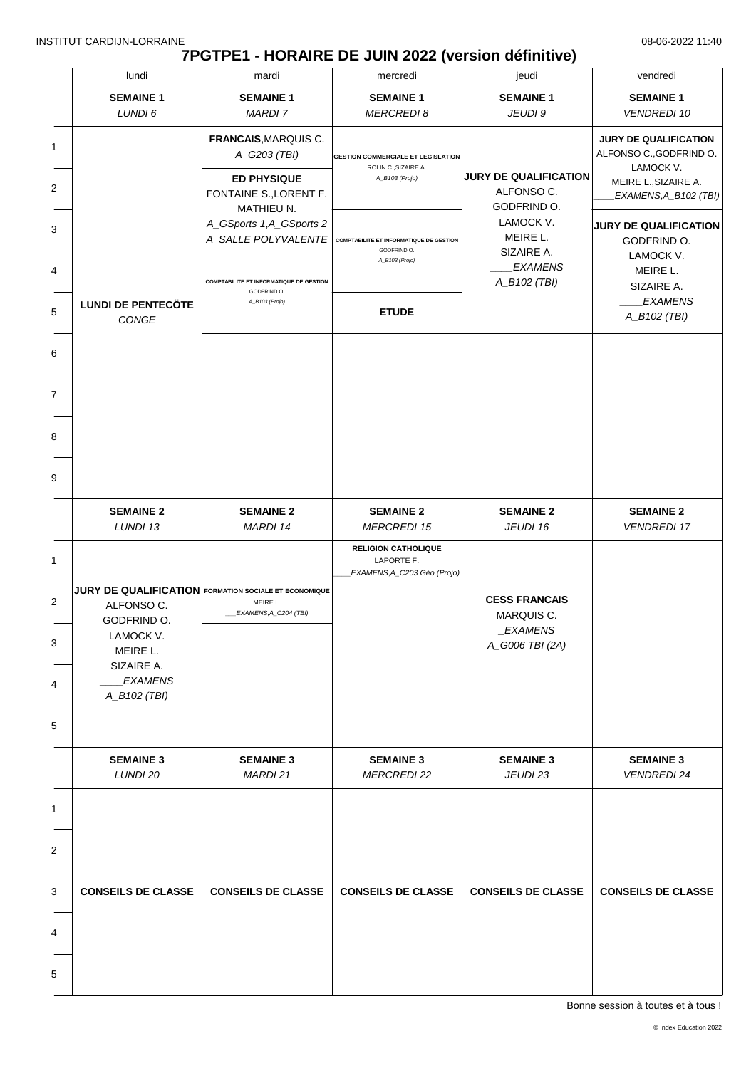# **7PGTPE1 - HORAIRE DE JUIN 2022 (version définitive)**

|                                  | lundi                                                                                                                                                              | mardi                                                                                                                                           | mercredi                                                                                        | jeudi                                                                   | vendredi                                                                                                             |
|----------------------------------|--------------------------------------------------------------------------------------------------------------------------------------------------------------------|-------------------------------------------------------------------------------------------------------------------------------------------------|-------------------------------------------------------------------------------------------------|-------------------------------------------------------------------------|----------------------------------------------------------------------------------------------------------------------|
|                                  | <b>SEMAINE 1</b><br>LUNDI 6                                                                                                                                        | <b>SEMAINE 1</b><br><b>MARDI 7</b>                                                                                                              | <b>SEMAINE 1</b><br><b>MERCREDI 8</b>                                                           | <b>SEMAINE 1</b><br>JEUDI 9                                             | <b>SEMAINE 1</b><br><b>VENDREDI 10</b>                                                                               |
| 1<br>2                           |                                                                                                                                                                    | FRANCAIS, MARQUIS C.<br>A_G203 (TBI)<br><b>ED PHYSIQUE</b><br>FONTAINE S., LORENT F.                                                            | <b>GESTION COMMERCIALE ET LEGISLATION</b><br>ROLIN C., SIZAIRE A.<br>A_B103 (Projo)             | <b>JURY DE QUALIFICATION</b><br>ALFONSO C.<br>GODFRIND O.               | <b>JURY DE QUALIFICATION</b><br>ALFONSO C., GODFRIND O.<br>LAMOCK V.<br>MEIRE L., SIZAIRE A.<br>EXAMENS,A_B102 (TBI) |
| 3<br>4<br>5                      | <b>LUNDI DE PENTECÖTE</b>                                                                                                                                          | MATHIEU N.<br>A_GSports 1,A_GSports 2<br>A_SALLE POLYVALENTE<br><b>COMPTABILITE ET INFORMATIQUE DE GESTION</b><br>GODFRIND O.<br>A_B103 (Projo) | <b>COMPTABILITE ET INFORMATIQUE DE GESTION</b><br>GODFRIND O.<br>A_B103 (Projo)<br><b>ETUDE</b> | LAMOCK V.<br>MEIRE L.<br>SIZAIRE A.<br><b>EXAMENS</b><br>A_B102 (TBI)   | <b>JURY DE QUALIFICATION</b><br>GODFRIND O.<br>LAMOCK V.<br>MEIRE L.<br>SIZAIRE A.<br><b>EXAMENS</b>                 |
| 6<br>7<br>8<br>9                 | CONGE                                                                                                                                                              |                                                                                                                                                 |                                                                                                 |                                                                         | A_B102 (TBI)                                                                                                         |
|                                  | <b>SEMAINE 2</b><br>LUNDI 13                                                                                                                                       | <b>SEMAINE 2</b><br>MARDI 14                                                                                                                    | <b>SEMAINE 2</b><br><b>MERCREDI 15</b><br><b>RELIGION CATHOLIQUE</b>                            | <b>SEMAINE 2</b><br>JEUDI 16                                            | <b>SEMAINE 2</b><br><b>VENDREDI 17</b>                                                                               |
| $\mathbf{1}$<br>2<br>3<br>4<br>5 | <b>JURY DE QUALIFICATION</b> FORMATION SOCIALE ET ECONOMIQUE<br>ALFONSO C.<br>GODFRIND O.<br>LAMOCK V.<br>MEIRE L.<br>SIZAIRE A.<br><b>EXAMENS</b><br>A_B102 (TBI) | MEIRE L.<br>EXAMENS, A_C204 (TBI)                                                                                                               | LAPORTE F.<br>EXAMENS, A_C203 Géo (Projo)                                                       | <b>CESS FRANCAIS</b><br>MARQUIS C.<br><b>EXAMENS</b><br>A_G006 TBI (2A) |                                                                                                                      |
|                                  | <b>SEMAINE 3</b><br>LUNDI 20                                                                                                                                       | <b>SEMAINE 3</b><br>MARDI 21                                                                                                                    | <b>SEMAINE 3</b><br><b>MERCREDI 22</b>                                                          | <b>SEMAINE 3</b><br>JEUDI 23                                            | <b>SEMAINE 3</b><br><b>VENDREDI 24</b>                                                                               |
| 1<br>2<br>3<br>4<br>5            | <b>CONSEILS DE CLASSE</b>                                                                                                                                          | <b>CONSEILS DE CLASSE</b>                                                                                                                       | <b>CONSEILS DE CLASSE</b>                                                                       | <b>CONSEILS DE CLASSE</b>                                               | <b>CONSEILS DE CLASSE</b>                                                                                            |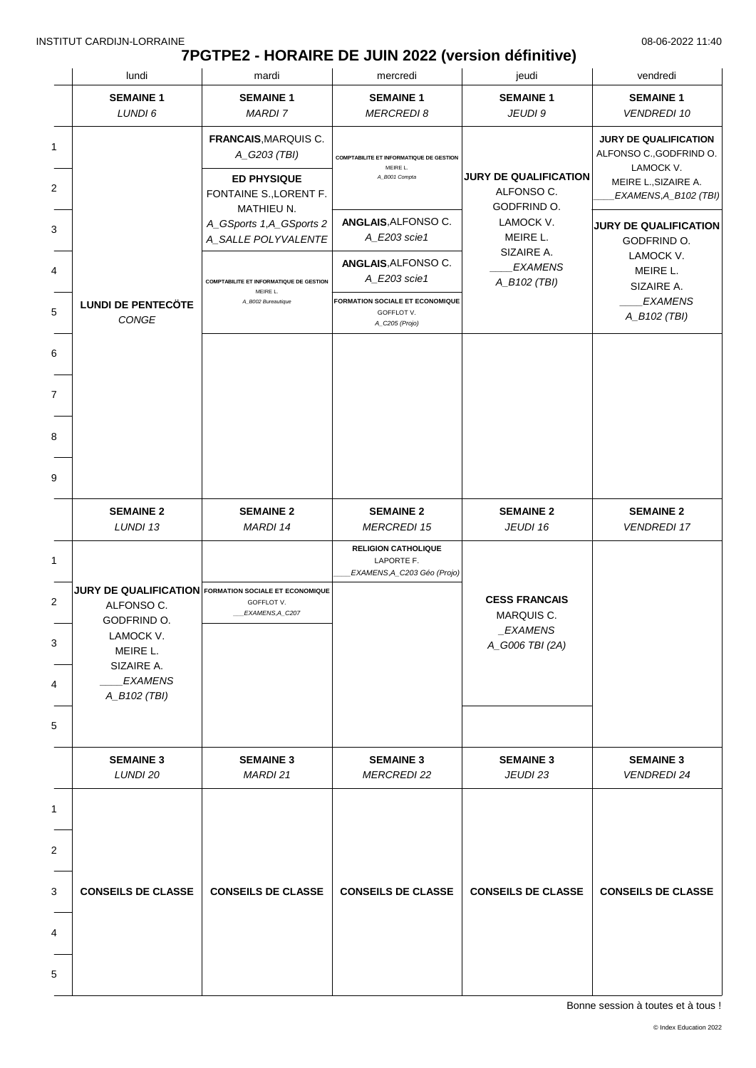# **7PGTPE2 - HORAIRE DE JUIN 2022 (version définitive)**

|                       | lundi                                                                                                                                                              | mardi                                                                                | mercredi                                                                               | jeudi                                                                   | vendredi                                                                                                       |
|-----------------------|--------------------------------------------------------------------------------------------------------------------------------------------------------------------|--------------------------------------------------------------------------------------|----------------------------------------------------------------------------------------|-------------------------------------------------------------------------|----------------------------------------------------------------------------------------------------------------|
|                       | <b>SEMAINE 1</b><br>LUNDI 6                                                                                                                                        | <b>SEMAINE 1</b><br><b>MARDI7</b>                                                    | <b>SEMAINE 1</b><br><b>MERCREDI 8</b>                                                  | <b>SEMAINE 1</b><br>JEUDI 9                                             | <b>SEMAINE 1</b><br><b>VENDREDI 10</b>                                                                         |
| 1<br>2                |                                                                                                                                                                    | FRANCAIS, MARQUIS C.<br>A_G203 (TBI)<br><b>ED PHYSIQUE</b><br>FONTAINE S., LORENT F. | <b>COMPTABILITE ET INFORMATIQUE DE GESTION</b><br>MEIRE L.<br>A_B001 Compta            | <b>JURY DE QUALIFICATION</b><br>ALFONSO C.                              | JURY DE QUALIFICATION<br>ALFONSO C., GODFRIND O.<br>LAMOCK V.<br>MEIRE L., SIZAIRE A.<br>EXAMENS, A_B102 (TBI) |
| 3<br>4                |                                                                                                                                                                    | MATHIEU N.<br>A_GSports 1,A_GSports 2<br>A_SALLE POLYVALENTE                         | ANGLAIS, ALFONSO C.<br>A_E203 scie1<br>ANGLAIS, ALFONSO C.                             | GODFRIND O.<br>LAMOCK V.<br>MEIRE L.<br>SIZAIRE A.<br><b>EXAMENS</b>    | <b>JURY DE QUALIFICATION</b><br>GODFRIND O.<br>LAMOCK V.                                                       |
| 5                     | <b>LUNDI DE PENTECÖTE</b><br>CONGE                                                                                                                                 | <b>COMPTABILITE ET INFORMATIQUE DE GESTION</b><br>MEIRE L.<br>A_B002 Bureautique     | A_E203 scie1<br><b>FORMATION SOCIALE ET ECONOMIQUE</b><br>GOFFLOT V.<br>A_C205 (Projo) | A_B102 (TBI)                                                            | MEIRE L.<br>SIZAIRE A.<br><b>EXAMENS</b><br>A_B102 (TBI)                                                       |
| 6<br>7                |                                                                                                                                                                    |                                                                                      |                                                                                        |                                                                         |                                                                                                                |
| 8<br>9                |                                                                                                                                                                    |                                                                                      |                                                                                        |                                                                         |                                                                                                                |
|                       | <b>SEMAINE 2</b><br>LUNDI 13                                                                                                                                       | <b>SEMAINE 2</b><br>MARDI 14                                                         | <b>SEMAINE 2</b><br><b>MERCREDI 15</b>                                                 | <b>SEMAINE 2</b><br>JEUDI 16                                            | <b>SEMAINE 2</b><br><b>VENDREDI 17</b>                                                                         |
| 1<br>2<br>3<br>4<br>5 | <b>JURY DE QUALIFICATION</b> FORMATION SOCIALE ET ECONOMIQUE<br>ALFONSO C.<br>GODFRIND O.<br>LAMOCK V.<br>MEIRE L.<br>SIZAIRE A.<br><b>EXAMENS</b><br>A_B102 (TBI) | GOFFLOT V.<br>EXAMENS, A_C207                                                        | <b>RELIGION CATHOLIQUE</b><br>LAPORTE F.<br>EXAMENS, A_C203 Géo (Projo)                | <b>CESS FRANCAIS</b><br>MARQUIS C.<br><b>EXAMENS</b><br>A_G006 TBI (2A) |                                                                                                                |
|                       | <b>SEMAINE 3</b><br>LUNDI 20                                                                                                                                       | <b>SEMAINE 3</b><br>MARDI 21                                                         | <b>SEMAINE 3</b><br><b>MERCREDI 22</b>                                                 | <b>SEMAINE 3</b><br>JEUDI 23                                            | <b>SEMAINE 3</b><br><b>VENDREDI 24</b>                                                                         |
| 1<br>2                |                                                                                                                                                                    |                                                                                      |                                                                                        |                                                                         |                                                                                                                |
| 3<br>4                | <b>CONSEILS DE CLASSE</b>                                                                                                                                          | <b>CONSEILS DE CLASSE</b>                                                            | <b>CONSEILS DE CLASSE</b>                                                              | <b>CONSEILS DE CLASSE</b>                                               | <b>CONSEILS DE CLASSE</b>                                                                                      |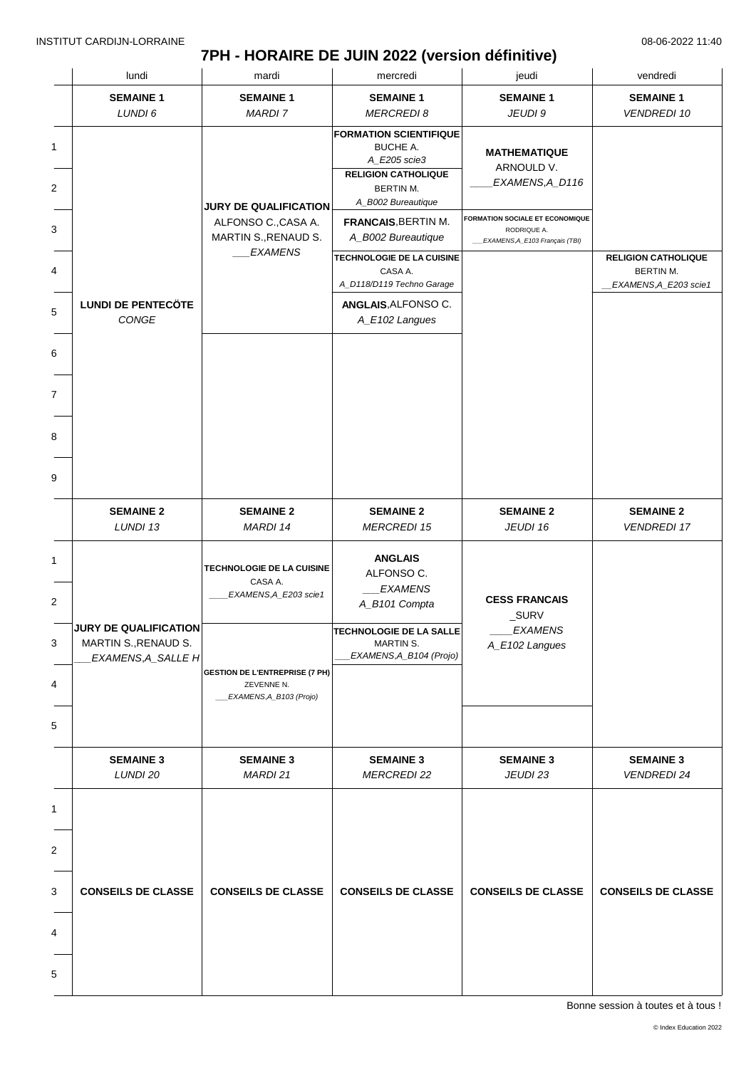# **7PH - HORAIRE DE JUIN 2022 (version définitive)**

| lundi                                                                      | mardi                                                                          | mercredi                                                                                                                          | jeudi                                                                                    | vendredi                                                          |
|----------------------------------------------------------------------------|--------------------------------------------------------------------------------|-----------------------------------------------------------------------------------------------------------------------------------|------------------------------------------------------------------------------------------|-------------------------------------------------------------------|
| <b>SEMAINE 1</b>                                                           | <b>SEMAINE 1</b>                                                               | <b>SEMAINE 1</b>                                                                                                                  | <b>SEMAINE 1</b>                                                                         | <b>SEMAINE 1</b>                                                  |
| LUNDI 6                                                                    | <b>MARDI7</b>                                                                  | <b>MERCREDI 8</b>                                                                                                                 | JEUDI 9                                                                                  | <b>VENDREDI 10</b>                                                |
|                                                                            | <b>JURY DE QUALIFICATION</b>                                                   | <b>FORMATION SCIENTIFIQUE</b><br><b>BUCHE A.</b><br>A_E205 scie3<br><b>RELIGION CATHOLIQUE</b><br>BERTIN M.<br>A_B002 Bureautique | <b>MATHEMATIQUE</b><br>ARNOULD V.<br>EXAMENS,A_D116                                      |                                                                   |
|                                                                            | ALFONSO C., CASA A.<br>MARTIN S., RENAUD S.                                    | <b>FRANCAIS, BERTIN M.</b><br>A_B002 Bureautique                                                                                  | <b>FORMATION SOCIALE ET ECONOMIQUE</b><br>RODRIQUE A.<br>_EXAMENS, A_E103 Français (TBI) |                                                                   |
|                                                                            | <b>EXAMENS</b>                                                                 | TECHNOLOGIE DE LA CUISINE<br>CASA A.<br>A_D118/D119 Techno Garage                                                                 |                                                                                          | <b>RELIGION CATHOLIQUE</b><br>BERTIN M.<br>_EXAMENS, A_E203 scie1 |
| <b>LUNDI DE PENTECÖTE</b><br>CONGE                                         |                                                                                | ANGLAIS, ALFONSO C.<br>A_E102 Langues                                                                                             |                                                                                          |                                                                   |
|                                                                            |                                                                                |                                                                                                                                   |                                                                                          |                                                                   |
|                                                                            |                                                                                |                                                                                                                                   |                                                                                          |                                                                   |
|                                                                            |                                                                                |                                                                                                                                   |                                                                                          |                                                                   |
|                                                                            |                                                                                |                                                                                                                                   |                                                                                          |                                                                   |
| <b>SEMAINE 2</b><br>LUNDI 13                                               | <b>SEMAINE 2</b><br><b>MARDI 14</b>                                            | <b>SEMAINE 2</b><br><b>MERCREDI 15</b>                                                                                            | <b>SEMAINE 2</b><br>JEUDI 16                                                             | <b>SEMAINE 2</b><br><b>VENDREDI 17</b>                            |
|                                                                            | TECHNOLOGIE DE LA CUISINE<br>CASA A.<br>EXAMENS, A_E203 scie1                  | <b>ANGLAIS</b><br>ALFONSO C.<br><b>EXAMENS</b><br>A_B101 Compta                                                                   | <b>CESS FRANCAIS</b><br>_SURV                                                            |                                                                   |
| <b>JURY DE QUALIFICATION</b><br>MARTIN S., RENAUD S.<br>EXAMENS, A_SALLE H | <b>GESTION DE L'ENTREPRISE (7 PH)</b><br>ZEVENNE N.<br>EXAMENS, A_B103 (Projo) | <b>TECHNOLOGIE DE LA SALLE</b><br>MARTIN S.<br>EXAMENS, A_B104 (Projo)                                                            | <b>EXAMENS</b><br>A_E102 Langues                                                         |                                                                   |
|                                                                            |                                                                                |                                                                                                                                   |                                                                                          |                                                                   |
| <b>SEMAINE 3</b><br>LUNDI 20                                               | <b>SEMAINE 3</b><br>MARDI 21                                                   | <b>SEMAINE 3</b><br><b>MERCREDI 22</b>                                                                                            | <b>SEMAINE 3</b><br>JEUDI 23                                                             | <b>SEMAINE 3</b><br><b>VENDREDI 24</b>                            |
|                                                                            |                                                                                |                                                                                                                                   |                                                                                          |                                                                   |
| <b>CONSEILS DE CLASSE</b>                                                  | <b>CONSEILS DE CLASSE</b>                                                      | <b>CONSEILS DE CLASSE</b>                                                                                                         | <b>CONSEILS DE CLASSE</b>                                                                | <b>CONSEILS DE CLASSE</b>                                         |
|                                                                            |                                                                                |                                                                                                                                   |                                                                                          |                                                                   |
|                                                                            |                                                                                |                                                                                                                                   |                                                                                          |                                                                   |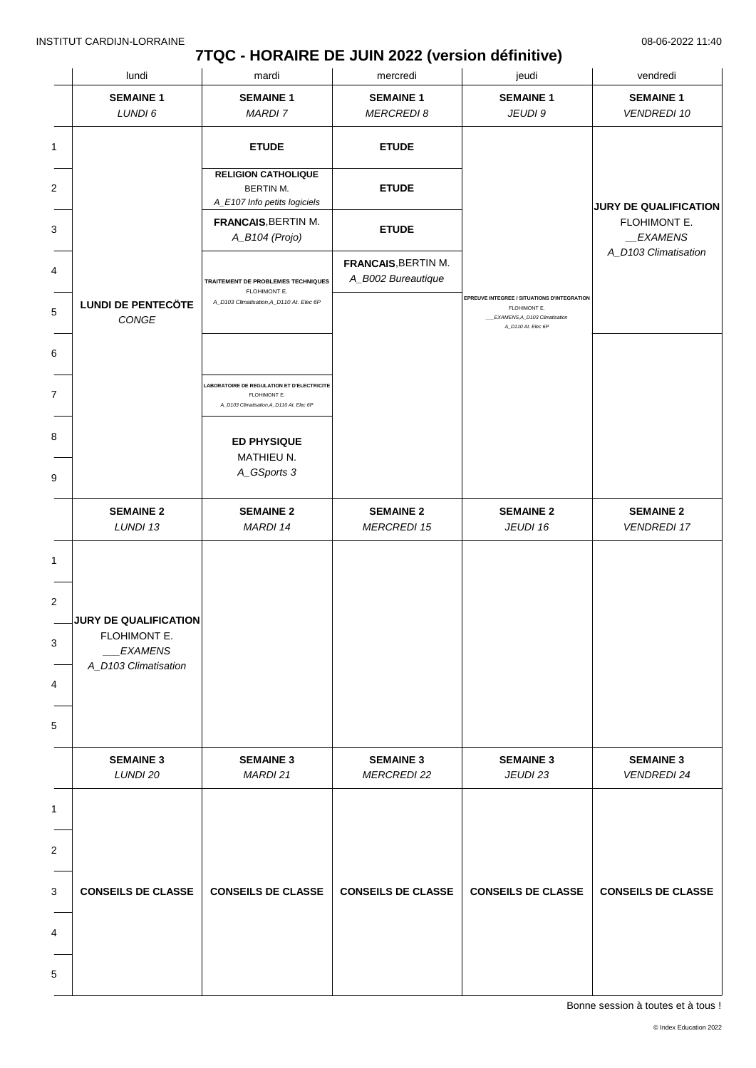## **7TQC - HORAIRE DE JUIN 2022 (version définitive)**

|   | lundi                                                                           | mardi                                                                                                  | mercredi                                         | jeudi                                                                                                              | vendredi                                              |
|---|---------------------------------------------------------------------------------|--------------------------------------------------------------------------------------------------------|--------------------------------------------------|--------------------------------------------------------------------------------------------------------------------|-------------------------------------------------------|
|   | <b>SEMAINE 1</b><br>LUNDI 6                                                     | <b>SEMAINE 1</b><br>MARDI 7                                                                            | <b>SEMAINE 1</b><br><b>MERCREDI 8</b>            | <b>SEMAINE 1</b><br>JEUDI 9                                                                                        | <b>SEMAINE 1</b><br><b>VENDREDI 10</b>                |
| 1 |                                                                                 | <b>ETUDE</b>                                                                                           | <b>ETUDE</b>                                     |                                                                                                                    |                                                       |
| 2 |                                                                                 | <b>RELIGION CATHOLIQUE</b><br>BERTIN M.<br>A_E107 Info petits logiciels                                | <b>ETUDE</b>                                     |                                                                                                                    | <b>JURY DE QUALIFICATION</b>                          |
|   |                                                                                 | <b>FRANCAIS, BERTIN M.</b><br>A_B104 (Projo)                                                           | <b>ETUDE</b>                                     |                                                                                                                    | FLOHIMONT E.<br>$\_EXAMPLENS$<br>A_D103 Climatisation |
|   |                                                                                 | TRAITEMENT DE PROBLEMES TECHNIQUES<br>FLOHIMONT E.                                                     | <b>FRANCAIS, BERTIN M.</b><br>A_B002 Bureautique |                                                                                                                    |                                                       |
|   | <b>LUNDI DE PENTECÖTE</b><br>CONGE                                              | A_D103 Climatisation, A_D110 At. Elec 6P                                                               |                                                  | EPREUVE INTEGREE / SITUATIONS D'INTEGRATION<br>FLOHIMONT E.<br>EXAMENS, A_D103 Climatisation<br>A_D110 At. Elec 6P |                                                       |
|   |                                                                                 |                                                                                                        |                                                  |                                                                                                                    |                                                       |
|   |                                                                                 | LABORATOIRE DE REGULATION ET D'ELECTRICITE<br>FLOHIMONT E.<br>A_D103 Climatisation, A_D110 At. Elec 6P |                                                  |                                                                                                                    |                                                       |
|   |                                                                                 | <b>ED PHYSIQUE</b><br>MATHIEU N.                                                                       |                                                  |                                                                                                                    |                                                       |
|   |                                                                                 | A_GSports 3                                                                                            |                                                  |                                                                                                                    |                                                       |
|   | <b>SEMAINE 2</b><br>LUNDI 13                                                    | <b>SEMAINE 2</b><br>MARDI 14                                                                           | <b>SEMAINE 2</b><br><b>MERCREDI 15</b>           | <b>SEMAINE 2</b><br>JEUDI 16                                                                                       | <b>SEMAINE 2</b><br><b>VENDREDI 17</b>                |
|   |                                                                                 |                                                                                                        |                                                  |                                                                                                                    |                                                       |
|   | JURY DE QUALIFICATION<br>FLOHIMONT E.<br><b>EXAMENS</b><br>A_D103 Climatisation |                                                                                                        |                                                  |                                                                                                                    |                                                       |
|   |                                                                                 |                                                                                                        |                                                  |                                                                                                                    |                                                       |
|   | <b>SEMAINE 3</b><br>LUNDI 20                                                    | <b>SEMAINE 3</b><br>MARDI 21                                                                           | <b>SEMAINE 3</b><br><b>MERCREDI 22</b>           | <b>SEMAINE 3</b><br>JEUDI 23                                                                                       | <b>SEMAINE 3</b><br><b>VENDREDI 24</b>                |
|   |                                                                                 |                                                                                                        |                                                  |                                                                                                                    |                                                       |
|   |                                                                                 |                                                                                                        |                                                  |                                                                                                                    |                                                       |
|   | <b>CONSEILS DE CLASSE</b>                                                       | <b>CONSEILS DE CLASSE</b>                                                                              | <b>CONSEILS DE CLASSE</b>                        | <b>CONSEILS DE CLASSE</b>                                                                                          | <b>CONSEILS DE CLASSE</b>                             |
|   |                                                                                 |                                                                                                        |                                                  |                                                                                                                    |                                                       |
|   |                                                                                 |                                                                                                        |                                                  |                                                                                                                    |                                                       |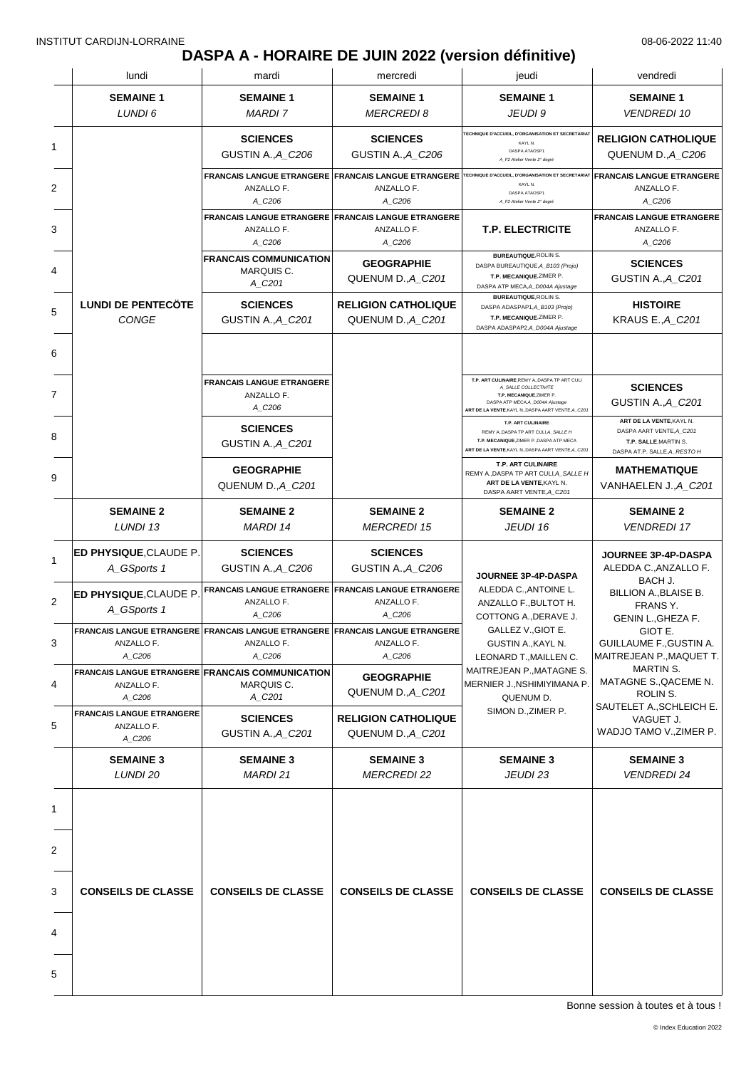# **DASPA A - HORAIRE DE JUIN 2022 (version définitive)**

| <b>SEMAINE 1</b><br>LUNDI 6                              | <b>SEMAINE 1</b>                                                         |                                                                                                       |                                                                                                                                                                                                                                               |                                                                                                                                                                                             |
|----------------------------------------------------------|--------------------------------------------------------------------------|-------------------------------------------------------------------------------------------------------|-----------------------------------------------------------------------------------------------------------------------------------------------------------------------------------------------------------------------------------------------|---------------------------------------------------------------------------------------------------------------------------------------------------------------------------------------------|
|                                                          | <b>MARDI 7</b>                                                           | <b>SEMAINE 1</b><br><b>MERCREDI8</b>                                                                  | <b>SEMAINE 1</b><br>JEUDI 9                                                                                                                                                                                                                   | <b>SEMAINE 1</b><br><b>VENDREDI 10</b>                                                                                                                                                      |
|                                                          | <b>SCIENCES</b><br>GUSTIN A., A_C206                                     | <b>SCIENCES</b><br>GUSTIN A., A_C206                                                                  | TECHNIQUE D'ACCUEIL, D'ORGANISATION ET SECRETARIAT<br>KAYL N.<br>DASPA ATAOSP1<br>A_F2 Atelier Vente 2 <sup>*</sup> degré                                                                                                                     | <b>RELIGION CATHOLIQUE</b><br>QUENUM D., A C206                                                                                                                                             |
|                                                          | ANZALLO F.<br>A_C206                                                     | <b>FRANCAIS LANGUE ETRANGERE FRANCAIS LANGUE ETRANGERE</b><br>ANZALLO F.<br>A C206                    | TECHNIQUE D'ACCUEIL, D'ORGANISATION ET SECRETARIAT<br>KAYL N.<br>DASPA ATAOSP1<br>A_F2 Atelier Vente 2* degré                                                                                                                                 | <b>FRANCAIS LANGUE ETRANGERE</b><br>ANZALLO F.<br>A_C206                                                                                                                                    |
|                                                          | ANZALLO F.<br>A_C206                                                     | <b>FRANCAIS LANGUE ETRANGERE FRANCAIS LANGUE ETRANGERE</b><br>ANZALLO F.<br>A_C206                    | <b>T.P. ELECTRICITE</b>                                                                                                                                                                                                                       | <b>FRANCAIS LANGUE ETRANGERE</b><br>ANZALLO F.<br>A_C206                                                                                                                                    |
|                                                          | <b>FRANCAIS COMMUNICATION</b><br>MARQUIS C.<br>A_C201                    | <b>GEOGRAPHIE</b><br>QUENUM D., A_C201                                                                | <b>BUREAUTIQUE, ROLIN S.</b><br>DASPA BUREAUTIQUE, A_B103 (Projo)<br>T.P. MECANIQUE, ZIMER P.<br>DASPA ATP MECA, A_D004A Ajustage                                                                                                             | <b>SCIENCES</b><br>GUSTIN A., A_C201                                                                                                                                                        |
| <b>LUNDI DE PENTECÔTE</b><br>CONGE                       | <b>SCIENCES</b><br>GUSTIN A., A_C201                                     | <b>RELIGION CATHOLIQUE</b><br>QUENUM D., A C201                                                       | <b>BUREAUTIQUE, ROLIN S.</b><br>DASPA ADASPAP1, A_B103 (Projo)<br>T.P. MECANIQUE, ZIMER P.<br>DASPA ADASPAP2, A_D004A Ajustage                                                                                                                | <b>HISTOIRE</b><br>KRAUS E., A_C201                                                                                                                                                         |
|                                                          |                                                                          |                                                                                                       |                                                                                                                                                                                                                                               |                                                                                                                                                                                             |
|                                                          | <b>FRANCAIS LANGUE ETRANGERE</b><br>ANZALLO F.<br>A_C206                 |                                                                                                       | T.P. ART CULINAIRE, REMY A., DASPA TP ART CULI<br>A_SALLE COLLECTIVITE<br>T.P. MECANIQUE, ZIMER P<br>DASPA ATP MECA, A_D004A Ajustage<br>ART DE LA VENTE, KAYL N., DASPA AART VENTE, A_C201                                                   | <b>SCIENCES</b><br>GUSTIN A., A C201                                                                                                                                                        |
|                                                          | <b>SCIENCES</b><br>GUSTIN A., A_C201                                     |                                                                                                       | <b>T.P. ART CULINAIRE</b><br>REMY A, DASPA TP ART CULI, A_SALLE H<br>T.P. MECANIQUE, ZIMER P., DASPA ATP MECA<br>ART DE LA VENTE, KAYL N., DASPA AART VENTE, A_C201                                                                           | ART DE LA VENTE, KAYL N.<br>DASPA AART VENTE, A_C201<br>T.P. SALLE, MARTIN S.<br>DASPA AT.P. SALLE, A_RESTO H                                                                               |
|                                                          | <b>GEOGRAPHIE</b><br>QUENUM D., A_C201                                   |                                                                                                       | T.P. ART CULINAIRE<br>REMY A., DASPA TP ART CULI, A_SALLE H<br>ART DE LA VENTE, KAYL N.<br>DASPA AART VENTE, A_C201                                                                                                                           | <b>MATHEMATIQUE</b><br>VANHAELEN J., A_C201                                                                                                                                                 |
| <b>SEMAINE 2</b><br>LUNDI 13                             | <b>SEMAINE 2</b><br><b>MARDI 14</b>                                      | <b>SEMAINE 2</b><br><b>MERCREDI 15</b>                                                                | <b>SEMAINE 2</b><br>JEUDI 16                                                                                                                                                                                                                  | <b>SEMAINE 2</b><br><b>VENDREDI 17</b>                                                                                                                                                      |
| <b>ED PHYSIQUE, CLAUDE P.</b><br>A_GSports 1             | <b>SCIENCES</b><br>GUSTIN A., A_C206                                     | <b>SCIENCES</b><br>GUSTIN A., A C206                                                                  | JOURNEE 3P-4P-DASPA<br>ALEDDA C., ANTOINE L.<br>ANZALLO F., BULTOT H.<br>COTTONG A., DERAVE J.<br>GALLEZ V., GIOT E.<br>GUSTIN A., KAYL N.<br>LEONARD T., MAILLEN C.<br>MAITREJEAN P., MATAGNE S.<br>MERNIER J., NSHIMIYIMANA P.<br>QUENUM D. | JOURNEE 3P-4P-DASPA<br>ALEDDA C., ANZALLO F.<br>BACH J.<br>BILLION A., BLAISE B.<br>FRANS Y.<br>GENIN L., GHEZA F.<br>GIOT E.<br><b>GUILLAUME F., GUSTIN A.</b><br>MAITREJEAN P., MAQUET T. |
| ED PHYSIQUE, CLAUDE P.<br>A_GSports 1                    | ANZALLO F.<br>A_C206                                                     | FRANCAIS LANGUE ETRANGERE FRANCAIS LANGUE ETRANGERE<br>ANZALLO F.<br>A_C206                           |                                                                                                                                                                                                                                               |                                                                                                                                                                                             |
| ANZALLO F.<br>A C206                                     | ANZALLO F.<br>A_C206                                                     | FRANCAIS LANGUE ETRANGERE FRANCAIS LANGUE ETRANGERE FRANCAIS LANGUE ETRANGERE<br>ANZALLO F.<br>A_C206 |                                                                                                                                                                                                                                               |                                                                                                                                                                                             |
| ANZALLO F.<br>A_C206                                     | FRANCAIS LANGUE ETRANGERE FRANCAIS COMMUNICATION<br>MARQUIS C.<br>A_C201 | <b>GEOGRAPHIE</b><br>QUENUM D., A_C201                                                                |                                                                                                                                                                                                                                               | MARTIN S.<br>MATAGNE S., QACEME N.<br>ROLIN S.                                                                                                                                              |
| <b>FRANCAIS LANGUE ETRANGERE</b><br>ANZALLO F.<br>A_C206 | <b>SCIENCES</b><br>GUSTIN A., A_C201                                     | <b>RELIGION CATHOLIQUE</b><br>QUENUM D., A C201                                                       | SIMON D., ZIMER P.                                                                                                                                                                                                                            | SAUTELET A., SCHLEICH E.<br>VAGUET J.<br>WADJO TAMO V., ZIMER P.                                                                                                                            |
| <b>SEMAINE 3</b><br>LUNDI 20                             | <b>SEMAINE 3</b><br><b>MARDI 21</b>                                      | <b>SEMAINE 3</b><br><b>MERCREDI 22</b>                                                                | <b>SEMAINE 3</b><br>JEUDI 23                                                                                                                                                                                                                  | <b>SEMAINE 3</b><br><b>VENDREDI 24</b>                                                                                                                                                      |
|                                                          |                                                                          |                                                                                                       |                                                                                                                                                                                                                                               |                                                                                                                                                                                             |
|                                                          |                                                                          |                                                                                                       |                                                                                                                                                                                                                                               |                                                                                                                                                                                             |
| <b>CONSEILS DE CLASSE</b>                                | <b>CONSEILS DE CLASSE</b>                                                | <b>CONSEILS DE CLASSE</b>                                                                             | <b>CONSEILS DE CLASSE</b>                                                                                                                                                                                                                     | <b>CONSEILS DE CLASSE</b>                                                                                                                                                                   |
|                                                          |                                                                          |                                                                                                       |                                                                                                                                                                                                                                               |                                                                                                                                                                                             |
|                                                          |                                                                          |                                                                                                       |                                                                                                                                                                                                                                               |                                                                                                                                                                                             |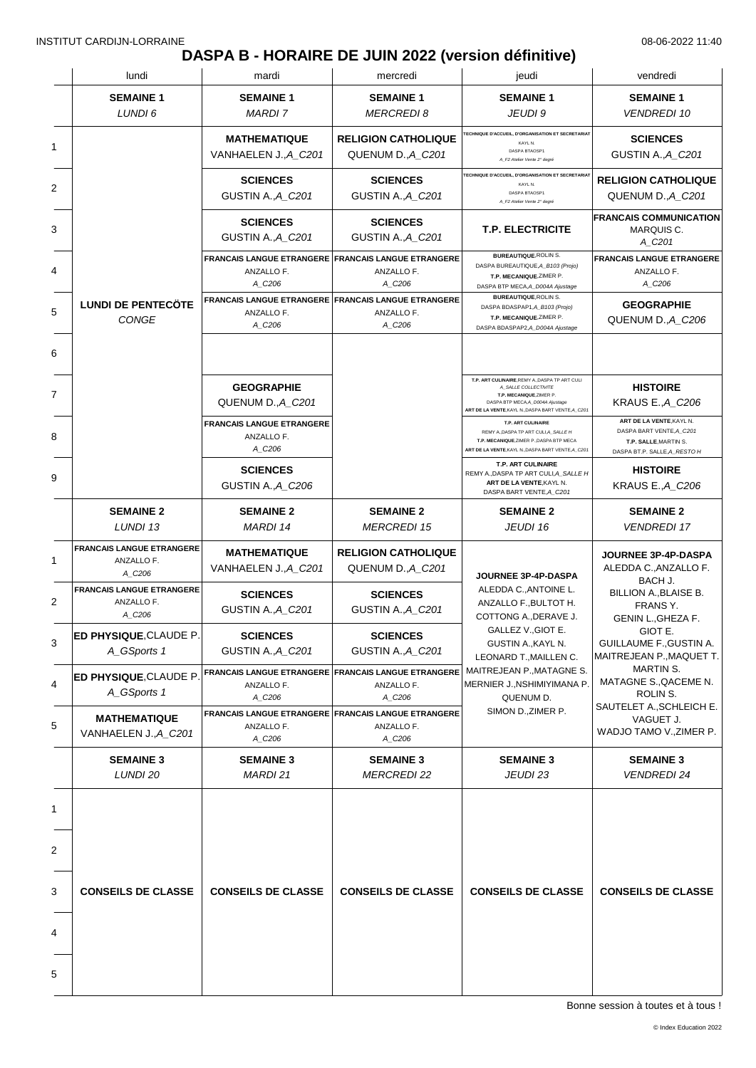## **DASPA B - HORAIRE DE JUIN 2022 (version définitive)**

|   | lundi                                                    | mardi                                                                              | mercredi                                                                           | jeudi                                                                                                                                                                                                                  | vendredi                                                                                                      |
|---|----------------------------------------------------------|------------------------------------------------------------------------------------|------------------------------------------------------------------------------------|------------------------------------------------------------------------------------------------------------------------------------------------------------------------------------------------------------------------|---------------------------------------------------------------------------------------------------------------|
|   | <b>SEMAINE 1</b><br>LUNDI 6                              | <b>SEMAINE 1</b><br><b>MARDI 7</b>                                                 | <b>SEMAINE 1</b><br><b>MERCREDI8</b>                                               | <b>SEMAINE 1</b><br>JEUDI 9                                                                                                                                                                                            | <b>SEMAINE 1</b><br><b>VENDREDI 10</b>                                                                        |
| 1 |                                                          | <b>MATHEMATIQUE</b><br>VANHAELEN J., A_C201                                        | <b>RELIGION CATHOLIQUE</b><br>QUENUM D., A_C201                                    | <b>TECHNIQUE D'ACCUEIL, D'ORGANISATION ET SECRETARIAT</b><br>KAYL N.<br>DASPA BTAOSP1<br>A_F2 Atelier Vente 2 <sup>*</sup> degré                                                                                       | <b>SCIENCES</b><br>GUSTIN A., A_C201                                                                          |
| 2 |                                                          | <b>SCIENCES</b><br>GUSTIN A., A_C201                                               | <b>SCIENCES</b><br>GUSTIN A., A_C201                                               | TECHNIQUE D'ACCUEIL, D'ORGANISATION ET SECRETARIAT<br>KAYL N.<br>DASPA BTAOSP1<br>A_F2 Atelier Vente 2° degré                                                                                                          | <b>RELIGION CATHOLIQUE</b><br>QUENUM D., A_C201                                                               |
| 3 |                                                          | <b>SCIENCES</b><br>GUSTIN A., A_C201                                               | <b>SCIENCES</b><br>GUSTIN A., A_C201                                               | <b>T.P. ELECTRICITE</b>                                                                                                                                                                                                | <b>FRANCAIS COMMUNICATION</b><br>MARQUIS C.<br>A_C201                                                         |
|   |                                                          | ANZALLO F.<br>A_C206                                                               | <b>FRANCAIS LANGUE ETRANGERE FRANCAIS LANGUE ETRANGERE</b><br>ANZALLO F.<br>A_C206 | <b>BUREAUTIQUE, ROLIN S.</b><br>DASPA BUREAUTIQUE, A_B103 (Projo)<br>T.P. MECANIQUE, ZIMER P.                                                                                                                          | <b>FRANCAIS LANGUE ETRANGERE</b><br>ANZALLO F.                                                                |
|   | <b>LUNDI DE PENTECÖTE</b><br>CONGE                       | ANZALLO F.<br>A_C206                                                               | FRANCAIS LANGUE ETRANGERE FRANCAIS LANGUE ETRANGERE<br>ANZALLO F.<br>A_C206        | DASPA BTP MECA, A_D004A Ajustage<br><b>BUREAUTIQUE, ROLIN S.</b><br>DASPA BDASPAP1, A_B103 (Projo)<br>T.P. MECANIQUE, ZIMER P.<br>DASPA BDASPAP2,A_D004A Ajustage                                                      | A_C206<br><b>GEOGRAPHIE</b><br>QUENUM D., A_C206                                                              |
|   |                                                          |                                                                                    |                                                                                    |                                                                                                                                                                                                                        |                                                                                                               |
|   |                                                          | <b>GEOGRAPHIE</b><br>QUENUM D., A C201                                             |                                                                                    | T.P. ART CULINAIRE, REMY A., DASPA TP ART CULI<br>A_SALLE COLLECTIVITE<br>T.P. MECANIQUE.ZIMER P.<br>DASPA BTP MECA, A_D004A Ajustage<br>ART DE LA VENTE, KAYL N., DASPA BART VENTE, A_C201                            | <b>HISTOIRE</b><br><b>KRAUS E., A_C206</b>                                                                    |
|   |                                                          | <b>FRANCAIS LANGUE ETRANGERE</b><br>ANZALLO F.<br>A_C206                           |                                                                                    | T.P. ART CULINAIRE<br>REMY A., DASPA TP ART CULI, A_SALLE H<br>T.P. MECANIQUE, ZIMER P., DASPA BTP MECA<br>ART DE LA VENTE, KAYL N., DASPA BART VENTE, A_C201                                                          | ART DE LA VENTE, KAYL N.<br>DASPA BART VENTE, A_C201<br>T.P. SALLE, MARTIN S.<br>DASPA BT.P. SALLE, A_RESTO H |
|   |                                                          | <b>SCIENCES</b><br>GUSTIN A., A_C206                                               |                                                                                    | T.P. ART CULINAIRE<br>REMY A., DASPA TP ART CULI, A_SALLE H<br>ART DE LA VENTE, KAYL N.<br>DASPA BART VENTE, A_C201                                                                                                    | <b>HISTOIRE</b><br><b>KRAUS E., A_C206</b>                                                                    |
|   | <b>SEMAINE 2</b><br>LUNDI 13                             | <b>SEMAINE 2</b><br><b>MARDI 14</b>                                                | <b>SEMAINE 2</b><br><b>MERCREDI 15</b>                                             | <b>SEMAINE 2</b><br>JEUDI 16                                                                                                                                                                                           | <b>SEMAINE 2</b><br><b>VENDREDI 17</b>                                                                        |
|   | <b>FRANCAIS LANGUE ETRANGERE</b><br>ANZALLO F.<br>A_C206 | <b>MATHEMATIQUE</b><br>VANHAELEN J., A_C201                                        | <b>RELIGION CATHOLIQUE</b><br>QUENUM D., A_C201                                    | JOURNEE 3P-4P-DASPA                                                                                                                                                                                                    | <b>JOURNEE 3P-4P-DASPA</b><br>ALEDDA C., ANZALLO F.                                                           |
|   | <b>FRANCAIS LANGUE ETRANGERE</b><br>ANZALLO F.<br>A_C206 | <b>SCIENCES</b><br>GUSTIN A., A_C201                                               | <b>SCIENCES</b><br>GUSTIN A., A_C201                                               | ALEDDA C., ANTOINE L.<br>ANZALLO F., BULTOT H.<br>COTTONG A., DERAVE J.<br>GALLEZ V., GIOT E.<br>GUSTIN A., KAYL N.<br>LEONARD T., MAILLEN C.<br>MAITREJEAN P., MATAGNE S.<br>MERNIER J., NSHIMIYIMANA P.<br>QUENUM D. | BACH J.<br>BILLION A., BLAISE B.<br>FRANS Y.<br>GENIN L., GHEZA F.                                            |
|   | ED PHYSIQUE, CLAUDE P.<br>A_GSports 1                    | <b>SCIENCES</b><br><b>GUSTIN A., A_C201</b>                                        | <b>SCIENCES</b><br>GUSTIN A., A_C201                                               |                                                                                                                                                                                                                        | GIOT E.<br>GUILLAUME F., GUSTIN A.<br>MAITREJEAN P., MAQUET T.                                                |
|   | <b>ED PHYSIQUE, CLAUDE P.</b><br>A_GSports 1             | ANZALLO F.<br>A_C206                                                               | FRANCAIS LANGUE ETRANGERE FRANCAIS LANGUE ETRANGERE<br>ANZALLO F.<br>A C206        |                                                                                                                                                                                                                        | MARTIN S.<br>MATAGNE S., QACEME N.<br>ROLIN S.                                                                |
|   | <b>MATHEMATIQUE</b><br>VANHAELEN J., A_C201              | <b>FRANCAIS LANGUE ETRANGERE FRANCAIS LANGUE ETRANGERE</b><br>ANZALLO F.<br>A_C206 | ANZALLO F.<br>A_C206                                                               | SIMON D., ZIMER P.                                                                                                                                                                                                     | SAUTELET A., SCHLEICH E.<br>VAGUET J.<br>WADJO TAMO V., ZIMER P.                                              |
|   | <b>SEMAINE 3</b><br>LUNDI 20                             | <b>SEMAINE 3</b><br><b>MARDI 21</b>                                                | <b>SEMAINE 3</b><br><b>MERCREDI 22</b>                                             | <b>SEMAINE 3</b><br>JEUDI 23                                                                                                                                                                                           | <b>SEMAINE 3</b><br><b>VENDREDI 24</b>                                                                        |
|   |                                                          |                                                                                    |                                                                                    |                                                                                                                                                                                                                        |                                                                                                               |
|   |                                                          |                                                                                    |                                                                                    |                                                                                                                                                                                                                        |                                                                                                               |
|   | <b>CONSEILS DE CLASSE</b>                                | <b>CONSEILS DE CLASSE</b>                                                          | <b>CONSEILS DE CLASSE</b>                                                          | <b>CONSEILS DE CLASSE</b>                                                                                                                                                                                              | <b>CONSEILS DE CLASSE</b>                                                                                     |
| 4 |                                                          |                                                                                    |                                                                                    |                                                                                                                                                                                                                        |                                                                                                               |
| 5 |                                                          |                                                                                    |                                                                                    |                                                                                                                                                                                                                        |                                                                                                               |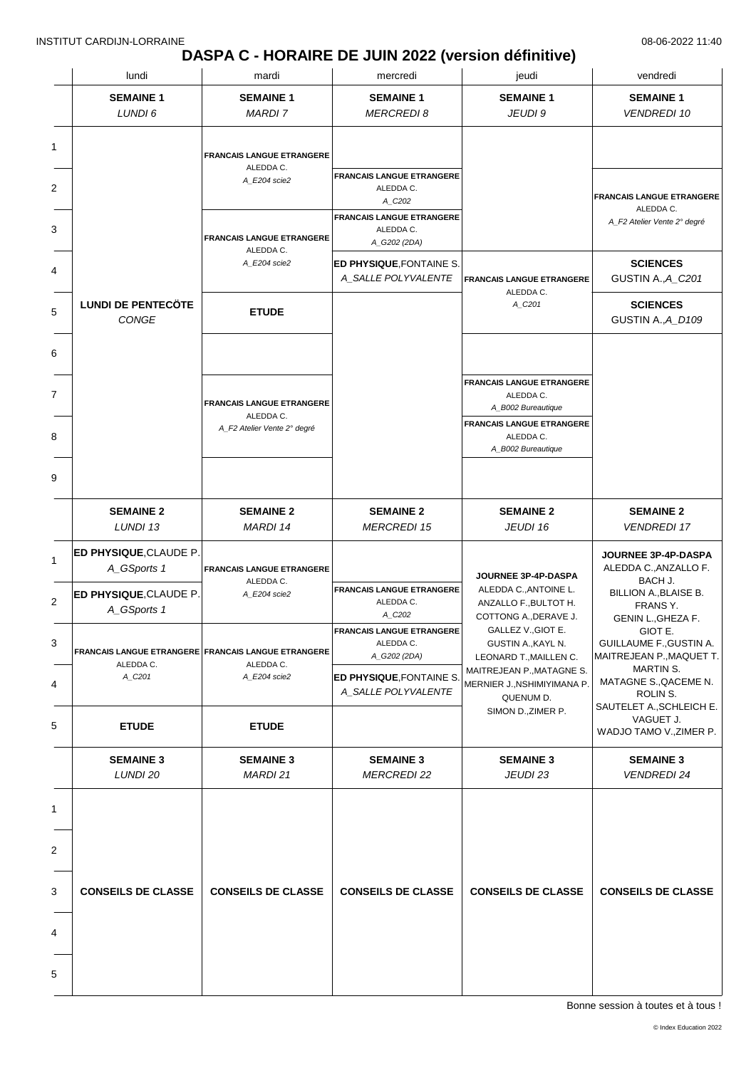### **DASPA C - HORAIRE DE JUIN 2022 (version définitive)**

| lundi                                        | mardi                                                            | mercredi                                      | jeudi                                                    | vendredi                                      |
|----------------------------------------------|------------------------------------------------------------------|-----------------------------------------------|----------------------------------------------------------|-----------------------------------------------|
| <b>SEMAINE 1</b>                             | <b>SEMAINE 1</b>                                                 | <b>SEMAINE 1</b>                              | <b>SEMAINE 1</b>                                         | <b>SEMAINE 1</b>                              |
| LUNDI 6                                      | MARDI 7                                                          | <b>MERCREDI 8</b>                             | JEUDI 9                                                  | <b>VENDREDI 10</b>                            |
|                                              |                                                                  |                                               |                                                          |                                               |
|                                              | <b>FRANCAIS LANGUE ETRANGERE</b><br>ALEDDA C.                    |                                               |                                                          |                                               |
|                                              | A_E204 scie2                                                     | <b>FRANCAIS LANGUE ETRANGERE</b><br>ALEDDA C. |                                                          |                                               |
|                                              |                                                                  | A_C202                                        |                                                          | <b>FRANCAIS LANGUE ETRANGERE</b><br>ALEDDA C. |
|                                              |                                                                  | <b>FRANCAIS LANGUE ETRANGERE</b><br>ALEDDA C. |                                                          | A_F2 Atelier Vente 2° degré                   |
|                                              | <b>FRANCAIS LANGUE ETRANGERE</b>                                 | A_G202 (2DA)                                  |                                                          |                                               |
|                                              | ALEDDA C.<br>A_E204 scie2                                        | ED PHYSIQUE, FONTAINE S.                      |                                                          | <b>SCIENCES</b>                               |
|                                              |                                                                  | A_SALLE POLYVALENTE                           | <b>FRANCAIS LANGUE ETRANGERE</b>                         | GUSTIN A., A_C201                             |
| <b>LUNDI DE PENTECÖTE</b>                    |                                                                  |                                               | ALEDDA C.<br>A_C201                                      | <b>SCIENCES</b>                               |
| CONGE                                        | <b>ETUDE</b>                                                     |                                               |                                                          | GUSTIN A., A_D109                             |
|                                              |                                                                  |                                               |                                                          |                                               |
|                                              |                                                                  |                                               |                                                          |                                               |
|                                              |                                                                  |                                               | <b>FRANCAIS LANGUE ETRANGERE</b>                         |                                               |
|                                              | <b>FRANCAIS LANGUE ETRANGERE</b>                                 |                                               | ALEDDA C.                                                |                                               |
|                                              | ALEDDA C.                                                        |                                               | A_B002 Bureautique<br><b>FRANCAIS LANGUE ETRANGERE</b>   |                                               |
|                                              | A_F2 Atelier Vente 2° degré                                      |                                               | ALEDDA C.                                                |                                               |
|                                              |                                                                  |                                               | A_B002 Bureautique                                       |                                               |
|                                              |                                                                  |                                               |                                                          |                                               |
|                                              |                                                                  |                                               |                                                          |                                               |
| <b>SEMAINE 2</b><br>LUNDI 13                 | <b>SEMAINE 2</b><br><b>MARDI 14</b>                              | <b>SEMAINE 2</b><br><b>MERCREDI 15</b>        | <b>SEMAINE 2</b><br>JEUDI 16                             | <b>SEMAINE 2</b><br><b>VENDREDI 17</b>        |
|                                              |                                                                  |                                               |                                                          |                                               |
| <b>ED PHYSIQUE, CLAUDE P.</b><br>A_GSports 1 | <b>FRANCAIS LANGUE ETRANGERE</b>                                 |                                               |                                                          | JOURNEE 3P-4P-DASPA<br>ALEDDA C., ANZALLO F.  |
|                                              | ALEDDA C.                                                        |                                               | JOURNEE 3P-4P-DASPA                                      | BACH J.                                       |
| ED PHYSIQUE, CLAUDE P.                       | A_E204 scie2                                                     | <b>FRANCAIS LANGUE ETRANGERE</b><br>ALEDDA C. | ALEDDA C., ANTOINE L.<br>ANZALLO F., BULTOT H.           | BILLION A., BLAISE B.<br>FRANS Y.             |
| A_GSports 1                                  |                                                                  | A_C202                                        | COTTONG A., DERAVE J.                                    | GENIN L., GHEZA F.                            |
|                                              |                                                                  | <b>FRANCAIS LANGUE ETRANGERE</b><br>ALEDDA C. | GALLEZ V., GIOT E.<br>GUSTIN A., KAYL N.                 | GIOT E.<br>GUILLAUME F., GUSTIN A.            |
| ALEDDA C.                                    | FRANCAIS LANGUE ETRANGERE FRANCAIS LANGUE ETRANGERE<br>ALEDDA C. | A_G202 (2DA)                                  | LEONARD T., MAILLEN C.                                   | MAITREJEAN P., MAQUET T.                      |
| A_C201                                       | A_E204 scie2                                                     | ED PHYSIQUE, FONTAINE S.                      | MAITREJEAN P., MATAGNE S.<br>MERNIER J., NSHIMIYIMANA P. | MARTIN S.<br>MATAGNE S., QACEME N.            |
|                                              |                                                                  | A_SALLE POLYVALENTE                           | QUENUM D.                                                | ROLIN S.                                      |
|                                              |                                                                  |                                               | SIMON D., ZIMER P.                                       | SAUTELET A., SCHLEICH E.<br>VAGUET J.         |
| <b>ETUDE</b>                                 | <b>ETUDE</b>                                                     |                                               |                                                          | WADJO TAMO V., ZIMER P.                       |
| <b>SEMAINE 3</b>                             | <b>SEMAINE 3</b>                                                 | <b>SEMAINE 3</b>                              | <b>SEMAINE 3</b>                                         | <b>SEMAINE 3</b>                              |
| LUNDI 20                                     | MARDI 21                                                         | <b>MERCREDI 22</b>                            | JEUDI 23                                                 | <b>VENDREDI 24</b>                            |
|                                              |                                                                  |                                               |                                                          |                                               |
|                                              |                                                                  |                                               |                                                          |                                               |
|                                              |                                                                  |                                               |                                                          |                                               |
|                                              |                                                                  |                                               |                                                          |                                               |
|                                              |                                                                  |                                               |                                                          |                                               |
| <b>CONSEILS DE CLASSE</b>                    | <b>CONSEILS DE CLASSE</b>                                        | <b>CONSEILS DE CLASSE</b>                     | <b>CONSEILS DE CLASSE</b>                                | <b>CONSEILS DE CLASSE</b>                     |
|                                              |                                                                  |                                               |                                                          |                                               |
|                                              |                                                                  |                                               |                                                          |                                               |
|                                              |                                                                  |                                               |                                                          |                                               |
|                                              |                                                                  |                                               |                                                          |                                               |
|                                              |                                                                  |                                               |                                                          |                                               |